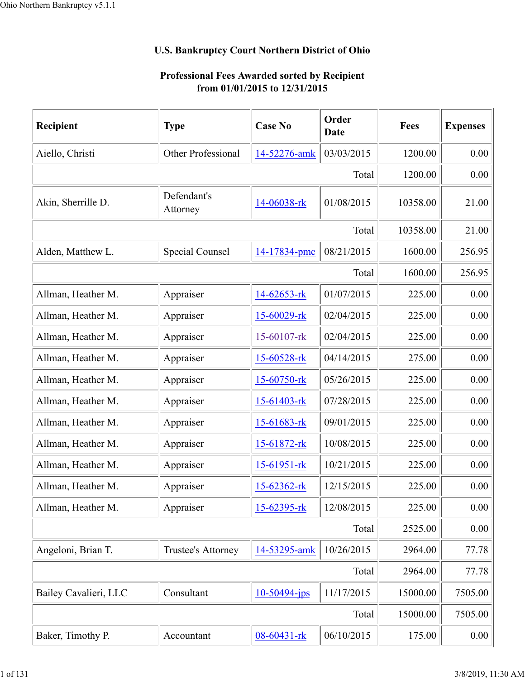## **U.S. Bankruptcy Court Northern District of Ohio**

## **Professional Fees Awarded sorted by Recipient from 01/01/2015 to 12/31/2015**

| Recipient             | <b>Type</b>             | <b>Case No</b>  | Order<br>Date | Fees     | <b>Expenses</b> |
|-----------------------|-------------------------|-----------------|---------------|----------|-----------------|
| Aiello, Christi       | Other Professional      | 14-52276-amk    | 03/03/2015    | 1200.00  | 0.00            |
|                       |                         |                 | Total         | 1200.00  | 0.00            |
| Akin, Sherrille D.    | Defendant's<br>Attorney | 14-06038-rk     | 01/08/2015    | 10358.00 | 21.00           |
|                       |                         |                 | Total         | 10358.00 | 21.00           |
| Alden, Matthew L.     | <b>Special Counsel</b>  | 14-17834-pmc    | 08/21/2015    | 1600.00  | 256.95          |
|                       |                         |                 | Total         | 1600.00  | 256.95          |
| Allman, Heather M.    | Appraiser               | 14-62653-rk     | 01/07/2015    | 225.00   | 0.00            |
| Allman, Heather M.    | Appraiser               | 15-60029-rk     | 02/04/2015    | 225.00   | 0.00            |
| Allman, Heather M.    | Appraiser               | 15-60107-rk     | 02/04/2015    | 225.00   | 0.00            |
| Allman, Heather M.    | Appraiser               | 15-60528-rk     | 04/14/2015    | 275.00   | 0.00            |
| Allman, Heather M.    | Appraiser               | 15-60750-rk     | 05/26/2015    | 225.00   | 0.00            |
| Allman, Heather M.    | Appraiser               | 15-61403-rk     | 07/28/2015    | 225.00   | 0.00            |
| Allman, Heather M.    | Appraiser               | 15-61683-rk     | 09/01/2015    | 225.00   | 0.00            |
| Allman, Heather M.    | Appraiser               | 15-61872-rk     | 10/08/2015    | 225.00   | 0.00            |
| Allman, Heather M.    | Appraiser               | 15-61951-rk     | 10/21/2015    | 225.00   | 0.00            |
| Allman, Heather M.    | Appraiser               | 15-62362-rk     | 12/15/2015    | 225.00   | 0.00            |
| Allman, Heather M.    | Appraiser               | 15-62395-rk     | 12/08/2015    | 225.00   | 0.00            |
|                       |                         |                 | Total         | 2525.00  | 0.00            |
| Angeloni, Brian T.    | Trustee's Attorney      | 14-53295-amk    | 10/26/2015    | 2964.00  | 77.78           |
|                       |                         |                 | Total         | 2964.00  | 77.78           |
| Bailey Cavalieri, LLC | Consultant              | $10-50494$ -jps | 11/17/2015    | 15000.00 | 7505.00         |
|                       |                         |                 | Total         | 15000.00 | 7505.00         |
| Baker, Timothy P.     | Accountant              | 08-60431-rk     | 06/10/2015    | 175.00   | 0.00            |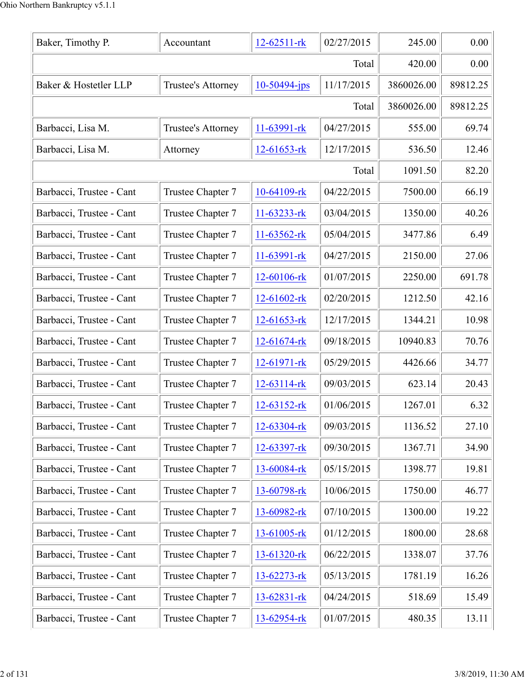| Baker, Timothy P.        | Accountant         | 12-62511-rk       | 02/27/2015 | 245.00     | 0.00     |
|--------------------------|--------------------|-------------------|------------|------------|----------|
|                          |                    |                   | Total      | 420.00     | 0.00     |
| Baker & Hostetler LLP    | Trustee's Attorney | $10-50494$ -jps   | 11/17/2015 | 3860026.00 | 89812.25 |
|                          |                    |                   | Total      | 3860026.00 | 89812.25 |
| Barbacci, Lisa M.        | Trustee's Attorney | $11-63991-rk$     | 04/27/2015 | 555.00     | 69.74    |
| Barbacci, Lisa M.        | Attorney           | 12-61653-rk       | 12/17/2015 | 536.50     | 12.46    |
|                          |                    |                   | Total      | 1091.50    | 82.20    |
| Barbacci, Trustee - Cant | Trustee Chapter 7  | 10-64109-rk       | 04/22/2015 | 7500.00    | 66.19    |
| Barbacci, Trustee - Cant | Trustee Chapter 7  | 11-63233-rk       | 03/04/2015 | 1350.00    | 40.26    |
| Barbacci, Trustee - Cant | Trustee Chapter 7  | $11-63562$ -rk    | 05/04/2015 | 3477.86    | 6.49     |
| Barbacci, Trustee - Cant | Trustee Chapter 7  | 11-63991-rk       | 04/27/2015 | 2150.00    | 27.06    |
| Barbacci, Trustee - Cant | Trustee Chapter 7  | 12-60106-rk       | 01/07/2015 | 2250.00    | 691.78   |
| Barbacci, Trustee - Cant | Trustee Chapter 7  | 12-61602-rk       | 02/20/2015 | 1212.50    | 42.16    |
| Barbacci, Trustee - Cant | Trustee Chapter 7  | 12-61653-rk       | 12/17/2015 | 1344.21    | 10.98    |
| Barbacci, Trustee - Cant | Trustee Chapter 7  | $12 - 61674 - rk$ | 09/18/2015 | 10940.83   | 70.76    |
| Barbacci, Trustee - Cant | Trustee Chapter 7  | 12-61971-rk       | 05/29/2015 | 4426.66    | 34.77    |
| Barbacci, Trustee - Cant | Trustee Chapter 7  | $12 - 63114 - rk$ | 09/03/2015 | 623.14     | 20.43    |
| Barbacci, Trustee - Cant | Trustee Chapter 7  | $12 - 63152 - rk$ | 01/06/2015 | 1267.01    | 6.32     |
| Barbacci, Trustee - Cant | Trustee Chapter 7  | 12-63304-rk       | 09/03/2015 | 1136.52    | 27.10    |
| Barbacci, Trustee - Cant | Trustee Chapter 7  | 12-63397-rk       | 09/30/2015 | 1367.71    | 34.90    |
| Barbacci, Trustee - Cant | Trustee Chapter 7  | 13-60084-rk       | 05/15/2015 | 1398.77    | 19.81    |
| Barbacci, Trustee - Cant | Trustee Chapter 7  | 13-60798-rk       | 10/06/2015 | 1750.00    | 46.77    |
| Barbacci, Trustee - Cant | Trustee Chapter 7  | 13-60982-rk       | 07/10/2015 | 1300.00    | 19.22    |
| Barbacci, Trustee - Cant | Trustee Chapter 7  | $13 - 61005 - rk$ | 01/12/2015 | 1800.00    | 28.68    |
| Barbacci, Trustee - Cant | Trustee Chapter 7  | 13-61320-rk       | 06/22/2015 | 1338.07    | 37.76    |
| Barbacci, Trustee - Cant | Trustee Chapter 7  | 13-62273-rk       | 05/13/2015 | 1781.19    | 16.26    |
| Barbacci, Trustee - Cant | Trustee Chapter 7  | 13-62831-rk       | 04/24/2015 | 518.69     | 15.49    |
| Barbacci, Trustee - Cant | Trustee Chapter 7  | 13-62954-rk       | 01/07/2015 | 480.35     | 13.11    |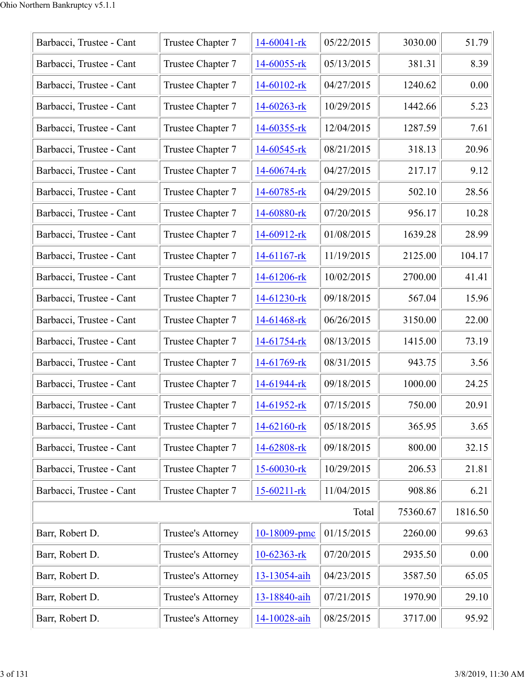| Barbacci, Trustee - Cant | Trustee Chapter 7  | 14-60041-rk       | 05/22/2015 | 3030.00  | 51.79   |
|--------------------------|--------------------|-------------------|------------|----------|---------|
| Barbacci, Trustee - Cant | Trustee Chapter 7  | 14-60055-rk       | 05/13/2015 | 381.31   | 8.39    |
| Barbacci, Trustee - Cant | Trustee Chapter 7  | $14-60102$ -rk    | 04/27/2015 | 1240.62  | 0.00    |
| Barbacci, Trustee - Cant | Trustee Chapter 7  | $14 - 60263 - rk$ | 10/29/2015 | 1442.66  | 5.23    |
| Barbacci, Trustee - Cant | Trustee Chapter 7  | 14-60355-rk       | 12/04/2015 | 1287.59  | 7.61    |
| Barbacci, Trustee - Cant | Trustee Chapter 7  | 14-60545-rk       | 08/21/2015 | 318.13   | 20.96   |
| Barbacci, Trustee - Cant | Trustee Chapter 7  | 14-60674-rk       | 04/27/2015 | 217.17   | 9.12    |
| Barbacci, Trustee - Cant | Trustee Chapter 7  | 14-60785-rk       | 04/29/2015 | 502.10   | 28.56   |
| Barbacci, Trustee - Cant | Trustee Chapter 7  | 14-60880-rk       | 07/20/2015 | 956.17   | 10.28   |
| Barbacci, Trustee - Cant | Trustee Chapter 7  | $14-60912$ -rk    | 01/08/2015 | 1639.28  | 28.99   |
| Barbacci, Trustee - Cant | Trustee Chapter 7  | $14-61167$ -rk    | 11/19/2015 | 2125.00  | 104.17  |
| Barbacci, Trustee - Cant | Trustee Chapter 7  | 14-61206-rk       | 10/02/2015 | 2700.00  | 41.41   |
| Barbacci, Trustee - Cant | Trustee Chapter 7  | 14-61230-rk       | 09/18/2015 | 567.04   | 15.96   |
| Barbacci, Trustee - Cant | Trustee Chapter 7  | 14-61468-rk       | 06/26/2015 | 3150.00  | 22.00   |
| Barbacci, Trustee - Cant | Trustee Chapter 7  | 14-61754-rk       | 08/13/2015 | 1415.00  | 73.19   |
| Barbacci, Trustee - Cant | Trustee Chapter 7  | 14-61769-rk       | 08/31/2015 | 943.75   | 3.56    |
| Barbacci, Trustee - Cant | Trustee Chapter 7  | 14-61944-rk       | 09/18/2015 | 1000.00  | 24.25   |
| Barbacci, Trustee - Cant | Trustee Chapter 7  | 14-61952-rk       | 07/15/2015 | 750.00   | 20.91   |
| Barbacci, Trustee - Cant | Trustee Chapter 7  | 14-62160-rk       | 05/18/2015 | 365.95   | 3.65    |
| Barbacci, Trustee - Cant | Trustee Chapter 7  | 14-62808-rk       | 09/18/2015 | 800.00   | 32.15   |
| Barbacci, Trustee - Cant | Trustee Chapter 7  | 15-60030-rk       | 10/29/2015 | 206.53   | 21.81   |
| Barbacci, Trustee - Cant | Trustee Chapter 7  | $15 - 60211 -$ rk | 11/04/2015 | 908.86   | 6.21    |
|                          |                    |                   | Total      | 75360.67 | 1816.50 |
| Barr, Robert D.          | Trustee's Attorney | 10-18009-pmc      | 01/15/2015 | 2260.00  | 99.63   |
| Barr, Robert D.          | Trustee's Attorney | $10-62363$ -rk    | 07/20/2015 | 2935.50  | 0.00    |
| Barr, Robert D.          | Trustee's Attorney | 13-13054-aih      | 04/23/2015 | 3587.50  | 65.05   |
| Barr, Robert D.          | Trustee's Attorney | 13-18840-aih      | 07/21/2015 | 1970.90  | 29.10   |
| Barr, Robert D.          | Trustee's Attorney | 14-10028-aih      | 08/25/2015 | 3717.00  | 95.92   |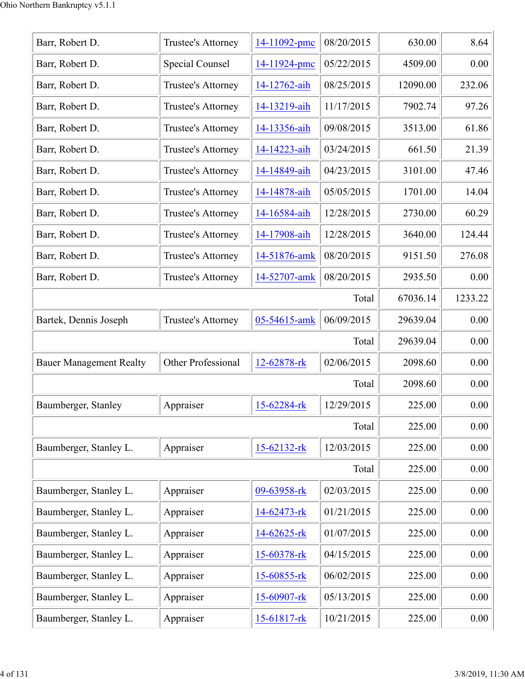| 08/20/2015<br>630.00<br>Barr, Robert D.<br>Trustee's Attorney<br>14-11092-pmc<br><b>Special Counsel</b><br>05/22/2015<br>4509.00<br>Barr, Robert D.<br>14-11924-pmc<br>08/25/2015<br>12090.00<br>Barr, Robert D.<br>Trustee's Attorney<br>14-12762-aih<br>11/17/2015<br>Barr, Robert D.<br>14-13219-aih<br>7902.74<br>Trustee's Attorney<br>09/08/2015<br>3513.00<br>Barr, Robert D.<br>Trustee's Attorney<br>14-13356-aih<br>03/24/2015<br>Barr, Robert D.<br>Trustee's Attorney<br>14-14223-aih<br>661.50<br>04/23/2015<br>3101.00<br>Barr, Robert D.<br>Trustee's Attorney<br>14-14849-aih<br>05/05/2015<br>Barr, Robert D.<br>1701.00<br>Trustee's Attorney<br>14-14878-aih<br>12/28/2015<br>Barr, Robert D.<br>2730.00<br>Trustee's Attorney<br>14-16584-aih<br>Barr, Robert D.<br>12/28/2015<br>3640.00<br>Trustee's Attorney<br>14-17908-aih<br>08/20/2015<br>Barr, Robert D.<br>9151.50<br>Trustee's Attorney<br>14-51876-amk<br>Barr, Robert D.<br>08/20/2015<br>2935.50<br>Trustee's Attorney<br>14-52707-amk<br>67036.14<br>Total<br>06/09/2015<br>05-54615-amk<br>Bartek, Dennis Joseph<br>Trustee's Attorney<br>29639.04<br>29639.04<br>Total<br>02/06/2015<br>Other Professional<br>12-62878-rk<br>2098.60<br><b>Bauer Management Realty</b><br>2098.60<br>Total<br>12/29/2015<br>Appraiser<br>225.00<br>Baumberger, Stanley<br>15-62284-rk<br>Total<br>225.00<br>12/03/2015<br>Appraiser<br>Baumberger, Stanley L.<br>15-62132-rk<br>225.00<br>Total<br>225.00<br>02/03/2015<br>Baumberger, Stanley L.<br>Appraiser<br>09-63958-rk<br>225.00<br>01/21/2015<br>Baumberger, Stanley L.<br>14-62473-rk<br>225.00<br>Appraiser<br>01/07/2015<br>Baumberger, Stanley L.<br>225.00<br>Appraiser<br>14-62625-rk<br>Baumberger, Stanley L.<br>15-60378-rk<br>04/15/2015<br>Appraiser<br>225.00<br>Baumberger, Stanley L.<br>06/02/2015<br>225.00<br>Appraiser<br>15-60855-rk<br>Baumberger, Stanley L.<br>Appraiser<br>05/13/2015<br>15-60907-rk<br>225.00<br>10/21/2015<br>Appraiser<br>225.00<br>Baumberger, Stanley L.<br>15-61817-rk |  |  |          |
|-------------------------------------------------------------------------------------------------------------------------------------------------------------------------------------------------------------------------------------------------------------------------------------------------------------------------------------------------------------------------------------------------------------------------------------------------------------------------------------------------------------------------------------------------------------------------------------------------------------------------------------------------------------------------------------------------------------------------------------------------------------------------------------------------------------------------------------------------------------------------------------------------------------------------------------------------------------------------------------------------------------------------------------------------------------------------------------------------------------------------------------------------------------------------------------------------------------------------------------------------------------------------------------------------------------------------------------------------------------------------------------------------------------------------------------------------------------------------------------------------------------------------------------------------------------------------------------------------------------------------------------------------------------------------------------------------------------------------------------------------------------------------------------------------------------------------------------------------------------------------------------------------------------------------------------------------------------------------------------------------------------------------------------------------|--|--|----------|
|                                                                                                                                                                                                                                                                                                                                                                                                                                                                                                                                                                                                                                                                                                                                                                                                                                                                                                                                                                                                                                                                                                                                                                                                                                                                                                                                                                                                                                                                                                                                                                                                                                                                                                                                                                                                                                                                                                                                                                                                                                                 |  |  | 8.64     |
|                                                                                                                                                                                                                                                                                                                                                                                                                                                                                                                                                                                                                                                                                                                                                                                                                                                                                                                                                                                                                                                                                                                                                                                                                                                                                                                                                                                                                                                                                                                                                                                                                                                                                                                                                                                                                                                                                                                                                                                                                                                 |  |  | 0.00     |
|                                                                                                                                                                                                                                                                                                                                                                                                                                                                                                                                                                                                                                                                                                                                                                                                                                                                                                                                                                                                                                                                                                                                                                                                                                                                                                                                                                                                                                                                                                                                                                                                                                                                                                                                                                                                                                                                                                                                                                                                                                                 |  |  | 232.06   |
|                                                                                                                                                                                                                                                                                                                                                                                                                                                                                                                                                                                                                                                                                                                                                                                                                                                                                                                                                                                                                                                                                                                                                                                                                                                                                                                                                                                                                                                                                                                                                                                                                                                                                                                                                                                                                                                                                                                                                                                                                                                 |  |  | 97.26    |
|                                                                                                                                                                                                                                                                                                                                                                                                                                                                                                                                                                                                                                                                                                                                                                                                                                                                                                                                                                                                                                                                                                                                                                                                                                                                                                                                                                                                                                                                                                                                                                                                                                                                                                                                                                                                                                                                                                                                                                                                                                                 |  |  | 61.86    |
|                                                                                                                                                                                                                                                                                                                                                                                                                                                                                                                                                                                                                                                                                                                                                                                                                                                                                                                                                                                                                                                                                                                                                                                                                                                                                                                                                                                                                                                                                                                                                                                                                                                                                                                                                                                                                                                                                                                                                                                                                                                 |  |  | 21.39    |
|                                                                                                                                                                                                                                                                                                                                                                                                                                                                                                                                                                                                                                                                                                                                                                                                                                                                                                                                                                                                                                                                                                                                                                                                                                                                                                                                                                                                                                                                                                                                                                                                                                                                                                                                                                                                                                                                                                                                                                                                                                                 |  |  | 47.46    |
|                                                                                                                                                                                                                                                                                                                                                                                                                                                                                                                                                                                                                                                                                                                                                                                                                                                                                                                                                                                                                                                                                                                                                                                                                                                                                                                                                                                                                                                                                                                                                                                                                                                                                                                                                                                                                                                                                                                                                                                                                                                 |  |  | 14.04    |
|                                                                                                                                                                                                                                                                                                                                                                                                                                                                                                                                                                                                                                                                                                                                                                                                                                                                                                                                                                                                                                                                                                                                                                                                                                                                                                                                                                                                                                                                                                                                                                                                                                                                                                                                                                                                                                                                                                                                                                                                                                                 |  |  | 60.29    |
|                                                                                                                                                                                                                                                                                                                                                                                                                                                                                                                                                                                                                                                                                                                                                                                                                                                                                                                                                                                                                                                                                                                                                                                                                                                                                                                                                                                                                                                                                                                                                                                                                                                                                                                                                                                                                                                                                                                                                                                                                                                 |  |  | 124.44   |
|                                                                                                                                                                                                                                                                                                                                                                                                                                                                                                                                                                                                                                                                                                                                                                                                                                                                                                                                                                                                                                                                                                                                                                                                                                                                                                                                                                                                                                                                                                                                                                                                                                                                                                                                                                                                                                                                                                                                                                                                                                                 |  |  | 276.08   |
|                                                                                                                                                                                                                                                                                                                                                                                                                                                                                                                                                                                                                                                                                                                                                                                                                                                                                                                                                                                                                                                                                                                                                                                                                                                                                                                                                                                                                                                                                                                                                                                                                                                                                                                                                                                                                                                                                                                                                                                                                                                 |  |  | 0.00     |
|                                                                                                                                                                                                                                                                                                                                                                                                                                                                                                                                                                                                                                                                                                                                                                                                                                                                                                                                                                                                                                                                                                                                                                                                                                                                                                                                                                                                                                                                                                                                                                                                                                                                                                                                                                                                                                                                                                                                                                                                                                                 |  |  | 1233.22  |
|                                                                                                                                                                                                                                                                                                                                                                                                                                                                                                                                                                                                                                                                                                                                                                                                                                                                                                                                                                                                                                                                                                                                                                                                                                                                                                                                                                                                                                                                                                                                                                                                                                                                                                                                                                                                                                                                                                                                                                                                                                                 |  |  | 0.00     |
|                                                                                                                                                                                                                                                                                                                                                                                                                                                                                                                                                                                                                                                                                                                                                                                                                                                                                                                                                                                                                                                                                                                                                                                                                                                                                                                                                                                                                                                                                                                                                                                                                                                                                                                                                                                                                                                                                                                                                                                                                                                 |  |  | 0.00     |
|                                                                                                                                                                                                                                                                                                                                                                                                                                                                                                                                                                                                                                                                                                                                                                                                                                                                                                                                                                                                                                                                                                                                                                                                                                                                                                                                                                                                                                                                                                                                                                                                                                                                                                                                                                                                                                                                                                                                                                                                                                                 |  |  | 0.00     |
|                                                                                                                                                                                                                                                                                                                                                                                                                                                                                                                                                                                                                                                                                                                                                                                                                                                                                                                                                                                                                                                                                                                                                                                                                                                                                                                                                                                                                                                                                                                                                                                                                                                                                                                                                                                                                                                                                                                                                                                                                                                 |  |  | 0.00     |
|                                                                                                                                                                                                                                                                                                                                                                                                                                                                                                                                                                                                                                                                                                                                                                                                                                                                                                                                                                                                                                                                                                                                                                                                                                                                                                                                                                                                                                                                                                                                                                                                                                                                                                                                                                                                                                                                                                                                                                                                                                                 |  |  | 0.00     |
|                                                                                                                                                                                                                                                                                                                                                                                                                                                                                                                                                                                                                                                                                                                                                                                                                                                                                                                                                                                                                                                                                                                                                                                                                                                                                                                                                                                                                                                                                                                                                                                                                                                                                                                                                                                                                                                                                                                                                                                                                                                 |  |  | 0.00     |
|                                                                                                                                                                                                                                                                                                                                                                                                                                                                                                                                                                                                                                                                                                                                                                                                                                                                                                                                                                                                                                                                                                                                                                                                                                                                                                                                                                                                                                                                                                                                                                                                                                                                                                                                                                                                                                                                                                                                                                                                                                                 |  |  | 0.00     |
|                                                                                                                                                                                                                                                                                                                                                                                                                                                                                                                                                                                                                                                                                                                                                                                                                                                                                                                                                                                                                                                                                                                                                                                                                                                                                                                                                                                                                                                                                                                                                                                                                                                                                                                                                                                                                                                                                                                                                                                                                                                 |  |  | 0.00     |
|                                                                                                                                                                                                                                                                                                                                                                                                                                                                                                                                                                                                                                                                                                                                                                                                                                                                                                                                                                                                                                                                                                                                                                                                                                                                                                                                                                                                                                                                                                                                                                                                                                                                                                                                                                                                                                                                                                                                                                                                                                                 |  |  | 0.00     |
|                                                                                                                                                                                                                                                                                                                                                                                                                                                                                                                                                                                                                                                                                                                                                                                                                                                                                                                                                                                                                                                                                                                                                                                                                                                                                                                                                                                                                                                                                                                                                                                                                                                                                                                                                                                                                                                                                                                                                                                                                                                 |  |  | 0.00     |
|                                                                                                                                                                                                                                                                                                                                                                                                                                                                                                                                                                                                                                                                                                                                                                                                                                                                                                                                                                                                                                                                                                                                                                                                                                                                                                                                                                                                                                                                                                                                                                                                                                                                                                                                                                                                                                                                                                                                                                                                                                                 |  |  | 0.00     |
|                                                                                                                                                                                                                                                                                                                                                                                                                                                                                                                                                                                                                                                                                                                                                                                                                                                                                                                                                                                                                                                                                                                                                                                                                                                                                                                                                                                                                                                                                                                                                                                                                                                                                                                                                                                                                                                                                                                                                                                                                                                 |  |  | 0.00     |
|                                                                                                                                                                                                                                                                                                                                                                                                                                                                                                                                                                                                                                                                                                                                                                                                                                                                                                                                                                                                                                                                                                                                                                                                                                                                                                                                                                                                                                                                                                                                                                                                                                                                                                                                                                                                                                                                                                                                                                                                                                                 |  |  | 0.00     |
|                                                                                                                                                                                                                                                                                                                                                                                                                                                                                                                                                                                                                                                                                                                                                                                                                                                                                                                                                                                                                                                                                                                                                                                                                                                                                                                                                                                                                                                                                                                                                                                                                                                                                                                                                                                                                                                                                                                                                                                                                                                 |  |  | 0.00     |
|                                                                                                                                                                                                                                                                                                                                                                                                                                                                                                                                                                                                                                                                                                                                                                                                                                                                                                                                                                                                                                                                                                                                                                                                                                                                                                                                                                                                                                                                                                                                                                                                                                                                                                                                                                                                                                                                                                                                                                                                                                                 |  |  | $0.00\,$ |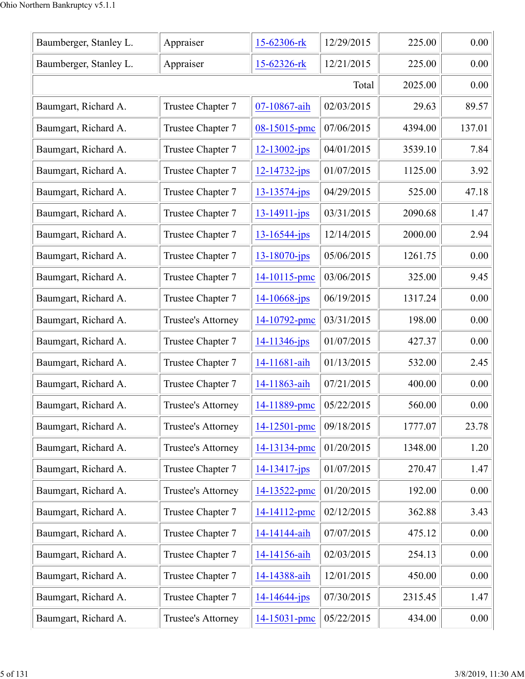| Baumberger, Stanley L. | Appraiser                 | 15-62306-rk        | 12/29/2015 | 225.00  | 0.00   |
|------------------------|---------------------------|--------------------|------------|---------|--------|
| Baumberger, Stanley L. | Appraiser                 | 15-62326-rk        | 12/21/2015 | 225.00  | 0.00   |
|                        |                           |                    | Total      | 2025.00 | 0.00   |
| Baumgart, Richard A.   | Trustee Chapter 7         | 07-10867-aih       | 02/03/2015 | 29.63   | 89.57  |
| Baumgart, Richard A.   | Trustee Chapter 7         | 08-15015-pmc       | 07/06/2015 | 4394.00 | 137.01 |
| Baumgart, Richard A.   | Trustee Chapter 7         | $12 - 13002 - ips$ | 04/01/2015 | 3539.10 | 7.84   |
| Baumgart, Richard A.   | Trustee Chapter 7         | $12 - 14732 - jps$ | 01/07/2015 | 1125.00 | 3.92   |
| Baumgart, Richard A.   | Trustee Chapter 7         | $13 - 13574 - jps$ | 04/29/2015 | 525.00  | 47.18  |
| Baumgart, Richard A.   | Trustee Chapter 7         | $13 - 14911 - ips$ | 03/31/2015 | 2090.68 | 1.47   |
| Baumgart, Richard A.   | Trustee Chapter 7         | $13 - 16544 - jps$ | 12/14/2015 | 2000.00 | 2.94   |
| Baumgart, Richard A.   | Trustee Chapter 7         | 13-18070-jps       | 05/06/2015 | 1261.75 | 0.00   |
| Baumgart, Richard A.   | Trustee Chapter 7         | 14-10115-pmc       | 03/06/2015 | 325.00  | 9.45   |
| Baumgart, Richard A.   | Trustee Chapter 7         | 14-10668-jps       | 06/19/2015 | 1317.24 | 0.00   |
| Baumgart, Richard A.   | Trustee's Attorney        | 14-10792-pmc       | 03/31/2015 | 198.00  | 0.00   |
| Baumgart, Richard A.   | Trustee Chapter 7         | 14-11346-jps       | 01/07/2015 | 427.37  | 0.00   |
| Baumgart, Richard A.   | Trustee Chapter 7         | 14-11681-aih       | 01/13/2015 | 532.00  | 2.45   |
| Baumgart, Richard A.   | Trustee Chapter 7         | 14-11863-aih       | 07/21/2015 | 400.00  | 0.00   |
| Baumgart, Richard A.   | <b>Trustee's Attorney</b> | 14-11889-pmc       | 05/22/2015 | 560.00  | 0.00   |
| Baumgart, Richard A.   | Trustee's Attorney        | 14-12501-pmc       | 09/18/2015 | 1777.07 | 23.78  |
| Baumgart, Richard A.   | Trustee's Attorney        | 14-13134-pmc       | 01/20/2015 | 1348.00 | 1.20   |
| Baumgart, Richard A.   | Trustee Chapter 7         | $14 - 13417 - ips$ | 01/07/2015 | 270.47  | 1.47   |
| Baumgart, Richard A.   | Trustee's Attorney        | 14-13522-pmc       | 01/20/2015 | 192.00  | 0.00   |
| Baumgart, Richard A.   | Trustee Chapter 7         | 14-14112-pmc       | 02/12/2015 | 362.88  | 3.43   |
| Baumgart, Richard A.   | Trustee Chapter 7         | 14-14144-aih       | 07/07/2015 | 475.12  | 0.00   |
| Baumgart, Richard A.   | Trustee Chapter 7         | 14-14156-aih       | 02/03/2015 | 254.13  | 0.00   |
| Baumgart, Richard A.   | Trustee Chapter 7         | 14-14388-aih       | 12/01/2015 | 450.00  | 0.00   |
| Baumgart, Richard A.   | Trustee Chapter 7         | 14-14644-jps       | 07/30/2015 | 2315.45 | 1.47   |
| Baumgart, Richard A.   | Trustee's Attorney        | 14-15031-pmc       | 05/22/2015 | 434.00  | 0.00   |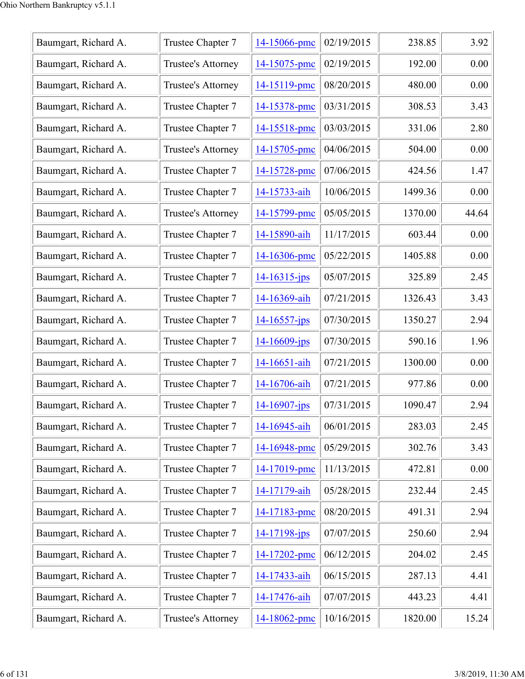| Trustee Chapter 7  | 14-15066-pmc       | 02/19/2015 | 238.85  | 3.92  |
|--------------------|--------------------|------------|---------|-------|
| Trustee's Attorney | 14-15075-pmc       | 02/19/2015 | 192.00  | 0.00  |
| Trustee's Attorney | 14-15119-pmc       | 08/20/2015 | 480.00  | 0.00  |
| Trustee Chapter 7  | 14-15378-pmc       | 03/31/2015 | 308.53  | 3.43  |
| Trustee Chapter 7  | 14-15518-pmc       | 03/03/2015 | 331.06  | 2.80  |
| Trustee's Attorney | 14-15705-pmc       | 04/06/2015 | 504.00  | 0.00  |
| Trustee Chapter 7  | 14-15728-pmc       | 07/06/2015 | 424.56  | 1.47  |
| Trustee Chapter 7  | 14-15733-aih       | 10/06/2015 | 1499.36 | 0.00  |
| Trustee's Attorney | 14-15799-pmc       | 05/05/2015 | 1370.00 | 44.64 |
| Trustee Chapter 7  | 14-15890-aih       | 11/17/2015 | 603.44  | 0.00  |
| Trustee Chapter 7  | 14-16306-pmc       | 05/22/2015 | 1405.88 | 0.00  |
| Trustee Chapter 7  | $14 - 16315$ -jps  | 05/07/2015 | 325.89  | 2.45  |
| Trustee Chapter 7  | 14-16369-aih       | 07/21/2015 | 1326.43 | 3.43  |
| Trustee Chapter 7  | $14 - 16557$ -jps  | 07/30/2015 | 1350.27 | 2.94  |
| Trustee Chapter 7  | $14 - 16609 - ips$ | 07/30/2015 | 590.16  | 1.96  |
| Trustee Chapter 7  | 14-16651-aih       | 07/21/2015 | 1300.00 | 0.00  |
| Trustee Chapter 7  | 14-16706-aih       | 07/21/2015 | 977.86  | 0.00  |
| Trustee Chapter 7  | $14 - 16907 - ips$ | 07/31/2015 | 1090.47 | 2.94  |
| Trustee Chapter 7  | 14-16945-aih       | 06/01/2015 | 283.03  | 2.45  |
| Trustee Chapter 7  | 14-16948-pmc       | 05/29/2015 | 302.76  | 3.43  |
| Trustee Chapter 7  | 14-17019-pmc       | 11/13/2015 | 472.81  | 0.00  |
| Trustee Chapter 7  | 14-17179-aih       | 05/28/2015 | 232.44  | 2.45  |
| Trustee Chapter 7  | 14-17183-pmc       | 08/20/2015 | 491.31  | 2.94  |
| Trustee Chapter 7  | $14 - 17198 - ips$ | 07/07/2015 | 250.60  | 2.94  |
| Trustee Chapter 7  | 14-17202-pmc       | 06/12/2015 | 204.02  | 2.45  |
| Trustee Chapter 7  | 14-17433-aih       | 06/15/2015 | 287.13  | 4.41  |
| Trustee Chapter 7  | 14-17476-aih       | 07/07/2015 | 443.23  | 4.41  |
| Trustee's Attorney | 14-18062-pmc       | 10/16/2015 | 1820.00 | 15.24 |
|                    |                    |            |         |       |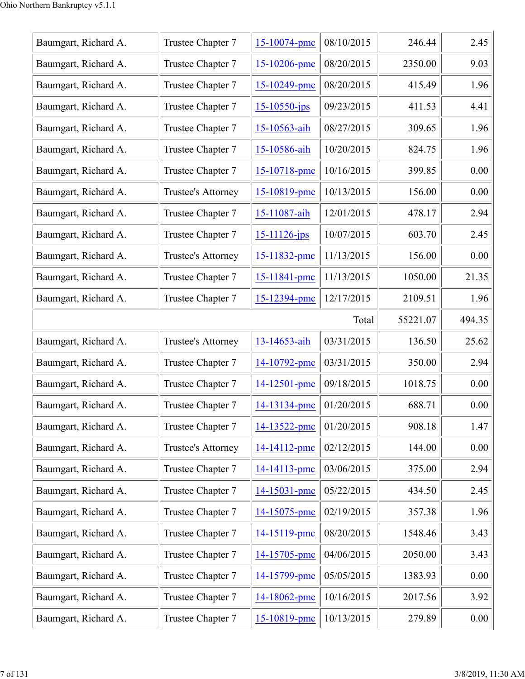| Baumgart, Richard A. | Trustee Chapter 7  | 15-10074-pmc       | 08/10/2015 | 246.44   | 2.45   |
|----------------------|--------------------|--------------------|------------|----------|--------|
| Baumgart, Richard A. | Trustee Chapter 7  | 15-10206-pmc       | 08/20/2015 | 2350.00  | 9.03   |
| Baumgart, Richard A. | Trustee Chapter 7  | 15-10249-pmc       | 08/20/2015 | 415.49   | 1.96   |
| Baumgart, Richard A. | Trustee Chapter 7  | $15 - 10550 - ips$ | 09/23/2015 | 411.53   | 4.41   |
| Baumgart, Richard A. | Trustee Chapter 7  | 15-10563-aih       | 08/27/2015 | 309.65   | 1.96   |
| Baumgart, Richard A. | Trustee Chapter 7  | 15-10586-aih       | 10/20/2015 | 824.75   | 1.96   |
| Baumgart, Richard A. | Trustee Chapter 7  | 15-10718-pmc       | 10/16/2015 | 399.85   | 0.00   |
| Baumgart, Richard A. | Trustee's Attorney | 15-10819-pmc       | 10/13/2015 | 156.00   | 0.00   |
| Baumgart, Richard A. | Trustee Chapter 7  | 15-11087-aih       | 12/01/2015 | 478.17   | 2.94   |
| Baumgart, Richard A. | Trustee Chapter 7  | $15 - 11126$ -jps  | 10/07/2015 | 603.70   | 2.45   |
| Baumgart, Richard A. | Trustee's Attorney | 15-11832-pmc       | 11/13/2015 | 156.00   | 0.00   |
| Baumgart, Richard A. | Trustee Chapter 7  | 15-11841-pmc       | 11/13/2015 | 1050.00  | 21.35  |
| Baumgart, Richard A. | Trustee Chapter 7  | 15-12394-pmc       | 12/17/2015 | 2109.51  | 1.96   |
|                      |                    |                    | Total      | 55221.07 | 494.35 |
| Baumgart, Richard A. | Trustee's Attorney | 13-14653-aih       | 03/31/2015 | 136.50   | 25.62  |
| Baumgart, Richard A. | Trustee Chapter 7  | 14-10792-pmc       | 03/31/2015 | 350.00   | 2.94   |
| Baumgart, Richard A. | Trustee Chapter 7  | 14-12501-pmc       | 09/18/2015 | 1018.75  | 0.00   |
| Baumgart, Richard A. | Trustee Chapter 7  | 14-13134-pmc       | 01/20/2015 | 688.71   | 0.00   |
| Baumgart, Richard A. | Trustee Chapter 7  | 14-13522-pmc       | 01/20/2015 | 908.18   | 1.47   |
| Baumgart, Richard A. | Trustee's Attorney | 14-14112-pmc       | 02/12/2015 | 144.00   | 0.00   |
| Baumgart, Richard A. | Trustee Chapter 7  | 14-14113-pmc       | 03/06/2015 | 375.00   | 2.94   |
| Baumgart, Richard A. | Trustee Chapter 7  | 14-15031-pmc       | 05/22/2015 | 434.50   | 2.45   |
| Baumgart, Richard A. | Trustee Chapter 7  | 14-15075-pmc       | 02/19/2015 | 357.38   | 1.96   |
| Baumgart, Richard A. | Trustee Chapter 7  | 14-15119-pmc       | 08/20/2015 | 1548.46  | 3.43   |
| Baumgart, Richard A. | Trustee Chapter 7  | 14-15705-pmc       | 04/06/2015 | 2050.00  | 3.43   |
| Baumgart, Richard A. | Trustee Chapter 7  | 14-15799-pmc       | 05/05/2015 | 1383.93  | 0.00   |
| Baumgart, Richard A. | Trustee Chapter 7  | 14-18062-pmc       | 10/16/2015 | 2017.56  | 3.92   |
| Baumgart, Richard A. | Trustee Chapter 7  | 15-10819-pmc       | 10/13/2015 | 279.89   | 0.00   |
|                      |                    |                    |            |          |        |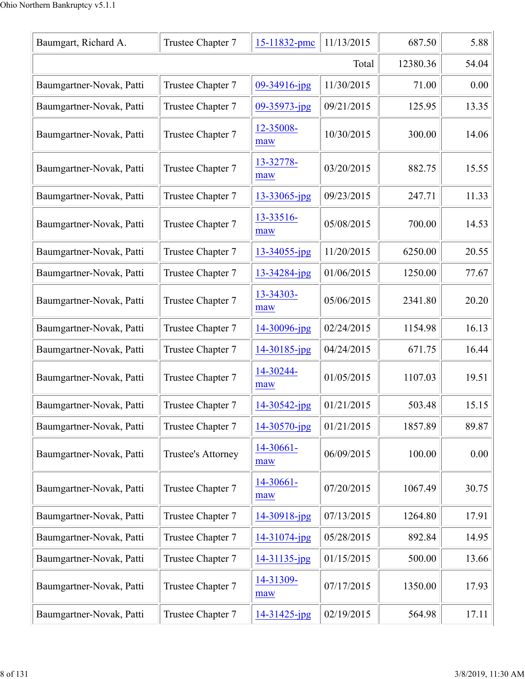| Baumgart, Richard A.     | Trustee Chapter 7  | 15-11832-pmc      | 11/13/2015 | 687.50  | 5.88  |
|--------------------------|--------------------|-------------------|------------|---------|-------|
|                          | 12380.36           | 54.04             |            |         |       |
| Baumgartner-Novak, Patti | Trustee Chapter 7  | $09 - 34916$ -jpg | 11/30/2015 | 71.00   | 0.00  |
| Baumgartner-Novak, Patti | Trustee Chapter 7  | 09-35973-jpg      | 09/21/2015 | 125.95  | 13.35 |
| Baumgartner-Novak, Patti | Trustee Chapter 7  | 12-35008-<br>maw  | 10/30/2015 | 300.00  | 14.06 |
| Baumgartner-Novak, Patti | Trustee Chapter 7  | 13-32778-<br>maw  | 03/20/2015 | 882.75  | 15.55 |
| Baumgartner-Novak, Patti | Trustee Chapter 7  | $13 - 33065$ -jpg | 09/23/2015 | 247.71  | 11.33 |
| Baumgartner-Novak, Patti | Trustee Chapter 7  | 13-33516-<br>maw  | 05/08/2015 | 700.00  | 14.53 |
| Baumgartner-Novak, Patti | Trustee Chapter 7  | 13-34055-jpg      | 11/20/2015 | 6250.00 | 20.55 |
| Baumgartner-Novak, Patti | Trustee Chapter 7  | 13-34284-jpg      | 01/06/2015 | 1250.00 | 77.67 |
| Baumgartner-Novak, Patti | Trustee Chapter 7  | 13-34303-<br>maw  | 05/06/2015 | 2341.80 | 20.20 |
| Baumgartner-Novak, Patti | Trustee Chapter 7  | 14-30096-jpg      | 02/24/2015 | 1154.98 | 16.13 |
| Baumgartner-Novak, Patti | Trustee Chapter 7  | 14-30185-jpg      | 04/24/2015 | 671.75  | 16.44 |
| Baumgartner-Novak, Patti | Trustee Chapter 7  | 14-30244-<br>maw  | 01/05/2015 | 1107.03 | 19.51 |
| Baumgartner-Novak, Patti | Trustee Chapter 7  | $14 - 30542$ -jpg | 01/21/2015 | 503.48  | 15.15 |
| Baumgartner-Novak, Patti | Trustee Chapter 7  | $14 - 30570$ -jpg | 01/21/2015 | 1857.89 | 89.87 |
| Baumgartner-Novak, Patti | Trustee's Attorney | 14-30661-<br>maw  | 06/09/2015 | 100.00  | 0.00  |
| Baumgartner-Novak, Patti | Trustee Chapter 7  | 14-30661-<br>maw  | 07/20/2015 | 1067.49 | 30.75 |
| Baumgartner-Novak, Patti | Trustee Chapter 7  | 14-30918-jpg      | 07/13/2015 | 1264.80 | 17.91 |
| Baumgartner-Novak, Patti | Trustee Chapter 7  | 14-31074-jpg      | 05/28/2015 | 892.84  | 14.95 |
| Baumgartner-Novak, Patti | Trustee Chapter 7  | $14 - 31135$ -jpg | 01/15/2015 | 500.00  | 13.66 |
| Baumgartner-Novak, Patti | Trustee Chapter 7  | 14-31309-<br>maw  | 07/17/2015 | 1350.00 | 17.93 |
| Baumgartner-Novak, Patti | Trustee Chapter 7  | 14-31425-jpg      | 02/19/2015 | 564.98  | 17.11 |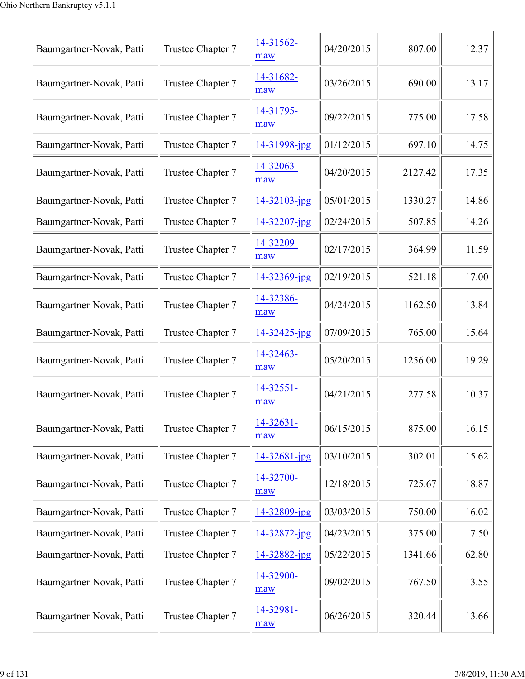| Baumgartner-Novak, Patti | Trustee Chapter 7 | 14-31562-<br>maw | 04/20/2015 | 807.00  | 12.37 |
|--------------------------|-------------------|------------------|------------|---------|-------|
| Baumgartner-Novak, Patti | Trustee Chapter 7 | 14-31682-<br>maw | 03/26/2015 | 690.00  | 13.17 |
| Baumgartner-Novak, Patti | Trustee Chapter 7 | 14-31795-<br>maw | 09/22/2015 | 775.00  | 17.58 |
| Baumgartner-Novak, Patti | Trustee Chapter 7 | 14-31998-jpg     | 01/12/2015 | 697.10  | 14.75 |
| Baumgartner-Novak, Patti | Trustee Chapter 7 | 14-32063-<br>maw | 04/20/2015 | 2127.42 | 17.35 |
| Baumgartner-Novak, Patti | Trustee Chapter 7 | 14-32103-jpg     | 05/01/2015 | 1330.27 | 14.86 |
| Baumgartner-Novak, Patti | Trustee Chapter 7 | 14-32207-jpg     | 02/24/2015 | 507.85  | 14.26 |
| Baumgartner-Novak, Patti | Trustee Chapter 7 | 14-32209-<br>maw | 02/17/2015 | 364.99  | 11.59 |
| Baumgartner-Novak, Patti | Trustee Chapter 7 | 14-32369-jpg     | 02/19/2015 | 521.18  | 17.00 |
| Baumgartner-Novak, Patti | Trustee Chapter 7 | 14-32386-<br>maw | 04/24/2015 | 1162.50 | 13.84 |
| Baumgartner-Novak, Patti | Trustee Chapter 7 | 14-32425-jpg     | 07/09/2015 | 765.00  | 15.64 |
| Baumgartner-Novak, Patti | Trustee Chapter 7 | 14-32463-<br>maw | 05/20/2015 | 1256.00 | 19.29 |
| Baumgartner-Novak, Patti | Trustee Chapter 7 | 14-32551-<br>maw | 04/21/2015 | 277.58  | 10.37 |
| Baumgartner-Novak, Patti | Trustee Chapter 7 | 14-32631-<br>maw | 06/15/2015 | 875.00  | 16.15 |
| Baumgartner-Novak, Patti | Trustee Chapter 7 | 14-32681-jpg     | 03/10/2015 | 302.01  | 15.62 |
| Baumgartner-Novak, Patti | Trustee Chapter 7 | 14-32700-<br>maw | 12/18/2015 | 725.67  | 18.87 |
| Baumgartner-Novak, Patti | Trustee Chapter 7 | 14-32809-jpg     | 03/03/2015 | 750.00  | 16.02 |
| Baumgartner-Novak, Patti | Trustee Chapter 7 | 14-32872-jpg     | 04/23/2015 | 375.00  | 7.50  |
| Baumgartner-Novak, Patti | Trustee Chapter 7 | 14-32882-jpg     | 05/22/2015 | 1341.66 | 62.80 |
| Baumgartner-Novak, Patti | Trustee Chapter 7 | 14-32900-<br>maw | 09/02/2015 | 767.50  | 13.55 |
| Baumgartner-Novak, Patti | Trustee Chapter 7 | 14-32981-<br>maw | 06/26/2015 | 320.44  | 13.66 |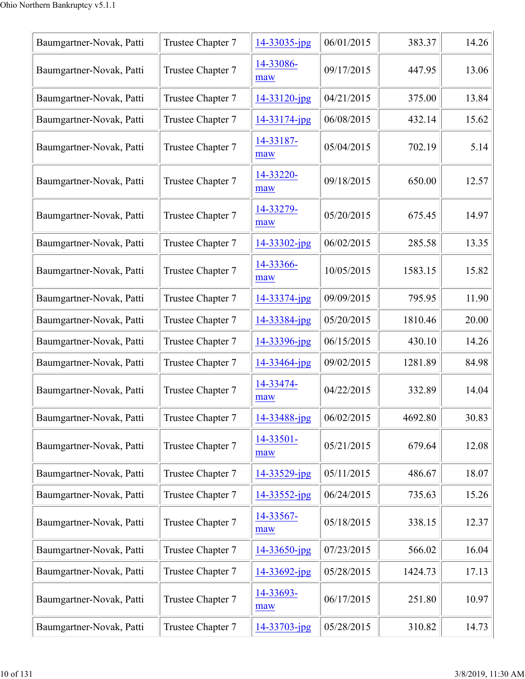| Baumgartner-Novak, Patti | Trustee Chapter 7 | 14-33035-jpg       | 06/01/2015 | 383.37  | 14.26 |
|--------------------------|-------------------|--------------------|------------|---------|-------|
| Baumgartner-Novak, Patti | Trustee Chapter 7 | 14-33086-<br>maw   | 09/17/2015 | 447.95  | 13.06 |
| Baumgartner-Novak, Patti | Trustee Chapter 7 | 14-33120-jpg       | 04/21/2015 | 375.00  | 13.84 |
| Baumgartner-Novak, Patti | Trustee Chapter 7 | 14-33174-jpg       | 06/08/2015 | 432.14  | 15.62 |
| Baumgartner-Novak, Patti | Trustee Chapter 7 | 14-33187-<br>maw   | 05/04/2015 | 702.19  | 5.14  |
| Baumgartner-Novak, Patti | Trustee Chapter 7 | 14-33220-<br>maw   | 09/18/2015 | 650.00  | 12.57 |
| Baumgartner-Novak, Patti | Trustee Chapter 7 | 14-33279-<br>maw   | 05/20/2015 | 675.45  | 14.97 |
| Baumgartner-Novak, Patti | Trustee Chapter 7 | 14-33302-jpg       | 06/02/2015 | 285.58  | 13.35 |
| Baumgartner-Novak, Patti | Trustee Chapter 7 | 14-33366-<br>maw   | 10/05/2015 | 1583.15 | 15.82 |
| Baumgartner-Novak, Patti | Trustee Chapter 7 | 14-33374-jpg       | 09/09/2015 | 795.95  | 11.90 |
| Baumgartner-Novak, Patti | Trustee Chapter 7 | 14-33384-jpg       | 05/20/2015 | 1810.46 | 20.00 |
| Baumgartner-Novak, Patti | Trustee Chapter 7 | 14-33396-jpg       | 06/15/2015 | 430.10  | 14.26 |
| Baumgartner-Novak, Patti | Trustee Chapter 7 | 14-33464-jpg       | 09/02/2015 | 1281.89 | 84.98 |
| Baumgartner-Novak, Patti | Trustee Chapter 7 | 14-33474-<br>maw   | 04/22/2015 | 332.89  | 14.04 |
| Baumgartner-Novak, Patti | Trustee Chapter 7 | 14-33488-jpg       | 06/02/2015 | 4692.80 | 30.83 |
| Baumgartner-Novak, Patti | Trustee Chapter 7 | 14-33501-<br>maw   | 05/21/2015 | 679.64  | 12.08 |
| Baumgartner-Novak, Patti | Trustee Chapter 7 | 14-33529-jpg       | 05/11/2015 | 486.67  | 18.07 |
| Baumgartner-Novak, Patti | Trustee Chapter 7 | 14-33552-jpg       | 06/24/2015 | 735.63  | 15.26 |
| Baumgartner-Novak, Patti | Trustee Chapter 7 | 14-33567-<br>maw   | 05/18/2015 | 338.15  | 12.37 |
| Baumgartner-Novak, Patti | Trustee Chapter 7 | 14-33650-jpg       | 07/23/2015 | 566.02  | 16.04 |
| Baumgartner-Novak, Patti | Trustee Chapter 7 | $14 - 33692$ -jpg  | 05/28/2015 | 1424.73 | 17.13 |
| Baumgartner-Novak, Patti | Trustee Chapter 7 | 14-33693-<br>maw   | 06/17/2015 | 251.80  | 10.97 |
| Baumgartner-Novak, Patti | Trustee Chapter 7 | $14 - 33703 - ipg$ | 05/28/2015 | 310.82  | 14.73 |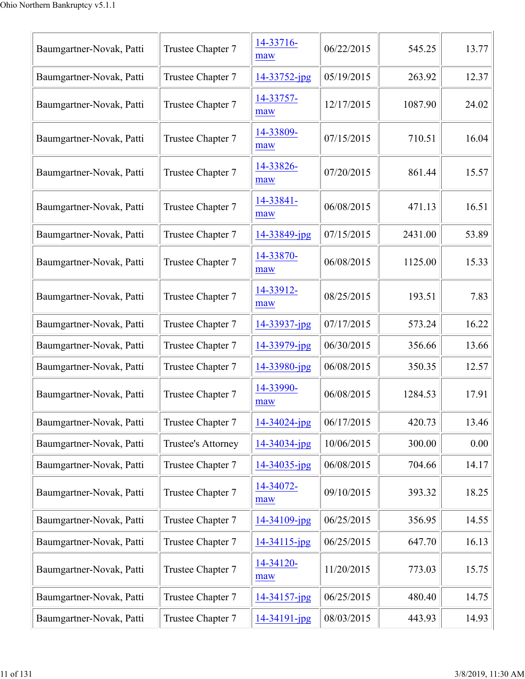| Baumgartner-Novak, Patti | Trustee Chapter 7         | 14-33716-<br>maw | 06/22/2015 | 545.25  | 13.77 |
|--------------------------|---------------------------|------------------|------------|---------|-------|
| Baumgartner-Novak, Patti | Trustee Chapter 7         | 14-33752-jpg     | 05/19/2015 | 263.92  | 12.37 |
| Baumgartner-Novak, Patti | Trustee Chapter 7         | 14-33757-<br>maw | 12/17/2015 | 1087.90 | 24.02 |
| Baumgartner-Novak, Patti | Trustee Chapter 7         | 14-33809-<br>maw | 07/15/2015 | 710.51  | 16.04 |
| Baumgartner-Novak, Patti | Trustee Chapter 7         | 14-33826-<br>maw | 07/20/2015 | 861.44  | 15.57 |
| Baumgartner-Novak, Patti | Trustee Chapter 7         | 14-33841-<br>maw | 06/08/2015 | 471.13  | 16.51 |
| Baumgartner-Novak, Patti | Trustee Chapter 7         | 14-33849-jpg     | 07/15/2015 | 2431.00 | 53.89 |
| Baumgartner-Novak, Patti | Trustee Chapter 7         | 14-33870-<br>maw | 06/08/2015 | 1125.00 | 15.33 |
| Baumgartner-Novak, Patti | Trustee Chapter 7         | 14-33912-<br>maw | 08/25/2015 | 193.51  | 7.83  |
| Baumgartner-Novak, Patti | Trustee Chapter 7         | 14-33937-jpg     | 07/17/2015 | 573.24  | 16.22 |
| Baumgartner-Novak, Patti | Trustee Chapter 7         | 14-33979-jpg     | 06/30/2015 | 356.66  | 13.66 |
| Baumgartner-Novak, Patti | Trustee Chapter 7         | 14-33980-jpg     | 06/08/2015 | 350.35  | 12.57 |
| Baumgartner-Novak, Patti | Trustee Chapter 7         | 14-33990-<br>maw | 06/08/2015 | 1284.53 | 17.91 |
| Baumgartner-Novak, Patti | Trustee Chapter 7         | 14-34024-jpg     | 06/17/2015 | 420.73  | 13.46 |
| Baumgartner-Novak, Patti | <b>Trustee's Attorney</b> | 14-34034-jpg     | 10/06/2015 | 300.00  | 0.00  |
| Baumgartner-Novak, Patti | Trustee Chapter 7         | 14-34035-jpg     | 06/08/2015 | 704.66  | 14.17 |
| Baumgartner-Novak, Patti | Trustee Chapter 7         | 14-34072-<br>maw | 09/10/2015 | 393.32  | 18.25 |
| Baumgartner-Novak, Patti | Trustee Chapter 7         | 14-34109-jpg     | 06/25/2015 | 356.95  | 14.55 |
| Baumgartner-Novak, Patti | Trustee Chapter 7         | 14-34115-jpg     | 06/25/2015 | 647.70  | 16.13 |
| Baumgartner-Novak, Patti | Trustee Chapter 7         | 14-34120-<br>maw | 11/20/2015 | 773.03  | 15.75 |
| Baumgartner-Novak, Patti | Trustee Chapter 7         | 14-34157-jpg     | 06/25/2015 | 480.40  | 14.75 |
| Baumgartner-Novak, Patti | Trustee Chapter 7         | 14-34191-jpg     | 08/03/2015 | 443.93  | 14.93 |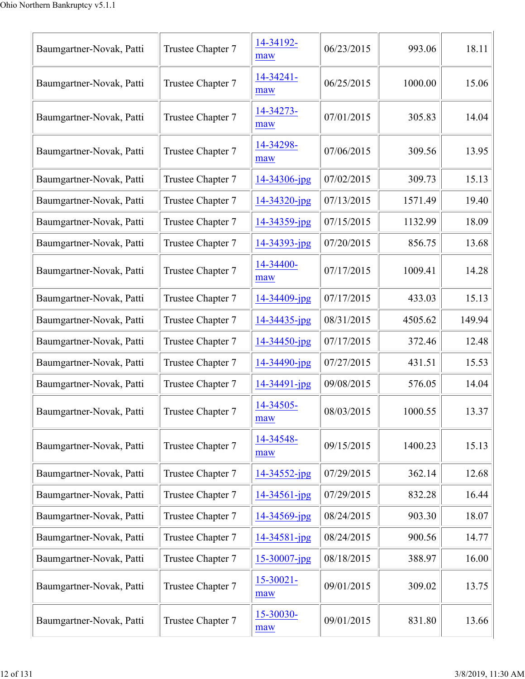| Baumgartner-Novak, Patti | Trustee Chapter 7 | 14-34192-<br>maw      | 06/23/2015 | 993.06  | 18.11  |
|--------------------------|-------------------|-----------------------|------------|---------|--------|
| Baumgartner-Novak, Patti | Trustee Chapter 7 | 14-34241-<br>maw      | 06/25/2015 | 1000.00 | 15.06  |
| Baumgartner-Novak, Patti | Trustee Chapter 7 | 14-34273-<br>maw      | 07/01/2015 | 305.83  | 14.04  |
| Baumgartner-Novak, Patti | Trustee Chapter 7 | 14-34298-<br>maw      | 07/06/2015 | 309.56  | 13.95  |
| Baumgartner-Novak, Patti | Trustee Chapter 7 | 14-34306-jpg          | 07/02/2015 | 309.73  | 15.13  |
| Baumgartner-Novak, Patti | Trustee Chapter 7 | 14-34320-jpg          | 07/13/2015 | 1571.49 | 19.40  |
| Baumgartner-Novak, Patti | Trustee Chapter 7 | 14-34359-jpg          | 07/15/2015 | 1132.99 | 18.09  |
| Baumgartner-Novak, Patti | Trustee Chapter 7 | 14-34393-jpg          | 07/20/2015 | 856.75  | 13.68  |
| Baumgartner-Novak, Patti | Trustee Chapter 7 | 14-34400-<br>maw      | 07/17/2015 | 1009.41 | 14.28  |
| Baumgartner-Novak, Patti | Trustee Chapter 7 | 14-34409-jpg          | 07/17/2015 | 433.03  | 15.13  |
| Baumgartner-Novak, Patti | Trustee Chapter 7 | 14-34435-jpg          | 08/31/2015 | 4505.62 | 149.94 |
| Baumgartner-Novak, Patti | Trustee Chapter 7 | 14-34450-jpg          | 07/17/2015 | 372.46  | 12.48  |
| Baumgartner-Novak, Patti | Trustee Chapter 7 | 14-34490-jpg          | 07/27/2015 | 431.51  | 15.53  |
| Baumgartner-Novak, Patti | Trustee Chapter 7 | 14-34491-jpg          | 09/08/2015 | 576.05  | 14.04  |
| Baumgartner-Novak, Patti | Trustee Chapter 7 | 14-34505-<br>maw      | 08/03/2015 | 1000.55 | 13.37  |
| Baumgartner-Novak, Patti | Trustee Chapter 7 | 14-34548-<br>maw      | 09/15/2015 | 1400.23 | 15.13  |
| Baumgartner-Novak, Patti | Trustee Chapter 7 | 14-34552-jpg          | 07/29/2015 | 362.14  | 12.68  |
| Baumgartner-Novak, Patti | Trustee Chapter 7 | $14 - 34561 - jpg$    | 07/29/2015 | 832.28  | 16.44  |
| Baumgartner-Novak, Patti | Trustee Chapter 7 | 14-34569-jpg          | 08/24/2015 | 903.30  | 18.07  |
| Baumgartner-Novak, Patti | Trustee Chapter 7 | 14-34581-jpg          | 08/24/2015 | 900.56  | 14.77  |
| Baumgartner-Novak, Patti | Trustee Chapter 7 | 15-30007-jpg          | 08/18/2015 | 388.97  | 16.00  |
| Baumgartner-Novak, Patti | Trustee Chapter 7 | $15 - 30021 -$<br>maw | 09/01/2015 | 309.02  | 13.75  |
| Baumgartner-Novak, Patti | Trustee Chapter 7 | 15-30030-<br>maw      | 09/01/2015 | 831.80  | 13.66  |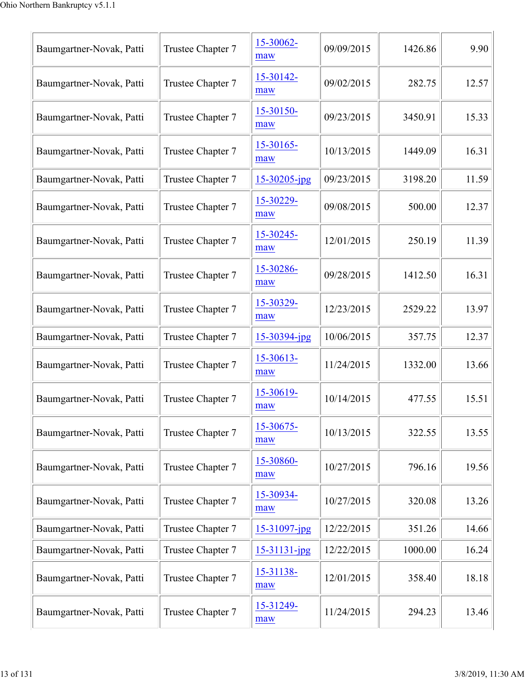| Baumgartner-Novak, Patti | Trustee Chapter 7 | 15-30062-<br>maw   | 09/09/2015 | 1426.86 | 9.90  |
|--------------------------|-------------------|--------------------|------------|---------|-------|
| Baumgartner-Novak, Patti | Trustee Chapter 7 | 15-30142-<br>maw   | 09/02/2015 | 282.75  | 12.57 |
| Baumgartner-Novak, Patti | Trustee Chapter 7 | 15-30150-<br>maw   | 09/23/2015 | 3450.91 | 15.33 |
| Baumgartner-Novak, Patti | Trustee Chapter 7 | 15-30165-<br>maw   | 10/13/2015 | 1449.09 | 16.31 |
| Baumgartner-Novak, Patti | Trustee Chapter 7 | $15 - 30205$ -jpg  | 09/23/2015 | 3198.20 | 11.59 |
| Baumgartner-Novak, Patti | Trustee Chapter 7 | 15-30229-<br>maw   | 09/08/2015 | 500.00  | 12.37 |
| Baumgartner-Novak, Patti | Trustee Chapter 7 | 15-30245-<br>maw   | 12/01/2015 | 250.19  | 11.39 |
| Baumgartner-Novak, Patti | Trustee Chapter 7 | 15-30286-<br>maw   | 09/28/2015 | 1412.50 | 16.31 |
| Baumgartner-Novak, Patti | Trustee Chapter 7 | 15-30329-<br>maw   | 12/23/2015 | 2529.22 | 13.97 |
| Baumgartner-Novak, Patti | Trustee Chapter 7 | $15 - 30394$ -jpg  | 10/06/2015 | 357.75  | 12.37 |
| Baumgartner-Novak, Patti | Trustee Chapter 7 | 15-30613-<br>maw   | 11/24/2015 | 1332.00 | 13.66 |
| Baumgartner-Novak, Patti | Trustee Chapter 7 | 15-30619-<br>maw   | 10/14/2015 | 477.55  | 15.51 |
| Baumgartner-Novak, Patti | Trustee Chapter 7 | 15-30675-<br>maw   | 10/13/2015 | 322.55  | 13.55 |
| Baumgartner-Novak, Patti | Trustee Chapter 7 | 15-30860-<br>maw   | 10/27/2015 | 796.16  | 19.56 |
| Baumgartner-Novak, Patti | Trustee Chapter 7 | 15-30934-<br>maw   | 10/27/2015 | 320.08  | 13.26 |
| Baumgartner-Novak, Patti | Trustee Chapter 7 | 15-31097-jpg       | 12/22/2015 | 351.26  | 14.66 |
| Baumgartner-Novak, Patti | Trustee Chapter 7 | $15 - 31131 - ipg$ | 12/22/2015 | 1000.00 | 16.24 |
| Baumgartner-Novak, Patti | Trustee Chapter 7 | 15-31138-<br>maw   | 12/01/2015 | 358.40  | 18.18 |
| Baumgartner-Novak, Patti | Trustee Chapter 7 | 15-31249-<br>maw   | 11/24/2015 | 294.23  | 13.46 |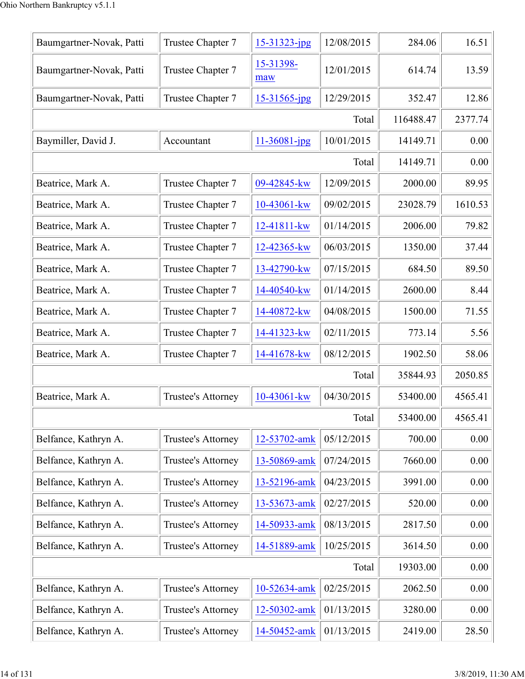| Baumgartner-Novak, Patti | Trustee Chapter 7  | 15-31323-jpg       | 12/08/2015 | 284.06    | 16.51   |
|--------------------------|--------------------|--------------------|------------|-----------|---------|
| Baumgartner-Novak, Patti | Trustee Chapter 7  | 15-31398-<br>maw   | 12/01/2015 | 614.74    | 13.59   |
| Baumgartner-Novak, Patti | Trustee Chapter 7  | 15-31565-jpg       | 12/29/2015 | 352.47    | 12.86   |
|                          |                    |                    | Total      | 116488.47 | 2377.74 |
| Baymiller, David J.      | Accountant         | $11 - 36081 - jpg$ | 10/01/2015 | 14149.71  | 0.00    |
|                          |                    |                    | Total      | 14149.71  | 0.00    |
| Beatrice, Mark A.        | Trustee Chapter 7  | 09-42845-kw        | 12/09/2015 | 2000.00   | 89.95   |
| Beatrice, Mark A.        | Trustee Chapter 7  | 10-43061-kw        | 09/02/2015 | 23028.79  | 1610.53 |
| Beatrice, Mark A.        | Trustee Chapter 7  | 12-41811-kw        | 01/14/2015 | 2006.00   | 79.82   |
| Beatrice, Mark A.        | Trustee Chapter 7  | 12-42365-kw        | 06/03/2015 | 1350.00   | 37.44   |
| Beatrice, Mark A.        | Trustee Chapter 7  | 13-42790-kw        | 07/15/2015 | 684.50    | 89.50   |
| Beatrice, Mark A.        | Trustee Chapter 7  | 14-40540-kw        | 01/14/2015 | 2600.00   | 8.44    |
| Beatrice, Mark A.        | Trustee Chapter 7  | 14-40872-kw        | 04/08/2015 | 1500.00   | 71.55   |
| Beatrice, Mark A.        | Trustee Chapter 7  | 14-41323-kw        | 02/11/2015 | 773.14    | 5.56    |
| Beatrice, Mark A.        | Trustee Chapter 7  | 14-41678-kw        | 08/12/2015 | 1902.50   | 58.06   |
|                          |                    |                    | Total      | 35844.93  | 2050.85 |
| Beatrice, Mark A.        | Trustee's Attorney | 10-43061-kw        | 04/30/2015 | 53400.00  | 4565.41 |
|                          |                    |                    | Total      | 53400.00  | 4565.41 |
| Belfance, Kathryn A.     | Trustee's Attorney | 12-53702-amk       | 05/12/2015 | 700.00    | 0.00    |
| Belfance, Kathryn A.     | Trustee's Attorney | 13-50869-amk       | 07/24/2015 | 7660.00   | 0.00    |
| Belfance, Kathryn A.     | Trustee's Attorney | 13-52196-amk       | 04/23/2015 | 3991.00   | 0.00    |
| Belfance, Kathryn A.     | Trustee's Attorney | 13-53673-amk       | 02/27/2015 | 520.00    | 0.00    |
| Belfance, Kathryn A.     | Trustee's Attorney | 14-50933-amk       | 08/13/2015 | 2817.50   | 0.00    |
| Belfance, Kathryn A.     | Trustee's Attorney | 14-51889-amk       | 10/25/2015 | 3614.50   | 0.00    |
|                          |                    |                    | Total      | 19303.00  | 0.00    |
| Belfance, Kathryn A.     | Trustee's Attorney | 10-52634-amk       | 02/25/2015 | 2062.50   | 0.00    |
| Belfance, Kathryn A.     | Trustee's Attorney | 12-50302-amk       | 01/13/2015 | 3280.00   | 0.00    |
| Belfance, Kathryn A.     | Trustee's Attorney | 14-50452-amk       | 01/13/2015 | 2419.00   | 28.50   |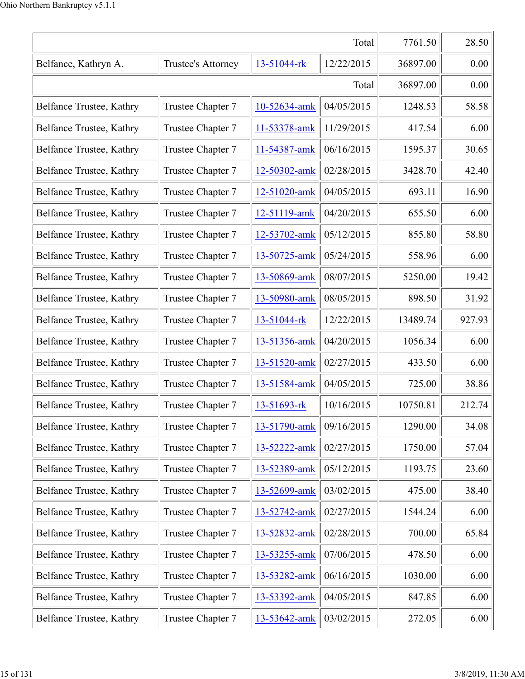|                          |                    |              | Total      | 7761.50  | 28.50  |
|--------------------------|--------------------|--------------|------------|----------|--------|
| Belfance, Kathryn A.     | Trustee's Attorney | 13-51044-rk  | 12/22/2015 | 36897.00 | 0.00   |
|                          |                    |              | Total      | 36897.00 | 0.00   |
| Belfance Trustee, Kathry | Trustee Chapter 7  | 10-52634-amk | 04/05/2015 | 1248.53  | 58.58  |
| Belfance Trustee, Kathry | Trustee Chapter 7  | 11-53378-amk | 11/29/2015 | 417.54   | 6.00   |
| Belfance Trustee, Kathry | Trustee Chapter 7  | 11-54387-amk | 06/16/2015 | 1595.37  | 30.65  |
| Belfance Trustee, Kathry | Trustee Chapter 7  | 12-50302-amk | 02/28/2015 | 3428.70  | 42.40  |
| Belfance Trustee, Kathry | Trustee Chapter 7  | 12-51020-amk | 04/05/2015 | 693.11   | 16.90  |
| Belfance Trustee, Kathry | Trustee Chapter 7  | 12-51119-amk | 04/20/2015 | 655.50   | 6.00   |
| Belfance Trustee, Kathry | Trustee Chapter 7  | 12-53702-amk | 05/12/2015 | 855.80   | 58.80  |
| Belfance Trustee, Kathry | Trustee Chapter 7  | 13-50725-amk | 05/24/2015 | 558.96   | 6.00   |
| Belfance Trustee, Kathry | Trustee Chapter 7  | 13-50869-amk | 08/07/2015 | 5250.00  | 19.42  |
| Belfance Trustee, Kathry | Trustee Chapter 7  | 13-50980-amk | 08/05/2015 | 898.50   | 31.92  |
| Belfance Trustee, Kathry | Trustee Chapter 7  | 13-51044-rk  | 12/22/2015 | 13489.74 | 927.93 |
| Belfance Trustee, Kathry | Trustee Chapter 7  | 13-51356-amk | 04/20/2015 | 1056.34  | 6.00   |
| Belfance Trustee, Kathry | Trustee Chapter 7  | 13-51520-amk | 02/27/2015 | 433.50   | 6.00   |
| Belfance Trustee, Kathry | Trustee Chapter 7  | 13-51584-amk | 04/05/2015 | 725.00   | 38.86  |
| Belfance Trustee, Kathry | Trustee Chapter 7  | 13-51693-rk  | 10/16/2015 | 10750.81 | 212.74 |
| Belfance Trustee, Kathry | Trustee Chapter 7  | 13-51790-amk | 09/16/2015 | 1290.00  | 34.08  |
| Belfance Trustee, Kathry | Trustee Chapter 7  | 13-52222-amk | 02/27/2015 | 1750.00  | 57.04  |
| Belfance Trustee, Kathry | Trustee Chapter 7  | 13-52389-amk | 05/12/2015 | 1193.75  | 23.60  |
| Belfance Trustee, Kathry | Trustee Chapter 7  | 13-52699-amk | 03/02/2015 | 475.00   | 38.40  |
| Belfance Trustee, Kathry | Trustee Chapter 7  | 13-52742-amk | 02/27/2015 | 1544.24  | 6.00   |
| Belfance Trustee, Kathry | Trustee Chapter 7  | 13-52832-amk | 02/28/2015 | 700.00   | 65.84  |
| Belfance Trustee, Kathry | Trustee Chapter 7  | 13-53255-amk | 07/06/2015 | 478.50   | 6.00   |
| Belfance Trustee, Kathry | Trustee Chapter 7  | 13-53282-amk | 06/16/2015 | 1030.00  | 6.00   |
| Belfance Trustee, Kathry | Trustee Chapter 7  | 13-53392-amk | 04/05/2015 | 847.85   | 6.00   |
| Belfance Trustee, Kathry | Trustee Chapter 7  | 13-53642-amk | 03/02/2015 | 272.05   | 6.00   |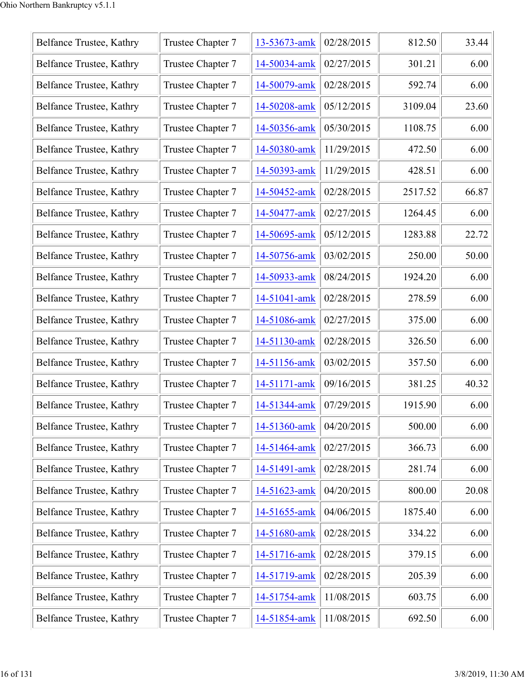| Belfance Trustee, Kathry | Trustee Chapter 7 | 13-53673-amk | 02/28/2015 | 812.50  | 33.44 |
|--------------------------|-------------------|--------------|------------|---------|-------|
| Belfance Trustee, Kathry | Trustee Chapter 7 | 14-50034-amk | 02/27/2015 | 301.21  | 6.00  |
| Belfance Trustee, Kathry | Trustee Chapter 7 | 14-50079-amk | 02/28/2015 | 592.74  | 6.00  |
| Belfance Trustee, Kathry | Trustee Chapter 7 | 14-50208-amk | 05/12/2015 | 3109.04 | 23.60 |
| Belfance Trustee, Kathry | Trustee Chapter 7 | 14-50356-amk | 05/30/2015 | 1108.75 | 6.00  |
| Belfance Trustee, Kathry | Trustee Chapter 7 | 14-50380-amk | 11/29/2015 | 472.50  | 6.00  |
| Belfance Trustee, Kathry | Trustee Chapter 7 | 14-50393-amk | 11/29/2015 | 428.51  | 6.00  |
| Belfance Trustee, Kathry | Trustee Chapter 7 | 14-50452-amk | 02/28/2015 | 2517.52 | 66.87 |
| Belfance Trustee, Kathry | Trustee Chapter 7 | 14-50477-amk | 02/27/2015 | 1264.45 | 6.00  |
| Belfance Trustee, Kathry | Trustee Chapter 7 | 14-50695-amk | 05/12/2015 | 1283.88 | 22.72 |
| Belfance Trustee, Kathry | Trustee Chapter 7 | 14-50756-amk | 03/02/2015 | 250.00  | 50.00 |
| Belfance Trustee, Kathry | Trustee Chapter 7 | 14-50933-amk | 08/24/2015 | 1924.20 | 6.00  |
| Belfance Trustee, Kathry | Trustee Chapter 7 | 14-51041-amk | 02/28/2015 | 278.59  | 6.00  |
| Belfance Trustee, Kathry | Trustee Chapter 7 | 14-51086-amk | 02/27/2015 | 375.00  | 6.00  |
| Belfance Trustee, Kathry | Trustee Chapter 7 | 14-51130-amk | 02/28/2015 | 326.50  | 6.00  |
| Belfance Trustee, Kathry | Trustee Chapter 7 | 14-51156-amk | 03/02/2015 | 357.50  | 6.00  |
| Belfance Trustee, Kathry | Trustee Chapter 7 | 14-51171-amk | 09/16/2015 | 381.25  | 40.32 |
| Belfance Trustee, Kathry | Trustee Chapter 7 | 14-51344-amk | 07/29/2015 | 1915.90 | 6.00  |
| Belfance Trustee, Kathry | Trustee Chapter 7 | 14-51360-amk | 04/20/2015 | 500.00  | 6.00  |
| Belfance Trustee, Kathry | Trustee Chapter 7 | 14-51464-amk | 02/27/2015 | 366.73  | 6.00  |
| Belfance Trustee, Kathry | Trustee Chapter 7 | 14-51491-amk | 02/28/2015 | 281.74  | 6.00  |
| Belfance Trustee, Kathry | Trustee Chapter 7 | 14-51623-amk | 04/20/2015 | 800.00  | 20.08 |
| Belfance Trustee, Kathry | Trustee Chapter 7 | 14-51655-amk | 04/06/2015 | 1875.40 | 6.00  |
| Belfance Trustee, Kathry | Trustee Chapter 7 | 14-51680-amk | 02/28/2015 | 334.22  | 6.00  |
| Belfance Trustee, Kathry | Trustee Chapter 7 | 14-51716-amk | 02/28/2015 | 379.15  | 6.00  |
| Belfance Trustee, Kathry | Trustee Chapter 7 | 14-51719-amk | 02/28/2015 | 205.39  | 6.00  |
| Belfance Trustee, Kathry | Trustee Chapter 7 | 14-51754-amk | 11/08/2015 | 603.75  | 6.00  |
| Belfance Trustee, Kathry | Trustee Chapter 7 | 14-51854-amk | 11/08/2015 | 692.50  | 6.00  |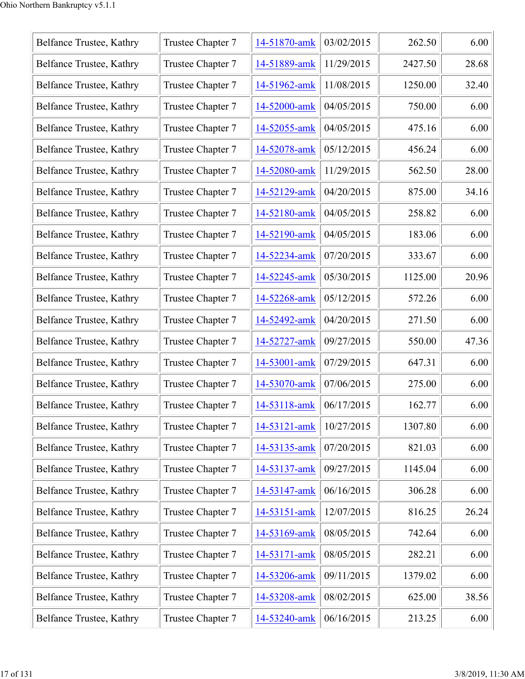| Belfance Trustee, Kathry | Trustee Chapter 7 | 14-51870-amk | 03/02/2015 | 262.50  | 6.00  |
|--------------------------|-------------------|--------------|------------|---------|-------|
| Belfance Trustee, Kathry | Trustee Chapter 7 | 14-51889-amk | 11/29/2015 | 2427.50 | 28.68 |
| Belfance Trustee, Kathry | Trustee Chapter 7 | 14-51962-amk | 11/08/2015 | 1250.00 | 32.40 |
| Belfance Trustee, Kathry | Trustee Chapter 7 | 14-52000-amk | 04/05/2015 | 750.00  | 6.00  |
| Belfance Trustee, Kathry | Trustee Chapter 7 | 14-52055-amk | 04/05/2015 | 475.16  | 6.00  |
| Belfance Trustee, Kathry | Trustee Chapter 7 | 14-52078-amk | 05/12/2015 | 456.24  | 6.00  |
| Belfance Trustee, Kathry | Trustee Chapter 7 | 14-52080-amk | 11/29/2015 | 562.50  | 28.00 |
| Belfance Trustee, Kathry | Trustee Chapter 7 | 14-52129-amk | 04/20/2015 | 875.00  | 34.16 |
| Belfance Trustee, Kathry | Trustee Chapter 7 | 14-52180-amk | 04/05/2015 | 258.82  | 6.00  |
| Belfance Trustee, Kathry | Trustee Chapter 7 | 14-52190-amk | 04/05/2015 | 183.06  | 6.00  |
| Belfance Trustee, Kathry | Trustee Chapter 7 | 14-52234-amk | 07/20/2015 | 333.67  | 6.00  |
| Belfance Trustee, Kathry | Trustee Chapter 7 | 14-52245-amk | 05/30/2015 | 1125.00 | 20.96 |
| Belfance Trustee, Kathry | Trustee Chapter 7 | 14-52268-amk | 05/12/2015 | 572.26  | 6.00  |
| Belfance Trustee, Kathry | Trustee Chapter 7 | 14-52492-amk | 04/20/2015 | 271.50  | 6.00  |
| Belfance Trustee, Kathry | Trustee Chapter 7 | 14-52727-amk | 09/27/2015 | 550.00  | 47.36 |
| Belfance Trustee, Kathry | Trustee Chapter 7 | 14-53001-amk | 07/29/2015 | 647.31  | 6.00  |
| Belfance Trustee, Kathry | Trustee Chapter 7 | 14-53070-amk | 07/06/2015 | 275.00  | 6.00  |
| Belfance Trustee, Kathry | Trustee Chapter 7 | 14-53118-amk | 06/17/2015 | 162.77  | 6.00  |
| Belfance Trustee, Kathry | Trustee Chapter 7 | 14-53121-amk | 10/27/2015 | 1307.80 | 6.00  |
| Belfance Trustee, Kathry | Trustee Chapter 7 | 14-53135-amk | 07/20/2015 | 821.03  | 6.00  |
| Belfance Trustee, Kathry | Trustee Chapter 7 | 14-53137-amk | 09/27/2015 | 1145.04 | 6.00  |
| Belfance Trustee, Kathry | Trustee Chapter 7 | 14-53147-amk | 06/16/2015 | 306.28  | 6.00  |
| Belfance Trustee, Kathry | Trustee Chapter 7 | 14-53151-amk | 12/07/2015 | 816.25  | 26.24 |
| Belfance Trustee, Kathry | Trustee Chapter 7 | 14-53169-amk | 08/05/2015 | 742.64  | 6.00  |
| Belfance Trustee, Kathry | Trustee Chapter 7 | 14-53171-amk | 08/05/2015 | 282.21  | 6.00  |
| Belfance Trustee, Kathry | Trustee Chapter 7 | 14-53206-amk | 09/11/2015 | 1379.02 | 6.00  |
| Belfance Trustee, Kathry | Trustee Chapter 7 | 14-53208-amk | 08/02/2015 | 625.00  | 38.56 |
| Belfance Trustee, Kathry | Trustee Chapter 7 | 14-53240-amk | 06/16/2015 | 213.25  | 6.00  |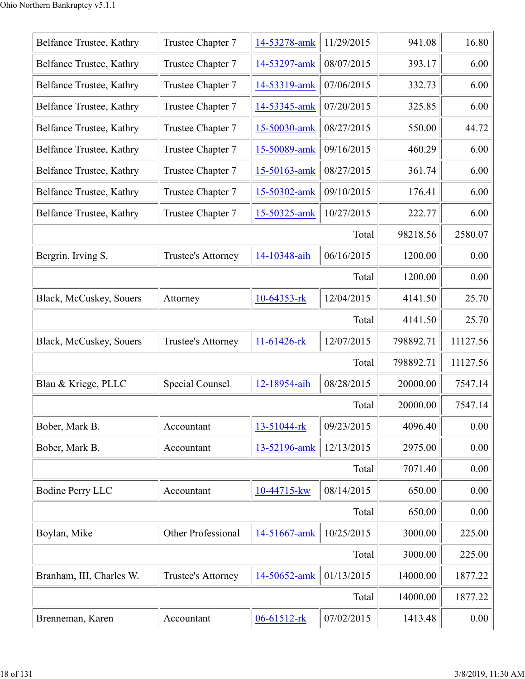| Belfance Trustee, Kathry | Trustee Chapter 7  | 14-53278-amk | 11/29/2015 | 941.08    | 16.80    |
|--------------------------|--------------------|--------------|------------|-----------|----------|
| Belfance Trustee, Kathry | Trustee Chapter 7  | 14-53297-amk | 08/07/2015 | 393.17    | 6.00     |
| Belfance Trustee, Kathry | Trustee Chapter 7  | 14-53319-amk | 07/06/2015 | 332.73    | 6.00     |
| Belfance Trustee, Kathry | Trustee Chapter 7  | 14-53345-amk | 07/20/2015 | 325.85    | 6.00     |
| Belfance Trustee, Kathry | Trustee Chapter 7  | 15-50030-amk | 08/27/2015 | 550.00    | 44.72    |
| Belfance Trustee, Kathry | Trustee Chapter 7  | 15-50089-amk | 09/16/2015 | 460.29    | 6.00     |
| Belfance Trustee, Kathry | Trustee Chapter 7  | 15-50163-amk | 08/27/2015 | 361.74    | 6.00     |
| Belfance Trustee, Kathry | Trustee Chapter 7  | 15-50302-amk | 09/10/2015 | 176.41    | 6.00     |
| Belfance Trustee, Kathry | Trustee Chapter 7  | 15-50325-amk | 10/27/2015 | 222.77    | 6.00     |
|                          |                    |              | Total      | 98218.56  | 2580.07  |
| Bergrin, Irving S.       | Trustee's Attorney | 14-10348-aih | 06/16/2015 | 1200.00   | 0.00     |
|                          |                    |              | Total      | 1200.00   | 0.00     |
| Black, McCuskey, Souers  | Attorney           | 10-64353-rk  | 12/04/2015 | 4141.50   | 25.70    |
|                          |                    |              | Total      | 4141.50   | 25.70    |
| Black, McCuskey, Souers  | Trustee's Attorney | 11-61426-rk  | 12/07/2015 | 798892.71 | 11127.56 |
|                          |                    |              | Total      | 798892.71 | 11127.56 |
| Blau & Kriege, PLLC      | Special Counsel    | 12-18954-aih | 08/28/2015 | 20000.00  | 7547.14  |
|                          |                    |              | Total      | 20000.00  | 7547.14  |
| Bober, Mark B.           | Accountant         | 13-51044-rk  | 09/23/2015 | 4096.40   | 0.00     |
| Bober, Mark B.           | Accountant         | 13-52196-amk | 12/13/2015 | 2975.00   | 0.00     |
|                          |                    |              | Total      | 7071.40   | 0.00     |
| <b>Bodine Perry LLC</b>  | Accountant         | 10-44715-kw  | 08/14/2015 | 650.00    | 0.00     |
|                          |                    |              | Total      | 650.00    | 0.00     |
| Boylan, Mike             | Other Professional | 14-51667-amk | 10/25/2015 | 3000.00   | 225.00   |
|                          |                    |              | Total      | 3000.00   | 225.00   |
| Branham, III, Charles W. | Trustee's Attorney | 14-50652-amk | 01/13/2015 | 14000.00  | 1877.22  |
|                          |                    |              | Total      | 14000.00  | 1877.22  |
| Brenneman, Karen         | Accountant         | 06-61512-rk  | 07/02/2015 | 1413.48   | 0.00     |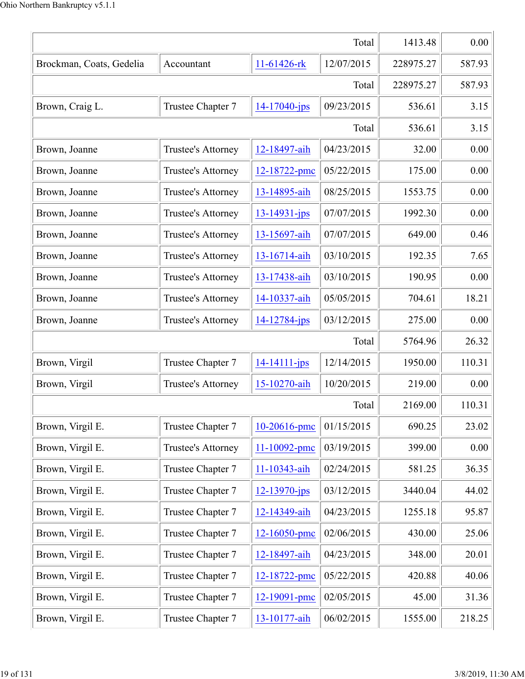| Total                    |                    |                    | 1413.48    | 0.00      |        |
|--------------------------|--------------------|--------------------|------------|-----------|--------|
| Brockman, Coats, Gedelia | Accountant         | 11-61426-rk        | 12/07/2015 | 228975.27 | 587.93 |
|                          |                    |                    | Total      | 228975.27 | 587.93 |
| Brown, Craig L.          | Trustee Chapter 7  | $14 - 17040 - ips$ | 09/23/2015 | 536.61    | 3.15   |
|                          |                    |                    | Total      | 536.61    | 3.15   |
| Brown, Joanne            | Trustee's Attorney | 12-18497-aih       | 04/23/2015 | 32.00     | 0.00   |
| Brown, Joanne            | Trustee's Attorney | 12-18722-pmc       | 05/22/2015 | 175.00    | 0.00   |
| Brown, Joanne            | Trustee's Attorney | 13-14895-aih       | 08/25/2015 | 1553.75   | 0.00   |
| Brown, Joanne            | Trustee's Attorney | $13 - 14931 - ips$ | 07/07/2015 | 1992.30   | 0.00   |
| Brown, Joanne            | Trustee's Attorney | 13-15697-aih       | 07/07/2015 | 649.00    | 0.46   |
| Brown, Joanne            | Trustee's Attorney | 13-16714-aih       | 03/10/2015 | 192.35    | 7.65   |
| Brown, Joanne            | Trustee's Attorney | 13-17438-aih       | 03/10/2015 | 190.95    | 0.00   |
| Brown, Joanne            | Trustee's Attorney | 14-10337-aih       | 05/05/2015 | 704.61    | 18.21  |
| Brown, Joanne            | Trustee's Attorney | 14-12784-jps       | 03/12/2015 | 275.00    | 0.00   |
|                          |                    |                    | Total      | 5764.96   | 26.32  |
| Brown, Virgil            | Trustee Chapter 7  | $14 - 14111 - ips$ | 12/14/2015 | 1950.00   | 110.31 |
| Brown, Virgil            | Trustee's Attorney | 15-10270-aih       | 10/20/2015 | 219.00    | 0.00   |
|                          |                    |                    | Total      | 2169.00   | 110.31 |
| Brown, Virgil E.         | Trustee Chapter 7  | 10-20616-pmc       | 01/15/2015 | 690.25    | 23.02  |
| Brown, Virgil E.         | Trustee's Attorney | 11-10092-pmc       | 03/19/2015 | 399.00    | 0.00   |
| Brown, Virgil E.         | Trustee Chapter 7  | 11-10343-aih       | 02/24/2015 | 581.25    | 36.35  |
| Brown, Virgil E.         | Trustee Chapter 7  | $12 - 13970 - ips$ | 03/12/2015 | 3440.04   | 44.02  |
| Brown, Virgil E.         | Trustee Chapter 7  | 12-14349-aih       | 04/23/2015 | 1255.18   | 95.87  |
| Brown, Virgil E.         | Trustee Chapter 7  | 12-16050-pmc       | 02/06/2015 | 430.00    | 25.06  |
| Brown, Virgil E.         | Trustee Chapter 7  | 12-18497-aih       | 04/23/2015 | 348.00    | 20.01  |
| Brown, Virgil E.         | Trustee Chapter 7  | 12-18722-pmc       | 05/22/2015 | 420.88    | 40.06  |
| Brown, Virgil E.         | Trustee Chapter 7  | 12-19091-pmc       | 02/05/2015 | 45.00     | 31.36  |
| Brown, Virgil E.         | Trustee Chapter 7  | 13-10177-aih       | 06/02/2015 | 1555.00   | 218.25 |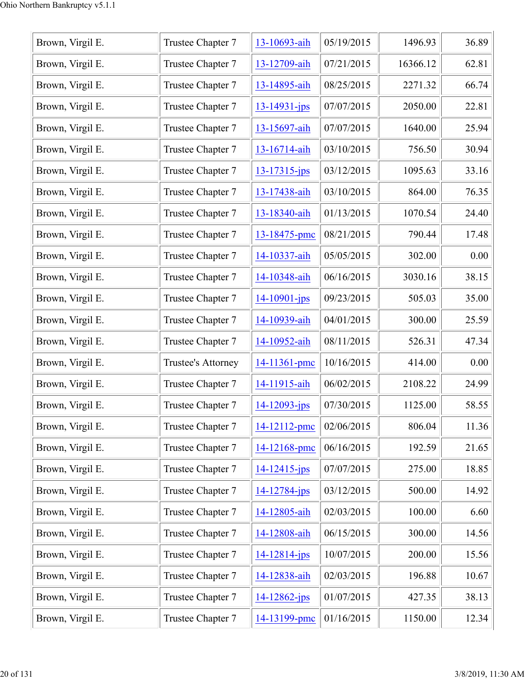| Brown, Virgil E. | Trustee Chapter 7  | 13-10693-aih       | 05/19/2015 | 1496.93  | 36.89 |
|------------------|--------------------|--------------------|------------|----------|-------|
| Brown, Virgil E. | Trustee Chapter 7  | 13-12709-aih       | 07/21/2015 | 16366.12 | 62.81 |
| Brown, Virgil E. | Trustee Chapter 7  | 13-14895-aih       | 08/25/2015 | 2271.32  | 66.74 |
| Brown, Virgil E. | Trustee Chapter 7  | $13 - 14931 - ips$ | 07/07/2015 | 2050.00  | 22.81 |
| Brown, Virgil E. | Trustee Chapter 7  | 13-15697-aih       | 07/07/2015 | 1640.00  | 25.94 |
| Brown, Virgil E. | Trustee Chapter 7  | 13-16714-aih       | 03/10/2015 | 756.50   | 30.94 |
| Brown, Virgil E. | Trustee Chapter 7  | $13 - 17315$ -jps  | 03/12/2015 | 1095.63  | 33.16 |
| Brown, Virgil E. | Trustee Chapter 7  | 13-17438-aih       | 03/10/2015 | 864.00   | 76.35 |
| Brown, Virgil E. | Trustee Chapter 7  | 13-18340-aih       | 01/13/2015 | 1070.54  | 24.40 |
| Brown, Virgil E. | Trustee Chapter 7  | 13-18475-pmc       | 08/21/2015 | 790.44   | 17.48 |
| Brown, Virgil E. | Trustee Chapter 7  | 14-10337-aih       | 05/05/2015 | 302.00   | 0.00  |
| Brown, Virgil E. | Trustee Chapter 7  | 14-10348-aih       | 06/16/2015 | 3030.16  | 38.15 |
| Brown, Virgil E. | Trustee Chapter 7  | $14 - 10901 - ips$ | 09/23/2015 | 505.03   | 35.00 |
| Brown, Virgil E. | Trustee Chapter 7  | 14-10939-aih       | 04/01/2015 | 300.00   | 25.59 |
| Brown, Virgil E. | Trustee Chapter 7  | 14-10952-aih       | 08/11/2015 | 526.31   | 47.34 |
| Brown, Virgil E. | Trustee's Attorney | 14-11361-pmc       | 10/16/2015 | 414.00   | 0.00  |
| Brown, Virgil E. | Trustee Chapter 7  | 14-11915-aih       | 06/02/2015 | 2108.22  | 24.99 |
| Brown, Virgil E. | Trustee Chapter 7  | 14-12093-jps       | 07/30/2015 | 1125.00  | 58.55 |
| Brown, Virgil E. | Trustee Chapter 7  | 14-12112-pmc       | 02/06/2015 | 806.04   | 11.36 |
| Brown, Virgil E. | Trustee Chapter 7  | 14-12168-pmc       | 06/16/2015 | 192.59   | 21.65 |
| Brown, Virgil E. | Trustee Chapter 7  | $14 - 12415$ -jps  | 07/07/2015 | 275.00   | 18.85 |
| Brown, Virgil E. | Trustee Chapter 7  | 14-12784-jps       | 03/12/2015 | 500.00   | 14.92 |
| Brown, Virgil E. | Trustee Chapter 7  | 14-12805-aih       | 02/03/2015 | 100.00   | 6.60  |
| Brown, Virgil E. | Trustee Chapter 7  | 14-12808-aih       | 06/15/2015 | 300.00   | 14.56 |
| Brown, Virgil E. | Trustee Chapter 7  | $14 - 12814 - jps$ | 10/07/2015 | 200.00   | 15.56 |
| Brown, Virgil E. | Trustee Chapter 7  | 14-12838-aih       | 02/03/2015 | 196.88   | 10.67 |
| Brown, Virgil E. | Trustee Chapter 7  | $14 - 12862 - ips$ | 01/07/2015 | 427.35   | 38.13 |
| Brown, Virgil E. | Trustee Chapter 7  | 14-13199-pmc       | 01/16/2015 | 1150.00  | 12.34 |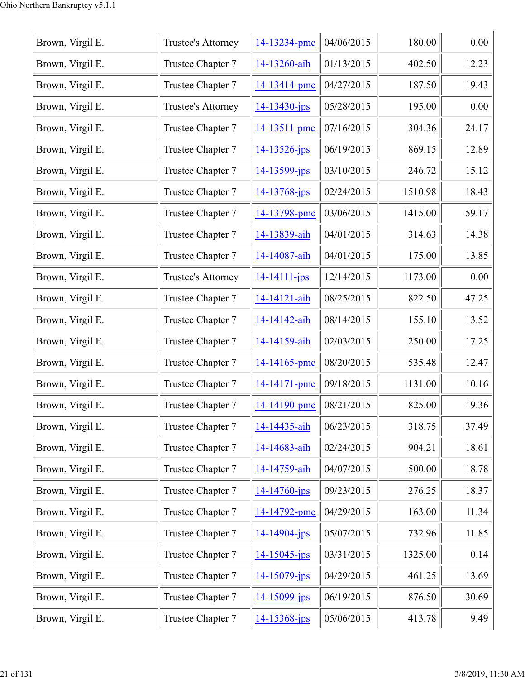| Brown, Virgil E. | Trustee's Attorney | 14-13234-pmc       | 04/06/2015 | 180.00  | 0.00  |
|------------------|--------------------|--------------------|------------|---------|-------|
| Brown, Virgil E. | Trustee Chapter 7  | 14-13260-aih       | 01/13/2015 | 402.50  | 12.23 |
| Brown, Virgil E. | Trustee Chapter 7  | 14-13414-pmc       | 04/27/2015 | 187.50  | 19.43 |
| Brown, Virgil E. | Trustee's Attorney | $14 - 13430 - jps$ | 05/28/2015 | 195.00  | 0.00  |
| Brown, Virgil E. | Trustee Chapter 7  | 14-13511-pmc       | 07/16/2015 | 304.36  | 24.17 |
| Brown, Virgil E. | Trustee Chapter 7  | $14 - 13526$ -jps  | 06/19/2015 | 869.15  | 12.89 |
| Brown, Virgil E. | Trustee Chapter 7  | 14-13599-jps       | 03/10/2015 | 246.72  | 15.12 |
| Brown, Virgil E. | Trustee Chapter 7  | 14-13768-jps       | 02/24/2015 | 1510.98 | 18.43 |
| Brown, Virgil E. | Trustee Chapter 7  | 14-13798-pmc       | 03/06/2015 | 1415.00 | 59.17 |
| Brown, Virgil E. | Trustee Chapter 7  | 14-13839-aih       | 04/01/2015 | 314.63  | 14.38 |
| Brown, Virgil E. | Trustee Chapter 7  | 14-14087-aih       | 04/01/2015 | 175.00  | 13.85 |
| Brown, Virgil E. | Trustee's Attorney | $14 - 14111 - ips$ | 12/14/2015 | 1173.00 | 0.00  |
| Brown, Virgil E. | Trustee Chapter 7  | 14-14121-aih       | 08/25/2015 | 822.50  | 47.25 |
| Brown, Virgil E. | Trustee Chapter 7  | 14-14142-aih       | 08/14/2015 | 155.10  | 13.52 |
| Brown, Virgil E. | Trustee Chapter 7  | 14-14159-aih       | 02/03/2015 | 250.00  | 17.25 |
| Brown, Virgil E. | Trustee Chapter 7  | 14-14165-pmc       | 08/20/2015 | 535.48  | 12.47 |
| Brown, Virgil E. | Trustee Chapter 7  | 14-14171-pmc       | 09/18/2015 | 1131.00 | 10.16 |
| Brown, Virgil E. | Trustee Chapter 7  | 14-14190-pmc       | 08/21/2015 | 825.00  | 19.36 |
| Brown, Virgil E. | Trustee Chapter 7  | 14-14435-aih       | 06/23/2015 | 318.75  | 37.49 |
| Brown, Virgil E. | Trustee Chapter 7  | 14-14683-aih       | 02/24/2015 | 904.21  | 18.61 |
| Brown, Virgil E. | Trustee Chapter 7  | 14-14759-aih       | 04/07/2015 | 500.00  | 18.78 |
| Brown, Virgil E. | Trustee Chapter 7  | $14 - 14760$ -jps  | 09/23/2015 | 276.25  | 18.37 |
| Brown, Virgil E. | Trustee Chapter 7  | 14-14792-pmc       | 04/29/2015 | 163.00  | 11.34 |
| Brown, Virgil E. | Trustee Chapter 7  | $14 - 14904 - ips$ | 05/07/2015 | 732.96  | 11.85 |
| Brown, Virgil E. | Trustee Chapter 7  | $14 - 15045$ -jps  | 03/31/2015 | 1325.00 | 0.14  |
| Brown, Virgil E. | Trustee Chapter 7  | $14 - 15079$ -jps  | 04/29/2015 | 461.25  | 13.69 |
| Brown, Virgil E. | Trustee Chapter 7  | $14 - 15099 - ips$ | 06/19/2015 | 876.50  | 30.69 |
| Brown, Virgil E. | Trustee Chapter 7  | $14 - 15368 - ips$ | 05/06/2015 | 413.78  | 9.49  |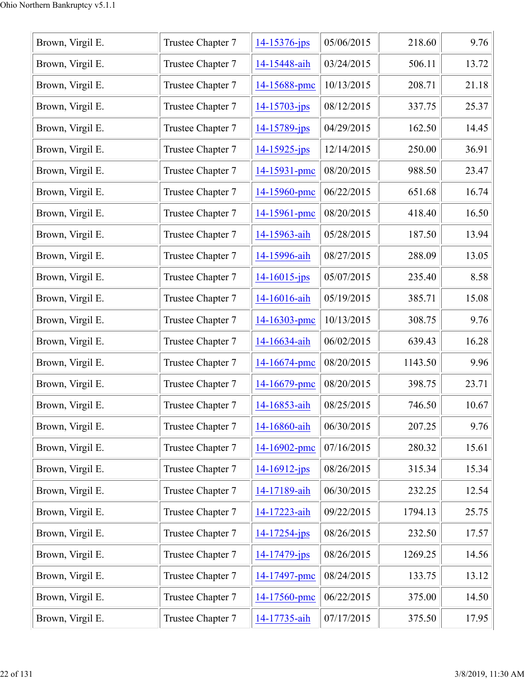| Brown, Virgil E. | Trustee Chapter 7 | 14-15376-jps       | 05/06/2015 | 218.60  | 9.76  |
|------------------|-------------------|--------------------|------------|---------|-------|
| Brown, Virgil E. | Trustee Chapter 7 | 14-15448-aih       | 03/24/2015 | 506.11  | 13.72 |
| Brown, Virgil E. | Trustee Chapter 7 | 14-15688-pmc       | 10/13/2015 | 208.71  | 21.18 |
| Brown, Virgil E. | Trustee Chapter 7 | $14 - 15703 - ips$ | 08/12/2015 | 337.75  | 25.37 |
| Brown, Virgil E. | Trustee Chapter 7 | 14-15789-jps       | 04/29/2015 | 162.50  | 14.45 |
| Brown, Virgil E. | Trustee Chapter 7 | $14 - 15925 - ips$ | 12/14/2015 | 250.00  | 36.91 |
| Brown, Virgil E. | Trustee Chapter 7 | 14-15931-pmc       | 08/20/2015 | 988.50  | 23.47 |
| Brown, Virgil E. | Trustee Chapter 7 | 14-15960-pmc       | 06/22/2015 | 651.68  | 16.74 |
| Brown, Virgil E. | Trustee Chapter 7 | 14-15961-pmc       | 08/20/2015 | 418.40  | 16.50 |
| Brown, Virgil E. | Trustee Chapter 7 | 14-15963-aih       | 05/28/2015 | 187.50  | 13.94 |
| Brown, Virgil E. | Trustee Chapter 7 | 14-15996-aih       | 08/27/2015 | 288.09  | 13.05 |
| Brown, Virgil E. | Trustee Chapter 7 | $14 - 16015$ -jps  | 05/07/2015 | 235.40  | 8.58  |
| Brown, Virgil E. | Trustee Chapter 7 | 14-16016-aih       | 05/19/2015 | 385.71  | 15.08 |
| Brown, Virgil E. | Trustee Chapter 7 | 14-16303-pmc       | 10/13/2015 | 308.75  | 9.76  |
| Brown, Virgil E. | Trustee Chapter 7 | 14-16634-aih       | 06/02/2015 | 639.43  | 16.28 |
| Brown, Virgil E. | Trustee Chapter 7 | 14-16674-pmc       | 08/20/2015 | 1143.50 | 9.96  |
| Brown, Virgil E. | Trustee Chapter 7 | 14-16679-pmc       | 08/20/2015 | 398.75  | 23.71 |
| Brown, Virgil E. | Trustee Chapter 7 | 14-16853-aih       | 08/25/2015 | 746.50  | 10.67 |
| Brown, Virgil E. | Trustee Chapter 7 | 14-16860-aih       | 06/30/2015 | 207.25  | 9.76  |
| Brown, Virgil E. | Trustee Chapter 7 | 14-16902-pmc       | 07/16/2015 | 280.32  | 15.61 |
| Brown, Virgil E. | Trustee Chapter 7 | $14 - 16912 - ips$ | 08/26/2015 | 315.34  | 15.34 |
| Brown, Virgil E. | Trustee Chapter 7 | 14-17189-aih       | 06/30/2015 | 232.25  | 12.54 |
| Brown, Virgil E. | Trustee Chapter 7 | 14-17223-aih       | 09/22/2015 | 1794.13 | 25.75 |
| Brown, Virgil E. | Trustee Chapter 7 | $14 - 17254 - ips$ | 08/26/2015 | 232.50  | 17.57 |
| Brown, Virgil E. | Trustee Chapter 7 | 14-17479-jps       | 08/26/2015 | 1269.25 | 14.56 |
| Brown, Virgil E. | Trustee Chapter 7 | 14-17497-pmc       | 08/24/2015 | 133.75  | 13.12 |
| Brown, Virgil E. | Trustee Chapter 7 | 14-17560-pmc       | 06/22/2015 | 375.00  | 14.50 |
| Brown, Virgil E. | Trustee Chapter 7 | 14-17735-aih       | 07/17/2015 | 375.50  | 17.95 |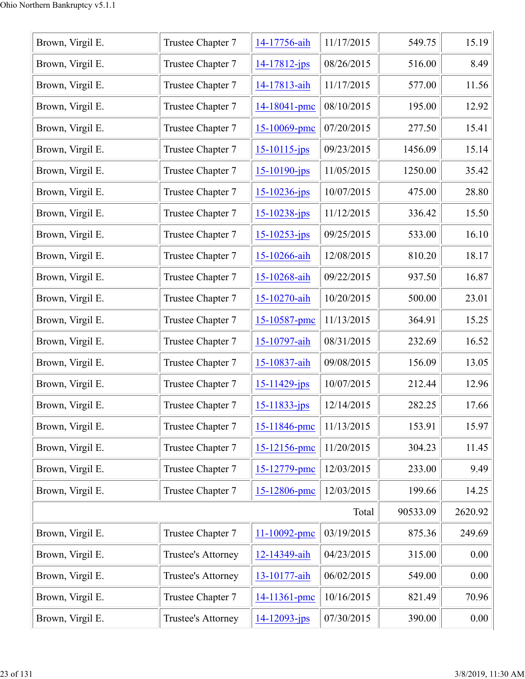| Brown, Virgil E. | Trustee Chapter 7         | 14-17756-aih       | 11/17/2015 | 549.75   | 15.19   |
|------------------|---------------------------|--------------------|------------|----------|---------|
| Brown, Virgil E. | Trustee Chapter 7         | $14 - 17812 - jps$ | 08/26/2015 | 516.00   | 8.49    |
| Brown, Virgil E. | Trustee Chapter 7         | 14-17813-aih       | 11/17/2015 | 577.00   | 11.56   |
| Brown, Virgil E. | Trustee Chapter 7         | 14-18041-pmc       | 08/10/2015 | 195.00   | 12.92   |
| Brown, Virgil E. | Trustee Chapter 7         | 15-10069-pmc       | 07/20/2015 | 277.50   | 15.41   |
| Brown, Virgil E. | Trustee Chapter 7         | $15 - 10115 - ips$ | 09/23/2015 | 1456.09  | 15.14   |
| Brown, Virgil E. | Trustee Chapter 7         | $15 - 10190 - ips$ | 11/05/2015 | 1250.00  | 35.42   |
| Brown, Virgil E. | Trustee Chapter 7         | $15 - 10236 - jps$ | 10/07/2015 | 475.00   | 28.80   |
| Brown, Virgil E. | Trustee Chapter 7         | $15 - 10238 - ips$ | 11/12/2015 | 336.42   | 15.50   |
| Brown, Virgil E. | Trustee Chapter 7         | $15 - 10253 - ips$ | 09/25/2015 | 533.00   | 16.10   |
| Brown, Virgil E. | Trustee Chapter 7         | 15-10266-aih       | 12/08/2015 | 810.20   | 18.17   |
| Brown, Virgil E. | Trustee Chapter 7         | 15-10268-aih       | 09/22/2015 | 937.50   | 16.87   |
| Brown, Virgil E. | Trustee Chapter 7         | 15-10270-aih       | 10/20/2015 | 500.00   | 23.01   |
| Brown, Virgil E. | Trustee Chapter 7         | 15-10587-pmc       | 11/13/2015 | 364.91   | 15.25   |
| Brown, Virgil E. | Trustee Chapter 7         | 15-10797-aih       | 08/31/2015 | 232.69   | 16.52   |
| Brown, Virgil E. | Trustee Chapter 7         | 15-10837-aih       | 09/08/2015 | 156.09   | 13.05   |
| Brown, Virgil E. | Trustee Chapter 7         | $15 - 11429$ -jps  | 10/07/2015 | 212.44   | 12.96   |
| Brown, Virgil E. | Trustee Chapter 7         | $15 - 11833 - ips$ | 12/14/2015 | 282.25   | 17.66   |
| Brown, Virgil E. | Trustee Chapter 7         | 15-11846-pmc       | 11/13/2015 | 153.91   | 15.97   |
| Brown, Virgil E. | Trustee Chapter 7         | 15-12156-pmc       | 11/20/2015 | 304.23   | 11.45   |
| Brown, Virgil E. | Trustee Chapter 7         | 15-12779-pmc       | 12/03/2015 | 233.00   | 9.49    |
| Brown, Virgil E. | Trustee Chapter 7         | 15-12806-pmc       | 12/03/2015 | 199.66   | 14.25   |
|                  |                           |                    | Total      | 90533.09 | 2620.92 |
| Brown, Virgil E. | Trustee Chapter 7         | 11-10092-pmc       | 03/19/2015 | 875.36   | 249.69  |
| Brown, Virgil E. | Trustee's Attorney        | 12-14349-aih       | 04/23/2015 | 315.00   | 0.00    |
| Brown, Virgil E. | <b>Trustee's Attorney</b> | 13-10177-aih       | 06/02/2015 | 549.00   | 0.00    |
| Brown, Virgil E. | Trustee Chapter 7         | 14-11361-pmc       | 10/16/2015 | 821.49   | 70.96   |
| Brown, Virgil E. | Trustee's Attorney        | $14 - 12093 - ips$ | 07/30/2015 | 390.00   | 0.00    |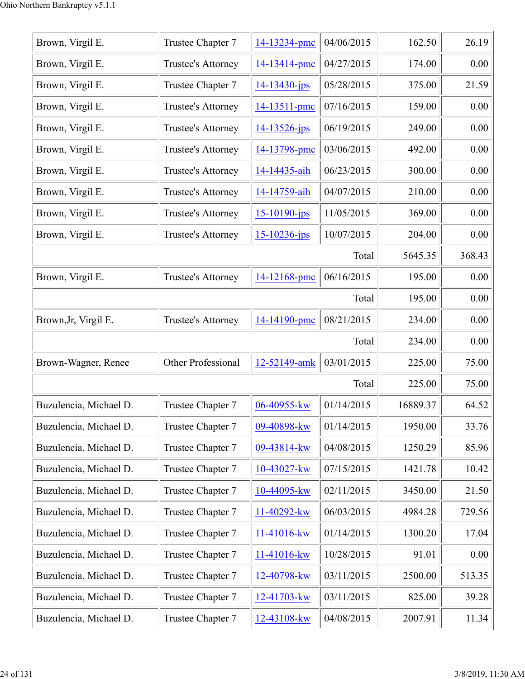| Brown, Virgil E.       | Trustee Chapter 7         | 14-13234-pmc       | 04/06/2015 | 162.50   | 26.19  |
|------------------------|---------------------------|--------------------|------------|----------|--------|
| Brown, Virgil E.       | Trustee's Attorney        | 14-13414-pmc       | 04/27/2015 | 174.00   | 0.00   |
| Brown, Virgil E.       | Trustee Chapter 7         | $14 - 13430 - ips$ | 05/28/2015 | 375.00   | 21.59  |
| Brown, Virgil E.       | Trustee's Attorney        | 14-13511-pmc       | 07/16/2015 | 159.00   | 0.00   |
| Brown, Virgil E.       | Trustee's Attorney        | $14 - 13526$ -jps  | 06/19/2015 | 249.00   | 0.00   |
| Brown, Virgil E.       | Trustee's Attorney        | 14-13798-pmc       | 03/06/2015 | 492.00   | 0.00   |
| Brown, Virgil E.       | Trustee's Attorney        | 14-14435-aih       | 06/23/2015 | 300.00   | 0.00   |
| Brown, Virgil E.       | Trustee's Attorney        | 14-14759-aih       | 04/07/2015 | 210.00   | 0.00   |
| Brown, Virgil E.       | Trustee's Attorney        | $15 - 10190 - ips$ | 11/05/2015 | 369.00   | 0.00   |
| Brown, Virgil E.       | Trustee's Attorney        | $15 - 10236$ -jps  | 10/07/2015 | 204.00   | 0.00   |
|                        |                           |                    | Total      | 5645.35  | 368.43 |
| Brown, Virgil E.       | Trustee's Attorney        | 14-12168-pmc       | 06/16/2015 | 195.00   | 0.00   |
|                        |                           |                    | Total      | 195.00   | 0.00   |
| Brown, Jr, Virgil E.   | Trustee's Attorney        | 14-14190-pmc       | 08/21/2015 | 234.00   | 0.00   |
|                        |                           |                    | Total      | 234.00   | 0.00   |
| Brown-Wagner, Renee    | <b>Other Professional</b> | 12-52149-amk       | 03/01/2015 | 225.00   | 75.00  |
|                        |                           |                    | Total      | 225.00   | 75.00  |
| Buzulencia, Michael D. | Trustee Chapter 7         | 06-40955-kw        | 01/14/2015 | 16889.37 | 64.52  |
| Buzulencia, Michael D. | Trustee Chapter 7         | 09-40898-kw        | 01/14/2015 | 1950.00  | 33.76  |
| Buzulencia, Michael D. | Trustee Chapter 7         | 09-43814-kw        | 04/08/2015 | 1250.29  | 85.96  |
| Buzulencia, Michael D. | Trustee Chapter 7         | 10-43027-kw        | 07/15/2015 | 1421.78  | 10.42  |
| Buzulencia, Michael D. | Trustee Chapter 7         | 10-44095-kw        | 02/11/2015 | 3450.00  | 21.50  |
| Buzulencia, Michael D. | Trustee Chapter 7         | 11-40292-kw        | 06/03/2015 | 4984.28  | 729.56 |
| Buzulencia, Michael D. | Trustee Chapter 7         | 11-41016-kw        | 01/14/2015 | 1300.20  | 17.04  |
| Buzulencia, Michael D. | Trustee Chapter 7         | 11-41016-kw        | 10/28/2015 | 91.01    | 0.00   |
| Buzulencia, Michael D. | Trustee Chapter 7         | 12-40798-kw        | 03/11/2015 | 2500.00  | 513.35 |
| Buzulencia, Michael D. | Trustee Chapter 7         | 12-41703-kw        | 03/11/2015 | 825.00   | 39.28  |
| Buzulencia, Michael D. | Trustee Chapter 7         | 12-43108-kw        | 04/08/2015 | 2007.91  | 11.34  |
|                        |                           |                    |            |          |        |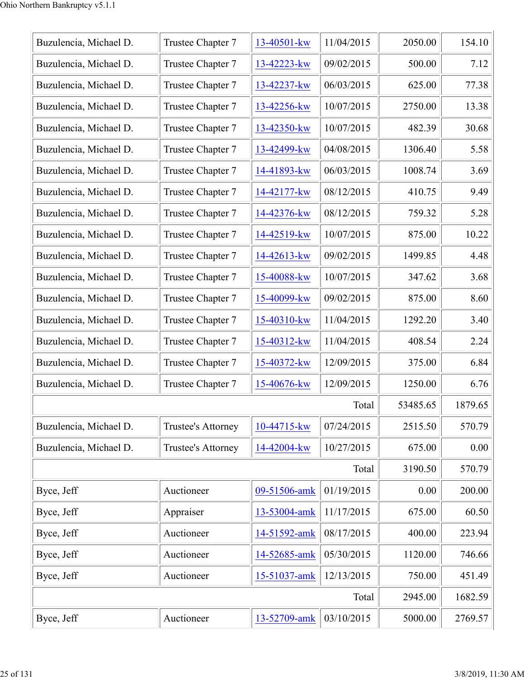| Buzulencia, Michael D. | Trustee Chapter 7  | 13-40501-kw    | 11/04/2015 | 2050.00  | 154.10  |
|------------------------|--------------------|----------------|------------|----------|---------|
| Buzulencia, Michael D. | Trustee Chapter 7  | 13-42223-kw    | 09/02/2015 | 500.00   | 7.12    |
| Buzulencia, Michael D. | Trustee Chapter 7  | 13-42237-kw    | 06/03/2015 | 625.00   | 77.38   |
| Buzulencia, Michael D. | Trustee Chapter 7  | 13-42256-kw    | 10/07/2015 | 2750.00  | 13.38   |
| Buzulencia, Michael D. | Trustee Chapter 7  | 13-42350-kw    | 10/07/2015 | 482.39   | 30.68   |
| Buzulencia, Michael D. | Trustee Chapter 7  | 13-42499-kw    | 04/08/2015 | 1306.40  | 5.58    |
| Buzulencia, Michael D. | Trustee Chapter 7  | 14-41893-kw    | 06/03/2015 | 1008.74  | 3.69    |
| Buzulencia, Michael D. | Trustee Chapter 7  | 14-42177-kw    | 08/12/2015 | 410.75   | 9.49    |
| Buzulencia, Michael D. | Trustee Chapter 7  | 14-42376-kw    | 08/12/2015 | 759.32   | 5.28    |
| Buzulencia, Michael D. | Trustee Chapter 7  | 14-42519-kw    | 10/07/2015 | 875.00   | 10.22   |
| Buzulencia, Michael D. | Trustee Chapter 7  | 14-42613-kw    | 09/02/2015 | 1499.85  | 4.48    |
| Buzulencia, Michael D. | Trustee Chapter 7  | 15-40088-kw    | 10/07/2015 | 347.62   | 3.68    |
| Buzulencia, Michael D. | Trustee Chapter 7  | 15-40099-kw    | 09/02/2015 | 875.00   | 8.60    |
| Buzulencia, Michael D. | Trustee Chapter 7  | 15-40310-kw    | 11/04/2015 | 1292.20  | 3.40    |
| Buzulencia, Michael D. | Trustee Chapter 7  | $15-40312$ -kw | 11/04/2015 | 408.54   | 2.24    |
| Buzulencia, Michael D. | Trustee Chapter 7  | 15-40372-kw    | 12/09/2015 | 375.00   | 6.84    |
| Buzulencia, Michael D. | Trustee Chapter 7  | 15-40676-kw    | 12/09/2015 | 1250.00  | 6.76    |
|                        |                    |                | Total      | 53485.65 | 1879.65 |
| Buzulencia, Michael D. | Trustee's Attorney | 10-44715-kw    | 07/24/2015 | 2515.50  | 570.79  |
| Buzulencia, Michael D. | Trustee's Attorney | 14-42004-kw    | 10/27/2015 | 675.00   | 0.00    |
|                        |                    |                | Total      | 3190.50  | 570.79  |
| Byce, Jeff             | Auctioneer         | 09-51506-amk   | 01/19/2015 | 0.00     | 200.00  |
| Byce, Jeff             | Appraiser          | 13-53004-amk   | 11/17/2015 | 675.00   | 60.50   |
| Byce, Jeff             | Auctioneer         | 14-51592-amk   | 08/17/2015 | 400.00   | 223.94  |
| Byce, Jeff             | Auctioneer         | 14-52685-amk   | 05/30/2015 | 1120.00  | 746.66  |
| Byce, Jeff             | Auctioneer         | 15-51037-amk   | 12/13/2015 | 750.00   | 451.49  |
|                        |                    |                | Total      | 2945.00  | 1682.59 |
| Byce, Jeff             | Auctioneer         | 13-52709-amk   | 03/10/2015 | 5000.00  | 2769.57 |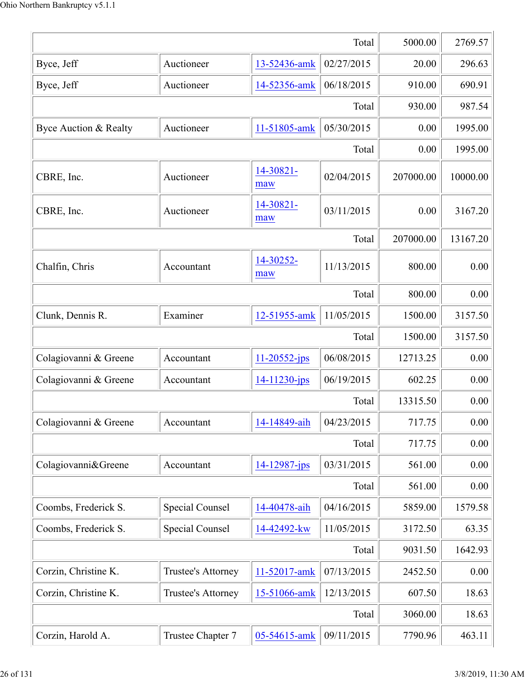| Total                 |                        |                    |            | 5000.00   | 2769.57  |
|-----------------------|------------------------|--------------------|------------|-----------|----------|
| Byce, Jeff            | Auctioneer             | 13-52436-amk       | 02/27/2015 | 20.00     | 296.63   |
| Byce, Jeff            | Auctioneer             | 14-52356-amk       | 06/18/2015 | 910.00    | 690.91   |
|                       |                        |                    | Total      | 930.00    | 987.54   |
| Byce Auction & Realty | Auctioneer             | 11-51805-amk       | 05/30/2015 | 0.00      | 1995.00  |
|                       |                        |                    | Total      | 0.00      | 1995.00  |
| CBRE, Inc.            | Auctioneer             | 14-30821-<br>maw   | 02/04/2015 | 207000.00 | 10000.00 |
| CBRE, Inc.            | Auctioneer             | 14-30821-<br>maw   | 03/11/2015 | 0.00      | 3167.20  |
|                       |                        |                    | Total      | 207000.00 | 13167.20 |
| Chalfin, Chris        | Accountant             | 14-30252-<br>maw   | 11/13/2015 | 800.00    | 0.00     |
|                       |                        |                    | Total      | 800.00    | 0.00     |
| Clunk, Dennis R.      | Examiner               | 12-51955-amk       | 11/05/2015 | 1500.00   | 3157.50  |
|                       |                        |                    | Total      | 1500.00   | 3157.50  |
| Colagiovanni & Greene | Accountant             | $11 - 20552 - ips$ | 06/08/2015 | 12713.25  | 0.00     |
| Colagiovanni & Greene | Accountant             | 14-11230-jps       | 06/19/2015 | 602.25    | 0.00     |
|                       |                        |                    | Total      | 13315.50  | 0.00     |
| Colagiovanni & Greene | Accountant             | 14-14849-aih       | 04/23/2015 | 717.75    | 0.00     |
|                       |                        |                    | Total      | 717.75    | 0.00     |
| Colagiovanni&Greene   | Accountant             | 14-12987-jps       | 03/31/2015 | 561.00    | 0.00     |
|                       |                        |                    | Total      | 561.00    | 0.00     |
| Coombs, Frederick S.  | <b>Special Counsel</b> | 14-40478-aih       | 04/16/2015 | 5859.00   | 1579.58  |
| Coombs, Frederick S.  | <b>Special Counsel</b> | 14-42492-kw        | 11/05/2015 | 3172.50   | 63.35    |
|                       |                        |                    | Total      | 9031.50   | 1642.93  |
| Corzin, Christine K.  | Trustee's Attorney     | 11-52017-amk       | 07/13/2015 | 2452.50   | 0.00     |
| Corzin, Christine K.  | Trustee's Attorney     | 15-51066-amk       | 12/13/2015 | 607.50    | 18.63    |
|                       |                        |                    | Total      | 3060.00   | 18.63    |
| Corzin, Harold A.     | Trustee Chapter 7      | 05-54615-amk       | 09/11/2015 | 7790.96   | 463.11   |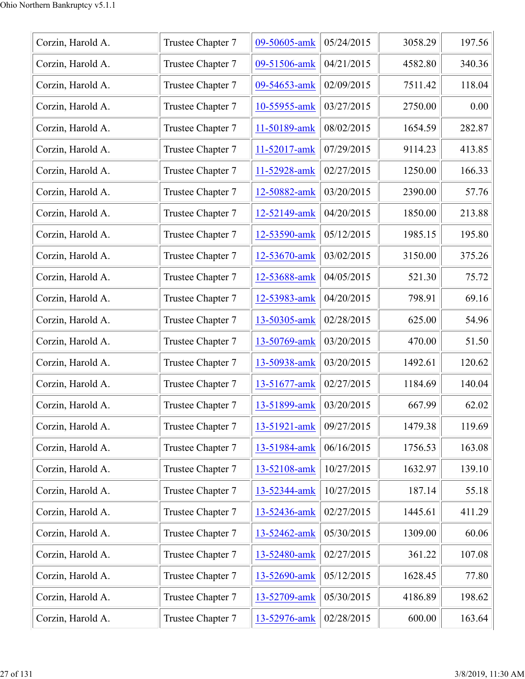| Trustee Chapter 7 | 09-50605-amk | 05/24/2015 | 3058.29 | 197.56 |
|-------------------|--------------|------------|---------|--------|
| Trustee Chapter 7 | 09-51506-amk | 04/21/2015 | 4582.80 | 340.36 |
| Trustee Chapter 7 | 09-54653-amk | 02/09/2015 | 7511.42 | 118.04 |
| Trustee Chapter 7 | 10-55955-amk | 03/27/2015 | 2750.00 | 0.00   |
| Trustee Chapter 7 | 11-50189-amk | 08/02/2015 | 1654.59 | 282.87 |
| Trustee Chapter 7 | 11-52017-amk | 07/29/2015 | 9114.23 | 413.85 |
| Trustee Chapter 7 | 11-52928-amk | 02/27/2015 | 1250.00 | 166.33 |
| Trustee Chapter 7 | 12-50882-amk | 03/20/2015 | 2390.00 | 57.76  |
| Trustee Chapter 7 | 12-52149-amk | 04/20/2015 | 1850.00 | 213.88 |
| Trustee Chapter 7 | 12-53590-amk | 05/12/2015 | 1985.15 | 195.80 |
| Trustee Chapter 7 | 12-53670-amk | 03/02/2015 | 3150.00 | 375.26 |
| Trustee Chapter 7 | 12-53688-amk | 04/05/2015 | 521.30  | 75.72  |
| Trustee Chapter 7 | 12-53983-amk | 04/20/2015 | 798.91  | 69.16  |
| Trustee Chapter 7 | 13-50305-amk | 02/28/2015 | 625.00  | 54.96  |
| Trustee Chapter 7 | 13-50769-amk | 03/20/2015 | 470.00  | 51.50  |
| Trustee Chapter 7 | 13-50938-amk | 03/20/2015 | 1492.61 | 120.62 |
| Trustee Chapter 7 | 13-51677-amk | 02/27/2015 | 1184.69 | 140.04 |
| Trustee Chapter 7 | 13-51899-amk | 03/20/2015 | 667.99  | 62.02  |
| Trustee Chapter 7 | 13-51921-amk | 09/27/2015 | 1479.38 | 119.69 |
| Trustee Chapter 7 | 13-51984-amk | 06/16/2015 | 1756.53 | 163.08 |
| Trustee Chapter 7 | 13-52108-amk | 10/27/2015 | 1632.97 | 139.10 |
| Trustee Chapter 7 | 13-52344-amk | 10/27/2015 | 187.14  | 55.18  |
| Trustee Chapter 7 | 13-52436-amk | 02/27/2015 | 1445.61 | 411.29 |
| Trustee Chapter 7 | 13-52462-amk | 05/30/2015 | 1309.00 | 60.06  |
| Trustee Chapter 7 | 13-52480-amk | 02/27/2015 | 361.22  | 107.08 |
| Trustee Chapter 7 | 13-52690-amk | 05/12/2015 | 1628.45 | 77.80  |
| Trustee Chapter 7 | 13-52709-amk | 05/30/2015 | 4186.89 | 198.62 |
| Trustee Chapter 7 | 13-52976-amk | 02/28/2015 | 600.00  | 163.64 |
|                   |              |            |         |        |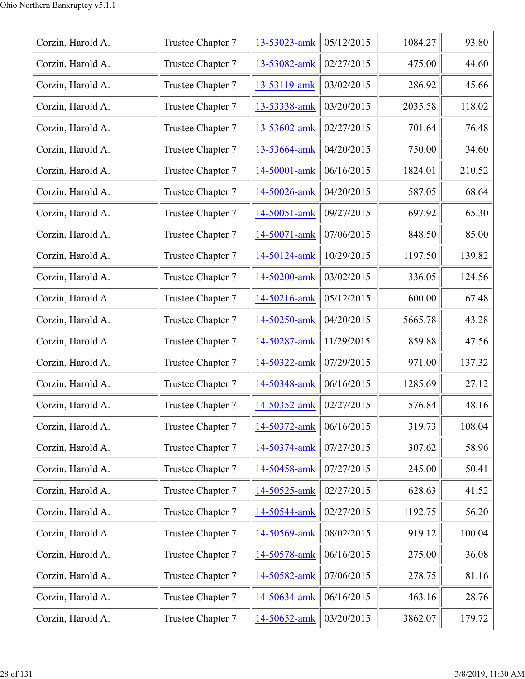| Corzin, Harold A. | Trustee Chapter 7 | 13-53023-amk | 05/12/2015 | 1084.27 | 93.80  |
|-------------------|-------------------|--------------|------------|---------|--------|
| Corzin, Harold A. | Trustee Chapter 7 | 13-53082-amk | 02/27/2015 | 475.00  | 44.60  |
| Corzin, Harold A. | Trustee Chapter 7 | 13-53119-amk | 03/02/2015 | 286.92  | 45.66  |
| Corzin, Harold A. | Trustee Chapter 7 | 13-53338-amk | 03/20/2015 | 2035.58 | 118.02 |
| Corzin, Harold A. | Trustee Chapter 7 | 13-53602-amk | 02/27/2015 | 701.64  | 76.48  |
| Corzin, Harold A. | Trustee Chapter 7 | 13-53664-amk | 04/20/2015 | 750.00  | 34.60  |
| Corzin, Harold A. | Trustee Chapter 7 | 14-50001-amk | 06/16/2015 | 1824.01 | 210.52 |
| Corzin, Harold A. | Trustee Chapter 7 | 14-50026-amk | 04/20/2015 | 587.05  | 68.64  |
| Corzin, Harold A. | Trustee Chapter 7 | 14-50051-amk | 09/27/2015 | 697.92  | 65.30  |
| Corzin, Harold A. | Trustee Chapter 7 | 14-50071-amk | 07/06/2015 | 848.50  | 85.00  |
| Corzin, Harold A. | Trustee Chapter 7 | 14-50124-amk | 10/29/2015 | 1197.50 | 139.82 |
| Corzin, Harold A. | Trustee Chapter 7 | 14-50200-amk | 03/02/2015 | 336.05  | 124.56 |
| Corzin, Harold A. | Trustee Chapter 7 | 14-50216-amk | 05/12/2015 | 600.00  | 67.48  |
| Corzin, Harold A. | Trustee Chapter 7 | 14-50250-amk | 04/20/2015 | 5665.78 | 43.28  |
| Corzin, Harold A. | Trustee Chapter 7 | 14-50287-amk | 11/29/2015 | 859.88  | 47.56  |
| Corzin, Harold A. | Trustee Chapter 7 | 14-50322-amk | 07/29/2015 | 971.00  | 137.32 |
| Corzin, Harold A. | Trustee Chapter 7 | 14-50348-amk | 06/16/2015 | 1285.69 | 27.12  |
| Corzin, Harold A. | Trustee Chapter 7 | 14-50352-amk | 02/27/2015 | 576.84  | 48.16  |
| Corzin, Harold A. | Trustee Chapter 7 | 14-50372-amk | 06/16/2015 | 319.73  | 108.04 |
| Corzin, Harold A. | Trustee Chapter 7 | 14-50374-amk | 07/27/2015 | 307.62  | 58.96  |
| Corzin, Harold A. | Trustee Chapter 7 | 14-50458-amk | 07/27/2015 | 245.00  | 50.41  |
| Corzin, Harold A. | Trustee Chapter 7 | 14-50525-amk | 02/27/2015 | 628.63  | 41.52  |
| Corzin, Harold A. | Trustee Chapter 7 | 14-50544-amk | 02/27/2015 | 1192.75 | 56.20  |
| Corzin, Harold A. | Trustee Chapter 7 | 14-50569-amk | 08/02/2015 | 919.12  | 100.04 |
| Corzin, Harold A. | Trustee Chapter 7 | 14-50578-amk | 06/16/2015 | 275.00  | 36.08  |
| Corzin, Harold A. | Trustee Chapter 7 | 14-50582-amk | 07/06/2015 | 278.75  | 81.16  |
| Corzin, Harold A. | Trustee Chapter 7 | 14-50634-amk | 06/16/2015 | 463.16  | 28.76  |
| Corzin, Harold A. | Trustee Chapter 7 | 14-50652-amk | 03/20/2015 | 3862.07 | 179.72 |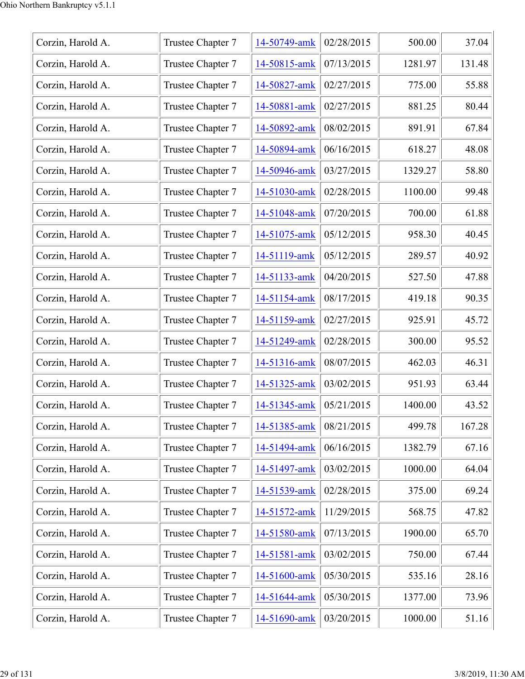| Corzin, Harold A. | Trustee Chapter 7 | 14-50749-amk | 02/28/2015 | 500.00  | 37.04  |
|-------------------|-------------------|--------------|------------|---------|--------|
| Corzin, Harold A. | Trustee Chapter 7 | 14-50815-amk | 07/13/2015 | 1281.97 | 131.48 |
| Corzin, Harold A. | Trustee Chapter 7 | 14-50827-amk | 02/27/2015 | 775.00  | 55.88  |
| Corzin, Harold A. | Trustee Chapter 7 | 14-50881-amk | 02/27/2015 | 881.25  | 80.44  |
| Corzin, Harold A. | Trustee Chapter 7 | 14-50892-amk | 08/02/2015 | 891.91  | 67.84  |
| Corzin, Harold A. | Trustee Chapter 7 | 14-50894-amk | 06/16/2015 | 618.27  | 48.08  |
| Corzin, Harold A. | Trustee Chapter 7 | 14-50946-amk | 03/27/2015 | 1329.27 | 58.80  |
| Corzin, Harold A. | Trustee Chapter 7 | 14-51030-amk | 02/28/2015 | 1100.00 | 99.48  |
| Corzin, Harold A. | Trustee Chapter 7 | 14-51048-amk | 07/20/2015 | 700.00  | 61.88  |
| Corzin, Harold A. | Trustee Chapter 7 | 14-51075-amk | 05/12/2015 | 958.30  | 40.45  |
| Corzin, Harold A. | Trustee Chapter 7 | 14-51119-amk | 05/12/2015 | 289.57  | 40.92  |
| Corzin, Harold A. | Trustee Chapter 7 | 14-51133-amk | 04/20/2015 | 527.50  | 47.88  |
| Corzin, Harold A. | Trustee Chapter 7 | 14-51154-amk | 08/17/2015 | 419.18  | 90.35  |
| Corzin, Harold A. | Trustee Chapter 7 | 14-51159-amk | 02/27/2015 | 925.91  | 45.72  |
| Corzin, Harold A. | Trustee Chapter 7 | 14-51249-amk | 02/28/2015 | 300.00  | 95.52  |
| Corzin, Harold A. | Trustee Chapter 7 | 14-51316-amk | 08/07/2015 | 462.03  | 46.31  |
| Corzin, Harold A. | Trustee Chapter 7 | 14-51325-amk | 03/02/2015 | 951.93  | 63.44  |
| Corzin, Harold A. | Trustee Chapter 7 | 14-51345-amk | 05/21/2015 | 1400.00 | 43.52  |
| Corzin, Harold A. | Trustee Chapter 7 | 14-51385-amk | 08/21/2015 | 499.78  | 167.28 |
| Corzin, Harold A. | Trustee Chapter 7 | 14-51494-amk | 06/16/2015 | 1382.79 | 67.16  |
| Corzin, Harold A. | Trustee Chapter 7 | 14-51497-amk | 03/02/2015 | 1000.00 | 64.04  |
| Corzin, Harold A. | Trustee Chapter 7 | 14-51539-amk | 02/28/2015 | 375.00  | 69.24  |
| Corzin, Harold A. | Trustee Chapter 7 | 14-51572-amk | 11/29/2015 | 568.75  | 47.82  |
| Corzin, Harold A. | Trustee Chapter 7 | 14-51580-amk | 07/13/2015 | 1900.00 | 65.70  |
| Corzin, Harold A. | Trustee Chapter 7 | 14-51581-amk | 03/02/2015 | 750.00  | 67.44  |
| Corzin, Harold A. | Trustee Chapter 7 | 14-51600-amk | 05/30/2015 | 535.16  | 28.16  |
| Corzin, Harold A. | Trustee Chapter 7 | 14-51644-amk | 05/30/2015 | 1377.00 | 73.96  |
| Corzin, Harold A. | Trustee Chapter 7 | 14-51690-amk | 03/20/2015 | 1000.00 | 51.16  |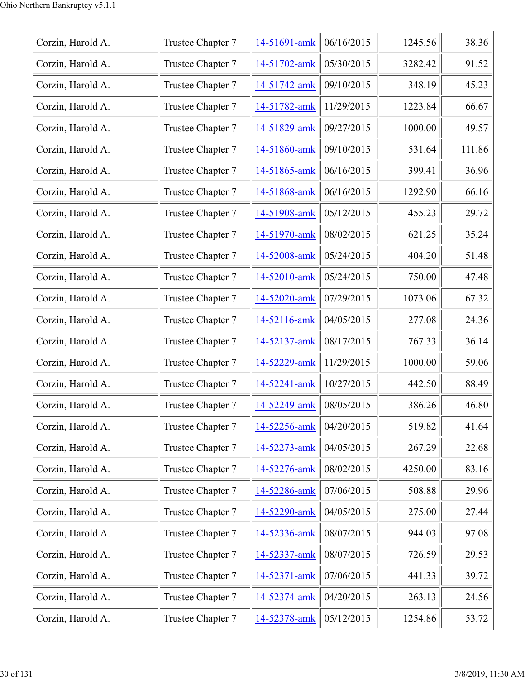| Corzin, Harold A. | Trustee Chapter 7 | 14-51691-amk | 06/16/2015 | 1245.56 | 38.36  |
|-------------------|-------------------|--------------|------------|---------|--------|
| Corzin, Harold A. | Trustee Chapter 7 | 14-51702-amk | 05/30/2015 | 3282.42 | 91.52  |
| Corzin, Harold A. | Trustee Chapter 7 | 14-51742-amk | 09/10/2015 | 348.19  | 45.23  |
| Corzin, Harold A. | Trustee Chapter 7 | 14-51782-amk | 11/29/2015 | 1223.84 | 66.67  |
| Corzin, Harold A. | Trustee Chapter 7 | 14-51829-amk | 09/27/2015 | 1000.00 | 49.57  |
| Corzin, Harold A. | Trustee Chapter 7 | 14-51860-amk | 09/10/2015 | 531.64  | 111.86 |
| Corzin, Harold A. | Trustee Chapter 7 | 14-51865-amk | 06/16/2015 | 399.41  | 36.96  |
| Corzin, Harold A. | Trustee Chapter 7 | 14-51868-amk | 06/16/2015 | 1292.90 | 66.16  |
| Corzin, Harold A. | Trustee Chapter 7 | 14-51908-amk | 05/12/2015 | 455.23  | 29.72  |
| Corzin, Harold A. | Trustee Chapter 7 | 14-51970-amk | 08/02/2015 | 621.25  | 35.24  |
| Corzin, Harold A. | Trustee Chapter 7 | 14-52008-amk | 05/24/2015 | 404.20  | 51.48  |
| Corzin, Harold A. | Trustee Chapter 7 | 14-52010-amk | 05/24/2015 | 750.00  | 47.48  |
| Corzin, Harold A. | Trustee Chapter 7 | 14-52020-amk | 07/29/2015 | 1073.06 | 67.32  |
| Corzin, Harold A. | Trustee Chapter 7 | 14-52116-amk | 04/05/2015 | 277.08  | 24.36  |
| Corzin, Harold A. | Trustee Chapter 7 | 14-52137-amk | 08/17/2015 | 767.33  | 36.14  |
| Corzin, Harold A. | Trustee Chapter 7 | 14-52229-amk | 11/29/2015 | 1000.00 | 59.06  |
| Corzin, Harold A. | Trustee Chapter 7 | 14-52241-amk | 10/27/2015 | 442.50  | 88.49  |
| Corzin, Harold A. | Trustee Chapter 7 | 14-52249-amk | 08/05/2015 | 386.26  | 46.80  |
| Corzin, Harold A. | Trustee Chapter 7 | 14-52256-amk | 04/20/2015 | 519.82  | 41.64  |
| Corzin, Harold A. | Trustee Chapter 7 | 14-52273-amk | 04/05/2015 | 267.29  | 22.68  |
| Corzin, Harold A. | Trustee Chapter 7 | 14-52276-amk | 08/02/2015 | 4250.00 | 83.16  |
| Corzin, Harold A. | Trustee Chapter 7 | 14-52286-amk | 07/06/2015 | 508.88  | 29.96  |
| Corzin, Harold A. | Trustee Chapter 7 | 14-52290-amk | 04/05/2015 | 275.00  | 27.44  |
| Corzin, Harold A. | Trustee Chapter 7 | 14-52336-amk | 08/07/2015 | 944.03  | 97.08  |
| Corzin, Harold A. | Trustee Chapter 7 | 14-52337-amk | 08/07/2015 | 726.59  | 29.53  |
| Corzin, Harold A. | Trustee Chapter 7 | 14-52371-amk | 07/06/2015 | 441.33  | 39.72  |
| Corzin, Harold A. | Trustee Chapter 7 | 14-52374-amk | 04/20/2015 | 263.13  | 24.56  |
| Corzin, Harold A. | Trustee Chapter 7 | 14-52378-amk | 05/12/2015 | 1254.86 | 53.72  |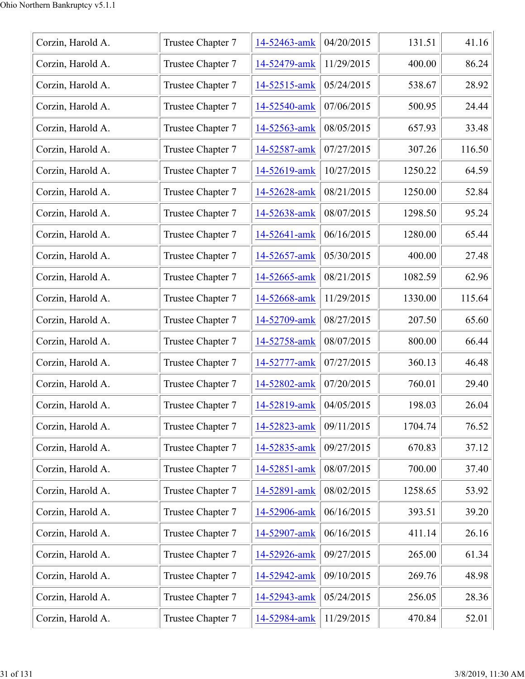| Corzin, Harold A. | Trustee Chapter 7 | 14-52463-amk | 04/20/2015 | 131.51  | 41.16  |
|-------------------|-------------------|--------------|------------|---------|--------|
| Corzin, Harold A. | Trustee Chapter 7 | 14-52479-amk | 11/29/2015 | 400.00  | 86.24  |
| Corzin, Harold A. | Trustee Chapter 7 | 14-52515-amk | 05/24/2015 | 538.67  | 28.92  |
| Corzin, Harold A. | Trustee Chapter 7 | 14-52540-amk | 07/06/2015 | 500.95  | 24.44  |
| Corzin, Harold A. | Trustee Chapter 7 | 14-52563-amk | 08/05/2015 | 657.93  | 33.48  |
| Corzin, Harold A. | Trustee Chapter 7 | 14-52587-amk | 07/27/2015 | 307.26  | 116.50 |
| Corzin, Harold A. | Trustee Chapter 7 | 14-52619-amk | 10/27/2015 | 1250.22 | 64.59  |
| Corzin, Harold A. | Trustee Chapter 7 | 14-52628-amk | 08/21/2015 | 1250.00 | 52.84  |
| Corzin, Harold A. | Trustee Chapter 7 | 14-52638-amk | 08/07/2015 | 1298.50 | 95.24  |
| Corzin, Harold A. | Trustee Chapter 7 | 14-52641-amk | 06/16/2015 | 1280.00 | 65.44  |
| Corzin, Harold A. | Trustee Chapter 7 | 14-52657-amk | 05/30/2015 | 400.00  | 27.48  |
| Corzin, Harold A. | Trustee Chapter 7 | 14-52665-amk | 08/21/2015 | 1082.59 | 62.96  |
| Corzin, Harold A. | Trustee Chapter 7 | 14-52668-amk | 11/29/2015 | 1330.00 | 115.64 |
| Corzin, Harold A. | Trustee Chapter 7 | 14-52709-amk | 08/27/2015 | 207.50  | 65.60  |
| Corzin, Harold A. | Trustee Chapter 7 | 14-52758-amk | 08/07/2015 | 800.00  | 66.44  |
| Corzin, Harold A. | Trustee Chapter 7 | 14-52777-amk | 07/27/2015 | 360.13  | 46.48  |
| Corzin, Harold A. | Trustee Chapter 7 | 14-52802-amk | 07/20/2015 | 760.01  | 29.40  |
| Corzin, Harold A. | Trustee Chapter 7 | 14-52819-amk | 04/05/2015 | 198.03  | 26.04  |
| Corzin, Harold A. | Trustee Chapter 7 | 14-52823-amk | 09/11/2015 | 1704.74 | 76.52  |
| Corzin, Harold A. | Trustee Chapter 7 | 14-52835-amk | 09/27/2015 | 670.83  | 37.12  |
| Corzin, Harold A. | Trustee Chapter 7 | 14-52851-amk | 08/07/2015 | 700.00  | 37.40  |
| Corzin, Harold A. | Trustee Chapter 7 | 14-52891-amk | 08/02/2015 | 1258.65 | 53.92  |
| Corzin, Harold A. | Trustee Chapter 7 | 14-52906-amk | 06/16/2015 | 393.51  | 39.20  |
| Corzin, Harold A. | Trustee Chapter 7 | 14-52907-amk | 06/16/2015 | 411.14  | 26.16  |
| Corzin, Harold A. | Trustee Chapter 7 | 14-52926-amk | 09/27/2015 | 265.00  | 61.34  |
| Corzin, Harold A. | Trustee Chapter 7 | 14-52942-amk | 09/10/2015 | 269.76  | 48.98  |
| Corzin, Harold A. | Trustee Chapter 7 | 14-52943-amk | 05/24/2015 | 256.05  | 28.36  |
| Corzin, Harold A. | Trustee Chapter 7 | 14-52984-amk | 11/29/2015 | 470.84  | 52.01  |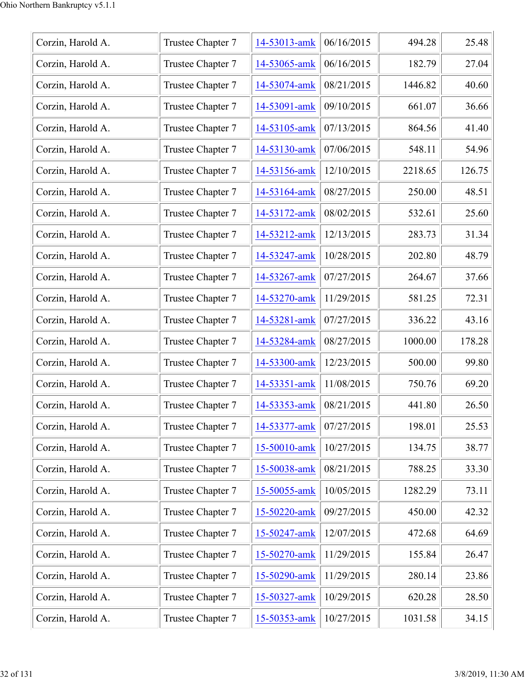| Corzin, Harold A. | Trustee Chapter 7 | 14-53013-amk | 06/16/2015 | 494.28  | 25.48  |
|-------------------|-------------------|--------------|------------|---------|--------|
| Corzin, Harold A. | Trustee Chapter 7 | 14-53065-amk | 06/16/2015 | 182.79  | 27.04  |
| Corzin, Harold A. | Trustee Chapter 7 | 14-53074-amk | 08/21/2015 | 1446.82 | 40.60  |
| Corzin, Harold A. | Trustee Chapter 7 | 14-53091-amk | 09/10/2015 | 661.07  | 36.66  |
| Corzin, Harold A. | Trustee Chapter 7 | 14-53105-amk | 07/13/2015 | 864.56  | 41.40  |
| Corzin, Harold A. | Trustee Chapter 7 | 14-53130-amk | 07/06/2015 | 548.11  | 54.96  |
| Corzin, Harold A. | Trustee Chapter 7 | 14-53156-amk | 12/10/2015 | 2218.65 | 126.75 |
| Corzin, Harold A. | Trustee Chapter 7 | 14-53164-amk | 08/27/2015 | 250.00  | 48.51  |
| Corzin, Harold A. | Trustee Chapter 7 | 14-53172-amk | 08/02/2015 | 532.61  | 25.60  |
| Corzin, Harold A. | Trustee Chapter 7 | 14-53212-amk | 12/13/2015 | 283.73  | 31.34  |
| Corzin, Harold A. | Trustee Chapter 7 | 14-53247-amk | 10/28/2015 | 202.80  | 48.79  |
| Corzin, Harold A. | Trustee Chapter 7 | 14-53267-amk | 07/27/2015 | 264.67  | 37.66  |
| Corzin, Harold A. | Trustee Chapter 7 | 14-53270-amk | 11/29/2015 | 581.25  | 72.31  |
| Corzin, Harold A. | Trustee Chapter 7 | 14-53281-amk | 07/27/2015 | 336.22  | 43.16  |
| Corzin, Harold A. | Trustee Chapter 7 | 14-53284-amk | 08/27/2015 | 1000.00 | 178.28 |
| Corzin, Harold A. | Trustee Chapter 7 | 14-53300-amk | 12/23/2015 | 500.00  | 99.80  |
| Corzin, Harold A. | Trustee Chapter 7 | 14-53351-amk | 11/08/2015 | 750.76  | 69.20  |
| Corzin, Harold A. | Trustee Chapter 7 | 14-53353-amk | 08/21/2015 | 441.80  | 26.50  |
| Corzin, Harold A. | Trustee Chapter 7 | 14-53377-amk | 07/27/2015 | 198.01  | 25.53  |
| Corzin, Harold A. | Trustee Chapter 7 | 15-50010-amk | 10/27/2015 | 134.75  | 38.77  |
| Corzin, Harold A. | Trustee Chapter 7 | 15-50038-amk | 08/21/2015 | 788.25  | 33.30  |
| Corzin, Harold A. | Trustee Chapter 7 | 15-50055-amk | 10/05/2015 | 1282.29 | 73.11  |
| Corzin, Harold A. | Trustee Chapter 7 | 15-50220-amk | 09/27/2015 | 450.00  | 42.32  |
| Corzin, Harold A. | Trustee Chapter 7 | 15-50247-amk | 12/07/2015 | 472.68  | 64.69  |
| Corzin, Harold A. | Trustee Chapter 7 | 15-50270-amk | 11/29/2015 | 155.84  | 26.47  |
| Corzin, Harold A. | Trustee Chapter 7 | 15-50290-amk | 11/29/2015 | 280.14  | 23.86  |
| Corzin, Harold A. | Trustee Chapter 7 | 15-50327-amk | 10/29/2015 | 620.28  | 28.50  |
| Corzin, Harold A. | Trustee Chapter 7 | 15-50353-amk | 10/27/2015 | 1031.58 | 34.15  |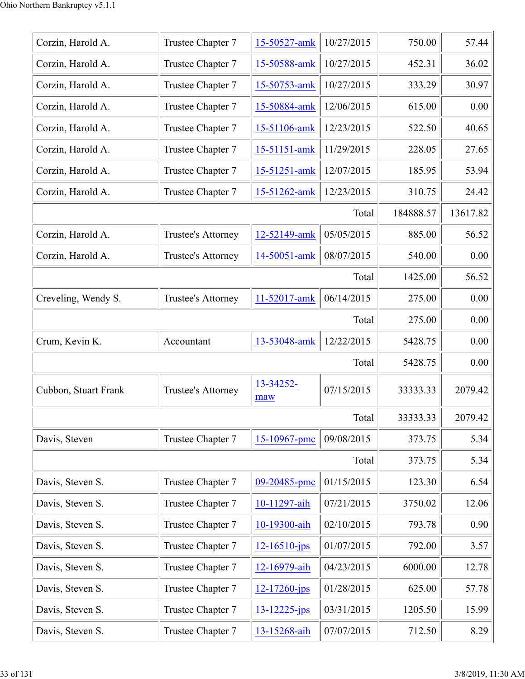| Corzin, Harold A.    | Trustee Chapter 7  | 15-50527-amk       | 10/27/2015 | 750.00    | 57.44    |
|----------------------|--------------------|--------------------|------------|-----------|----------|
| Corzin, Harold A.    | Trustee Chapter 7  | 15-50588-amk       | 10/27/2015 | 452.31    | 36.02    |
| Corzin, Harold A.    | Trustee Chapter 7  | 15-50753-amk       | 10/27/2015 | 333.29    | 30.97    |
| Corzin, Harold A.    | Trustee Chapter 7  | 15-50884-amk       | 12/06/2015 | 615.00    | 0.00     |
| Corzin, Harold A.    | Trustee Chapter 7  | 15-51106-amk       | 12/23/2015 | 522.50    | 40.65    |
| Corzin, Harold A.    | Trustee Chapter 7  | 15-51151-amk       | 11/29/2015 | 228.05    | 27.65    |
| Corzin, Harold A.    | Trustee Chapter 7  | 15-51251-amk       | 12/07/2015 | 185.95    | 53.94    |
| Corzin, Harold A.    | Trustee Chapter 7  | 15-51262-amk       | 12/23/2015 | 310.75    | 24.42    |
|                      |                    |                    | Total      | 184888.57 | 13617.82 |
| Corzin, Harold A.    | Trustee's Attorney | 12-52149-amk       | 05/05/2015 | 885.00    | 56.52    |
| Corzin, Harold A.    | Trustee's Attorney | 14-50051-amk       | 08/07/2015 | 540.00    | 0.00     |
|                      |                    |                    | Total      | 1425.00   | 56.52    |
| Creveling, Wendy S.  | Trustee's Attorney | 11-52017-amk       | 06/14/2015 | 275.00    | 0.00     |
|                      |                    |                    | Total      | 275.00    | 0.00     |
| Crum, Kevin K.       | Accountant         | 13-53048-amk       | 12/22/2015 | 5428.75   | 0.00     |
|                      |                    |                    | Total      | 5428.75   | 0.00     |
| Cubbon, Stuart Frank | Trustee's Attorney | 13-34252-<br>maw   | 07/15/2015 | 33333.33  | 2079.42  |
|                      |                    |                    | Total      | 33333.33  | 2079.42  |
| Davis, Steven        | Trustee Chapter 7  | 15-10967-pmc       | 09/08/2015 | 373.75    | 5.34     |
|                      |                    |                    | Total      | 373.75    | 5.34     |
| Davis, Steven S.     | Trustee Chapter 7  | 09-20485-pmc       | 01/15/2015 | 123.30    | 6.54     |
| Davis, Steven S.     | Trustee Chapter 7  | 10-11297-aih       | 07/21/2015 | 3750.02   | 12.06    |
| Davis, Steven S.     | Trustee Chapter 7  | 10-19300-aih       | 02/10/2015 | 793.78    | 0.90     |
| Davis, Steven S.     | Trustee Chapter 7  | $12 - 16510 - ips$ | 01/07/2015 | 792.00    | 3.57     |
| Davis, Steven S.     | Trustee Chapter 7  | 12-16979-aih       | 04/23/2015 | 6000.00   | 12.78    |
| Davis, Steven S.     | Trustee Chapter 7  | $12 - 17260$ -jps  | 01/28/2015 | 625.00    | 57.78    |
| Davis, Steven S.     | Trustee Chapter 7  | 13-12225-jps       | 03/31/2015 | 1205.50   | 15.99    |
| Davis, Steven S.     | Trustee Chapter 7  | 13-15268-aih       | 07/07/2015 | 712.50    | 8.29     |
|                      |                    |                    |            |           |          |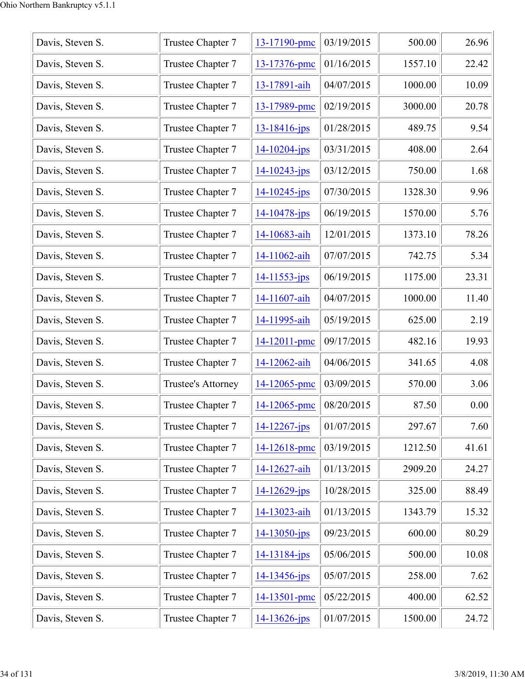| Davis, Steven S. | Trustee Chapter 7  | 13-17190-pmc       | 03/19/2015 | 500.00  | 26.96 |
|------------------|--------------------|--------------------|------------|---------|-------|
| Davis, Steven S. | Trustee Chapter 7  | 13-17376-pmc       | 01/16/2015 | 1557.10 | 22.42 |
| Davis, Steven S. | Trustee Chapter 7  | 13-17891-aih       | 04/07/2015 | 1000.00 | 10.09 |
| Davis, Steven S. | Trustee Chapter 7  | 13-17989-pmc       | 02/19/2015 | 3000.00 | 20.78 |
| Davis, Steven S. | Trustee Chapter 7  | 13-18416-jps       | 01/28/2015 | 489.75  | 9.54  |
| Davis, Steven S. | Trustee Chapter 7  | $14 - 10204 - ips$ | 03/31/2015 | 408.00  | 2.64  |
| Davis, Steven S. | Trustee Chapter 7  | 14-10243-jps       | 03/12/2015 | 750.00  | 1.68  |
| Davis, Steven S. | Trustee Chapter 7  | $14 - 10245$ -jps  | 07/30/2015 | 1328.30 | 9.96  |
| Davis, Steven S. | Trustee Chapter 7  | 14-10478-jps       | 06/19/2015 | 1570.00 | 5.76  |
| Davis, Steven S. | Trustee Chapter 7  | 14-10683-aih       | 12/01/2015 | 1373.10 | 78.26 |
| Davis, Steven S. | Trustee Chapter 7  | 14-11062-aih       | 07/07/2015 | 742.75  | 5.34  |
| Davis, Steven S. | Trustee Chapter 7  | $14 - 11553 - ips$ | 06/19/2015 | 1175.00 | 23.31 |
| Davis, Steven S. | Trustee Chapter 7  | 14-11607-aih       | 04/07/2015 | 1000.00 | 11.40 |
| Davis, Steven S. | Trustee Chapter 7  | 14-11995-aih       | 05/19/2015 | 625.00  | 2.19  |
| Davis, Steven S. | Trustee Chapter 7  | 14-12011-pmc       | 09/17/2015 | 482.16  | 19.93 |
| Davis, Steven S. | Trustee Chapter 7  | 14-12062-aih       | 04/06/2015 | 341.65  | 4.08  |
| Davis, Steven S. | Trustee's Attorney | 14-12065-pmc       | 03/09/2015 | 570.00  | 3.06  |
| Davis, Steven S. | Trustee Chapter 7  | 14-12065-pmc       | 08/20/2015 | 87.50   | 0.00  |
| Davis, Steven S. | Trustee Chapter 7  | $14 - 12267 - ips$ | 01/07/2015 | 297.67  | 7.60  |
| Davis, Steven S. | Trustee Chapter 7  | 14-12618-pmc       | 03/19/2015 | 1212.50 | 41.61 |
| Davis, Steven S. | Trustee Chapter 7  | 14-12627-aih       | 01/13/2015 | 2909.20 | 24.27 |
| Davis, Steven S. | Trustee Chapter 7  | $14 - 12629$ -jps  | 10/28/2015 | 325.00  | 88.49 |
| Davis, Steven S. | Trustee Chapter 7  | 14-13023-aih       | 01/13/2015 | 1343.79 | 15.32 |
| Davis, Steven S. | Trustee Chapter 7  | $14 - 13050 - ips$ | 09/23/2015 | 600.00  | 80.29 |
| Davis, Steven S. | Trustee Chapter 7  | 14-13184-jps       | 05/06/2015 | 500.00  | 10.08 |
| Davis, Steven S. | Trustee Chapter 7  | 14-13456-jps       | 05/07/2015 | 258.00  | 7.62  |
| Davis, Steven S. | Trustee Chapter 7  | 14-13501-pmc       | 05/22/2015 | 400.00  | 62.52 |
| Davis, Steven S. | Trustee Chapter 7  | $14 - 13626$ -jps  | 01/07/2015 | 1500.00 | 24.72 |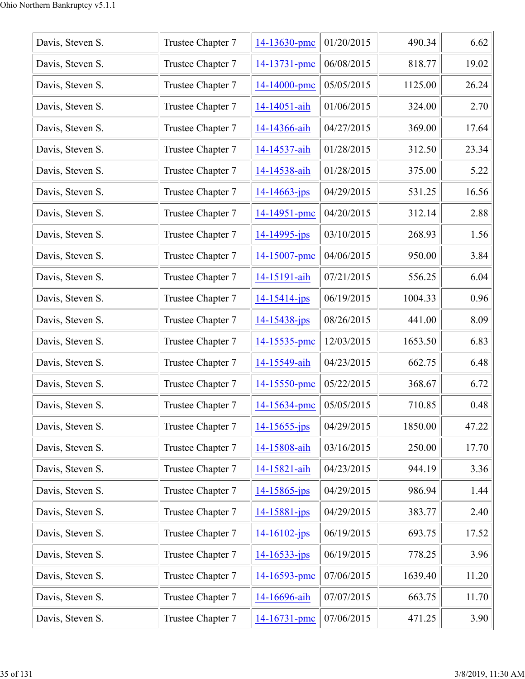| Davis, Steven S. | Trustee Chapter 7 | 14-13630-pmc       | 01/20/2015 | 490.34  | 6.62  |
|------------------|-------------------|--------------------|------------|---------|-------|
| Davis, Steven S. | Trustee Chapter 7 | 14-13731-pmc       | 06/08/2015 | 818.77  | 19.02 |
| Davis, Steven S. | Trustee Chapter 7 | 14-14000-pmc       | 05/05/2015 | 1125.00 | 26.24 |
| Davis, Steven S. | Trustee Chapter 7 | 14-14051-aih       | 01/06/2015 | 324.00  | 2.70  |
| Davis, Steven S. | Trustee Chapter 7 | 14-14366-aih       | 04/27/2015 | 369.00  | 17.64 |
| Davis, Steven S. | Trustee Chapter 7 | 14-14537-aih       | 01/28/2015 | 312.50  | 23.34 |
| Davis, Steven S. | Trustee Chapter 7 | 14-14538-aih       | 01/28/2015 | 375.00  | 5.22  |
| Davis, Steven S. | Trustee Chapter 7 | $14 - 14663$ -jps  | 04/29/2015 | 531.25  | 16.56 |
| Davis, Steven S. | Trustee Chapter 7 | 14-14951-pmc       | 04/20/2015 | 312.14  | 2.88  |
| Davis, Steven S. | Trustee Chapter 7 | $14 - 14995 - ips$ | 03/10/2015 | 268.93  | 1.56  |
| Davis, Steven S. | Trustee Chapter 7 | 14-15007-pmc       | 04/06/2015 | 950.00  | 3.84  |
| Davis, Steven S. | Trustee Chapter 7 | 14-15191-aih       | 07/21/2015 | 556.25  | 6.04  |
| Davis, Steven S. | Trustee Chapter 7 | $14 - 15414 - jps$ | 06/19/2015 | 1004.33 | 0.96  |
| Davis, Steven S. | Trustee Chapter 7 | $14 - 15438 - jps$ | 08/26/2015 | 441.00  | 8.09  |
| Davis, Steven S. | Trustee Chapter 7 | 14-15535-pmc       | 12/03/2015 | 1653.50 | 6.83  |
| Davis, Steven S. | Trustee Chapter 7 | 14-15549-aih       | 04/23/2015 | 662.75  | 6.48  |
| Davis, Steven S. | Trustee Chapter 7 | 14-15550-pmc       | 05/22/2015 | 368.67  | 6.72  |
| Davis, Steven S. | Trustee Chapter 7 | 14-15634-pmc       | 05/05/2015 | 710.85  | 0.48  |
| Davis, Steven S. | Trustee Chapter 7 | $14 - 15655$ -jps  | 04/29/2015 | 1850.00 | 47.22 |
| Davis, Steven S. | Trustee Chapter 7 | 14-15808-aih       | 03/16/2015 | 250.00  | 17.70 |
| Davis, Steven S. | Trustee Chapter 7 | 14-15821-aih       | 04/23/2015 | 944.19  | 3.36  |
| Davis, Steven S. | Trustee Chapter 7 | 14-15865-jps       | 04/29/2015 | 986.94  | 1.44  |
| Davis, Steven S. | Trustee Chapter 7 | 14-15881-jps       | 04/29/2015 | 383.77  | 2.40  |
| Davis, Steven S. | Trustee Chapter 7 | $14 - 16102 - ips$ | 06/19/2015 | 693.75  | 17.52 |
| Davis, Steven S. | Trustee Chapter 7 | $14 - 16533 - ips$ | 06/19/2015 | 778.25  | 3.96  |
| Davis, Steven S. | Trustee Chapter 7 | 14-16593-pmc       | 07/06/2015 | 1639.40 | 11.20 |
| Davis, Steven S. | Trustee Chapter 7 | 14-16696-aih       | 07/07/2015 | 663.75  | 11.70 |
| Davis, Steven S. | Trustee Chapter 7 | 14-16731-pmc       | 07/06/2015 | 471.25  | 3.90  |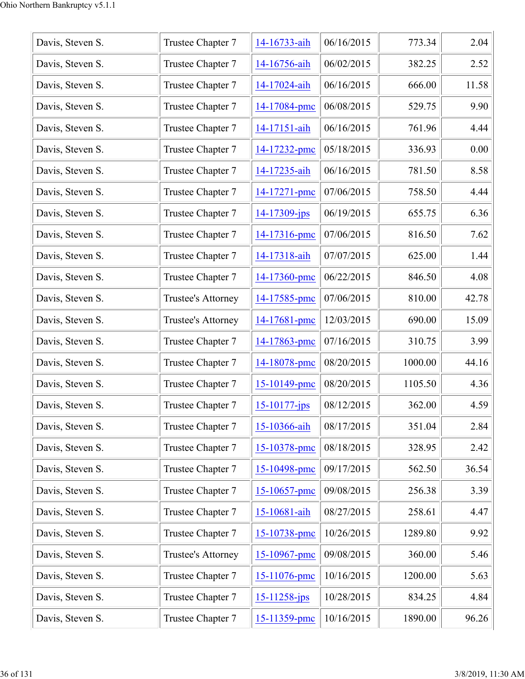| Davis, Steven S. | Trustee Chapter 7  | 14-16733-aih       | 06/16/2015 | 773.34  | 2.04  |
|------------------|--------------------|--------------------|------------|---------|-------|
| Davis, Steven S. | Trustee Chapter 7  | 14-16756-aih       | 06/02/2015 | 382.25  | 2.52  |
| Davis, Steven S. | Trustee Chapter 7  | 14-17024-aih       | 06/16/2015 | 666.00  | 11.58 |
| Davis, Steven S. | Trustee Chapter 7  | 14-17084-pmc       | 06/08/2015 | 529.75  | 9.90  |
| Davis, Steven S. | Trustee Chapter 7  | 14-17151-aih       | 06/16/2015 | 761.96  | 4.44  |
| Davis, Steven S. | Trustee Chapter 7  | 14-17232-pmc       | 05/18/2015 | 336.93  | 0.00  |
| Davis, Steven S. | Trustee Chapter 7  | 14-17235-aih       | 06/16/2015 | 781.50  | 8.58  |
| Davis, Steven S. | Trustee Chapter 7  | 14-17271-pmc       | 07/06/2015 | 758.50  | 4.44  |
| Davis, Steven S. | Trustee Chapter 7  | 14-17309-jps       | 06/19/2015 | 655.75  | 6.36  |
| Davis, Steven S. | Trustee Chapter 7  | 14-17316-pmc       | 07/06/2015 | 816.50  | 7.62  |
| Davis, Steven S. | Trustee Chapter 7  | 14-17318-aih       | 07/07/2015 | 625.00  | 1.44  |
| Davis, Steven S. | Trustee Chapter 7  | 14-17360-pmc       | 06/22/2015 | 846.50  | 4.08  |
| Davis, Steven S. | Trustee's Attorney | 14-17585-pmc       | 07/06/2015 | 810.00  | 42.78 |
| Davis, Steven S. | Trustee's Attorney | 14-17681-pmc       | 12/03/2015 | 690.00  | 15.09 |
| Davis, Steven S. | Trustee Chapter 7  | 14-17863-pmc       | 07/16/2015 | 310.75  | 3.99  |
| Davis, Steven S. | Trustee Chapter 7  | 14-18078-pmc       | 08/20/2015 | 1000.00 | 44.16 |
| Davis, Steven S. | Trustee Chapter 7  | 15-10149-pmc       | 08/20/2015 | 1105.50 | 4.36  |
| Davis, Steven S. | Trustee Chapter 7  | $15 - 10177 - ips$ | 08/12/2015 | 362.00  | 4.59  |
| Davis, Steven S. | Trustee Chapter 7  | 15-10366-aih       | 08/17/2015 | 351.04  | 2.84  |
| Davis, Steven S. | Trustee Chapter 7  | 15-10378-pmc       | 08/18/2015 | 328.95  | 2.42  |
| Davis, Steven S. | Trustee Chapter 7  | 15-10498-pmc       | 09/17/2015 | 562.50  | 36.54 |
| Davis, Steven S. | Trustee Chapter 7  | 15-10657-pmc       | 09/08/2015 | 256.38  | 3.39  |
| Davis, Steven S. | Trustee Chapter 7  | 15-10681-aih       | 08/27/2015 | 258.61  | 4.47  |
| Davis, Steven S. | Trustee Chapter 7  | 15-10738-pmc       | 10/26/2015 | 1289.80 | 9.92  |
| Davis, Steven S. | Trustee's Attorney | 15-10967-pmc       | 09/08/2015 | 360.00  | 5.46  |
| Davis, Steven S. | Trustee Chapter 7  | 15-11076-pmc       | 10/16/2015 | 1200.00 | 5.63  |
| Davis, Steven S. | Trustee Chapter 7  | $15 - 11258 - ips$ | 10/28/2015 | 834.25  | 4.84  |
| Davis, Steven S. | Trustee Chapter 7  | 15-11359-pmc       | 10/16/2015 | 1890.00 | 96.26 |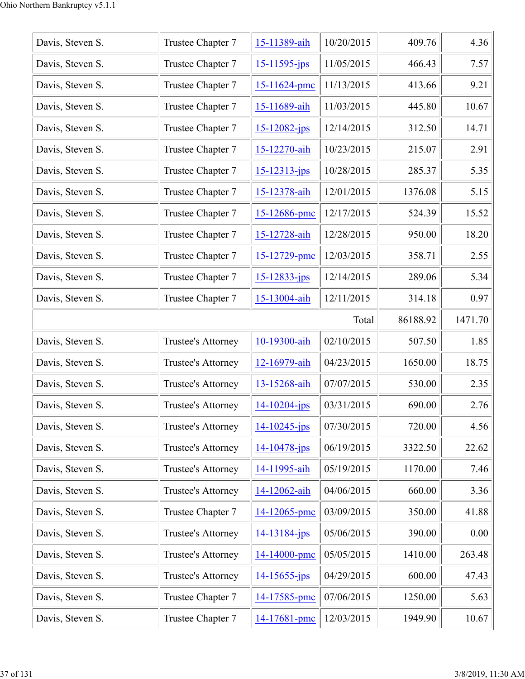| Davis, Steven S. | Trustee Chapter 7         | 15-11389-aih       | 10/20/2015 | 409.76   | 4.36    |
|------------------|---------------------------|--------------------|------------|----------|---------|
| Davis, Steven S. | Trustee Chapter 7         | $15 - 11595$ -jps  | 11/05/2015 | 466.43   | 7.57    |
| Davis, Steven S. | Trustee Chapter 7         | 15-11624-pmc       | 11/13/2015 | 413.66   | 9.21    |
| Davis, Steven S. | Trustee Chapter 7         | 15-11689-aih       | 11/03/2015 | 445.80   | 10.67   |
| Davis, Steven S. | Trustee Chapter 7         | 15-12082-jps       | 12/14/2015 | 312.50   | 14.71   |
| Davis, Steven S. | Trustee Chapter 7         | 15-12270-aih       | 10/23/2015 | 215.07   | 2.91    |
| Davis, Steven S. | Trustee Chapter 7         | $15 - 12313 - jps$ | 10/28/2015 | 285.37   | 5.35    |
| Davis, Steven S. | Trustee Chapter 7         | 15-12378-aih       | 12/01/2015 | 1376.08  | 5.15    |
| Davis, Steven S. | Trustee Chapter 7         | 15-12686-pmc       | 12/17/2015 | 524.39   | 15.52   |
| Davis, Steven S. | Trustee Chapter 7         | 15-12728-aih       | 12/28/2015 | 950.00   | 18.20   |
| Davis, Steven S. | Trustee Chapter 7         | 15-12729-pmc       | 12/03/2015 | 358.71   | 2.55    |
| Davis, Steven S. | Trustee Chapter 7         | $15 - 12833 - ips$ | 12/14/2015 | 289.06   | 5.34    |
| Davis, Steven S. | Trustee Chapter 7         | 15-13004-aih       | 12/11/2015 | 314.18   | 0.97    |
|                  |                           |                    | Total      | 86188.92 | 1471.70 |
| Davis, Steven S. | Trustee's Attorney        | 10-19300-aih       | 02/10/2015 | 507.50   | 1.85    |
| Davis, Steven S. | <b>Trustee's Attorney</b> | 12-16979-aih       | 04/23/2015 | 1650.00  | 18.75   |
| Davis, Steven S. | Trustee's Attorney        | 13-15268-aih       | 07/07/2015 | 530.00   | 2.35    |
| Davis, Steven S. | Trustee's Attorney        | $14 - 10204 - ips$ | 03/31/2015 | 690.00   | 2.76    |
| Davis, Steven S. | <b>Trustee's Attorney</b> | $14 - 10245$ -jps  | 07/30/2015 | 720.00   | 4.56    |
| Davis, Steven S. | Trustee's Attorney        | $14 - 10478$ -jps  | 06/19/2015 | 3322.50  | 22.62   |
| Davis, Steven S. | Trustee's Attorney        | 14-11995-aih       | 05/19/2015 | 1170.00  | 7.46    |
| Davis, Steven S. | <b>Trustee's Attorney</b> | 14-12062-aih       | 04/06/2015 | 660.00   | 3.36    |
| Davis, Steven S. | Trustee Chapter 7         | 14-12065-pmc       | 03/09/2015 | 350.00   | 41.88   |
| Davis, Steven S. | <b>Trustee's Attorney</b> | 14-13184-jps       | 05/06/2015 | 390.00   | 0.00    |
| Davis, Steven S. | Trustee's Attorney        | 14-14000-pmc       | 05/05/2015 | 1410.00  | 263.48  |
|                  |                           |                    |            |          |         |
| Davis, Steven S. | <b>Trustee's Attorney</b> | $14 - 15655$ -jps  | 04/29/2015 | 600.00   | 47.43   |
| Davis, Steven S. | Trustee Chapter 7         | 14-17585-pmc       | 07/06/2015 | 1250.00  | 5.63    |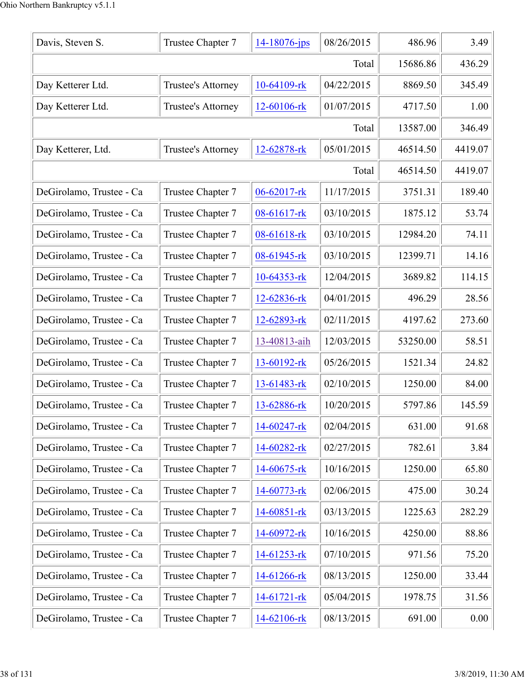| Davis, Steven S.         | Trustee Chapter 7  | $14 - 18076$ -jps | 08/26/2015 | 486.96   | 3.49    |
|--------------------------|--------------------|-------------------|------------|----------|---------|
|                          |                    |                   | Total      | 15686.86 | 436.29  |
| Day Ketterer Ltd.        | Trustee's Attorney | 10-64109-rk       | 04/22/2015 | 8869.50  | 345.49  |
| Day Ketterer Ltd.        | Trustee's Attorney | 12-60106-rk       | 01/07/2015 | 4717.50  | 1.00    |
|                          |                    |                   | Total      | 13587.00 | 346.49  |
| Day Ketterer, Ltd.       | Trustee's Attorney | 12-62878-rk       | 05/01/2015 | 46514.50 | 4419.07 |
|                          |                    |                   | Total      | 46514.50 | 4419.07 |
| DeGirolamo, Trustee - Ca | Trustee Chapter 7  | 06-62017-rk       | 11/17/2015 | 3751.31  | 189.40  |
| DeGirolamo, Trustee - Ca | Trustee Chapter 7  | 08-61617-rk       | 03/10/2015 | 1875.12  | 53.74   |
| DeGirolamo, Trustee - Ca | Trustee Chapter 7  | 08-61618-rk       | 03/10/2015 | 12984.20 | 74.11   |
| DeGirolamo, Trustee - Ca | Trustee Chapter 7  | 08-61945-rk       | 03/10/2015 | 12399.71 | 14.16   |
| DeGirolamo, Trustee - Ca | Trustee Chapter 7  | 10-64353-rk       | 12/04/2015 | 3689.82  | 114.15  |
| DeGirolamo, Trustee - Ca | Trustee Chapter 7  | 12-62836-rk       | 04/01/2015 | 496.29   | 28.56   |
| DeGirolamo, Trustee - Ca | Trustee Chapter 7  | 12-62893-rk       | 02/11/2015 | 4197.62  | 273.60  |
| DeGirolamo, Trustee - Ca | Trustee Chapter 7  | 13-40813-aih      | 12/03/2015 | 53250.00 | 58.51   |
| DeGirolamo, Trustee - Ca | Trustee Chapter 7  | 13-60192-rk       | 05/26/2015 | 1521.34  | 24.82   |
| DeGirolamo, Trustee - Ca | Trustee Chapter 7  | 13-61483-rk       | 02/10/2015 | 1250.00  | 84.00   |
| DeGirolamo, Trustee - Ca | Trustee Chapter 7  | 13-62886-rk       | 10/20/2015 | 5797.86  | 145.59  |
| DeGirolamo, Trustee - Ca | Trustee Chapter 7  | 14-60247-rk       | 02/04/2015 | 631.00   | 91.68   |
| DeGirolamo, Trustee - Ca | Trustee Chapter 7  | 14-60282-rk       | 02/27/2015 | 782.61   | 3.84    |
| DeGirolamo, Trustee - Ca | Trustee Chapter 7  | 14-60675-rk       | 10/16/2015 | 1250.00  | 65.80   |
| DeGirolamo, Trustee - Ca | Trustee Chapter 7  | 14-60773-rk       | 02/06/2015 | 475.00   | 30.24   |
| DeGirolamo, Trustee - Ca | Trustee Chapter 7  | 14-60851-rk       | 03/13/2015 | 1225.63  | 282.29  |
| DeGirolamo, Trustee - Ca | Trustee Chapter 7  | 14-60972-rk       | 10/16/2015 | 4250.00  | 88.86   |
| DeGirolamo, Trustee - Ca | Trustee Chapter 7  | 14-61253-rk       | 07/10/2015 | 971.56   | 75.20   |
| DeGirolamo, Trustee - Ca | Trustee Chapter 7  | 14-61266-rk       | 08/13/2015 | 1250.00  | 33.44   |
| DeGirolamo, Trustee - Ca | Trustee Chapter 7  | $14-61721$ -rk    | 05/04/2015 | 1978.75  | 31.56   |
| DeGirolamo, Trustee - Ca | Trustee Chapter 7  | 14-62106-rk       | 08/13/2015 | 691.00   | 0.00    |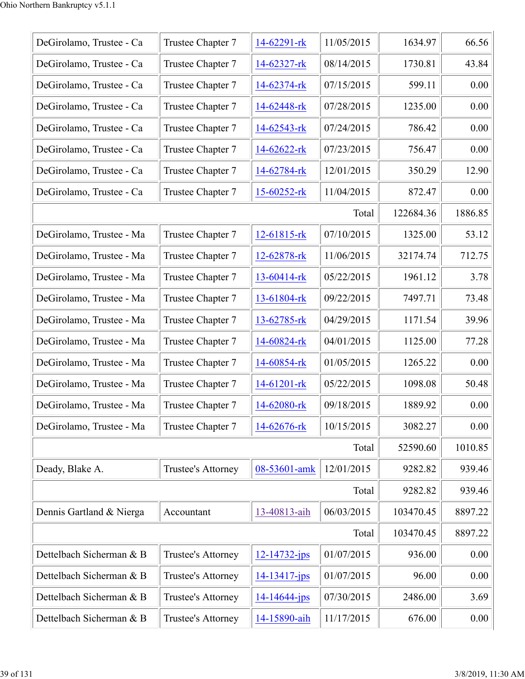| DeGirolamo, Trustee - Ca | Trustee Chapter 7  | 14-62291-rk        | 11/05/2015 | 1634.97   | 66.56   |
|--------------------------|--------------------|--------------------|------------|-----------|---------|
| DeGirolamo, Trustee - Ca | Trustee Chapter 7  | 14-62327-rk        | 08/14/2015 | 1730.81   | 43.84   |
| DeGirolamo, Trustee - Ca | Trustee Chapter 7  | 14-62374-rk        | 07/15/2015 | 599.11    | 0.00    |
| DeGirolamo, Trustee - Ca | Trustee Chapter 7  | 14-62448-rk        | 07/28/2015 | 1235.00   | 0.00    |
| DeGirolamo, Trustee - Ca | Trustee Chapter 7  | 14-62543-rk        | 07/24/2015 | 786.42    | 0.00    |
| DeGirolamo, Trustee - Ca | Trustee Chapter 7  | $14-62622$ -rk     | 07/23/2015 | 756.47    | 0.00    |
| DeGirolamo, Trustee - Ca | Trustee Chapter 7  | 14-62784-rk        | 12/01/2015 | 350.29    | 12.90   |
| DeGirolamo, Trustee - Ca | Trustee Chapter 7  | $15 - 60252 - rk$  | 11/04/2015 | 872.47    | 0.00    |
|                          |                    |                    | Total      | 122684.36 | 1886.85 |
| DeGirolamo, Trustee - Ma | Trustee Chapter 7  | 12-61815-rk        | 07/10/2015 | 1325.00   | 53.12   |
| DeGirolamo, Trustee - Ma | Trustee Chapter 7  | 12-62878-rk        | 11/06/2015 | 32174.74  | 712.75  |
| DeGirolamo, Trustee - Ma | Trustee Chapter 7  | 13-60414-rk        | 05/22/2015 | 1961.12   | 3.78    |
| DeGirolamo, Trustee - Ma | Trustee Chapter 7  | 13-61804-rk        | 09/22/2015 | 7497.71   | 73.48   |
| DeGirolamo, Trustee - Ma | Trustee Chapter 7  | 13-62785-rk        | 04/29/2015 | 1171.54   | 39.96   |
| DeGirolamo, Trustee - Ma | Trustee Chapter 7  | 14-60824-rk        | 04/01/2015 | 1125.00   | 77.28   |
| DeGirolamo, Trustee - Ma | Trustee Chapter 7  | 14-60854-rk        | 01/05/2015 | 1265.22   | 0.00    |
| DeGirolamo, Trustee - Ma | Trustee Chapter 7  | 14-61201-rk        | 05/22/2015 | 1098.08   | 50.48   |
| DeGirolamo, Trustee - Ma | Trustee Chapter 7  | 14-62080-rk        | 09/18/2015 | 1889.92   | 0.00    |
| DeGirolamo, Trustee - Ma | Trustee Chapter 7  | 14-62676-rk        | 10/15/2015 | 3082.27   | 0.00    |
|                          |                    |                    | Total      | 52590.60  | 1010.85 |
| Deady, Blake A.          | Trustee's Attorney | 08-53601-amk       | 12/01/2015 | 9282.82   | 939.46  |
|                          |                    |                    | Total      | 9282.82   | 939.46  |
| Dennis Gartland & Nierga | Accountant         | 13-40813-aih       | 06/03/2015 | 103470.45 | 8897.22 |
|                          |                    |                    | Total      | 103470.45 | 8897.22 |
| Dettelbach Sicherman & B | Trustee's Attorney | $12 - 14732 - ips$ | 01/07/2015 | 936.00    | 0.00    |
| Dettelbach Sicherman & B | Trustee's Attorney | $14 - 13417$ -jps  | 01/07/2015 | 96.00     | 0.00    |
| Dettelbach Sicherman & B | Trustee's Attorney | $14 - 14644 - ips$ | 07/30/2015 | 2486.00   | 3.69    |
| Dettelbach Sicherman & B | Trustee's Attorney | 14-15890-aih       | 11/17/2015 | 676.00    | 0.00    |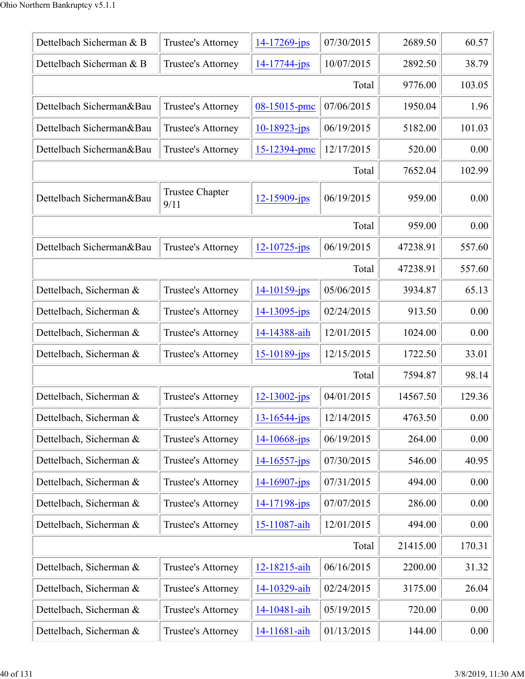| Dettelbach Sicherman & B | Trustee's Attorney             | 14-17269-jps       | 07/30/2015 | 2689.50  | 60.57    |
|--------------------------|--------------------------------|--------------------|------------|----------|----------|
| Dettelbach Sicherman & B | Trustee's Attorney             | 14-17744-jps       | 10/07/2015 | 2892.50  | 38.79    |
|                          |                                |                    | Total      | 9776.00  | 103.05   |
| Dettelbach Sicherman&Bau | Trustee's Attorney             | 08-15015-pmc       | 07/06/2015 | 1950.04  | 1.96     |
| Dettelbach Sicherman&Bau | Trustee's Attorney             | $10 - 18923 - jps$ | 06/19/2015 | 5182.00  | 101.03   |
| Dettelbach Sicherman&Bau | Trustee's Attorney             | 15-12394-pmc       | 12/17/2015 | 520.00   | 0.00     |
|                          |                                |                    | Total      | 7652.04  | 102.99   |
| Dettelbach Sicherman&Bau | <b>Trustee Chapter</b><br>9/11 | $12 - 15909$ -jps  | 06/19/2015 | 959.00   | 0.00     |
|                          |                                |                    | Total      | 959.00   | 0.00     |
| Dettelbach Sicherman&Bau | Trustee's Attorney             | $12 - 10725$ -jps  | 06/19/2015 | 47238.91 | 557.60   |
|                          |                                |                    | Total      | 47238.91 | 557.60   |
| Dettelbach, Sicherman &  | Trustee's Attorney             | $14 - 10159 - ips$ | 05/06/2015 | 3934.87  | 65.13    |
| Dettelbach, Sicherman &  | Trustee's Attorney             | $14 - 13095$ -jps  | 02/24/2015 | 913.50   | 0.00     |
| Dettelbach, Sicherman &  | Trustee's Attorney             | 14-14388-aih       | 12/01/2015 | 1024.00  | 0.00     |
| Dettelbach, Sicherman &  | Trustee's Attorney             | 15-10189-jps       | 12/15/2015 | 1722.50  | 33.01    |
|                          |                                |                    | Total      | 7594.87  | 98.14    |
| Dettelbach, Sicherman &  | Trustee's Attorney             | $12 - 13002 - ips$ | 04/01/2015 | 14567.50 | 129.36   |
| Dettelbach, Sicherman &  | <b>Trustee's Attorney</b>      | 13-16544-jps       | 12/14/2015 | 4763.50  | 0.00     |
| Dettelbach, Sicherman &  | Trustee's Attorney             | $14 - 10668$ -jps  | 06/19/2015 | 264.00   | 0.00     |
| Dettelbach, Sicherman &  | Trustee's Attorney             | $14 - 16557 - jps$ | 07/30/2015 | 546.00   | 40.95    |
| Dettelbach, Sicherman &  | Trustee's Attorney             | 14-16907-jps       | 07/31/2015 | 494.00   | 0.00     |
| Dettelbach, Sicherman &  | Trustee's Attorney             | $14 - 17198 - ips$ | 07/07/2015 | 286.00   | 0.00     |
| Dettelbach, Sicherman &  | Trustee's Attorney             | 15-11087-aih       | 12/01/2015 | 494.00   | 0.00     |
|                          |                                |                    | Total      | 21415.00 | 170.31   |
| Dettelbach, Sicherman &  | Trustee's Attorney             | 12-18215-aih       | 06/16/2015 | 2200.00  | 31.32    |
| Dettelbach, Sicherman &  | Trustee's Attorney             | 14-10329-aih       | 02/24/2015 | 3175.00  | 26.04    |
| Dettelbach, Sicherman &  | Trustee's Attorney             | 14-10481-aih       | 05/19/2015 | 720.00   | 0.00     |
| Dettelbach, Sicherman &  | Trustee's Attorney             | 14-11681-aih       | 01/13/2015 | 144.00   | $0.00\,$ |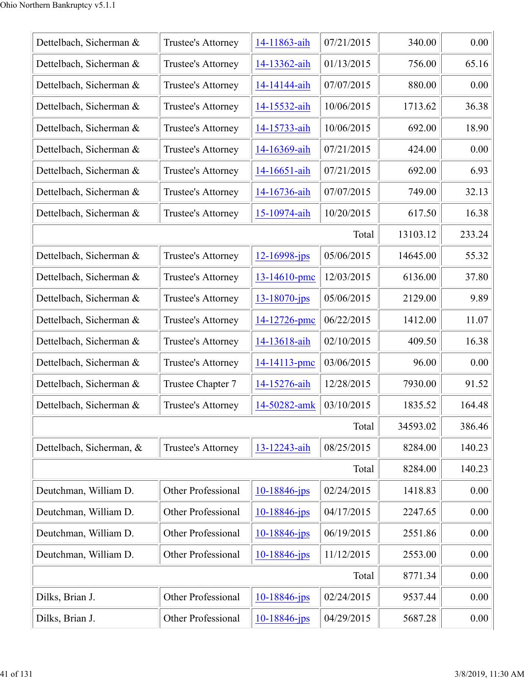| Dettelbach, Sicherman &  | Trustee's Attorney        | 14-11863-aih       | 07/21/2015 | 340.00   | 0.00   |
|--------------------------|---------------------------|--------------------|------------|----------|--------|
| Dettelbach, Sicherman &  | Trustee's Attorney        | 14-13362-aih       | 01/13/2015 | 756.00   | 65.16  |
| Dettelbach, Sicherman &  | Trustee's Attorney        | 14-14144-aih       | 07/07/2015 | 880.00   | 0.00   |
| Dettelbach, Sicherman &  | Trustee's Attorney        | 14-15532-aih       | 10/06/2015 | 1713.62  | 36.38  |
| Dettelbach, Sicherman &  | Trustee's Attorney        | 14-15733-aih       | 10/06/2015 | 692.00   | 18.90  |
| Dettelbach, Sicherman &  | Trustee's Attorney        | 14-16369-aih       | 07/21/2015 | 424.00   | 0.00   |
| Dettelbach, Sicherman &  | Trustee's Attorney        | 14-16651-aih       | 07/21/2015 | 692.00   | 6.93   |
| Dettelbach, Sicherman &  | Trustee's Attorney        | 14-16736-aih       | 07/07/2015 | 749.00   | 32.13  |
| Dettelbach, Sicherman &  | Trustee's Attorney        | 15-10974-aih       | 10/20/2015 | 617.50   | 16.38  |
|                          |                           |                    | Total      | 13103.12 | 233.24 |
| Dettelbach, Sicherman &  | Trustee's Attorney        | 12-16998-jps       | 05/06/2015 | 14645.00 | 55.32  |
| Dettelbach, Sicherman &  | Trustee's Attorney        | 13-14610-pmc       | 12/03/2015 | 6136.00  | 37.80  |
| Dettelbach, Sicherman &  | Trustee's Attorney        | $13 - 18070 - ips$ | 05/06/2015 | 2129.00  | 9.89   |
| Dettelbach, Sicherman &  | Trustee's Attorney        | 14-12726-pmc       | 06/22/2015 | 1412.00  | 11.07  |
| Dettelbach, Sicherman &  | Trustee's Attorney        | 14-13618-aih       | 02/10/2015 | 409.50   | 16.38  |
| Dettelbach, Sicherman &  | Trustee's Attorney        | 14-14113-pmc       | 03/06/2015 | 96.00    | 0.00   |
| Dettelbach, Sicherman &  | Trustee Chapter 7         | 14-15276-aih       | 12/28/2015 | 7930.00  | 91.52  |
| Dettelbach, Sicherman &  | Trustee's Attorney        | 14-50282-amk       | 03/10/2015 | 1835.52  | 164.48 |
|                          |                           |                    | Total      | 34593.02 | 386.46 |
| Dettelbach, Sicherman, & | <b>Trustee's Attorney</b> | 13-12243-aih       | 08/25/2015 | 8284.00  | 140.23 |
|                          |                           |                    | Total      | 8284.00  | 140.23 |
| Deutchman, William D.    | <b>Other Professional</b> | $10 - 18846$ -jps  | 02/24/2015 | 1418.83  | 0.00   |
| Deutchman, William D.    | Other Professional        | $10 - 18846$ -jps  | 04/17/2015 | 2247.65  | 0.00   |
| Deutchman, William D.    | Other Professional        | 10-18846-jps       | 06/19/2015 | 2551.86  | 0.00   |
| Deutchman, William D.    | Other Professional        | $10 - 18846$ -jps  | 11/12/2015 | 2553.00  | 0.00   |
|                          |                           |                    | Total      | 8771.34  | 0.00   |
| Dilks, Brian J.          | <b>Other Professional</b> | $10 - 18846$ -jps  | 02/24/2015 | 9537.44  | 0.00   |
| Dilks, Brian J.          | Other Professional        | $10 - 18846$ -jps  | 04/29/2015 | 5687.28  | 0.00   |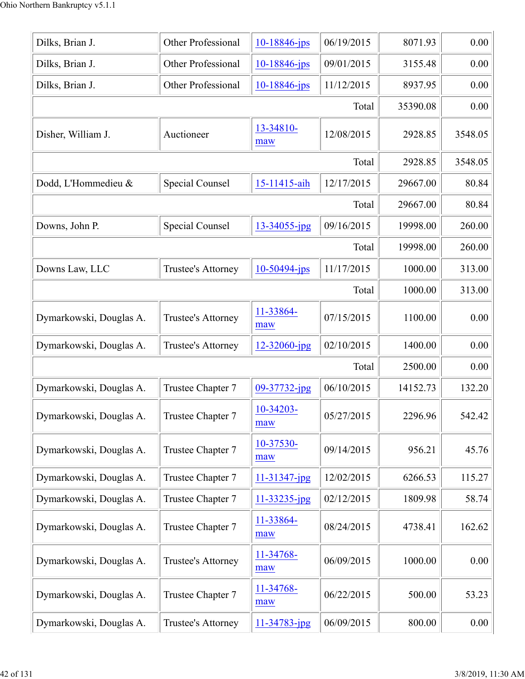| Dilks, Brian J.         | Other Professional | $10 - 18846$ -jps | 06/19/2015 | 8071.93  | 0.00    |
|-------------------------|--------------------|-------------------|------------|----------|---------|
| Dilks, Brian J.         | Other Professional | 10-18846-jps      | 09/01/2015 | 3155.48  | 0.00    |
| Dilks, Brian J.         | Other Professional | 10-18846-jps      | 11/12/2015 | 8937.95  | 0.00    |
|                         |                    |                   | Total      | 35390.08 | 0.00    |
| Disher, William J.      | Auctioneer         | 13-34810-<br>maw  | 12/08/2015 | 2928.85  | 3548.05 |
|                         |                    |                   | Total      | 2928.85  | 3548.05 |
| Dodd, L'Hommedieu &     | Special Counsel    | 15-11415-aih      | 12/17/2015 | 29667.00 | 80.84   |
|                         |                    |                   | Total      | 29667.00 | 80.84   |
| Downs, John P.          | Special Counsel    | 13-34055-jpg      | 09/16/2015 | 19998.00 | 260.00  |
|                         |                    |                   | Total      | 19998.00 | 260.00  |
| Downs Law, LLC          | Trustee's Attorney | $10-50494$ -jps   | 11/17/2015 | 1000.00  | 313.00  |
|                         |                    |                   | Total      | 1000.00  | 313.00  |
| Dymarkowski, Douglas A. | Trustee's Attorney | 11-33864-<br>maw  | 07/15/2015 | 1100.00  | 0.00    |
| Dymarkowski, Douglas A. | Trustee's Attorney | 12-32060-jpg      | 02/10/2015 | 1400.00  | 0.00    |
|                         |                    |                   | Total      | 2500.00  | 0.00    |
| Dymarkowski, Douglas A. | Trustee Chapter 7  | 09-37732-jpg      | 06/10/2015 | 14152.73 | 132.20  |
| Dymarkowski, Douglas A. | Trustee Chapter 7  | 10-34203-<br>maw  | 05/27/2015 | 2296.96  | 542.42  |
| Dymarkowski, Douglas A. | Trustee Chapter 7  | 10-37530-<br>maw  | 09/14/2015 | 956.21   | 45.76   |
| Dymarkowski, Douglas A. | Trustee Chapter 7  | 11-31347-jpg      | 12/02/2015 | 6266.53  | 115.27  |
| Dymarkowski, Douglas A. | Trustee Chapter 7  | 11-33235-jpg      | 02/12/2015 | 1809.98  | 58.74   |
| Dymarkowski, Douglas A. | Trustee Chapter 7  | 11-33864-<br>maw  | 08/24/2015 | 4738.41  | 162.62  |
| Dymarkowski, Douglas A. | Trustee's Attorney | 11-34768-<br>maw  | 06/09/2015 | 1000.00  | 0.00    |
| Dymarkowski, Douglas A. | Trustee Chapter 7  | 11-34768-<br>maw  | 06/22/2015 | 500.00   | 53.23   |
| Dymarkowski, Douglas A. | Trustee's Attorney | 11-34783-jpg      | 06/09/2015 | 800.00   | 0.00    |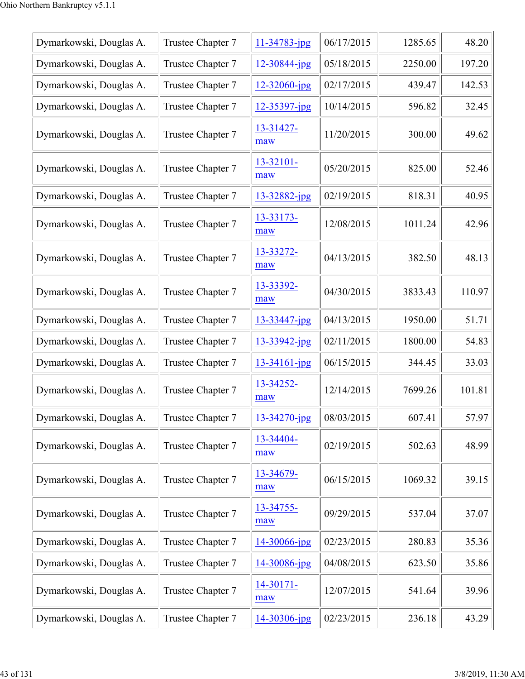| Dymarkowski, Douglas A. | Trustee Chapter 7 | $11 - 34783$ -jpg | 06/17/2015 | 1285.65 | 48.20  |
|-------------------------|-------------------|-------------------|------------|---------|--------|
| Dymarkowski, Douglas A. | Trustee Chapter 7 | $12 - 30844$ -jpg | 05/18/2015 | 2250.00 | 197.20 |
| Dymarkowski, Douglas A. | Trustee Chapter 7 | $12 - 32060$ -jpg | 02/17/2015 | 439.47  | 142.53 |
| Dymarkowski, Douglas A. | Trustee Chapter 7 | 12-35397-jpg      | 10/14/2015 | 596.82  | 32.45  |
| Dymarkowski, Douglas A. | Trustee Chapter 7 | 13-31427-<br>maw  | 11/20/2015 | 300.00  | 49.62  |
| Dymarkowski, Douglas A. | Trustee Chapter 7 | 13-32101-<br>maw  | 05/20/2015 | 825.00  | 52.46  |
| Dymarkowski, Douglas A. | Trustee Chapter 7 | 13-32882-jpg      | 02/19/2015 | 818.31  | 40.95  |
| Dymarkowski, Douglas A. | Trustee Chapter 7 | 13-33173-<br>maw  | 12/08/2015 | 1011.24 | 42.96  |
| Dymarkowski, Douglas A. | Trustee Chapter 7 | 13-33272-<br>maw  | 04/13/2015 | 382.50  | 48.13  |
| Dymarkowski, Douglas A. | Trustee Chapter 7 | 13-33392-<br>maw  | 04/30/2015 | 3833.43 | 110.97 |
| Dymarkowski, Douglas A. | Trustee Chapter 7 | 13-33447-jpg      | 04/13/2015 | 1950.00 | 51.71  |
| Dymarkowski, Douglas A. | Trustee Chapter 7 | 13-33942-jpg      | 02/11/2015 | 1800.00 | 54.83  |
| Dymarkowski, Douglas A. | Trustee Chapter 7 | 13-34161-jpg      | 06/15/2015 | 344.45  | 33.03  |
| Dymarkowski, Douglas A. | Trustee Chapter 7 | 13-34252-<br>maw  | 12/14/2015 | 7699.26 | 101.81 |
| Dymarkowski, Douglas A. | Trustee Chapter 7 | 13-34270-jpg      | 08/03/2015 | 607.41  | 57.97  |
| Dymarkowski, Douglas A. | Trustee Chapter 7 | 13-34404-<br>maw  | 02/19/2015 | 502.63  | 48.99  |
| Dymarkowski, Douglas A. | Trustee Chapter 7 | 13-34679-<br>maw  | 06/15/2015 | 1069.32 | 39.15  |
| Dymarkowski, Douglas A. | Trustee Chapter 7 | 13-34755-<br>maw  | 09/29/2015 | 537.04  | 37.07  |
| Dymarkowski, Douglas A. | Trustee Chapter 7 | $14 - 30066$ -jpg | 02/23/2015 | 280.83  | 35.36  |
| Dymarkowski, Douglas A. | Trustee Chapter 7 | $14 - 30086$ -jpg | 04/08/2015 | 623.50  | 35.86  |
| Dymarkowski, Douglas A. | Trustee Chapter 7 | 14-30171-<br>maw  | 12/07/2015 | 541.64  | 39.96  |
| Dymarkowski, Douglas A. | Trustee Chapter 7 | 14-30306-jpg      | 02/23/2015 | 236.18  | 43.29  |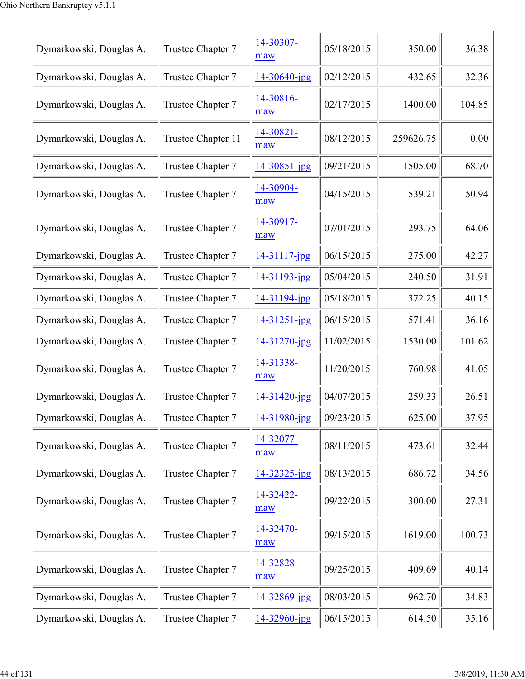| Dymarkowski, Douglas A. | Trustee Chapter 7  | 14-30307-<br>maw  | 05/18/2015 | 350.00    | 36.38  |
|-------------------------|--------------------|-------------------|------------|-----------|--------|
| Dymarkowski, Douglas A. | Trustee Chapter 7  | 14-30640-jpg      | 02/12/2015 | 432.65    | 32.36  |
| Dymarkowski, Douglas A. | Trustee Chapter 7  | 14-30816-<br>maw  | 02/17/2015 | 1400.00   | 104.85 |
| Dymarkowski, Douglas A. | Trustee Chapter 11 | 14-30821-<br>maw  | 08/12/2015 | 259626.75 | 0.00   |
| Dymarkowski, Douglas A. | Trustee Chapter 7  | $14 - 30851$ -jpg | 09/21/2015 | 1505.00   | 68.70  |
| Dymarkowski, Douglas A. | Trustee Chapter 7  | 14-30904-<br>maw  | 04/15/2015 | 539.21    | 50.94  |
| Dymarkowski, Douglas A. | Trustee Chapter 7  | 14-30917-<br>maw  | 07/01/2015 | 293.75    | 64.06  |
| Dymarkowski, Douglas A. | Trustee Chapter 7  | 14-31117-jpg      | 06/15/2015 | 275.00    | 42.27  |
| Dymarkowski, Douglas A. | Trustee Chapter 7  | 14-31193-jpg      | 05/04/2015 | 240.50    | 31.91  |
| Dymarkowski, Douglas A. | Trustee Chapter 7  | 14-31194-jpg      | 05/18/2015 | 372.25    | 40.15  |
| Dymarkowski, Douglas A. | Trustee Chapter 7  | 14-31251-jpg      | 06/15/2015 | 571.41    | 36.16  |
| Dymarkowski, Douglas A. | Trustee Chapter 7  | 14-31270-jpg      | 11/02/2015 | 1530.00   | 101.62 |
| Dymarkowski, Douglas A. | Trustee Chapter 7  | 14-31338-<br>maw  | 11/20/2015 | 760.98    | 41.05  |
| Dymarkowski, Douglas A. | Trustee Chapter 7  | 14-31420-jpg      | 04/07/2015 | 259.33    | 26.51  |
| Dymarkowski, Douglas A. | Trustee Chapter 7  | 14-31980-jpg      | 09/23/2015 | 625.00    | 37.95  |
| Dymarkowski, Douglas A. | Trustee Chapter 7  | 14-32077-<br>maw  | 08/11/2015 | 473.61    | 32.44  |
| Dymarkowski, Douglas A. | Trustee Chapter 7  | 14-32325-jpg      | 08/13/2015 | 686.72    | 34.56  |
| Dymarkowski, Douglas A. | Trustee Chapter 7  | 14-32422-<br>maw  | 09/22/2015 | 300.00    | 27.31  |
| Dymarkowski, Douglas A. | Trustee Chapter 7  | 14-32470-<br>maw  | 09/15/2015 | 1619.00   | 100.73 |
| Dymarkowski, Douglas A. | Trustee Chapter 7  | 14-32828-<br>maw  | 09/25/2015 | 409.69    | 40.14  |
| Dymarkowski, Douglas A. | Trustee Chapter 7  | 14-32869-jpg      | 08/03/2015 | 962.70    | 34.83  |
| Dymarkowski, Douglas A. | Trustee Chapter 7  | 14-32960-jpg      | 06/15/2015 | 614.50    | 35.16  |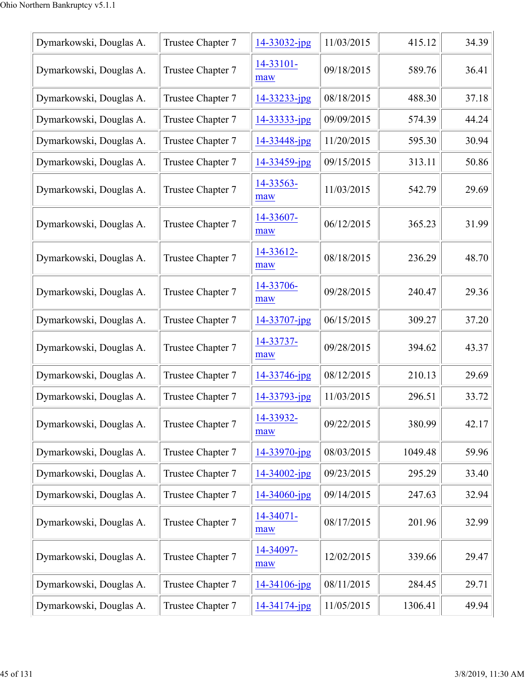| Dymarkowski, Douglas A. | Trustee Chapter 7 | 14-33032-jpg      | 11/03/2015 | 415.12  | 34.39 |
|-------------------------|-------------------|-------------------|------------|---------|-------|
| Dymarkowski, Douglas A. | Trustee Chapter 7 | 14-33101-<br>maw  | 09/18/2015 | 589.76  | 36.41 |
| Dymarkowski, Douglas A. | Trustee Chapter 7 | 14-33233-jpg      | 08/18/2015 | 488.30  | 37.18 |
| Dymarkowski, Douglas A. | Trustee Chapter 7 | 14-33333-jpg      | 09/09/2015 | 574.39  | 44.24 |
| Dymarkowski, Douglas A. | Trustee Chapter 7 | 14-33448-jpg      | 11/20/2015 | 595.30  | 30.94 |
| Dymarkowski, Douglas A. | Trustee Chapter 7 | 14-33459-jpg      | 09/15/2015 | 313.11  | 50.86 |
| Dymarkowski, Douglas A. | Trustee Chapter 7 | 14-33563-<br>maw  | 11/03/2015 | 542.79  | 29.69 |
| Dymarkowski, Douglas A. | Trustee Chapter 7 | 14-33607-<br>maw  | 06/12/2015 | 365.23  | 31.99 |
| Dymarkowski, Douglas A. | Trustee Chapter 7 | 14-33612-<br>maw  | 08/18/2015 | 236.29  | 48.70 |
| Dymarkowski, Douglas A. | Trustee Chapter 7 | 14-33706-<br>maw  | 09/28/2015 | 240.47  | 29.36 |
| Dymarkowski, Douglas A. | Trustee Chapter 7 | 14-33707-jpg      | 06/15/2015 | 309.27  | 37.20 |
| Dymarkowski, Douglas A. | Trustee Chapter 7 | 14-33737-<br>maw  | 09/28/2015 | 394.62  | 43.37 |
| Dymarkowski, Douglas A. | Trustee Chapter 7 | 14-33746-jpg      | 08/12/2015 | 210.13  | 29.69 |
| Dymarkowski, Douglas A. | Trustee Chapter 7 | 14-33793-jpg      | 11/03/2015 | 296.51  | 33.72 |
| Dymarkowski, Douglas A. | Trustee Chapter 7 | 14-33932-<br>maw  | 09/22/2015 | 380.99  | 42.17 |
| Dymarkowski, Douglas A. | Trustee Chapter 7 | 14-33970-jpg      | 08/03/2015 | 1049.48 | 59.96 |
| Dymarkowski, Douglas A. | Trustee Chapter 7 | $14 - 34002$ -jpg | 09/23/2015 | 295.29  | 33.40 |
| Dymarkowski, Douglas A. | Trustee Chapter 7 | 14-34060-jpg      | 09/14/2015 | 247.63  | 32.94 |
| Dymarkowski, Douglas A. | Trustee Chapter 7 | 14-34071-<br>maw  | 08/17/2015 | 201.96  | 32.99 |
| Dymarkowski, Douglas A. | Trustee Chapter 7 | 14-34097-<br>maw  | 12/02/2015 | 339.66  | 29.47 |
| Dymarkowski, Douglas A. | Trustee Chapter 7 | 14-34106-jpg      | 08/11/2015 | 284.45  | 29.71 |
| Dymarkowski, Douglas A. | Trustee Chapter 7 | 14-34174-jpg      | 11/05/2015 | 1306.41 | 49.94 |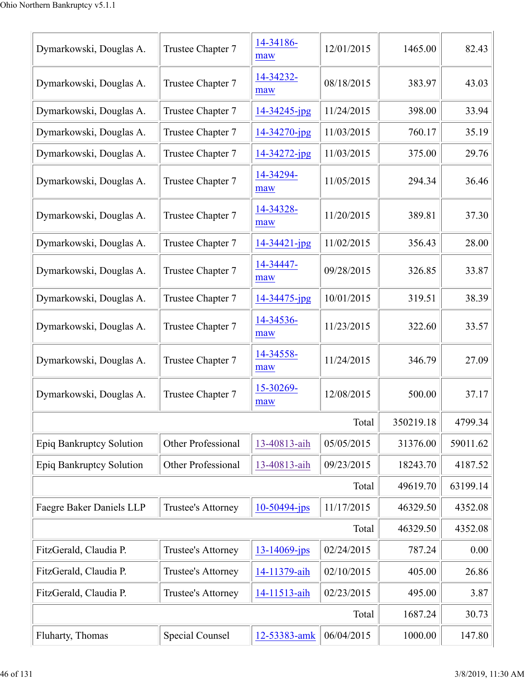| Dymarkowski, Douglas A.         | Trustee Chapter 7         | 14-34186-<br>maw   | 12/01/2015 | 1465.00   | 82.43    |
|---------------------------------|---------------------------|--------------------|------------|-----------|----------|
| Dymarkowski, Douglas A.         | Trustee Chapter 7         | 14-34232-<br>maw   | 08/18/2015 | 383.97    | 43.03    |
| Dymarkowski, Douglas A.         | Trustee Chapter 7         | 14-34245-jpg       | 11/24/2015 | 398.00    | 33.94    |
| Dymarkowski, Douglas A.         | Trustee Chapter 7         | 14-34270-jpg       | 11/03/2015 | 760.17    | 35.19    |
| Dymarkowski, Douglas A.         | Trustee Chapter 7         | $14 - 34272$ -jpg  | 11/03/2015 | 375.00    | 29.76    |
| Dymarkowski, Douglas A.         | Trustee Chapter 7         | 14-34294-<br>maw   | 11/05/2015 | 294.34    | 36.46    |
| Dymarkowski, Douglas A.         | Trustee Chapter 7         | 14-34328-<br>maw   | 11/20/2015 | 389.81    | 37.30    |
| Dymarkowski, Douglas A.         | Trustee Chapter 7         | $14 - 34421 - ipg$ | 11/02/2015 | 356.43    | 28.00    |
| Dymarkowski, Douglas A.         | Trustee Chapter 7         | 14-34447-<br>maw   | 09/28/2015 | 326.85    | 33.87    |
| Dymarkowski, Douglas A.         | Trustee Chapter 7         | 14-34475-jpg       | 10/01/2015 | 319.51    | 38.39    |
| Dymarkowski, Douglas A.         | Trustee Chapter 7         | 14-34536-<br>maw   | 11/23/2015 | 322.60    | 33.57    |
| Dymarkowski, Douglas A.         | Trustee Chapter 7         | 14-34558-<br>maw   | 11/24/2015 | 346.79    | 27.09    |
| Dymarkowski, Douglas A.         | Trustee Chapter 7         | 15-30269-<br>maw   | 12/08/2015 | 500.00    | 37.17    |
|                                 |                           |                    | Total      | 350219.18 | 4799.34  |
| Epiq Bankruptcy Solution        | Other Professional        | 13-40813-aih       | 05/05/2015 | 31376.00  | 59011.62 |
| <b>Epiq Bankruptcy Solution</b> | <b>Other Professional</b> | 13-40813-aih       | 09/23/2015 | 18243.70  | 4187.52  |
|                                 |                           |                    | Total      | 49619.70  | 63199.14 |
| Faegre Baker Daniels LLP        | Trustee's Attorney        | $10-50494$ -jps    | 11/17/2015 | 46329.50  | 4352.08  |
|                                 |                           |                    | Total      | 46329.50  | 4352.08  |
| FitzGerald, Claudia P.          | Trustee's Attorney        | $13 - 14069$ -jps  | 02/24/2015 | 787.24    | 0.00     |
| FitzGerald, Claudia P.          | Trustee's Attorney        | 14-11379-aih       | 02/10/2015 | 405.00    | 26.86    |
| FitzGerald, Claudia P.          | Trustee's Attorney        | 14-11513-aih       | 02/23/2015 | 495.00    | 3.87     |
|                                 |                           |                    | Total      | 1687.24   | 30.73    |
| Fluharty, Thomas                | <b>Special Counsel</b>    | 12-53383-amk       | 06/04/2015 | 1000.00   | 147.80   |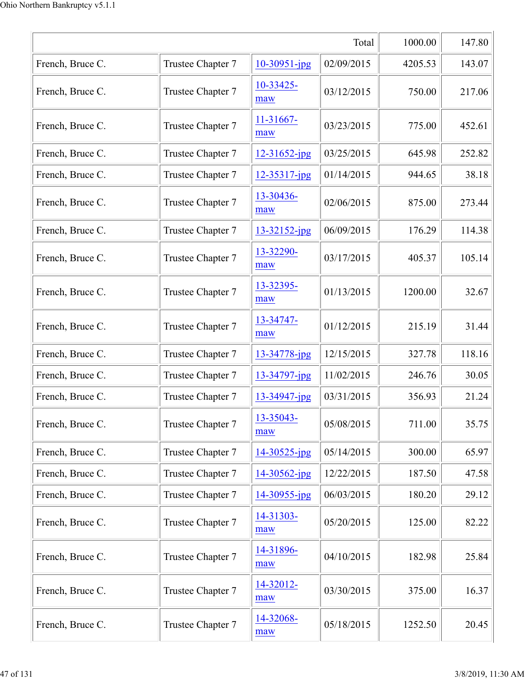|                  | 1000.00           | 147.80            |            |         |        |
|------------------|-------------------|-------------------|------------|---------|--------|
| French, Bruce C. | Trustee Chapter 7 | 10-30951-jpg      | 02/09/2015 | 4205.53 | 143.07 |
| French, Bruce C. | Trustee Chapter 7 | 10-33425-<br>maw  | 03/12/2015 | 750.00  | 217.06 |
| French, Bruce C. | Trustee Chapter 7 | 11-31667-<br>maw  | 03/23/2015 | 775.00  | 452.61 |
| French, Bruce C. | Trustee Chapter 7 | 12-31652-jpg      | 03/25/2015 | 645.98  | 252.82 |
| French, Bruce C. | Trustee Chapter 7 | 12-35317-jpg      | 01/14/2015 | 944.65  | 38.18  |
| French, Bruce C. | Trustee Chapter 7 | 13-30436-<br>maw  | 02/06/2015 | 875.00  | 273.44 |
| French, Bruce C. | Trustee Chapter 7 | $13 - 32152$ -jpg | 06/09/2015 | 176.29  | 114.38 |
| French, Bruce C. | Trustee Chapter 7 | 13-32290-<br>maw  | 03/17/2015 | 405.37  | 105.14 |
| French, Bruce C. | Trustee Chapter 7 | 13-32395-<br>maw  | 01/13/2015 | 1200.00 | 32.67  |
| French, Bruce C. | Trustee Chapter 7 | 13-34747-<br>maw  | 01/12/2015 | 215.19  | 31.44  |
| French, Bruce C. | Trustee Chapter 7 | 13-34778-jpg      | 12/15/2015 | 327.78  | 118.16 |
| French, Bruce C. | Trustee Chapter 7 | 13-34797-jpg      | 11/02/2015 | 246.76  | 30.05  |
| French, Bruce C. | Trustee Chapter 7 | 13-34947-jpg      | 03/31/2015 | 356.93  | 21.24  |
| French, Bruce C. | Trustee Chapter 7 | 13-35043-<br>maw  | 05/08/2015 | 711.00  | 35.75  |
| French, Bruce C. | Trustee Chapter 7 | 14-30525-jpg      | 05/14/2015 | 300.00  | 65.97  |
| French, Bruce C. | Trustee Chapter 7 | 14-30562-jpg      | 12/22/2015 | 187.50  | 47.58  |
| French, Bruce C. | Trustee Chapter 7 | 14-30955-jpg      | 06/03/2015 | 180.20  | 29.12  |
| French, Bruce C. | Trustee Chapter 7 | 14-31303-<br>maw  | 05/20/2015 | 125.00  | 82.22  |
| French, Bruce C. | Trustee Chapter 7 | 14-31896-<br>maw  | 04/10/2015 | 182.98  | 25.84  |
| French, Bruce C. | Trustee Chapter 7 | 14-32012-<br>maw  | 03/30/2015 | 375.00  | 16.37  |
| French, Bruce C. | Trustee Chapter 7 | 14-32068-<br>maw  | 05/18/2015 | 1252.50 | 20.45  |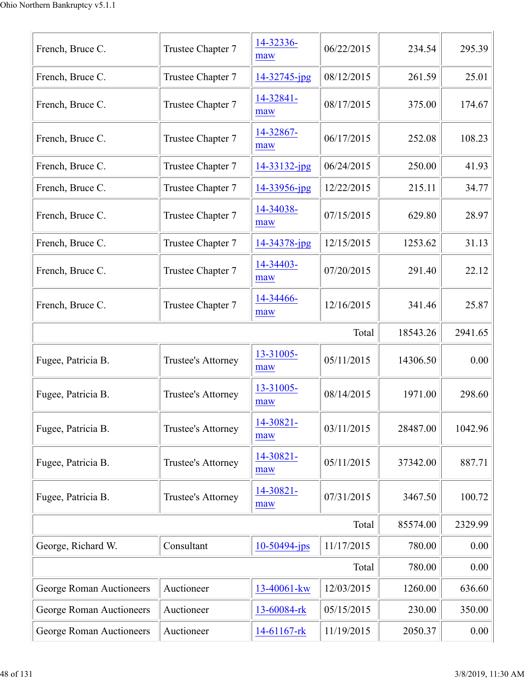| French, Bruce C.         | Trustee Chapter 7  | 14-32336-<br>maw   | 06/22/2015 | 234.54   | 295.39  |
|--------------------------|--------------------|--------------------|------------|----------|---------|
| French, Bruce C.         | Trustee Chapter 7  | 14-32745-jpg       | 08/12/2015 | 261.59   | 25.01   |
| French, Bruce C.         | Trustee Chapter 7  | 14-32841-<br>maw   | 08/17/2015 | 375.00   | 174.67  |
| French, Bruce C.         | Trustee Chapter 7  | 14-32867-<br>maw   | 06/17/2015 | 252.08   | 108.23  |
| French, Bruce C.         | Trustee Chapter 7  | 14-33132-jpg       | 06/24/2015 | 250.00   | 41.93   |
| French, Bruce C.         | Trustee Chapter 7  | 14-33956-jpg       | 12/22/2015 | 215.11   | 34.77   |
| French, Bruce C.         | Trustee Chapter 7  | 14-34038-<br>maw   | 07/15/2015 | 629.80   | 28.97   |
| French, Bruce C.         | Trustee Chapter 7  | $14 - 34378 - ipg$ | 12/15/2015 | 1253.62  | 31.13   |
| French, Bruce C.         | Trustee Chapter 7  | 14-34403-<br>maw   | 07/20/2015 | 291.40   | 22.12   |
| French, Bruce C.         | Trustee Chapter 7  | 14-34466-<br>maw   | 12/16/2015 | 341.46   | 25.87   |
|                          |                    |                    | Total      | 18543.26 | 2941.65 |
| Fugee, Patricia B.       | Trustee's Attorney | 13-31005-<br>maw   | 05/11/2015 | 14306.50 | 0.00    |
| Fugee, Patricia B.       | Trustee's Attorney | 13-31005-<br>maw   | 08/14/2015 | 1971.00  | 298.60  |
| Fugee, Patricia B.       | Trustee's Attorney | 14-30821-<br>maw   | 03/11/2015 | 28487.00 | 1042.96 |
| Fugee, Patricia B.       | Trustee's Attorney | 14-30821-<br>maw   | 05/11/2015 | 37342.00 | 887.71  |
| Fugee, Patricia B.       | Trustee's Attorney | 14-30821-<br>maw   | 07/31/2015 | 3467.50  | 100.72  |
|                          |                    |                    | Total      | 85574.00 | 2329.99 |
| George, Richard W.       | Consultant         | $10-50494$ -jps    | 11/17/2015 | 780.00   | 0.00    |
|                          |                    |                    | Total      | 780.00   | 0.00    |
| George Roman Auctioneers | Auctioneer         | 13-40061-kw        | 12/03/2015 | 1260.00  | 636.60  |
| George Roman Auctioneers | Auctioneer         | 13-60084-rk        | 05/15/2015 | 230.00   | 350.00  |
| George Roman Auctioneers | Auctioneer         | 14-61167-rk        | 11/19/2015 | 2050.37  | 0.00    |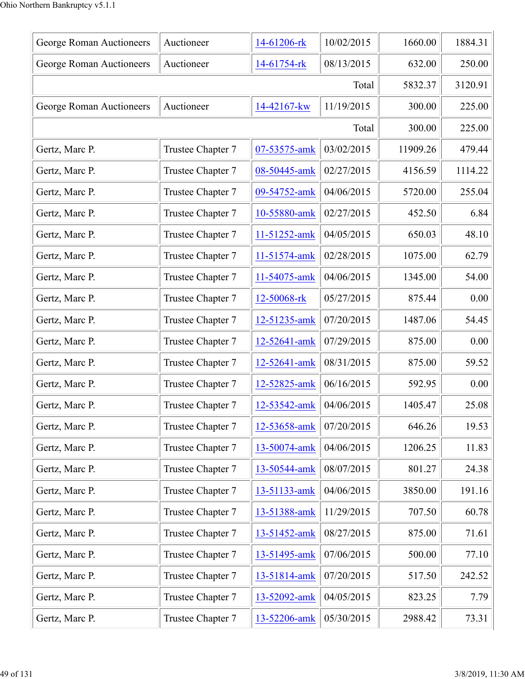| George Roman Auctioneers | Auctioneer        | 14-61206-rk  | 10/02/2015 | 1660.00  | 1884.31 |
|--------------------------|-------------------|--------------|------------|----------|---------|
| George Roman Auctioneers | Auctioneer        | 14-61754-rk  | 08/13/2015 | 632.00   | 250.00  |
|                          |                   |              | Total      | 5832.37  | 3120.91 |
| George Roman Auctioneers | Auctioneer        | 14-42167-kw  | 11/19/2015 | 300.00   | 225.00  |
|                          |                   |              | Total      | 300.00   | 225.00  |
| Gertz, Marc P.           | Trustee Chapter 7 | 07-53575-amk | 03/02/2015 | 11909.26 | 479.44  |
| Gertz, Marc P.           | Trustee Chapter 7 | 08-50445-amk | 02/27/2015 | 4156.59  | 1114.22 |
| Gertz, Marc P.           | Trustee Chapter 7 | 09-54752-amk | 04/06/2015 | 5720.00  | 255.04  |
| Gertz, Marc P.           | Trustee Chapter 7 | 10-55880-amk | 02/27/2015 | 452.50   | 6.84    |
| Gertz, Marc P.           | Trustee Chapter 7 | 11-51252-amk | 04/05/2015 | 650.03   | 48.10   |
| Gertz, Marc P.           | Trustee Chapter 7 | 11-51574-amk | 02/28/2015 | 1075.00  | 62.79   |
| Gertz, Marc P.           | Trustee Chapter 7 | 11-54075-amk | 04/06/2015 | 1345.00  | 54.00   |
| Gertz, Marc P.           | Trustee Chapter 7 | 12-50068-rk  | 05/27/2015 | 875.44   | 0.00    |
| Gertz, Marc P.           | Trustee Chapter 7 | 12-51235-amk | 07/20/2015 | 1487.06  | 54.45   |
| Gertz, Marc P.           | Trustee Chapter 7 | 12-52641-amk | 07/29/2015 | 875.00   | 0.00    |
| Gertz, Marc P.           | Trustee Chapter 7 | 12-52641-amk | 08/31/2015 | 875.00   | 59.52   |
| Gertz, Marc P.           | Trustee Chapter 7 | 12-52825-amk | 06/16/2015 | 592.95   | 0.00    |
| Gertz, Marc P.           | Trustee Chapter 7 | 12-53542-amk | 04/06/2015 | 1405.47  | 25.08   |
| Gertz, Marc P.           | Trustee Chapter 7 | 12-53658-amk | 07/20/2015 | 646.26   | 19.53   |
| Gertz, Marc P.           | Trustee Chapter 7 | 13-50074-amk | 04/06/2015 | 1206.25  | 11.83   |
| Gertz, Marc P.           | Trustee Chapter 7 | 13-50544-amk | 08/07/2015 | 801.27   | 24.38   |
| Gertz, Marc P.           | Trustee Chapter 7 | 13-51133-amk | 04/06/2015 | 3850.00  | 191.16  |
| Gertz, Marc P.           | Trustee Chapter 7 | 13-51388-amk | 11/29/2015 | 707.50   | 60.78   |
| Gertz, Marc P.           | Trustee Chapter 7 | 13-51452-amk | 08/27/2015 | 875.00   | 71.61   |
| Gertz, Marc P.           | Trustee Chapter 7 | 13-51495-amk | 07/06/2015 | 500.00   | 77.10   |
| Gertz, Marc P.           | Trustee Chapter 7 | 13-51814-amk | 07/20/2015 | 517.50   | 242.52  |
| Gertz, Marc P.           | Trustee Chapter 7 | 13-52092-amk | 04/05/2015 | 823.25   | 7.79    |
| Gertz, Marc P.           | Trustee Chapter 7 | 13-52206-amk | 05/30/2015 | 2988.42  | 73.31   |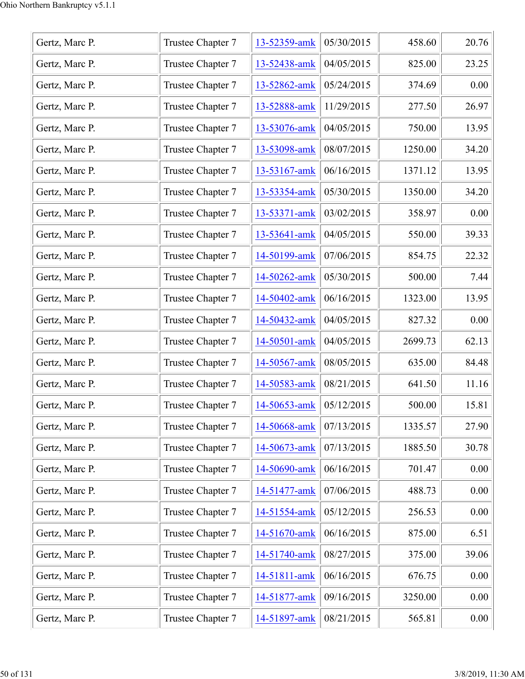| Gertz, Marc P. | Trustee Chapter 7 | 13-52359-amk | 05/30/2015 | 458.60  | 20.76    |
|----------------|-------------------|--------------|------------|---------|----------|
| Gertz, Marc P. | Trustee Chapter 7 | 13-52438-amk | 04/05/2015 | 825.00  | 23.25    |
| Gertz, Marc P. | Trustee Chapter 7 | 13-52862-amk | 05/24/2015 | 374.69  | 0.00     |
| Gertz, Marc P. | Trustee Chapter 7 | 13-52888-amk | 11/29/2015 | 277.50  | 26.97    |
| Gertz, Marc P. | Trustee Chapter 7 | 13-53076-amk | 04/05/2015 | 750.00  | 13.95    |
| Gertz, Marc P. | Trustee Chapter 7 | 13-53098-amk | 08/07/2015 | 1250.00 | 34.20    |
| Gertz, Marc P. | Trustee Chapter 7 | 13-53167-amk | 06/16/2015 | 1371.12 | 13.95    |
| Gertz, Marc P. | Trustee Chapter 7 | 13-53354-amk | 05/30/2015 | 1350.00 | 34.20    |
| Gertz, Marc P. | Trustee Chapter 7 | 13-53371-amk | 03/02/2015 | 358.97  | 0.00     |
| Gertz, Marc P. | Trustee Chapter 7 | 13-53641-amk | 04/05/2015 | 550.00  | 39.33    |
| Gertz, Marc P. | Trustee Chapter 7 | 14-50199-amk | 07/06/2015 | 854.75  | 22.32    |
| Gertz, Marc P. | Trustee Chapter 7 | 14-50262-amk | 05/30/2015 | 500.00  | 7.44     |
| Gertz, Marc P. | Trustee Chapter 7 | 14-50402-amk | 06/16/2015 | 1323.00 | 13.95    |
| Gertz, Marc P. | Trustee Chapter 7 | 14-50432-amk | 04/05/2015 | 827.32  | 0.00     |
| Gertz, Marc P. | Trustee Chapter 7 | 14-50501-amk | 04/05/2015 | 2699.73 | 62.13    |
| Gertz, Marc P. | Trustee Chapter 7 | 14-50567-amk | 08/05/2015 | 635.00  | 84.48    |
| Gertz, Marc P. | Trustee Chapter 7 | 14-50583-amk | 08/21/2015 | 641.50  | 11.16    |
| Gertz, Marc P. | Trustee Chapter 7 | 14-50653-amk | 05/12/2015 | 500.00  | 15.81    |
| Gertz, Marc P. | Trustee Chapter 7 | 14-50668-amk | 07/13/2015 | 1335.57 | 27.90    |
| Gertz, Marc P. | Trustee Chapter 7 | 14-50673-amk | 07/13/2015 | 1885.50 | 30.78    |
| Gertz, Marc P. | Trustee Chapter 7 | 14-50690-amk | 06/16/2015 | 701.47  | 0.00     |
| Gertz, Marc P. | Trustee Chapter 7 | 14-51477-amk | 07/06/2015 | 488.73  | 0.00     |
| Gertz, Marc P. | Trustee Chapter 7 | 14-51554-amk | 05/12/2015 | 256.53  | 0.00     |
| Gertz, Marc P. | Trustee Chapter 7 | 14-51670-amk | 06/16/2015 | 875.00  | 6.51     |
| Gertz, Marc P. | Trustee Chapter 7 | 14-51740-amk | 08/27/2015 | 375.00  | 39.06    |
| Gertz, Marc P. | Trustee Chapter 7 | 14-51811-amk | 06/16/2015 | 676.75  | 0.00     |
| Gertz, Marc P. | Trustee Chapter 7 | 14-51877-amk | 09/16/2015 | 3250.00 | 0.00     |
| Gertz, Marc P. | Trustee Chapter 7 | 14-51897-amk | 08/21/2015 | 565.81  | $0.00\,$ |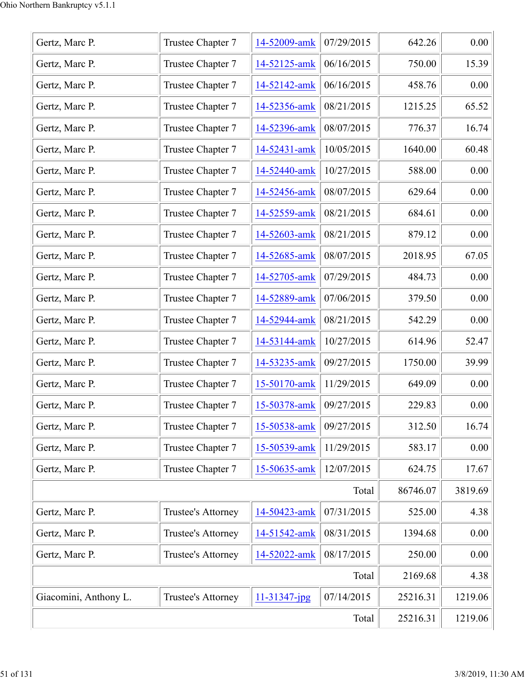| Gertz, Marc P.        | Trustee Chapter 7  | 14-52009-amk | 07/29/2015 | 642.26   | 0.00    |
|-----------------------|--------------------|--------------|------------|----------|---------|
| Gertz, Marc P.        | Trustee Chapter 7  | 14-52125-amk | 06/16/2015 | 750.00   | 15.39   |
| Gertz, Marc P.        | Trustee Chapter 7  | 14-52142-amk | 06/16/2015 | 458.76   | 0.00    |
| Gertz, Marc P.        | Trustee Chapter 7  | 14-52356-amk | 08/21/2015 | 1215.25  | 65.52   |
| Gertz, Marc P.        | Trustee Chapter 7  | 14-52396-amk | 08/07/2015 | 776.37   | 16.74   |
| Gertz, Marc P.        | Trustee Chapter 7  | 14-52431-amk | 10/05/2015 | 1640.00  | 60.48   |
| Gertz, Marc P.        | Trustee Chapter 7  | 14-52440-amk | 10/27/2015 | 588.00   | 0.00    |
| Gertz, Marc P.        | Trustee Chapter 7  | 14-52456-amk | 08/07/2015 | 629.64   | 0.00    |
| Gertz, Marc P.        | Trustee Chapter 7  | 14-52559-amk | 08/21/2015 | 684.61   | 0.00    |
| Gertz, Marc P.        | Trustee Chapter 7  | 14-52603-amk | 08/21/2015 | 879.12   | 0.00    |
| Gertz, Marc P.        | Trustee Chapter 7  | 14-52685-amk | 08/07/2015 | 2018.95  | 67.05   |
| Gertz, Marc P.        | Trustee Chapter 7  | 14-52705-amk | 07/29/2015 | 484.73   | 0.00    |
| Gertz, Marc P.        | Trustee Chapter 7  | 14-52889-amk | 07/06/2015 | 379.50   | 0.00    |
| Gertz, Marc P.        | Trustee Chapter 7  | 14-52944-amk | 08/21/2015 | 542.29   | 0.00    |
| Gertz, Marc P.        | Trustee Chapter 7  | 14-53144-amk | 10/27/2015 | 614.96   | 52.47   |
| Gertz, Marc P.        | Trustee Chapter 7  | 14-53235-amk | 09/27/2015 | 1750.00  | 39.99   |
| Gertz, Marc P.        | Trustee Chapter 7  | 15-50170-amk | 11/29/2015 | 649.09   | 0.00    |
| Gertz, Marc P.        | Trustee Chapter 7  | 15-50378-amk | 09/27/2015 | 229.83   | 0.00    |
| Gertz, Marc P.        | Trustee Chapter 7  | 15-50538-amk | 09/27/2015 | 312.50   | 16.74   |
| Gertz, Marc P.        | Trustee Chapter 7  | 15-50539-amk | 11/29/2015 | 583.17   | 0.00    |
| Gertz, Marc P.        | Trustee Chapter 7  | 15-50635-amk | 12/07/2015 | 624.75   | 17.67   |
|                       |                    |              | Total      | 86746.07 | 3819.69 |
| Gertz, Marc P.        | Trustee's Attorney | 14-50423-amk | 07/31/2015 | 525.00   | 4.38    |
| Gertz, Marc P.        | Trustee's Attorney | 14-51542-amk | 08/31/2015 | 1394.68  | 0.00    |
| Gertz, Marc P.        | Trustee's Attorney | 14-52022-amk | 08/17/2015 | 250.00   | 0.00    |
|                       |                    |              | Total      | 2169.68  | 4.38    |
| Giacomini, Anthony L. | Trustee's Attorney | 11-31347-jpg | 07/14/2015 | 25216.31 | 1219.06 |
|                       | 25216.31           | 1219.06      |            |          |         |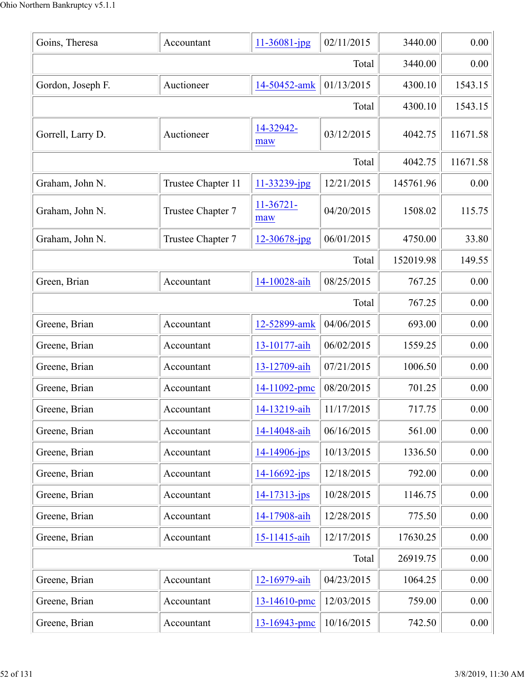| Goins, Theresa    | Accountant         | $11 - 36081 - jpg$ | 02/11/2015 | 3440.00   | 0.00     |
|-------------------|--------------------|--------------------|------------|-----------|----------|
|                   |                    |                    | Total      | 3440.00   | 0.00     |
| Gordon, Joseph F. | Auctioneer         | 14-50452-amk       | 01/13/2015 | 4300.10   | 1543.15  |
|                   |                    |                    | Total      | 4300.10   | 1543.15  |
| Gorrell, Larry D. | Auctioneer         | 14-32942-<br>maw   | 03/12/2015 | 4042.75   | 11671.58 |
|                   |                    |                    | Total      | 4042.75   | 11671.58 |
| Graham, John N.   | Trustee Chapter 11 | 11-33239-jpg       | 12/21/2015 | 145761.96 | 0.00     |
| Graham, John N.   | Trustee Chapter 7  | $11-36721-$<br>maw | 04/20/2015 | 1508.02   | 115.75   |
| Graham, John N.   | Trustee Chapter 7  | 12-30678-jpg       | 06/01/2015 | 4750.00   | 33.80    |
|                   |                    |                    | Total      | 152019.98 | 149.55   |
| Green, Brian      | Accountant         | 14-10028-aih       | 08/25/2015 | 767.25    | 0.00     |
|                   |                    |                    | Total      | 767.25    | 0.00     |
| Greene, Brian     | Accountant         | 12-52899-amk       | 04/06/2015 | 693.00    | 0.00     |
| Greene, Brian     | Accountant         | 13-10177-aih       | 06/02/2015 | 1559.25   | 0.00     |
| Greene, Brian     | Accountant         | 13-12709-aih       | 07/21/2015 | 1006.50   | 0.00     |
| Greene, Brian     | Accountant         | 14-11092-pmc       | 08/20/2015 | 701.25    | 0.00     |
| Greene, Brian     | Accountant         | 14-13219-aih       | 11/17/2015 | 717.75    | 0.00     |
| Greene, Brian     | Accountant         | 14-14048-aih       | 06/16/2015 | 561.00    | 0.00     |
| Greene, Brian     | Accountant         | 14-14906-jps       | 10/13/2015 | 1336.50   | 0.00     |
| Greene, Brian     | Accountant         | $14 - 16692 - ips$ | 12/18/2015 | 792.00    | 0.00     |
| Greene, Brian     | Accountant         | $14 - 17313 - jps$ | 10/28/2015 | 1146.75   | 0.00     |
| Greene, Brian     | Accountant         | 14-17908-aih       | 12/28/2015 | 775.50    | 0.00     |
| Greene, Brian     | Accountant         | 15-11415-aih       | 12/17/2015 | 17630.25  | 0.00     |
|                   |                    |                    | Total      | 26919.75  | 0.00     |
| Greene, Brian     | Accountant         | 12-16979-aih       | 04/23/2015 | 1064.25   | 0.00     |
| Greene, Brian     | Accountant         | 13-14610-pmc       | 12/03/2015 | 759.00    | 0.00     |
| Greene, Brian     | Accountant         | 13-16943-pmc       | 10/16/2015 | 742.50    | 0.00     |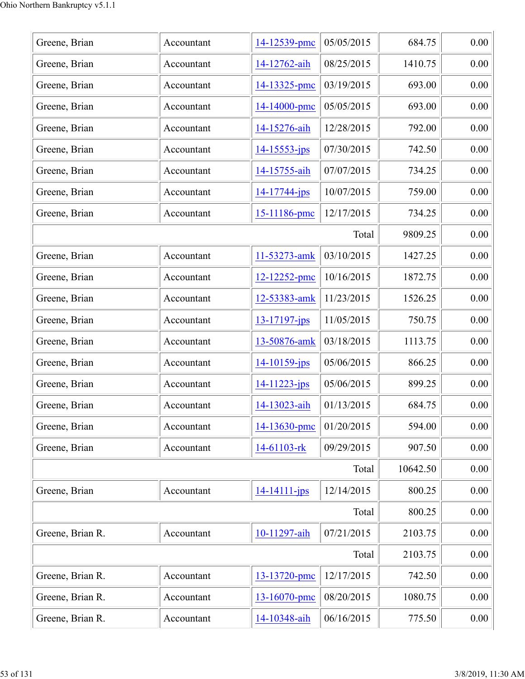| Greene, Brian    | Accountant | 14-12539-pmc       | 05/05/2015 | 684.75   | 0.00 |
|------------------|------------|--------------------|------------|----------|------|
| Greene, Brian    | Accountant | 14-12762-aih       | 08/25/2015 | 1410.75  | 0.00 |
| Greene, Brian    | Accountant | 14-13325-pmc       | 03/19/2015 | 693.00   | 0.00 |
| Greene, Brian    | Accountant | 14-14000-pmc       | 05/05/2015 | 693.00   | 0.00 |
| Greene, Brian    | Accountant | 14-15276-aih       | 12/28/2015 | 792.00   | 0.00 |
| Greene, Brian    | Accountant | $14 - 15553 - ips$ | 07/30/2015 | 742.50   | 0.00 |
| Greene, Brian    | Accountant | 14-15755-aih       | 07/07/2015 | 734.25   | 0.00 |
| Greene, Brian    | Accountant | 14-17744-jps       | 10/07/2015 | 759.00   | 0.00 |
| Greene, Brian    | Accountant | 15-11186-pmc       | 12/17/2015 | 734.25   | 0.00 |
|                  |            |                    | Total      | 9809.25  | 0.00 |
| Greene, Brian    | Accountant | 11-53273-amk       | 03/10/2015 | 1427.25  | 0.00 |
| Greene, Brian    | Accountant | 12-12252-pmc       | 10/16/2015 | 1872.75  | 0.00 |
| Greene, Brian    | Accountant | 12-53383-amk       | 11/23/2015 | 1526.25  | 0.00 |
| Greene, Brian    | Accountant | $13 - 17197 - jps$ | 11/05/2015 | 750.75   | 0.00 |
| Greene, Brian    | Accountant | 13-50876-amk       | 03/18/2015 | 1113.75  | 0.00 |
| Greene, Brian    | Accountant | $14 - 10159$ -jps  | 05/06/2015 | 866.25   | 0.00 |
| Greene, Brian    | Accountant | 14-11223-jps       | 05/06/2015 | 899.25   | 0.00 |
| Greene, Brian    | Accountant | 14-13023-aih       | 01/13/2015 | 684.75   | 0.00 |
| Greene, Brian    | Accountant | 14-13630-pmc       | 01/20/2015 | 594.00   | 0.00 |
| Greene, Brian    | Accountant | 14-61103-rk        | 09/29/2015 | 907.50   | 0.00 |
|                  |            |                    | Total      | 10642.50 | 0.00 |
| Greene, Brian    | Accountant | $14 - 14111 - ips$ | 12/14/2015 | 800.25   | 0.00 |
|                  |            |                    | Total      | 800.25   | 0.00 |
| Greene, Brian R. | Accountant | 10-11297-aih       | 07/21/2015 | 2103.75  | 0.00 |
|                  |            |                    | Total      | 2103.75  | 0.00 |
| Greene, Brian R. | Accountant | 13-13720-pmc       | 12/17/2015 | 742.50   | 0.00 |
| Greene, Brian R. | Accountant | 13-16070-pmc       | 08/20/2015 | 1080.75  | 0.00 |
| Greene, Brian R. | Accountant | 14-10348-aih       | 06/16/2015 | 775.50   | 0.00 |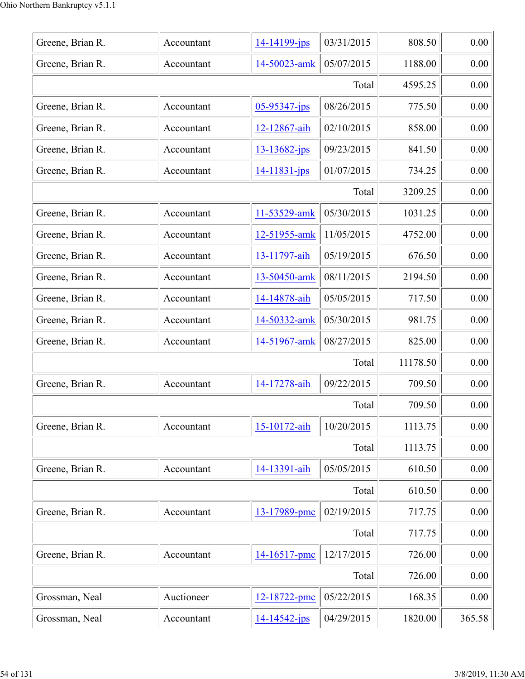| Greene, Brian R. | Accountant | 14-14199-jps       | 03/31/2015 | 808.50   | 0.00     |
|------------------|------------|--------------------|------------|----------|----------|
| Greene, Brian R. | Accountant | 14-50023-amk       | 05/07/2015 | 1188.00  | 0.00     |
|                  |            |                    | Total      | 4595.25  | 0.00     |
| Greene, Brian R. | Accountant | 05-95347-jps       | 08/26/2015 | 775.50   | 0.00     |
| Greene, Brian R. | Accountant | 12-12867-aih       | 02/10/2015 | 858.00   | 0.00     |
| Greene, Brian R. | Accountant | $13 - 13682 - ips$ | 09/23/2015 | 841.50   | 0.00     |
| Greene, Brian R. | Accountant | 14-11831-jps       | 01/07/2015 | 734.25   | 0.00     |
|                  |            |                    | Total      | 3209.25  | 0.00     |
| Greene, Brian R. | Accountant | 11-53529-amk       | 05/30/2015 | 1031.25  | 0.00     |
| Greene, Brian R. | Accountant | 12-51955-amk       | 11/05/2015 | 4752.00  | 0.00     |
| Greene, Brian R. | Accountant | 13-11797-aih       | 05/19/2015 | 676.50   | 0.00     |
| Greene, Brian R. | Accountant | 13-50450-amk       | 08/11/2015 | 2194.50  | 0.00     |
| Greene, Brian R. | Accountant | 14-14878-aih       | 05/05/2015 | 717.50   | 0.00     |
| Greene, Brian R. | Accountant | 14-50332-amk       | 05/30/2015 | 981.75   | 0.00     |
| Greene, Brian R. | Accountant | 14-51967-amk       | 08/27/2015 | 825.00   | 0.00     |
|                  |            |                    | Total      | 11178.50 | 0.00     |
| Greene, Brian R. | Accountant | 14-17278-aih       | 09/22/2015 | 709.50   | 0.00     |
|                  |            |                    | Total      | 709.50   | 0.00     |
| Greene, Brian R. | Accountant | 15-10172-aih       | 10/20/2015 | 1113.75  | 0.00     |
|                  |            |                    | Total      | 1113.75  | 0.00     |
| Greene, Brian R. | Accountant | 14-13391-aih       | 05/05/2015 | 610.50   | $0.00\,$ |
|                  |            |                    | Total      | 610.50   | 0.00     |
| Greene, Brian R. | Accountant | 13-17989-pmc       | 02/19/2015 | 717.75   | 0.00     |
|                  |            |                    | Total      | 717.75   | 0.00     |
| Greene, Brian R. | Accountant | 14-16517-pmc       | 12/17/2015 | 726.00   | 0.00     |
|                  |            |                    | Total      | 726.00   | 0.00     |
| Grossman, Neal   | Auctioneer | 12-18722-pmc       | 05/22/2015 | 168.35   | $0.00\,$ |
| Grossman, Neal   | Accountant | $14 - 14542 - jps$ | 04/29/2015 | 1820.00  | 365.58   |
|                  |            |                    |            |          |          |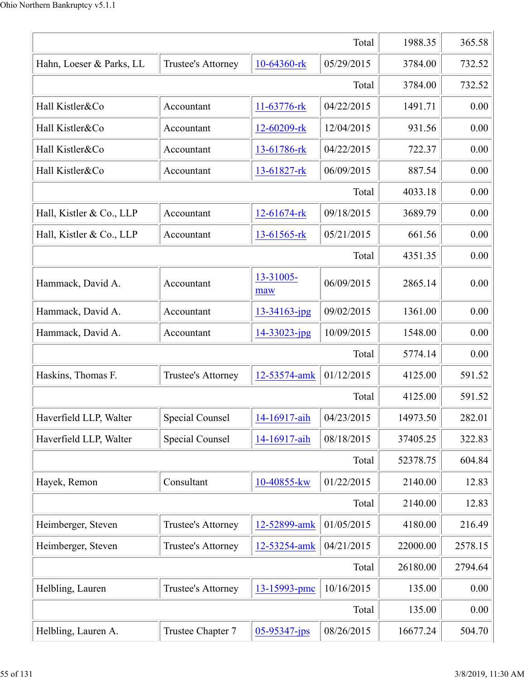|                          |                           |                    | Total      | 1988.35  | 365.58  |
|--------------------------|---------------------------|--------------------|------------|----------|---------|
| Hahn, Loeser & Parks, LL | Trustee's Attorney        | 10-64360-rk        | 05/29/2015 | 3784.00  | 732.52  |
|                          |                           |                    | Total      | 3784.00  | 732.52  |
| Hall Kistler&Co          | Accountant                | 11-63776-rk        | 04/22/2015 | 1491.71  | 0.00    |
| Hall Kistler&Co          | Accountant                | 12-60209-rk        | 12/04/2015 | 931.56   | 0.00    |
| Hall Kistler&Co          | Accountant                | 13-61786-rk        | 04/22/2015 | 722.37   | 0.00    |
| Hall Kistler&Co          | Accountant                | $13-61827$ -rk     | 06/09/2015 | 887.54   | 0.00    |
|                          |                           |                    | Total      | 4033.18  | 0.00    |
| Hall, Kistler & Co., LLP | Accountant                | 12-61674-rk        | 09/18/2015 | 3689.79  | 0.00    |
| Hall, Kistler & Co., LLP | Accountant                | 13-61565-rk        | 05/21/2015 | 661.56   | 0.00    |
|                          |                           |                    | Total      | 4351.35  | 0.00    |
| Hammack, David A.        | Accountant                | 13-31005-<br>maw   | 06/09/2015 | 2865.14  | 0.00    |
| Hammack, David A.        | Accountant                | $13 - 34163$ -jpg  | 09/02/2015 | 1361.00  | 0.00    |
| Hammack, David A.        | Accountant                | 14-33023-jpg       | 10/09/2015 | 1548.00  | 0.00    |
|                          |                           |                    | Total      | 5774.14  | 0.00    |
| Haskins, Thomas F.       | <b>Trustee's Attorney</b> | 12-53574-amk       | 01/12/2015 | 4125.00  | 591.52  |
|                          |                           |                    | Total      | 4125.00  | 591.52  |
| Haverfield LLP, Walter   | Special Counsel           | 14-16917-aih       | 04/23/2015 | 14973.50 | 282.01  |
| Haverfield LLP, Walter   | <b>Special Counsel</b>    | 14-16917-aih       | 08/18/2015 | 37405.25 | 322.83  |
|                          |                           |                    | Total      | 52378.75 | 604.84  |
| Hayek, Remon             | Consultant                | 10-40855-kw        | 01/22/2015 | 2140.00  | 12.83   |
|                          |                           |                    | Total      | 2140.00  | 12.83   |
| Heimberger, Steven       | Trustee's Attorney        | 12-52899-amk       | 01/05/2015 | 4180.00  | 216.49  |
| Heimberger, Steven       | Trustee's Attorney        | 12-53254-amk       | 04/21/2015 | 22000.00 | 2578.15 |
|                          |                           |                    | Total      | 26180.00 | 2794.64 |
| Helbling, Lauren         | Trustee's Attorney        | 13-15993-pmc       | 10/16/2015 | 135.00   | 0.00    |
|                          |                           |                    | Total      | 135.00   | 0.00    |
| Helbling, Lauren A.      | Trustee Chapter 7         | $05 - 95347 - jps$ | 08/26/2015 | 16677.24 | 504.70  |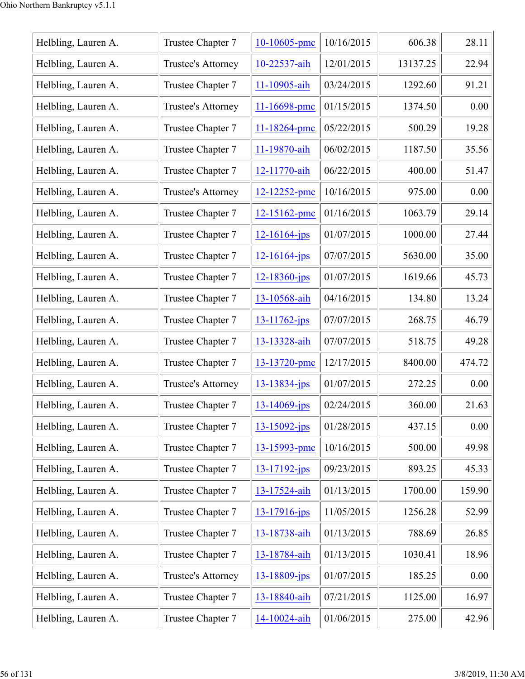| Helbling, Lauren A. | Trustee Chapter 7  | 10-10605-pmc       | 10/16/2015 | 606.38   | 28.11  |
|---------------------|--------------------|--------------------|------------|----------|--------|
| Helbling, Lauren A. | Trustee's Attorney | 10-22537-aih       | 12/01/2015 | 13137.25 | 22.94  |
| Helbling, Lauren A. | Trustee Chapter 7  | 11-10905-aih       | 03/24/2015 | 1292.60  | 91.21  |
| Helbling, Lauren A. | Trustee's Attorney | $11 - 16698$ -pmc  | 01/15/2015 | 1374.50  | 0.00   |
| Helbling, Lauren A. | Trustee Chapter 7  | 11-18264-pmc       | 05/22/2015 | 500.29   | 19.28  |
| Helbling, Lauren A. | Trustee Chapter 7  | 11-19870-aih       | 06/02/2015 | 1187.50  | 35.56  |
| Helbling, Lauren A. | Trustee Chapter 7  | 12-11770-aih       | 06/22/2015 | 400.00   | 51.47  |
| Helbling, Lauren A. | Trustee's Attorney | 12-12252-pmc       | 10/16/2015 | 975.00   | 0.00   |
| Helbling, Lauren A. | Trustee Chapter 7  | 12-15162-pmc       | 01/16/2015 | 1063.79  | 29.14  |
| Helbling, Lauren A. | Trustee Chapter 7  | $12 - 16164$ -jps  | 01/07/2015 | 1000.00  | 27.44  |
| Helbling, Lauren A. | Trustee Chapter 7  | $12 - 16164$ -jps  | 07/07/2015 | 5630.00  | 35.00  |
| Helbling, Lauren A. | Trustee Chapter 7  | $12 - 18360 - ips$ | 01/07/2015 | 1619.66  | 45.73  |
| Helbling, Lauren A. | Trustee Chapter 7  | 13-10568-aih       | 04/16/2015 | 134.80   | 13.24  |
| Helbling, Lauren A. | Trustee Chapter 7  | $13 - 11762 - ips$ | 07/07/2015 | 268.75   | 46.79  |
| Helbling, Lauren A. | Trustee Chapter 7  | 13-13328-aih       | 07/07/2015 | 518.75   | 49.28  |
| Helbling, Lauren A. | Trustee Chapter 7  | 13-13720-pmc       | 12/17/2015 | 8400.00  | 474.72 |
| Helbling, Lauren A. | Trustee's Attorney | 13-13834-jps       | 01/07/2015 | 272.25   | 0.00   |
| Helbling, Lauren A. | Trustee Chapter 7  | $13 - 14069$ -jps  | 02/24/2015 | 360.00   | 21.63  |
| Helbling, Lauren A. | Trustee Chapter 7  | $13 - 15092$ -jps  | 01/28/2015 | 437.15   | 0.00   |
| Helbling, Lauren A. | Trustee Chapter 7  | 13-15993-pmc       | 10/16/2015 | 500.00   | 49.98  |
| Helbling, Lauren A. | Trustee Chapter 7  | $13 - 17192 - ips$ | 09/23/2015 | 893.25   | 45.33  |
| Helbling, Lauren A. | Trustee Chapter 7  | 13-17524-aih       | 01/13/2015 | 1700.00  | 159.90 |
| Helbling, Lauren A. | Trustee Chapter 7  | $13 - 17916$ -jps  | 11/05/2015 | 1256.28  | 52.99  |
| Helbling, Lauren A. | Trustee Chapter 7  | 13-18738-aih       | 01/13/2015 | 788.69   | 26.85  |
| Helbling, Lauren A. | Trustee Chapter 7  | 13-18784-aih       | 01/13/2015 | 1030.41  | 18.96  |
| Helbling, Lauren A. | Trustee's Attorney | 13-18809-jps       | 01/07/2015 | 185.25   | 0.00   |
| Helbling, Lauren A. | Trustee Chapter 7  | 13-18840-aih       | 07/21/2015 | 1125.00  | 16.97  |
| Helbling, Lauren A. | Trustee Chapter 7  | 14-10024-aih       | 01/06/2015 | 275.00   | 42.96  |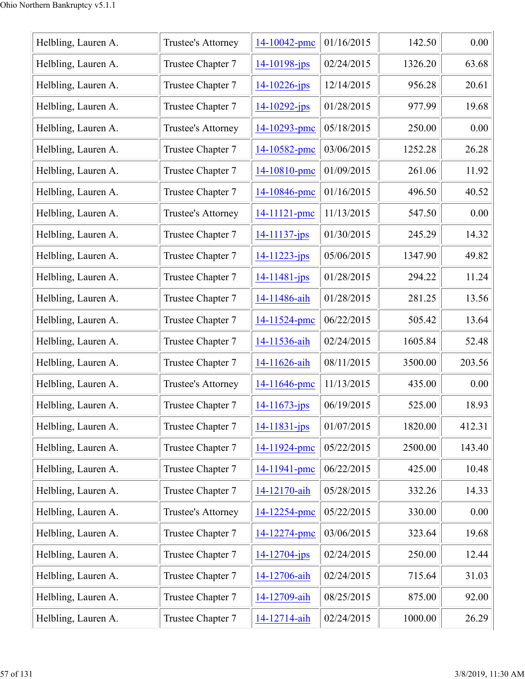| Helbling, Lauren A. | Trustee's Attorney | 14-10042-pmc       | 01/16/2015 | 142.50  | 0.00   |
|---------------------|--------------------|--------------------|------------|---------|--------|
| Helbling, Lauren A. | Trustee Chapter 7  | $14 - 10198$ -jps  | 02/24/2015 | 1326.20 | 63.68  |
| Helbling, Lauren A. | Trustee Chapter 7  | $14 - 10226$ -jps  | 12/14/2015 | 956.28  | 20.61  |
| Helbling, Lauren A. | Trustee Chapter 7  | $14 - 10292 - ips$ | 01/28/2015 | 977.99  | 19.68  |
| Helbling, Lauren A. | Trustee's Attorney | 14-10293-pmc       | 05/18/2015 | 250.00  | 0.00   |
| Helbling, Lauren A. | Trustee Chapter 7  | 14-10582-pmc       | 03/06/2015 | 1252.28 | 26.28  |
| Helbling, Lauren A. | Trustee Chapter 7  | 14-10810-pmc       | 01/09/2015 | 261.06  | 11.92  |
| Helbling, Lauren A. | Trustee Chapter 7  | 14-10846-pmc       | 01/16/2015 | 496.50  | 40.52  |
| Helbling, Lauren A. | Trustee's Attorney | 14-11121-pmc       | 11/13/2015 | 547.50  | 0.00   |
| Helbling, Lauren A. | Trustee Chapter 7  | $14 - 11137 - ips$ | 01/30/2015 | 245.29  | 14.32  |
| Helbling, Lauren A. | Trustee Chapter 7  | $14 - 11223 - ips$ | 05/06/2015 | 1347.90 | 49.82  |
| Helbling, Lauren A. | Trustee Chapter 7  | $14 - 11481 - ips$ | 01/28/2015 | 294.22  | 11.24  |
| Helbling, Lauren A. | Trustee Chapter 7  | 14-11486-aih       | 01/28/2015 | 281.25  | 13.56  |
| Helbling, Lauren A. | Trustee Chapter 7  | 14-11524-pmc       | 06/22/2015 | 505.42  | 13.64  |
| Helbling, Lauren A. | Trustee Chapter 7  | 14-11536-aih       | 02/24/2015 | 1605.84 | 52.48  |
| Helbling, Lauren A. | Trustee Chapter 7  | 14-11626-aih       | 08/11/2015 | 3500.00 | 203.56 |
| Helbling, Lauren A. | Trustee's Attorney | 14-11646-pmc       | 11/13/2015 | 435.00  | 0.00   |
| Helbling, Lauren A. | Trustee Chapter 7  | 14-11673-jps       | 06/19/2015 | 525.00  | 18.93  |
| Helbling, Lauren A. | Trustee Chapter 7  | $14 - 11831 - ips$ | 01/07/2015 | 1820.00 | 412.31 |
| Helbling, Lauren A. | Trustee Chapter 7  | 14-11924-pmc       | 05/22/2015 | 2500.00 | 143.40 |
| Helbling, Lauren A. | Trustee Chapter 7  | 14-11941-pmc       | 06/22/2015 | 425.00  | 10.48  |
| Helbling, Lauren A. | Trustee Chapter 7  | 14-12170-aih       | 05/28/2015 | 332.26  | 14.33  |
| Helbling, Lauren A. | Trustee's Attorney | 14-12254-pmc       | 05/22/2015 | 330.00  | 0.00   |
| Helbling, Lauren A. | Trustee Chapter 7  | 14-12274-pmc       | 03/06/2015 | 323.64  | 19.68  |
| Helbling, Lauren A. | Trustee Chapter 7  | 14-12704-jps       | 02/24/2015 | 250.00  | 12.44  |
| Helbling, Lauren A. | Trustee Chapter 7  | 14-12706-aih       | 02/24/2015 | 715.64  | 31.03  |
| Helbling, Lauren A. | Trustee Chapter 7  | 14-12709-aih       | 08/25/2015 | 875.00  | 92.00  |
| Helbling, Lauren A. | Trustee Chapter 7  | 14-12714-aih       | 02/24/2015 | 1000.00 | 26.29  |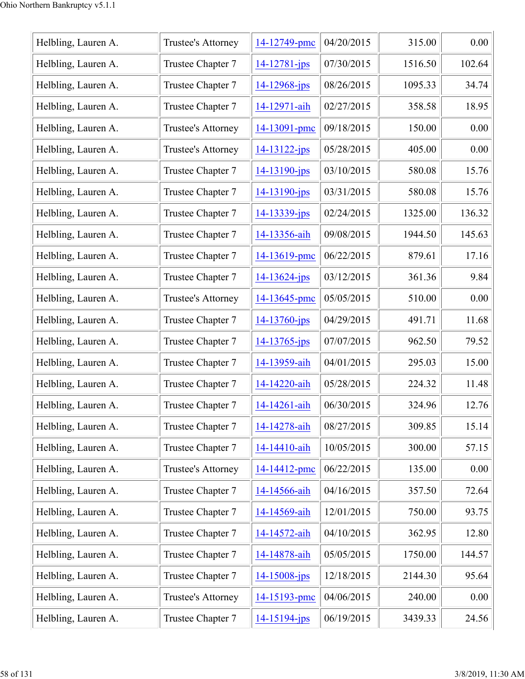| Helbling, Lauren A. | Trustee's Attorney | 14-12749-pmc       | 04/20/2015 | 315.00  | 0.00   |
|---------------------|--------------------|--------------------|------------|---------|--------|
| Helbling, Lauren A. | Trustee Chapter 7  | $14 - 12781 - ips$ | 07/30/2015 | 1516.50 | 102.64 |
| Helbling, Lauren A. | Trustee Chapter 7  | 14-12968-jps       | 08/26/2015 | 1095.33 | 34.74  |
| Helbling, Lauren A. | Trustee Chapter 7  | 14-12971-aih       | 02/27/2015 | 358.58  | 18.95  |
| Helbling, Lauren A. | Trustee's Attorney | 14-13091-pmc       | 09/18/2015 | 150.00  | 0.00   |
| Helbling, Lauren A. | Trustee's Attorney | $14 - 13122 - ips$ | 05/28/2015 | 405.00  | 0.00   |
| Helbling, Lauren A. | Trustee Chapter 7  | $14 - 13190 - ips$ | 03/10/2015 | 580.08  | 15.76  |
| Helbling, Lauren A. | Trustee Chapter 7  | $14 - 13190 - ips$ | 03/31/2015 | 580.08  | 15.76  |
| Helbling, Lauren A. | Trustee Chapter 7  | 14-13339-jps       | 02/24/2015 | 1325.00 | 136.32 |
| Helbling, Lauren A. | Trustee Chapter 7  | 14-13356-aih       | 09/08/2015 | 1944.50 | 145.63 |
| Helbling, Lauren A. | Trustee Chapter 7  | 14-13619-pmc       | 06/22/2015 | 879.61  | 17.16  |
| Helbling, Lauren A. | Trustee Chapter 7  | $14 - 13624 - ips$ | 03/12/2015 | 361.36  | 9.84   |
| Helbling, Lauren A. | Trustee's Attorney | 14-13645-pmc       | 05/05/2015 | 510.00  | 0.00   |
| Helbling, Lauren A. | Trustee Chapter 7  | $14 - 13760$ -jps  | 04/29/2015 | 491.71  | 11.68  |
| Helbling, Lauren A. | Trustee Chapter 7  | $14 - 13765 - ips$ | 07/07/2015 | 962.50  | 79.52  |
| Helbling, Lauren A. | Trustee Chapter 7  | 14-13959-aih       | 04/01/2015 | 295.03  | 15.00  |
| Helbling, Lauren A. | Trustee Chapter 7  | 14-14220-aih       | 05/28/2015 | 224.32  | 11.48  |
| Helbling, Lauren A. | Trustee Chapter 7  | 14-14261-aih       | 06/30/2015 | 324.96  | 12.76  |
| Helbling, Lauren A. | Trustee Chapter 7  | 14-14278-aih       | 08/27/2015 | 309.85  | 15.14  |
| Helbling, Lauren A. | Trustee Chapter 7  | 14-14410-aih       | 10/05/2015 | 300.00  | 57.15  |
| Helbling, Lauren A. | Trustee's Attorney | 14-14412-pmc       | 06/22/2015 | 135.00  | 0.00   |
| Helbling, Lauren A. | Trustee Chapter 7  | 14-14566-aih       | 04/16/2015 | 357.50  | 72.64  |
| Helbling, Lauren A. | Trustee Chapter 7  | 14-14569-aih       | 12/01/2015 | 750.00  | 93.75  |
| Helbling, Lauren A. | Trustee Chapter 7  | 14-14572-aih       | 04/10/2015 | 362.95  | 12.80  |
| Helbling, Lauren A. | Trustee Chapter 7  | 14-14878-aih       | 05/05/2015 | 1750.00 | 144.57 |
| Helbling, Lauren A. | Trustee Chapter 7  | 14-15008-jps       | 12/18/2015 | 2144.30 | 95.64  |
| Helbling, Lauren A. | Trustee's Attorney | 14-15193-pmc       | 04/06/2015 | 240.00  | 0.00   |
| Helbling, Lauren A. | Trustee Chapter 7  | $14 - 15194 - ips$ | 06/19/2015 | 3439.33 | 24.56  |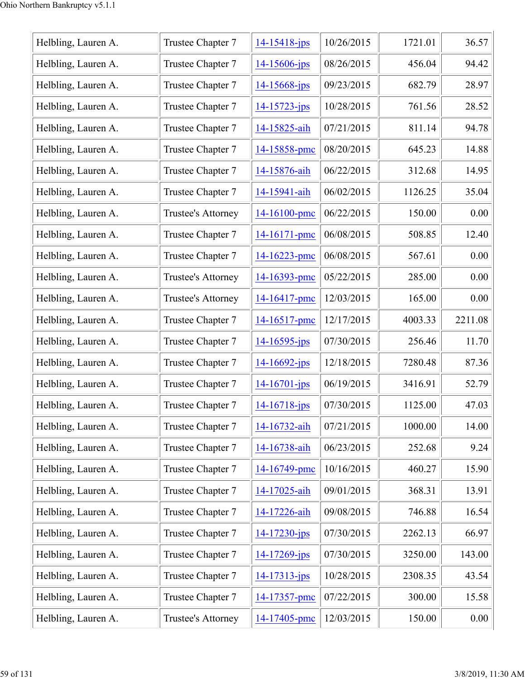| Helbling, Lauren A. | Trustee Chapter 7  | $14 - 15418 - ips$ | 10/26/2015 | 1721.01 | 36.57   |
|---------------------|--------------------|--------------------|------------|---------|---------|
| Helbling, Lauren A. | Trustee Chapter 7  | 14-15606-jps       | 08/26/2015 | 456.04  | 94.42   |
| Helbling, Lauren A. | Trustee Chapter 7  | 14-15668-jps       | 09/23/2015 | 682.79  | 28.97   |
| Helbling, Lauren A. | Trustee Chapter 7  | $14 - 15723 - ips$ | 10/28/2015 | 761.56  | 28.52   |
| Helbling, Lauren A. | Trustee Chapter 7  | 14-15825-aih       | 07/21/2015 | 811.14  | 94.78   |
| Helbling, Lauren A. | Trustee Chapter 7  | 14-15858-pmc       | 08/20/2015 | 645.23  | 14.88   |
| Helbling, Lauren A. | Trustee Chapter 7  | 14-15876-aih       | 06/22/2015 | 312.68  | 14.95   |
| Helbling, Lauren A. | Trustee Chapter 7  | 14-15941-aih       | 06/02/2015 | 1126.25 | 35.04   |
| Helbling, Lauren A. | Trustee's Attorney | 14-16100-pmc       | 06/22/2015 | 150.00  | 0.00    |
| Helbling, Lauren A. | Trustee Chapter 7  | 14-16171-pmc       | 06/08/2015 | 508.85  | 12.40   |
| Helbling, Lauren A. | Trustee Chapter 7  | 14-16223-pmc       | 06/08/2015 | 567.61  | 0.00    |
| Helbling, Lauren A. | Trustee's Attorney | 14-16393-pmc       | 05/22/2015 | 285.00  | 0.00    |
| Helbling, Lauren A. | Trustee's Attorney | 14-16417-pmc       | 12/03/2015 | 165.00  | 0.00    |
| Helbling, Lauren A. | Trustee Chapter 7  | 14-16517-pmc       | 12/17/2015 | 4003.33 | 2211.08 |
| Helbling, Lauren A. | Trustee Chapter 7  | $14 - 16595 - ips$ | 07/30/2015 | 256.46  | 11.70   |
| Helbling, Lauren A. | Trustee Chapter 7  | 14-16692-jps       | 12/18/2015 | 7280.48 | 87.36   |
| Helbling, Lauren A. | Trustee Chapter 7  | $14 - 16701 - ips$ | 06/19/2015 | 3416.91 | 52.79   |
| Helbling, Lauren A. | Trustee Chapter 7  | $14 - 16718$ -jps  | 07/30/2015 | 1125.00 | 47.03   |
| Helbling, Lauren A. | Trustee Chapter 7  | 14-16732-aih       | 07/21/2015 | 1000.00 | 14.00   |
| Helbling, Lauren A. | Trustee Chapter 7  | 14-16738-aih       | 06/23/2015 | 252.68  | 9.24    |
| Helbling, Lauren A. | Trustee Chapter 7  | 14-16749-pmc       | 10/16/2015 | 460.27  | 15.90   |
| Helbling, Lauren A. | Trustee Chapter 7  | 14-17025-aih       | 09/01/2015 | 368.31  | 13.91   |
| Helbling, Lauren A. | Trustee Chapter 7  | 14-17226-aih       | 09/08/2015 | 746.88  | 16.54   |
| Helbling, Lauren A. | Trustee Chapter 7  | $14 - 17230 - ips$ | 07/30/2015 | 2262.13 | 66.97   |
| Helbling, Lauren A. | Trustee Chapter 7  | 14-17269-jps       | 07/30/2015 | 3250.00 | 143.00  |
| Helbling, Lauren A. | Trustee Chapter 7  | $14 - 17313 - ips$ | 10/28/2015 | 2308.35 | 43.54   |
| Helbling, Lauren A. | Trustee Chapter 7  | 14-17357-pmc       | 07/22/2015 | 300.00  | 15.58   |
| Helbling, Lauren A. | Trustee's Attorney | 14-17405-pmc       | 12/03/2015 | 150.00  | 0.00    |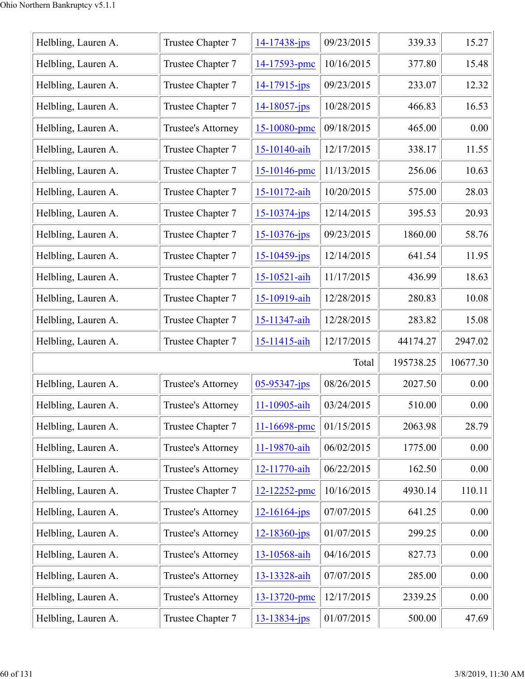| Helbling, Lauren A. | Trustee Chapter 7  | $14 - 17438 - ips$ | 09/23/2015 | 339.33    | 15.27    |
|---------------------|--------------------|--------------------|------------|-----------|----------|
| Helbling, Lauren A. | Trustee Chapter 7  | 14-17593-pmc       | 10/16/2015 | 377.80    | 15.48    |
| Helbling, Lauren A. | Trustee Chapter 7  | $14 - 17915$ -jps  | 09/23/2015 | 233.07    | 12.32    |
| Helbling, Lauren A. | Trustee Chapter 7  | $14 - 18057$ -jps  | 10/28/2015 | 466.83    | 16.53    |
| Helbling, Lauren A. | Trustee's Attorney | 15-10080-pmc       | 09/18/2015 | 465.00    | 0.00     |
| Helbling, Lauren A. | Trustee Chapter 7  | 15-10140-aih       | 12/17/2015 | 338.17    | 11.55    |
| Helbling, Lauren A. | Trustee Chapter 7  | 15-10146-pmc       | 11/13/2015 | 256.06    | 10.63    |
| Helbling, Lauren A. | Trustee Chapter 7  | 15-10172-aih       | 10/20/2015 | 575.00    | 28.03    |
| Helbling, Lauren A. | Trustee Chapter 7  | $15 - 10374 - ips$ | 12/14/2015 | 395.53    | 20.93    |
| Helbling, Lauren A. | Trustee Chapter 7  | $15 - 10376$ -jps  | 09/23/2015 | 1860.00   | 58.76    |
| Helbling, Lauren A. | Trustee Chapter 7  | $15 - 10459$ -jps  | 12/14/2015 | 641.54    | 11.95    |
| Helbling, Lauren A. | Trustee Chapter 7  | 15-10521-aih       | 11/17/2015 | 436.99    | 18.63    |
| Helbling, Lauren A. | Trustee Chapter 7  | 15-10919-aih       | 12/28/2015 | 280.83    | 10.08    |
| Helbling, Lauren A. | Trustee Chapter 7  | 15-11347-aih       | 12/28/2015 | 283.82    | 15.08    |
| Helbling, Lauren A. | Trustee Chapter 7  | 15-11415-aih       | 12/17/2015 | 44174.27  | 2947.02  |
|                     |                    |                    | Total      | 195738.25 | 10677.30 |
| Helbling, Lauren A. | Trustee's Attorney | $05 - 95347$ -jps  | 08/26/2015 | 2027.50   | 0.00     |
| Helbling, Lauren A. | Trustee's Attorney | 11-10905-aih       | 03/24/2015 | 510.00    | 0.00     |
| Helbling, Lauren A. | Trustee Chapter 7  | 11-16698-pmc       | 01/15/2015 | 2063.98   | 28.79    |
| Helbling, Lauren A. | Trustee's Attorney | 11-19870-aih       | 06/02/2015 | 1775.00   | 0.00     |
| Helbling, Lauren A. | Trustee's Attorney | 12-11770-aih       | 06/22/2015 | 162.50    | 0.00     |
| Helbling, Lauren A. | Trustee Chapter 7  | 12-12252-pmc       | 10/16/2015 | 4930.14   | 110.11   |
| Helbling, Lauren A. | Trustee's Attorney | $12 - 16164$ -jps  | 07/07/2015 | 641.25    | 0.00     |
| Helbling, Lauren A. | Trustee's Attorney | 12-18360-jps       | 01/07/2015 | 299.25    | 0.00     |
| Helbling, Lauren A. | Trustee's Attorney | 13-10568-aih       | 04/16/2015 | 827.73    | 0.00     |
| Helbling, Lauren A. | Trustee's Attorney | 13-13328-aih       | 07/07/2015 | 285.00    | 0.00     |
| Helbling, Lauren A. | Trustee's Attorney | 13-13720-pmc       | 12/17/2015 | 2339.25   | 0.00     |
| Helbling, Lauren A. | Trustee Chapter 7  | $13 - 13834 - jps$ | 01/07/2015 | 500.00    | 47.69    |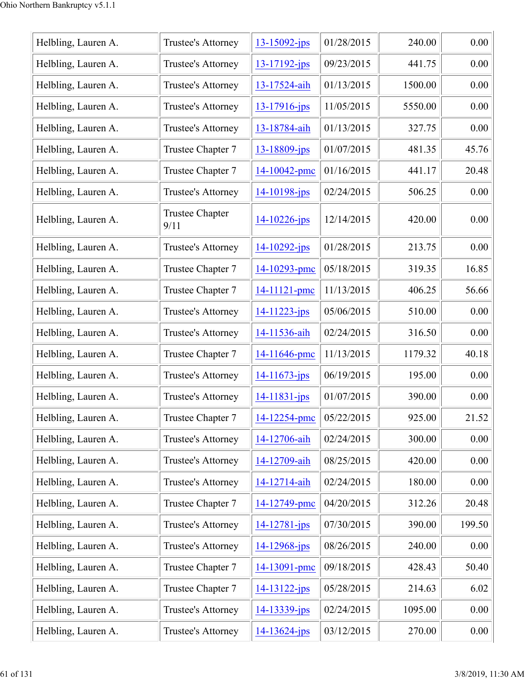| Helbling, Lauren A. | Trustee's Attorney             | $13 - 15092$ -jps  | 01/28/2015 | 240.00  | 0.00     |
|---------------------|--------------------------------|--------------------|------------|---------|----------|
| Helbling, Lauren A. | Trustee's Attorney             | $13 - 17192$ -jps  | 09/23/2015 | 441.75  | 0.00     |
| Helbling, Lauren A. | Trustee's Attorney             | 13-17524-aih       | 01/13/2015 | 1500.00 | 0.00     |
| Helbling, Lauren A. | Trustee's Attorney             | 13-17916-jps       | 11/05/2015 | 5550.00 | 0.00     |
| Helbling, Lauren A. | Trustee's Attorney             | 13-18784-aih       | 01/13/2015 | 327.75  | 0.00     |
| Helbling, Lauren A. | Trustee Chapter 7              | 13-18809-jps       | 01/07/2015 | 481.35  | 45.76    |
| Helbling, Lauren A. | Trustee Chapter 7              | 14-10042-pmc       | 01/16/2015 | 441.17  | 20.48    |
| Helbling, Lauren A. | Trustee's Attorney             | 14-10198-jps       | 02/24/2015 | 506.25  | 0.00     |
| Helbling, Lauren A. | <b>Trustee Chapter</b><br>9/11 | $14 - 10226 - ips$ | 12/14/2015 | 420.00  | 0.00     |
| Helbling, Lauren A. | Trustee's Attorney             | $14 - 10292 - ips$ | 01/28/2015 | 213.75  | 0.00     |
| Helbling, Lauren A. | Trustee Chapter 7              | 14-10293-pmc       | 05/18/2015 | 319.35  | 16.85    |
| Helbling, Lauren A. | Trustee Chapter 7              | 14-11121-pmc       | 11/13/2015 | 406.25  | 56.66    |
| Helbling, Lauren A. | Trustee's Attorney             | $14 - 11223 - ips$ | 05/06/2015 | 510.00  | 0.00     |
| Helbling, Lauren A. | Trustee's Attorney             | 14-11536-aih       | 02/24/2015 | 316.50  | 0.00     |
| Helbling, Lauren A. | Trustee Chapter 7              | 14-11646-pmc       | 11/13/2015 | 1179.32 | 40.18    |
| Helbling, Lauren A. | <b>Trustee's Attorney</b>      | 14-11673-jps       | 06/19/2015 | 195.00  | 0.00     |
| Helbling, Lauren A. | Trustee's Attorney             | $14 - 11831 - ips$ | 01/07/2015 | 390.00  | 0.00     |
| Helbling, Lauren A. | Trustee Chapter 7              | 14-12254-pmc       | 05/22/2015 | 925.00  | 21.52    |
| Helbling, Lauren A. | Trustee's Attorney             | 14-12706-aih       | 02/24/2015 | 300.00  | 0.00     |
| Helbling, Lauren A. | Trustee's Attorney             | 14-12709-aih       | 08/25/2015 | 420.00  | 0.00     |
| Helbling, Lauren A. | Trustee's Attorney             | 14-12714-aih       | 02/24/2015 | 180.00  | 0.00     |
| Helbling, Lauren A. | Trustee Chapter 7              | 14-12749-pmc       | 04/20/2015 | 312.26  | 20.48    |
| Helbling, Lauren A. | <b>Trustee's Attorney</b>      | 14-12781-jps       | 07/30/2015 | 390.00  | 199.50   |
| Helbling, Lauren A. | Trustee's Attorney             | 14-12968-jps       | 08/26/2015 | 240.00  | 0.00     |
| Helbling, Lauren A. | Trustee Chapter 7              | 14-13091-pmc       | 09/18/2015 | 428.43  | 50.40    |
| Helbling, Lauren A. | Trustee Chapter 7              | $14 - 13122 - ips$ | 05/28/2015 | 214.63  | 6.02     |
| Helbling, Lauren A. | Trustee's Attorney             | 14-13339-jps       | 02/24/2015 | 1095.00 | 0.00     |
| Helbling, Lauren A. | Trustee's Attorney             | $14 - 13624 - ips$ | 03/12/2015 | 270.00  | $0.00\,$ |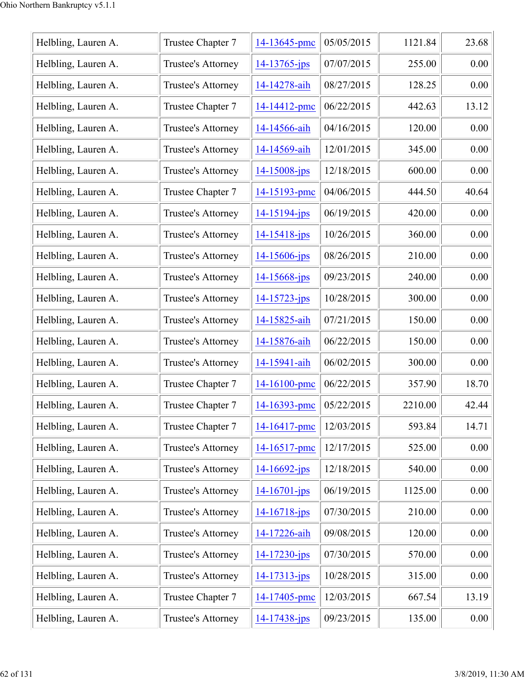| Helbling, Lauren A. | Trustee Chapter 7  | 14-13645-pmc       | 05/05/2015 | 1121.84 | 23.68 |
|---------------------|--------------------|--------------------|------------|---------|-------|
| Helbling, Lauren A. | Trustee's Attorney | 14-13765-jps       | 07/07/2015 | 255.00  | 0.00  |
| Helbling, Lauren A. | Trustee's Attorney | 14-14278-aih       | 08/27/2015 | 128.25  | 0.00  |
| Helbling, Lauren A. | Trustee Chapter 7  | 14-14412-pmc       | 06/22/2015 | 442.63  | 13.12 |
| Helbling, Lauren A. | Trustee's Attorney | 14-14566-aih       | 04/16/2015 | 120.00  | 0.00  |
| Helbling, Lauren A. | Trustee's Attorney | 14-14569-aih       | 12/01/2015 | 345.00  | 0.00  |
| Helbling, Lauren A. | Trustee's Attorney | $14 - 15008 - ips$ | 12/18/2015 | 600.00  | 0.00  |
| Helbling, Lauren A. | Trustee Chapter 7  | 14-15193-pmc       | 04/06/2015 | 444.50  | 40.64 |
| Helbling, Lauren A. | Trustee's Attorney | 14-15194-jps       | 06/19/2015 | 420.00  | 0.00  |
| Helbling, Lauren A. | Trustee's Attorney | $14 - 15418$ -jps  | 10/26/2015 | 360.00  | 0.00  |
| Helbling, Lauren A. | Trustee's Attorney | 14-15606-jps       | 08/26/2015 | 210.00  | 0.00  |
| Helbling, Lauren A. | Trustee's Attorney | $14 - 15668 - ips$ | 09/23/2015 | 240.00  | 0.00  |
| Helbling, Lauren A. | Trustee's Attorney | $14 - 15723 - ips$ | 10/28/2015 | 300.00  | 0.00  |
| Helbling, Lauren A. | Trustee's Attorney | 14-15825-aih       | 07/21/2015 | 150.00  | 0.00  |
| Helbling, Lauren A. | Trustee's Attorney | 14-15876-aih       | 06/22/2015 | 150.00  | 0.00  |
| Helbling, Lauren A. | Trustee's Attorney | 14-15941-aih       | 06/02/2015 | 300.00  | 0.00  |
| Helbling, Lauren A. | Trustee Chapter 7  | 14-16100-pmc       | 06/22/2015 | 357.90  | 18.70 |
| Helbling, Lauren A. | Trustee Chapter 7  | 14-16393-pmc       | 05/22/2015 | 2210.00 | 42.44 |
| Helbling, Lauren A. | Trustee Chapter 7  | 14-16417-pmc       | 12/03/2015 | 593.84  | 14.71 |
| Helbling, Lauren A. | Trustee's Attorney | 14-16517-pmc       | 12/17/2015 | 525.00  | 0.00  |
| Helbling, Lauren A. | Trustee's Attorney | $14 - 16692 - ips$ | 12/18/2015 | 540.00  | 0.00  |
| Helbling, Lauren A. | Trustee's Attorney | $14 - 16701 - ips$ | 06/19/2015 | 1125.00 | 0.00  |
| Helbling, Lauren A. | Trustee's Attorney | $14 - 16718$ -jps  | 07/30/2015 | 210.00  | 0.00  |
| Helbling, Lauren A. | Trustee's Attorney | 14-17226-aih       | 09/08/2015 | 120.00  | 0.00  |
| Helbling, Lauren A. | Trustee's Attorney | 14-17230-jps       | 07/30/2015 | 570.00  | 0.00  |
| Helbling, Lauren A. | Trustee's Attorney | $14 - 17313 - jps$ | 10/28/2015 | 315.00  | 0.00  |
| Helbling, Lauren A. | Trustee Chapter 7  | 14-17405-pmc       | 12/03/2015 | 667.54  | 13.19 |
| Helbling, Lauren A. | Trustee's Attorney | 14-17438-jps       | 09/23/2015 | 135.00  | 0.00  |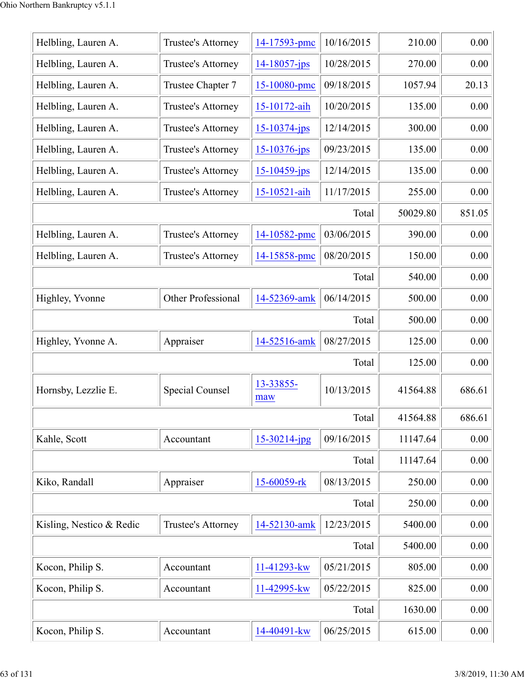| Helbling, Lauren A.      | Trustee's Attorney | 14-17593-pmc       | 10/16/2015 | 210.00   | 0.00     |
|--------------------------|--------------------|--------------------|------------|----------|----------|
| Helbling, Lauren A.      | Trustee's Attorney | $14 - 18057$ -jps  | 10/28/2015 | 270.00   | 0.00     |
| Helbling, Lauren A.      | Trustee Chapter 7  | 15-10080-pmc       | 09/18/2015 | 1057.94  | 20.13    |
| Helbling, Lauren A.      | Trustee's Attorney | 15-10172-aih       | 10/20/2015 | 135.00   | 0.00     |
| Helbling, Lauren A.      | Trustee's Attorney | $15 - 10374$ -jps  | 12/14/2015 | 300.00   | 0.00     |
| Helbling, Lauren A.      | Trustee's Attorney | $15 - 10376 - ips$ | 09/23/2015 | 135.00   | 0.00     |
| Helbling, Lauren A.      | Trustee's Attorney | $15 - 10459$ -jps  | 12/14/2015 | 135.00   | 0.00     |
| Helbling, Lauren A.      | Trustee's Attorney | 15-10521-aih       | 11/17/2015 | 255.00   | 0.00     |
|                          |                    |                    | Total      | 50029.80 | 851.05   |
| Helbling, Lauren A.      | Trustee's Attorney | 14-10582-pmc       | 03/06/2015 | 390.00   | 0.00     |
| Helbling, Lauren A.      | Trustee's Attorney | 14-15858-pmc       | 08/20/2015 | 150.00   | 0.00     |
|                          |                    |                    | Total      | 540.00   | 0.00     |
| Highley, Yvonne          | Other Professional | 14-52369-amk       | 06/14/2015 | 500.00   | 0.00     |
|                          |                    |                    | Total      | 500.00   | 0.00     |
| Highley, Yvonne A.       | Appraiser          | 14-52516-amk       | 08/27/2015 | 125.00   | 0.00     |
|                          |                    |                    | Total      | 125.00   | 0.00     |
| Hornsby, Lezzlie E.      | Special Counsel    | 13-33855-<br>maw   | 10/13/2015 | 41564.88 | 686.61   |
|                          |                    |                    | Total      | 41564.88 | 686.61   |
| Kahle, Scott             | Accountant         | $15 - 30214$ -jpg  | 09/16/2015 | 11147.64 | 0.00     |
|                          |                    |                    | Total      | 11147.64 | 0.00     |
| Kiko, Randall            | Appraiser          | 15-60059-rk        | 08/13/2015 | 250.00   | 0.00     |
|                          |                    |                    | Total      | 250.00   | 0.00     |
| Kisling, Nestico & Redic | Trustee's Attorney | 14-52130-amk       | 12/23/2015 | 5400.00  | 0.00     |
|                          |                    |                    | Total      | 5400.00  | 0.00     |
| Kocon, Philip S.         | Accountant         | 11-41293-kw        | 05/21/2015 | 805.00   | 0.00     |
| Kocon, Philip S.         | Accountant         | 11-42995-kw        | 05/22/2015 | 825.00   | 0.00     |
|                          |                    |                    | Total      | 1630.00  | 0.00     |
| Kocon, Philip S.         | Accountant         | 14-40491-kw        | 06/25/2015 | 615.00   | $0.00\,$ |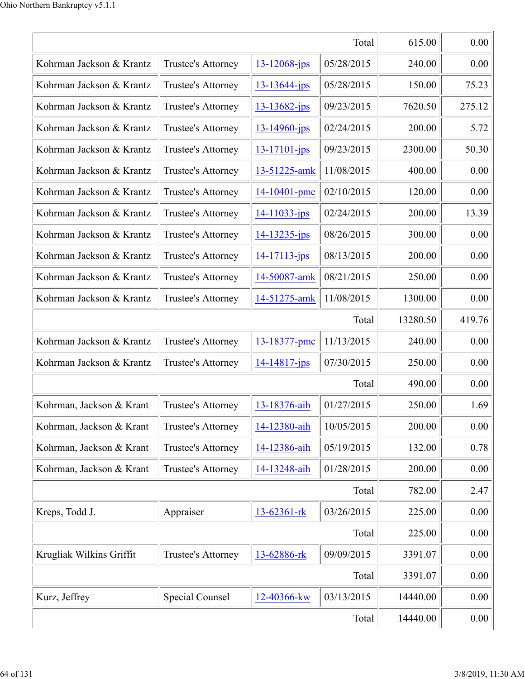| Total                    |                    |                    |            | 615.00   | 0.00   |
|--------------------------|--------------------|--------------------|------------|----------|--------|
| Kohrman Jackson & Krantz | Trustee's Attorney | $13 - 12068$ -jps  | 05/28/2015 | 240.00   | 0.00   |
| Kohrman Jackson & Krantz | Trustee's Attorney | $13 - 13644 - jps$ | 05/28/2015 | 150.00   | 75.23  |
| Kohrman Jackson & Krantz | Trustee's Attorney | $13 - 13682 - jps$ | 09/23/2015 | 7620.50  | 275.12 |
| Kohrman Jackson & Krantz | Trustee's Attorney | $13 - 14960$ -jps  | 02/24/2015 | 200.00   | 5.72   |
| Kohrman Jackson & Krantz | Trustee's Attorney | $13 - 17101 - ips$ | 09/23/2015 | 2300.00  | 50.30  |
| Kohrman Jackson & Krantz | Trustee's Attorney | 13-51225-amk       | 11/08/2015 | 400.00   | 0.00   |
| Kohrman Jackson & Krantz | Trustee's Attorney | 14-10401-pmc       | 02/10/2015 | 120.00   | 0.00   |
| Kohrman Jackson & Krantz | Trustee's Attorney | $14 - 11033 - ips$ | 02/24/2015 | 200.00   | 13.39  |
| Kohrman Jackson & Krantz | Trustee's Attorney | $14 - 13235 - ips$ | 08/26/2015 | 300.00   | 0.00   |
| Kohrman Jackson & Krantz | Trustee's Attorney | $14 - 17113 - ips$ | 08/13/2015 | 200.00   | 0.00   |
| Kohrman Jackson & Krantz | Trustee's Attorney | 14-50087-amk       | 08/21/2015 | 250.00   | 0.00   |
| Kohrman Jackson & Krantz | Trustee's Attorney | 14-51275-amk       | 11/08/2015 | 1300.00  | 0.00   |
|                          |                    |                    | Total      | 13280.50 | 419.76 |
| Kohrman Jackson & Krantz | Trustee's Attorney | 13-18377-pmc       | 11/13/2015 | 240.00   | 0.00   |
| Kohrman Jackson & Krantz | Trustee's Attorney | $14 - 14817$ -jps  | 07/30/2015 | 250.00   | 0.00   |
|                          |                    |                    | Total      | 490.00   | 0.00   |
| Kohrman, Jackson & Krant | Trustee's Attorney | 13-18376-aih       | 01/27/2015 | 250.00   | 1.69   |
| Kohrman, Jackson & Krant | Trustee's Attorney | 14-12380-aih       | 10/05/2015 | 200.00   | 0.00   |
| Kohrman, Jackson & Krant | Trustee's Attorney | 14-12386-aih       | 05/19/2015 | 132.00   | 0.78   |
| Kohrman, Jackson & Krant | Trustee's Attorney | 14-13248-aih       | 01/28/2015 | 200.00   | 0.00   |
|                          |                    |                    | Total      | 782.00   | 2.47   |
| Kreps, Todd J.           | Appraiser          | 13-62361-rk        | 03/26/2015 | 225.00   | 0.00   |
|                          |                    |                    | Total      | 225.00   | 0.00   |
| Krugliak Wilkins Griffit | Trustee's Attorney | 13-62886-rk        | 09/09/2015 | 3391.07  | 0.00   |
|                          |                    |                    | Total      | 3391.07  | 0.00   |
| Kurz, Jeffrey            | Special Counsel    | 12-40366-kw        | 03/13/2015 | 14440.00 | 0.00   |
|                          | Total              | 14440.00           | 0.00       |          |        |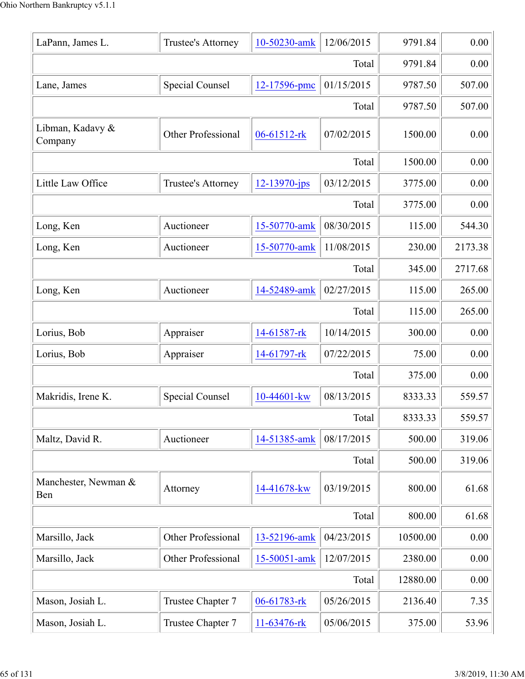| LaPann, James L.            | Trustee's Attorney        | 10-50230-amk       | 12/06/2015 | 9791.84  | 0.00    |
|-----------------------------|---------------------------|--------------------|------------|----------|---------|
|                             |                           |                    | Total      | 9791.84  | 0.00    |
| Lane, James                 | Special Counsel           | 12-17596-pmc       | 01/15/2015 | 9787.50  | 507.00  |
|                             |                           |                    | Total      | 9787.50  | 507.00  |
| Libman, Kadavy &<br>Company | Other Professional        | 06-61512-rk        | 07/02/2015 | 1500.00  | 0.00    |
|                             |                           |                    | Total      | 1500.00  | 0.00    |
| Little Law Office           | Trustee's Attorney        | $12 - 13970 - ips$ | 03/12/2015 | 3775.00  | 0.00    |
|                             |                           |                    | Total      | 3775.00  | 0.00    |
| Long, Ken                   | Auctioneer                | 15-50770-amk       | 08/30/2015 | 115.00   | 544.30  |
| Long, Ken                   | Auctioneer                | 15-50770-amk       | 11/08/2015 | 230.00   | 2173.38 |
|                             |                           |                    | Total      | 345.00   | 2717.68 |
| Long, Ken                   | Auctioneer                | 14-52489-amk       | 02/27/2015 | 115.00   | 265.00  |
|                             |                           |                    | Total      | 115.00   | 265.00  |
| Lorius, Bob                 | Appraiser                 | 14-61587-rk        | 10/14/2015 | 300.00   | 0.00    |
| Lorius, Bob                 | Appraiser                 | 14-61797-rk        | 07/22/2015 | 75.00    | 0.00    |
|                             |                           |                    | Total      | 375.00   | 0.00    |
| Makridis, Irene K.          | <b>Special Counsel</b>    | 10-44601-kw        | 08/13/2015 | 8333.33  | 559.57  |
|                             |                           |                    | Total      | 8333.33  | 559.57  |
| Maltz, David R.             | Auctioneer                | 14-51385-amk       | 08/17/2015 | 500.00   | 319.06  |
|                             |                           |                    | Total      | 500.00   | 319.06  |
| Manchester, Newman &<br>Ben | Attorney                  | 14-41678-kw        | 03/19/2015 | 800.00   | 61.68   |
|                             |                           |                    | Total      | 800.00   | 61.68   |
| Marsillo, Jack              | Other Professional        | 13-52196-amk       | 04/23/2015 | 10500.00 | 0.00    |
| Marsillo, Jack              | <b>Other Professional</b> | 15-50051-amk       | 12/07/2015 | 2380.00  | 0.00    |
|                             |                           |                    | Total      | 12880.00 | 0.00    |
| Mason, Josiah L.            | Trustee Chapter 7         | 06-61783-rk        | 05/26/2015 | 2136.40  | 7.35    |
| Mason, Josiah L.            | Trustee Chapter 7         | 11-63476-rk        | 05/06/2015 | 375.00   | 53.96   |
|                             |                           |                    |            |          |         |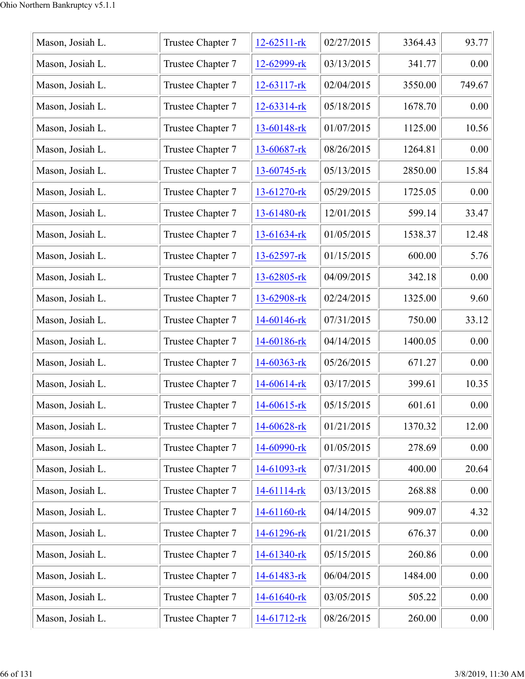| Mason, Josiah L. | Trustee Chapter 7 | $12 - 62511 - rk$ | 02/27/2015 | 3364.43 | 93.77  |
|------------------|-------------------|-------------------|------------|---------|--------|
| Mason, Josiah L. | Trustee Chapter 7 | 12-62999-rk       | 03/13/2015 | 341.77  | 0.00   |
| Mason, Josiah L. | Trustee Chapter 7 | 12-63117-rk       | 02/04/2015 | 3550.00 | 749.67 |
| Mason, Josiah L. | Trustee Chapter 7 | $12 - 63314 - rk$ | 05/18/2015 | 1678.70 | 0.00   |
| Mason, Josiah L. | Trustee Chapter 7 | 13-60148-rk       | 01/07/2015 | 1125.00 | 10.56  |
| Mason, Josiah L. | Trustee Chapter 7 | 13-60687-rk       | 08/26/2015 | 1264.81 | 0.00   |
| Mason, Josiah L. | Trustee Chapter 7 | $13 - 60745 - rk$ | 05/13/2015 | 2850.00 | 15.84  |
| Mason, Josiah L. | Trustee Chapter 7 | 13-61270-rk       | 05/29/2015 | 1725.05 | 0.00   |
| Mason, Josiah L. | Trustee Chapter 7 | 13-61480-rk       | 12/01/2015 | 599.14  | 33.47  |
| Mason, Josiah L. | Trustee Chapter 7 | 13-61634-rk       | 01/05/2015 | 1538.37 | 12.48  |
| Mason, Josiah L. | Trustee Chapter 7 | $13 - 62597 - rk$ | 01/15/2015 | 600.00  | 5.76   |
| Mason, Josiah L. | Trustee Chapter 7 | 13-62805-rk       | 04/09/2015 | 342.18  | 0.00   |
| Mason, Josiah L. | Trustee Chapter 7 | 13-62908-rk       | 02/24/2015 | 1325.00 | 9.60   |
| Mason, Josiah L. | Trustee Chapter 7 | 14-60146-rk       | 07/31/2015 | 750.00  | 33.12  |
| Mason, Josiah L. | Trustee Chapter 7 | 14-60186-rk       | 04/14/2015 | 1400.05 | 0.00   |
| Mason, Josiah L. | Trustee Chapter 7 | 14-60363-rk       | 05/26/2015 | 671.27  | 0.00   |
| Mason, Josiah L. | Trustee Chapter 7 | 14-60614-rk       | 03/17/2015 | 399.61  | 10.35  |
| Mason, Josiah L. | Trustee Chapter 7 | $14 - 60615 -$ rk | 05/15/2015 | 601.61  | 0.00   |
| Mason, Josiah L. | Trustee Chapter 7 | 14-60628-rk       | 01/21/2015 | 1370.32 | 12.00  |
| Mason, Josiah L. | Trustee Chapter 7 | 14-60990-rk       | 01/05/2015 | 278.69  | 0.00   |
| Mason, Josiah L. | Trustee Chapter 7 | 14-61093-rk       | 07/31/2015 | 400.00  | 20.64  |
| Mason, Josiah L. | Trustee Chapter 7 | 14-61114-rk       | 03/13/2015 | 268.88  | 0.00   |
| Mason, Josiah L. | Trustee Chapter 7 | 14-61160-rk       | 04/14/2015 | 909.07  | 4.32   |
| Mason, Josiah L. | Trustee Chapter 7 | 14-61296-rk       | 01/21/2015 | 676.37  | 0.00   |
| Mason, Josiah L. | Trustee Chapter 7 | 14-61340-rk       | 05/15/2015 | 260.86  | 0.00   |
| Mason, Josiah L. | Trustee Chapter 7 | 14-61483-rk       | 06/04/2015 | 1484.00 | 0.00   |
| Mason, Josiah L. | Trustee Chapter 7 | 14-61640-rk       | 03/05/2015 | 505.22  | 0.00   |
| Mason, Josiah L. | Trustee Chapter 7 | 14-61712-rk       | 08/26/2015 | 260.00  | 0.00   |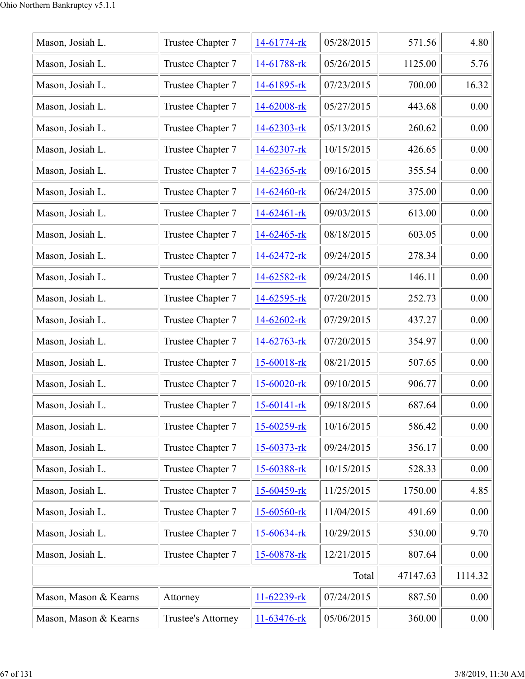| Mason, Josiah L.      | Trustee Chapter 7  | 14-61774-rk       | 05/28/2015 | 571.56   | 4.80    |
|-----------------------|--------------------|-------------------|------------|----------|---------|
| Mason, Josiah L.      | Trustee Chapter 7  | 14-61788-rk       | 05/26/2015 | 1125.00  | 5.76    |
| Mason, Josiah L.      | Trustee Chapter 7  | 14-61895-rk       | 07/23/2015 | 700.00   | 16.32   |
| Mason, Josiah L.      | Trustee Chapter 7  | 14-62008-rk       | 05/27/2015 | 443.68   | 0.00    |
| Mason, Josiah L.      | Trustee Chapter 7  | 14-62303-rk       | 05/13/2015 | 260.62   | 0.00    |
| Mason, Josiah L.      | Trustee Chapter 7  | 14-62307-rk       | 10/15/2015 | 426.65   | 0.00    |
| Mason, Josiah L.      | Trustee Chapter 7  | 14-62365-rk       | 09/16/2015 | 355.54   | 0.00    |
| Mason, Josiah L.      | Trustee Chapter 7  | 14-62460-rk       | 06/24/2015 | 375.00   | 0.00    |
| Mason, Josiah L.      | Trustee Chapter 7  | 14-62461-rk       | 09/03/2015 | 613.00   | 0.00    |
| Mason, Josiah L.      | Trustee Chapter 7  | 14-62465-rk       | 08/18/2015 | 603.05   | 0.00    |
| Mason, Josiah L.      | Trustee Chapter 7  | 14-62472-rk       | 09/24/2015 | 278.34   | 0.00    |
| Mason, Josiah L.      | Trustee Chapter 7  | 14-62582-rk       | 09/24/2015 | 146.11   | 0.00    |
| Mason, Josiah L.      | Trustee Chapter 7  | 14-62595-rk       | 07/20/2015 | 252.73   | 0.00    |
| Mason, Josiah L.      | Trustee Chapter 7  | 14-62602-rk       | 07/29/2015 | 437.27   | 0.00    |
| Mason, Josiah L.      | Trustee Chapter 7  | $14 - 62763 - rk$ | 07/20/2015 | 354.97   | 0.00    |
| Mason, Josiah L.      | Trustee Chapter 7  | 15-60018-rk       | 08/21/2015 | 507.65   | 0.00    |
| Mason, Josiah L.      | Trustee Chapter 7  | 15-60020-rk       | 09/10/2015 | 906.77   | 0.00    |
| Mason, Josiah L.      | Trustee Chapter 7  | 15-60141-rk       | 09/18/2015 | 687.64   | 0.00    |
| Mason, Josiah L.      | Trustee Chapter 7  | 15-60259-rk       | 10/16/2015 | 586.42   | 0.00    |
| Mason, Josiah L.      | Trustee Chapter 7  | 15-60373-rk       | 09/24/2015 | 356.17   | 0.00    |
| Mason, Josiah L.      | Trustee Chapter 7  | 15-60388-rk       | 10/15/2015 | 528.33   | 0.00    |
| Mason, Josiah L.      | Trustee Chapter 7  | 15-60459-rk       | 11/25/2015 | 1750.00  | 4.85    |
| Mason, Josiah L.      | Trustee Chapter 7  | 15-60560-rk       | 11/04/2015 | 491.69   | 0.00    |
| Mason, Josiah L.      | Trustee Chapter 7  | 15-60634-rk       | 10/29/2015 | 530.00   | 9.70    |
| Mason, Josiah L.      | Trustee Chapter 7  | 15-60878-rk       | 12/21/2015 | 807.64   | 0.00    |
|                       |                    |                   | Total      | 47147.63 | 1114.32 |
| Mason, Mason & Kearns | Attorney           | 11-62239-rk       | 07/24/2015 | 887.50   | 0.00    |
| Mason, Mason & Kearns | Trustee's Attorney | 11-63476-rk       | 05/06/2015 | 360.00   | 0.00    |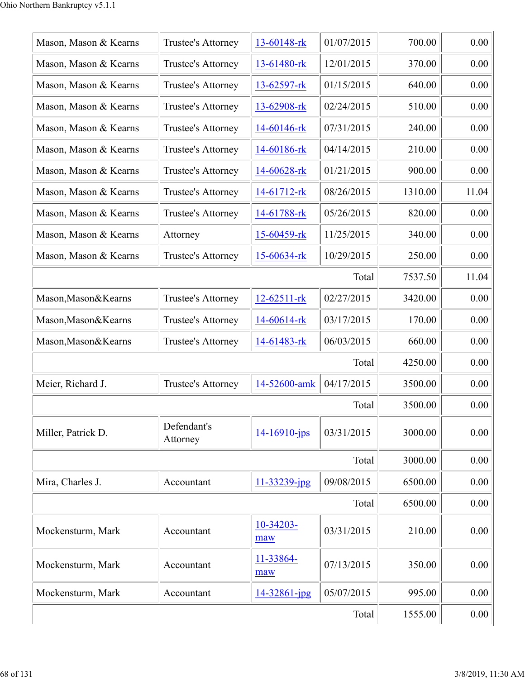| Mason, Mason & Kearns | Trustee's Attorney      | 13-60148-rk        | 01/07/2015 | 700.00  | 0.00  |
|-----------------------|-------------------------|--------------------|------------|---------|-------|
| Mason, Mason & Kearns | Trustee's Attorney      | 13-61480-rk        | 12/01/2015 | 370.00  | 0.00  |
| Mason, Mason & Kearns | Trustee's Attorney      | $13 - 62597 - rk$  | 01/15/2015 | 640.00  | 0.00  |
| Mason, Mason & Kearns | Trustee's Attorney      | 13-62908-rk        | 02/24/2015 | 510.00  | 0.00  |
| Mason, Mason & Kearns | Trustee's Attorney      | 14-60146-rk        | 07/31/2015 | 240.00  | 0.00  |
| Mason, Mason & Kearns | Trustee's Attorney      | 14-60186-rk        | 04/14/2015 | 210.00  | 0.00  |
| Mason, Mason & Kearns | Trustee's Attorney      | 14-60628-rk        | 01/21/2015 | 900.00  | 0.00  |
| Mason, Mason & Kearns | Trustee's Attorney      | 14-61712-rk        | 08/26/2015 | 1310.00 | 11.04 |
| Mason, Mason & Kearns | Trustee's Attorney      | 14-61788-rk        | 05/26/2015 | 820.00  | 0.00  |
| Mason, Mason & Kearns | Attorney                | 15-60459-rk        | 11/25/2015 | 340.00  | 0.00  |
| Mason, Mason & Kearns | Trustee's Attorney      | 15-60634-rk        | 10/29/2015 | 250.00  | 0.00  |
|                       |                         |                    | Total      | 7537.50 | 11.04 |
| Mason, Mason & Kearns | Trustee's Attorney      | 12-62511-rk        | 02/27/2015 | 3420.00 | 0.00  |
| Mason, Mason & Kearns | Trustee's Attorney      | 14-60614-rk        | 03/17/2015 | 170.00  | 0.00  |
| Mason, Mason & Kearns | Trustee's Attorney      | 14-61483-rk        | 06/03/2015 | 660.00  | 0.00  |
|                       |                         |                    | Total      | 4250.00 | 0.00  |
| Meier, Richard J.     | Trustee's Attorney      | 14-52600-amk       | 04/17/2015 | 3500.00 | 0.00  |
|                       |                         |                    | Total      | 3500.00 | 0.00  |
| Miller, Patrick D.    | Defendant's<br>Attorney | $14 - 16910 - ips$ | 03/31/2015 | 3000.00 | 0.00  |
|                       |                         |                    | Total      | 3000.00 | 0.00  |
| Mira, Charles J.      | Accountant              | 11-33239-jpg       | 09/08/2015 | 6500.00 | 0.00  |
|                       |                         |                    | Total      | 6500.00 | 0.00  |
| Mockensturm, Mark     | Accountant              | 10-34203-<br>maw   | 03/31/2015 | 210.00  | 0.00  |
| Mockensturm, Mark     | Accountant              | 11-33864-<br>maw   | 07/13/2015 | 350.00  | 0.00  |
| Mockensturm, Mark     | Accountant              | 14-32861-jpg       | 05/07/2015 | 995.00  | 0.00  |
|                       | 1555.00                 | 0.00               |            |         |       |
|                       |                         |                    |            |         |       |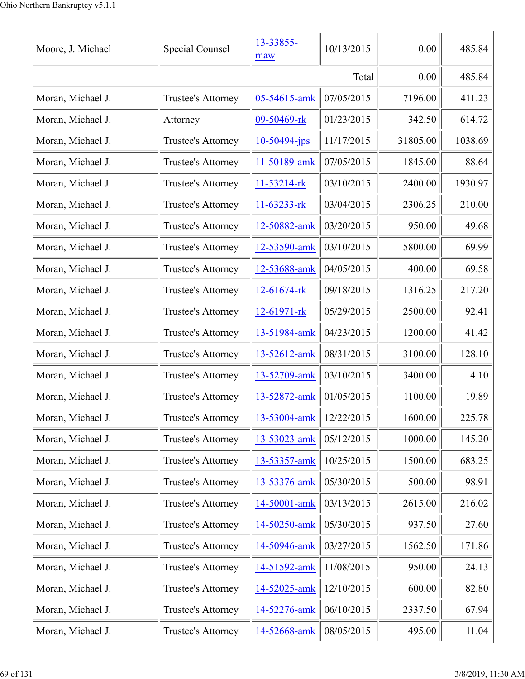| Moore, J. Michael | <b>Special Counsel</b> | 13-33855-<br>maw  | 10/13/2015 | 0.00     | 485.84  |
|-------------------|------------------------|-------------------|------------|----------|---------|
|                   |                        |                   | Total      | 0.00     | 485.84  |
| Moran, Michael J. | Trustee's Attorney     | 05-54615-amk      | 07/05/2015 | 7196.00  | 411.23  |
| Moran, Michael J. | Attorney               | 09-50469-rk       | 01/23/2015 | 342.50   | 614.72  |
| Moran, Michael J. | Trustee's Attorney     | $10-50494$ -jps   | 11/17/2015 | 31805.00 | 1038.69 |
| Moran, Michael J. | Trustee's Attorney     | 11-50189-amk      | 07/05/2015 | 1845.00  | 88.64   |
| Moran, Michael J. | Trustee's Attorney     | 11-53214-rk       | 03/10/2015 | 2400.00  | 1930.97 |
| Moran, Michael J. | Trustee's Attorney     | 11-63233-rk       | 03/04/2015 | 2306.25  | 210.00  |
| Moran, Michael J. | Trustee's Attorney     | 12-50882-amk      | 03/20/2015 | 950.00   | 49.68   |
| Moran, Michael J. | Trustee's Attorney     | 12-53590-amk      | 03/10/2015 | 5800.00  | 69.99   |
| Moran, Michael J. | Trustee's Attorney     | 12-53688-amk      | 04/05/2015 | 400.00   | 69.58   |
| Moran, Michael J. | Trustee's Attorney     | 12-61674-rk       | 09/18/2015 | 1316.25  | 217.20  |
| Moran, Michael J. | Trustee's Attorney     | $12 - 61971 -$ rk | 05/29/2015 | 2500.00  | 92.41   |
| Moran, Michael J. | Trustee's Attorney     | 13-51984-amk      | 04/23/2015 | 1200.00  | 41.42   |
| Moran, Michael J. | Trustee's Attorney     | 13-52612-amk      | 08/31/2015 | 3100.00  | 128.10  |
| Moran, Michael J. | Trustee's Attorney     | 13-52709-amk      | 03/10/2015 | 3400.00  | 4.10    |
| Moran, Michael J. | Trustee's Attorney     | 13-52872-amk      | 01/05/2015 | 1100.00  | 19.89   |
| Moran, Michael J. | Trustee's Attorney     | 13-53004-amk      | 12/22/2015 | 1600.00  | 225.78  |
| Moran, Michael J. | Trustee's Attorney     | 13-53023-amk      | 05/12/2015 | 1000.00  | 145.20  |
| Moran, Michael J. | Trustee's Attorney     | 13-53357-amk      | 10/25/2015 | 1500.00  | 683.25  |
| Moran, Michael J. | Trustee's Attorney     | 13-53376-amk      | 05/30/2015 | 500.00   | 98.91   |
| Moran, Michael J. | Trustee's Attorney     | 14-50001-amk      | 03/13/2015 | 2615.00  | 216.02  |
| Moran, Michael J. | Trustee's Attorney     | 14-50250-amk      | 05/30/2015 | 937.50   | 27.60   |
| Moran, Michael J. | Trustee's Attorney     | 14-50946-amk      | 03/27/2015 | 1562.50  | 171.86  |
| Moran, Michael J. | Trustee's Attorney     | 14-51592-amk      | 11/08/2015 | 950.00   | 24.13   |
| Moran, Michael J. | Trustee's Attorney     | 14-52025-amk      | 12/10/2015 | 600.00   | 82.80   |
| Moran, Michael J. | Trustee's Attorney     | 14-52276-amk      | 06/10/2015 | 2337.50  | 67.94   |
| Moran, Michael J. | Trustee's Attorney     | 14-52668-amk      | 08/05/2015 | 495.00   | 11.04   |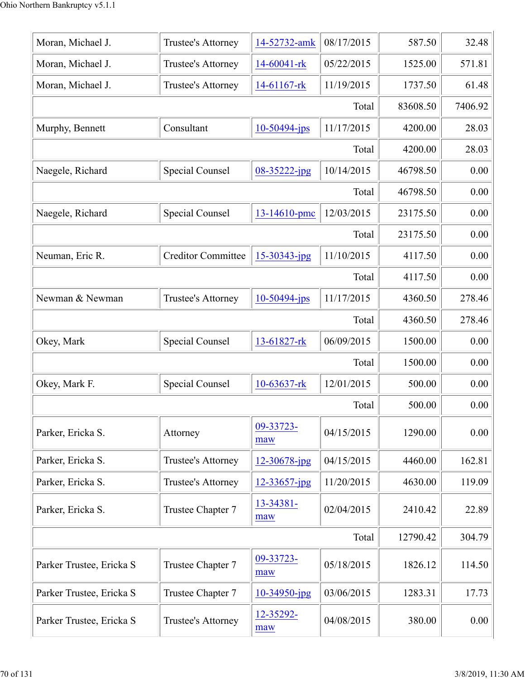| Moran, Michael J.        | Trustee's Attorney        | 14-52732-amk       | 08/17/2015 | 587.50   | 32.48   |
|--------------------------|---------------------------|--------------------|------------|----------|---------|
| Moran, Michael J.        | Trustee's Attorney        | 14-60041-rk        | 05/22/2015 | 1525.00  | 571.81  |
| Moran, Michael J.        | Trustee's Attorney        | 14-61167-rk        | 11/19/2015 | 1737.50  | 61.48   |
|                          |                           |                    | Total      | 83608.50 | 7406.92 |
| Murphy, Bennett          | Consultant                | $10-50494$ -jps    | 11/17/2015 | 4200.00  | 28.03   |
|                          |                           |                    | Total      | 4200.00  | 28.03   |
| Naegele, Richard         | Special Counsel           | 08-35222-jpg       | 10/14/2015 | 46798.50 | 0.00    |
|                          |                           |                    | Total      | 46798.50 | 0.00    |
| Naegele, Richard         | <b>Special Counsel</b>    | 13-14610-pmc       | 12/03/2015 | 23175.50 | 0.00    |
|                          |                           |                    | Total      | 23175.50 | 0.00    |
| Neuman, Eric R.          | <b>Creditor Committee</b> | $15 - 30343$ -jpg  | 11/10/2015 | 4117.50  | 0.00    |
|                          |                           |                    | Total      | 4117.50  | 0.00    |
| Newman & Newman          | Trustee's Attorney        | $10 - 50494 - ips$ | 11/17/2015 | 4360.50  | 278.46  |
|                          |                           |                    | Total      | 4360.50  | 278.46  |
| Okey, Mark               | Special Counsel           | 13-61827-rk        | 06/09/2015 | 1500.00  | 0.00    |
|                          |                           |                    | Total      | 1500.00  | 0.00    |
| Okey, Mark F.            | Special Counsel           | $10-63637$ -rk     | 12/01/2015 | 500.00   | 0.00    |
|                          |                           |                    | Total      | 500.00   | 0.00    |
| Parker, Ericka S.        | Attorney                  | 09-33723-<br>maw   | 04/15/2015 | 1290.00  | 0.00    |
| Parker, Ericka S.        | Trustee's Attorney        | 12-30678-jpg       | 04/15/2015 | 4460.00  | 162.81  |
| Parker, Ericka S.        | Trustee's Attorney        | 12-33657-jpg       | 11/20/2015 | 4630.00  | 119.09  |
| Parker, Ericka S.        | Trustee Chapter 7         | 13-34381-<br>maw   | 02/04/2015 | 2410.42  | 22.89   |
|                          |                           |                    | Total      | 12790.42 | 304.79  |
| Parker Trustee, Ericka S | Trustee Chapter 7         | 09-33723-<br>maw   | 05/18/2015 | 1826.12  | 114.50  |
| Parker Trustee, Ericka S | Trustee Chapter 7         | $10-34950$ -jpg    | 03/06/2015 | 1283.31  | 17.73   |
| Parker Trustee, Ericka S | Trustee's Attorney        | 12-35292-<br>maw   | 04/08/2015 | 380.00   | 0.00    |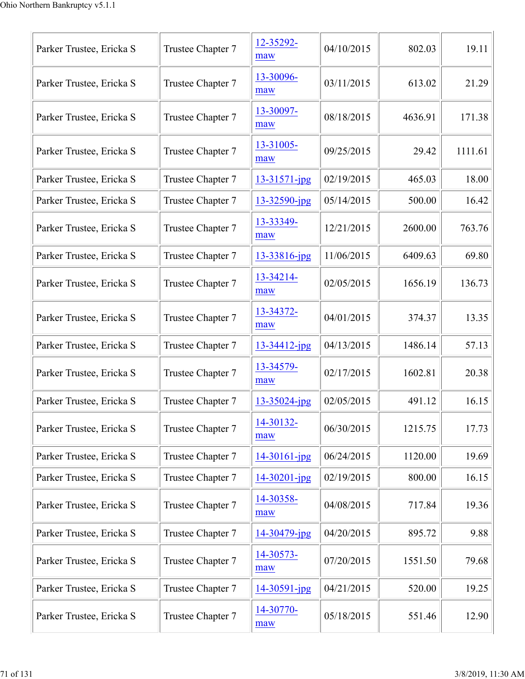| Parker Trustee, Ericka S | Trustee Chapter 7 | 12-35292-<br>maw   | 04/10/2015 | 802.03  | 19.11   |
|--------------------------|-------------------|--------------------|------------|---------|---------|
| Parker Trustee, Ericka S | Trustee Chapter 7 | 13-30096-<br>maw   | 03/11/2015 | 613.02  | 21.29   |
| Parker Trustee, Ericka S | Trustee Chapter 7 | 13-30097-<br>maw   | 08/18/2015 | 4636.91 | 171.38  |
| Parker Trustee, Ericka S | Trustee Chapter 7 | 13-31005-<br>maw   | 09/25/2015 | 29.42   | 1111.61 |
| Parker Trustee, Ericka S | Trustee Chapter 7 | 13-31571-jpg       | 02/19/2015 | 465.03  | 18.00   |
| Parker Trustee, Ericka S | Trustee Chapter 7 | 13-32590-jpg       | 05/14/2015 | 500.00  | 16.42   |
| Parker Trustee, Ericka S | Trustee Chapter 7 | 13-33349-<br>maw   | 12/21/2015 | 2600.00 | 763.76  |
| Parker Trustee, Ericka S | Trustee Chapter 7 | 13-33816-jpg       | 11/06/2015 | 6409.63 | 69.80   |
| Parker Trustee, Ericka S | Trustee Chapter 7 | 13-34214-<br>maw   | 02/05/2015 | 1656.19 | 136.73  |
| Parker Trustee, Ericka S | Trustee Chapter 7 | 13-34372-<br>maw   | 04/01/2015 | 374.37  | 13.35   |
| Parker Trustee, Ericka S | Trustee Chapter 7 | $13 - 34412$ -jpg  | 04/13/2015 | 1486.14 | 57.13   |
| Parker Trustee, Ericka S | Trustee Chapter 7 | 13-34579-<br>maw   | 02/17/2015 | 1602.81 | 20.38   |
| Parker Trustee, Ericka S | Trustee Chapter 7 | 13-35024-jpg       | 02/05/2015 | 491.12  | 16.15   |
| Parker Trustee, Ericka S | Trustee Chapter 7 | 14-30132-<br>maw   | 06/30/2015 | 1215.75 | 17.73   |
| Parker Trustee, Ericka S | Trustee Chapter 7 | $14 - 30161 - jpg$ | 06/24/2015 | 1120.00 | 19.69   |
| Parker Trustee, Ericka S | Trustee Chapter 7 | $14 - 30201 - jpg$ | 02/19/2015 | 800.00  | 16.15   |
| Parker Trustee, Ericka S | Trustee Chapter 7 | 14-30358-<br>maw   | 04/08/2015 | 717.84  | 19.36   |
| Parker Trustee, Ericka S | Trustee Chapter 7 | 14-30479-jpg       | 04/20/2015 | 895.72  | 9.88    |
| Parker Trustee, Ericka S | Trustee Chapter 7 | 14-30573-<br>maw   | 07/20/2015 | 1551.50 | 79.68   |
| Parker Trustee, Ericka S | Trustee Chapter 7 | 14-30591-jpg       | 04/21/2015 | 520.00  | 19.25   |
| Parker Trustee, Ericka S | Trustee Chapter 7 | 14-30770-<br>maw   | 05/18/2015 | 551.46  | 12.90   |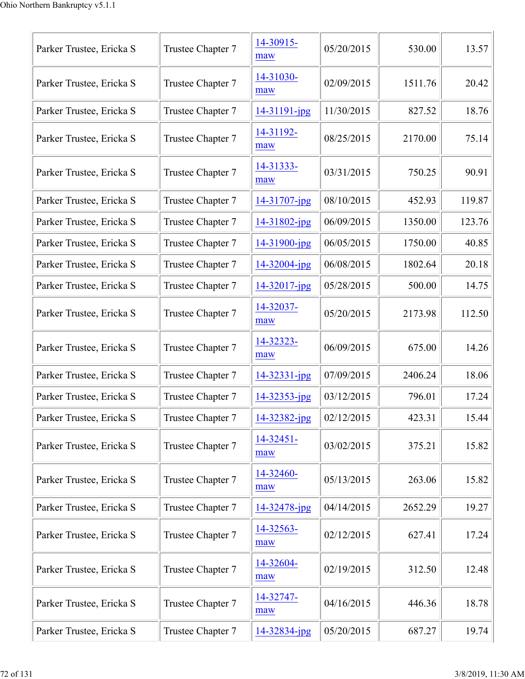| Parker Trustee, Ericka S | Trustee Chapter 7 | 14-30915-<br>maw   | 05/20/2015 | 530.00  | 13.57  |
|--------------------------|-------------------|--------------------|------------|---------|--------|
| Parker Trustee, Ericka S | Trustee Chapter 7 | 14-31030-<br>maw   | 02/09/2015 | 1511.76 | 20.42  |
| Parker Trustee, Ericka S | Trustee Chapter 7 | $14 - 31191 - jpg$ | 11/30/2015 | 827.52  | 18.76  |
| Parker Trustee, Ericka S | Trustee Chapter 7 | 14-31192-<br>maw   | 08/25/2015 | 2170.00 | 75.14  |
| Parker Trustee, Ericka S | Trustee Chapter 7 | 14-31333-<br>maw   | 03/31/2015 | 750.25  | 90.91  |
| Parker Trustee, Ericka S | Trustee Chapter 7 | 14-31707-jpg       | 08/10/2015 | 452.93  | 119.87 |
| Parker Trustee, Ericka S | Trustee Chapter 7 | 14-31802-jpg       | 06/09/2015 | 1350.00 | 123.76 |
| Parker Trustee, Ericka S | Trustee Chapter 7 | $14 - 31900$ -jpg  | 06/05/2015 | 1750.00 | 40.85  |
| Parker Trustee, Ericka S | Trustee Chapter 7 | $14 - 32004$ -jpg  | 06/08/2015 | 1802.64 | 20.18  |
| Parker Trustee, Ericka S | Trustee Chapter 7 | $14 - 32017$ -jpg  | 05/28/2015 | 500.00  | 14.75  |
| Parker Trustee, Ericka S | Trustee Chapter 7 | 14-32037-<br>maw   | 05/20/2015 | 2173.98 | 112.50 |
| Parker Trustee, Ericka S | Trustee Chapter 7 | 14-32323-<br>maw   | 06/09/2015 | 675.00  | 14.26  |
| Parker Trustee, Ericka S | Trustee Chapter 7 | $14 - 32331 - ipg$ | 07/09/2015 | 2406.24 | 18.06  |
| Parker Trustee, Ericka S | Trustee Chapter 7 | $14 - 32353 - ipg$ | 03/12/2015 | 796.01  | 17.24  |
| Parker Trustee, Ericka S | Trustee Chapter 7 | 14-32382-jpg       | 02/12/2015 | 423.31  | 15.44  |
| Parker Trustee, Ericka S | Trustee Chapter 7 | 14-32451-<br>maw   | 03/02/2015 | 375.21  | 15.82  |
| Parker Trustee, Ericka S | Trustee Chapter 7 | 14-32460-<br>maw   | 05/13/2015 | 263.06  | 15.82  |
| Parker Trustee, Ericka S | Trustee Chapter 7 | 14-32478-jpg       | 04/14/2015 | 2652.29 | 19.27  |
| Parker Trustee, Ericka S | Trustee Chapter 7 | 14-32563-<br>maw   | 02/12/2015 | 627.41  | 17.24  |
| Parker Trustee, Ericka S | Trustee Chapter 7 | 14-32604-<br>maw   | 02/19/2015 | 312.50  | 12.48  |
| Parker Trustee, Ericka S | Trustee Chapter 7 | 14-32747-<br>maw   | 04/16/2015 | 446.36  | 18.78  |
| Parker Trustee, Ericka S | Trustee Chapter 7 | 14-32834-jpg       | 05/20/2015 | 687.27  | 19.74  |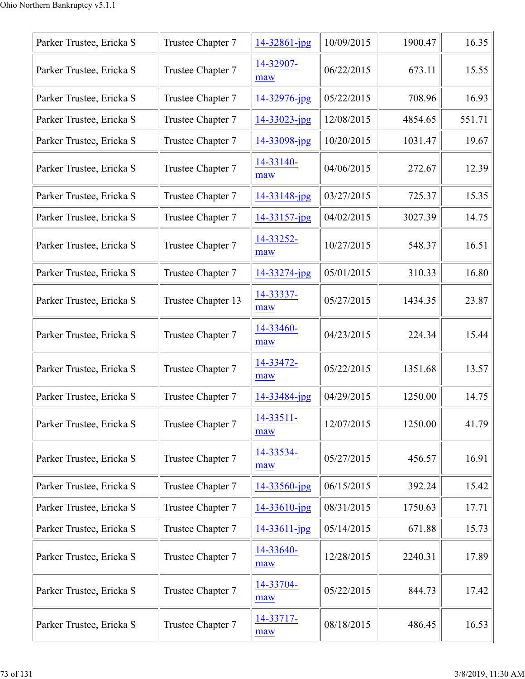| Parker Trustee, Ericka S | Trustee Chapter 7  | 14-32861-jpg       | 10/09/2015 | 1900.47 | 16.35  |
|--------------------------|--------------------|--------------------|------------|---------|--------|
| Parker Trustee, Ericka S | Trustee Chapter 7  | 14-32907-<br>maw   | 06/22/2015 | 673.11  | 15.55  |
| Parker Trustee, Ericka S | Trustee Chapter 7  | 14-32976-jpg       | 05/22/2015 | 708.96  | 16.93  |
| Parker Trustee, Ericka S | Trustee Chapter 7  | $14 - 33023$ -jpg  | 12/08/2015 | 4854.65 | 551.71 |
| Parker Trustee, Ericka S | Trustee Chapter 7  | 14-33098-jpg       | 10/20/2015 | 1031.47 | 19.67  |
| Parker Trustee, Ericka S | Trustee Chapter 7  | 14-33140-<br>maw   | 04/06/2015 | 272.67  | 12.39  |
| Parker Trustee, Ericka S | Trustee Chapter 7  | 14-33148-jpg       | 03/27/2015 | 725.37  | 15.35  |
| Parker Trustee, Ericka S | Trustee Chapter 7  | 14-33157-jpg       | 04/02/2015 | 3027.39 | 14.75  |
| Parker Trustee, Ericka S | Trustee Chapter 7  | 14-33252-<br>maw   | 10/27/2015 | 548.37  | 16.51  |
| Parker Trustee, Ericka S | Trustee Chapter 7  | 14-33274-jpg       | 05/01/2015 | 310.33  | 16.80  |
| Parker Trustee, Ericka S | Trustee Chapter 13 | 14-33337-<br>maw   | 05/27/2015 | 1434.35 | 23.87  |
| Parker Trustee, Ericka S | Trustee Chapter 7  | 14-33460-<br>maw   | 04/23/2015 | 224.34  | 15.44  |
| Parker Trustee, Ericka S | Trustee Chapter 7  | 14-33472-<br>maw   | 05/22/2015 | 1351.68 | 13.57  |
| Parker Trustee, Ericka S | Trustee Chapter 7  | 14-33484-jpg       | 04/29/2015 | 1250.00 | 14.75  |
| Parker Trustee, Ericka S | Trustee Chapter 7  | 14-33511-<br>maw   | 12/07/2015 | 1250.00 | 41.79  |
| Parker Trustee, Ericka S | Trustee Chapter 7  | 14-33534-<br>maw   | 05/27/2015 | 456.57  | 16.91  |
| Parker Trustee, Ericka S | Trustee Chapter 7  | 14-33560-jpg       | 06/15/2015 | 392.24  | 15.42  |
| Parker Trustee, Ericka S | Trustee Chapter 7  | 14-33610-jpg       | 08/31/2015 | 1750.63 | 17.71  |
| Parker Trustee, Ericka S | Trustee Chapter 7  | $14 - 33611 - ipg$ | 05/14/2015 | 671.88  | 15.73  |
| Parker Trustee, Ericka S | Trustee Chapter 7  | 14-33640-<br>maw   | 12/28/2015 | 2240.31 | 17.89  |
| Parker Trustee, Ericka S | Trustee Chapter 7  | 14-33704-<br>maw   | 05/22/2015 | 844.73  | 17.42  |
| Parker Trustee, Ericka S | Trustee Chapter 7  | 14-33717-<br>maw   | 08/18/2015 | 486.45  | 16.53  |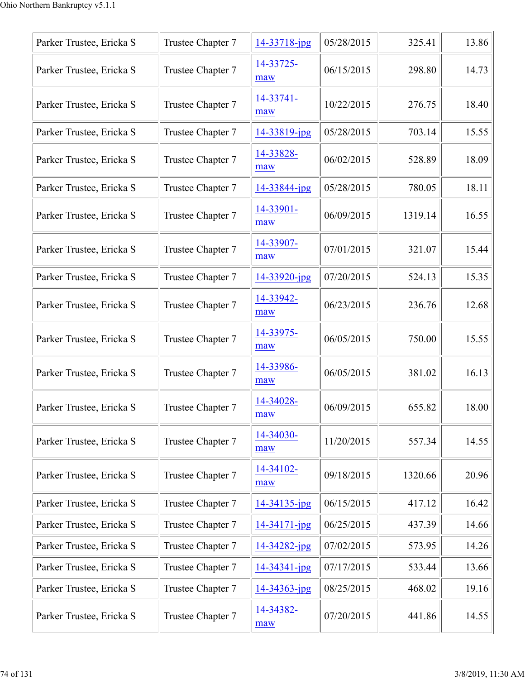| Parker Trustee, Ericka S | Trustee Chapter 7 | 14-33718-jpg     | 05/28/2015 | 325.41  | 13.86 |
|--------------------------|-------------------|------------------|------------|---------|-------|
| Parker Trustee, Ericka S | Trustee Chapter 7 | 14-33725-<br>maw | 06/15/2015 | 298.80  | 14.73 |
| Parker Trustee, Ericka S | Trustee Chapter 7 | 14-33741-<br>maw | 10/22/2015 | 276.75  | 18.40 |
| Parker Trustee, Ericka S | Trustee Chapter 7 | 14-33819-jpg     | 05/28/2015 | 703.14  | 15.55 |
| Parker Trustee, Ericka S | Trustee Chapter 7 | 14-33828-<br>maw | 06/02/2015 | 528.89  | 18.09 |
| Parker Trustee, Ericka S | Trustee Chapter 7 | 14-33844-jpg     | 05/28/2015 | 780.05  | 18.11 |
| Parker Trustee, Ericka S | Trustee Chapter 7 | 14-33901-<br>maw | 06/09/2015 | 1319.14 | 16.55 |
| Parker Trustee, Ericka S | Trustee Chapter 7 | 14-33907-<br>maw | 07/01/2015 | 321.07  | 15.44 |
| Parker Trustee, Ericka S | Trustee Chapter 7 | 14-33920-jpg     | 07/20/2015 | 524.13  | 15.35 |
| Parker Trustee, Ericka S | Trustee Chapter 7 | 14-33942-<br>maw | 06/23/2015 | 236.76  | 12.68 |
| Parker Trustee, Ericka S | Trustee Chapter 7 | 14-33975-<br>maw | 06/05/2015 | 750.00  | 15.55 |
| Parker Trustee, Ericka S | Trustee Chapter 7 | 14-33986-<br>maw | 06/05/2015 | 381.02  | 16.13 |
| Parker Trustee, Ericka S | Trustee Chapter 7 | 14-34028-<br>maw | 06/09/2015 | 655.82  | 18.00 |
| Parker Trustee, Ericka S | Trustee Chapter 7 | 14-34030-<br>maw | 11/20/2015 | 557.34  | 14.55 |
| Parker Trustee, Ericka S | Trustee Chapter 7 | 14-34102-<br>maw | 09/18/2015 | 1320.66 | 20.96 |
| Parker Trustee, Ericka S | Trustee Chapter 7 | 14-34135-jpg     | 06/15/2015 | 417.12  | 16.42 |
| Parker Trustee, Ericka S | Trustee Chapter 7 | 14-34171-jpg     | 06/25/2015 | 437.39  | 14.66 |
| Parker Trustee, Ericka S | Trustee Chapter 7 | 14-34282-jpg     | 07/02/2015 | 573.95  | 14.26 |
| Parker Trustee, Ericka S | Trustee Chapter 7 | 14-34341-jpg     | 07/17/2015 | 533.44  | 13.66 |
| Parker Trustee, Ericka S | Trustee Chapter 7 | 14-34363-jpg     | 08/25/2015 | 468.02  | 19.16 |
| Parker Trustee, Ericka S | Trustee Chapter 7 | 14-34382-<br>maw | 07/20/2015 | 441.86  | 14.55 |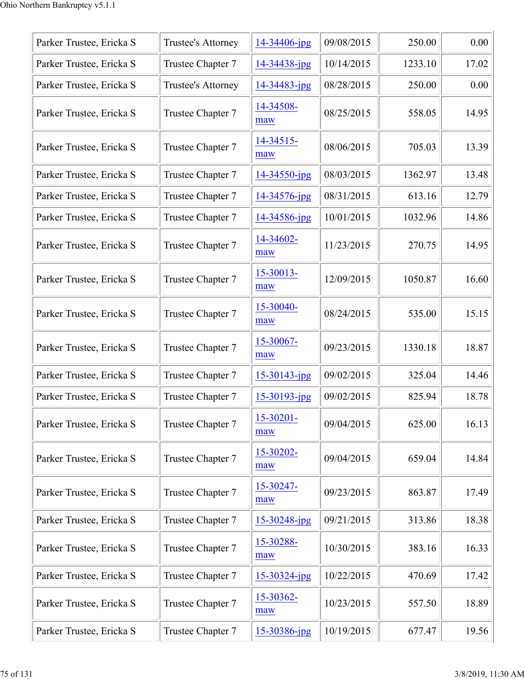| Parker Trustee, Ericka S | Trustee's Attorney        | 14-34406-jpg      | 09/08/2015 | 250.00  | 0.00  |
|--------------------------|---------------------------|-------------------|------------|---------|-------|
| Parker Trustee, Ericka S | Trustee Chapter 7         | 14-34438-jpg      | 10/14/2015 | 1233.10 | 17.02 |
| Parker Trustee, Ericka S | <b>Trustee's Attorney</b> | 14-34483-jpg      | 08/28/2015 | 250.00  | 0.00  |
| Parker Trustee, Ericka S | Trustee Chapter 7         | 14-34508-<br>maw  | 08/25/2015 | 558.05  | 14.95 |
| Parker Trustee, Ericka S | Trustee Chapter 7         | 14-34515-<br>maw  | 08/06/2015 | 705.03  | 13.39 |
| Parker Trustee, Ericka S | Trustee Chapter 7         | 14-34550-jpg      | 08/03/2015 | 1362.97 | 13.48 |
| Parker Trustee, Ericka S | Trustee Chapter 7         | 14-34576-jpg      | 08/31/2015 | 613.16  | 12.79 |
| Parker Trustee, Ericka S | Trustee Chapter 7         | 14-34586-jpg      | 10/01/2015 | 1032.96 | 14.86 |
| Parker Trustee, Ericka S | Trustee Chapter 7         | 14-34602-<br>maw  | 11/23/2015 | 270.75  | 14.95 |
| Parker Trustee, Ericka S | Trustee Chapter 7         | 15-30013-<br>maw  | 12/09/2015 | 1050.87 | 16.60 |
| Parker Trustee, Ericka S | Trustee Chapter 7         | 15-30040-<br>maw  | 08/24/2015 | 535.00  | 15.15 |
| Parker Trustee, Ericka S | Trustee Chapter 7         | 15-30067-<br>maw  | 09/23/2015 | 1330.18 | 18.87 |
| Parker Trustee, Ericka S | Trustee Chapter 7         | $15 - 30143$ -jpg | 09/02/2015 | 325.04  | 14.46 |
| Parker Trustee, Ericka S | Trustee Chapter 7         | 15-30193-jpg      | 09/02/2015 | 825.94  | 18.78 |
| Parker Trustee, Ericka S | Trustee Chapter 7         | 15-30201-<br>maw  | 09/04/2015 | 625.00  | 16.13 |
| Parker Trustee, Ericka S | Trustee Chapter 7         | 15-30202-<br>maw  | 09/04/2015 | 659.04  | 14.84 |
| Parker Trustee, Ericka S | Trustee Chapter 7         | 15-30247-<br>maw  | 09/23/2015 | 863.87  | 17.49 |
| Parker Trustee, Ericka S | Trustee Chapter 7         | 15-30248-jpg      | 09/21/2015 | 313.86  | 18.38 |
| Parker Trustee, Ericka S | Trustee Chapter 7         | 15-30288-<br>maw  | 10/30/2015 | 383.16  | 16.33 |
| Parker Trustee, Ericka S | Trustee Chapter 7         | $15 - 30324$ -jpg | 10/22/2015 | 470.69  | 17.42 |
| Parker Trustee, Ericka S | Trustee Chapter 7         | 15-30362-<br>maw  | 10/23/2015 | 557.50  | 18.89 |
| Parker Trustee, Ericka S | Trustee Chapter 7         | 15-30386-jpg      | 10/19/2015 | 677.47  | 19.56 |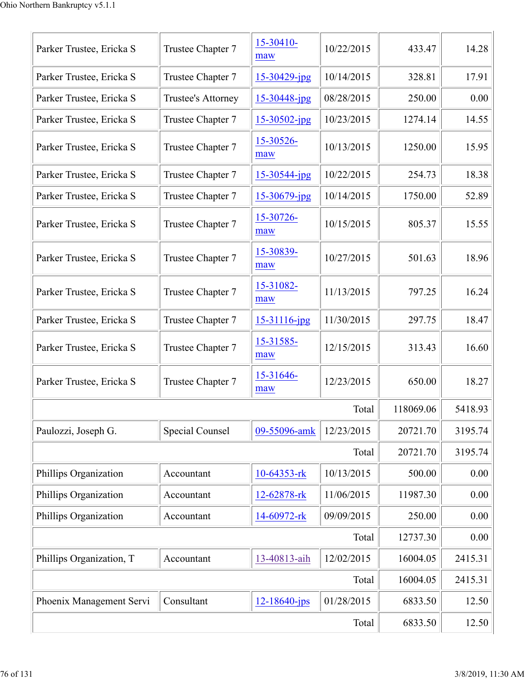| Parker Trustee, Ericka S | Trustee Chapter 7      | 15-30410-<br>maw   | 10/22/2015 | 433.47    | 14.28   |
|--------------------------|------------------------|--------------------|------------|-----------|---------|
| Parker Trustee, Ericka S | Trustee Chapter 7      | 15-30429-jpg       | 10/14/2015 | 328.81    | 17.91   |
| Parker Trustee, Ericka S | Trustee's Attorney     | 15-30448-jpg       | 08/28/2015 | 250.00    | 0.00    |
| Parker Trustee, Ericka S | Trustee Chapter 7      | $15 - 30502$ -jpg  | 10/23/2015 | 1274.14   | 14.55   |
| Parker Trustee, Ericka S | Trustee Chapter 7      | 15-30526-<br>maw   | 10/13/2015 | 1250.00   | 15.95   |
| Parker Trustee, Ericka S | Trustee Chapter 7      | 15-30544-jpg       | 10/22/2015 | 254.73    | 18.38   |
| Parker Trustee, Ericka S | Trustee Chapter 7      | $15 - 30679$ -jpg  | 10/14/2015 | 1750.00   | 52.89   |
| Parker Trustee, Ericka S | Trustee Chapter 7      | 15-30726-<br>maw   | 10/15/2015 | 805.37    | 15.55   |
| Parker Trustee, Ericka S | Trustee Chapter 7      | 15-30839-<br>maw   | 10/27/2015 | 501.63    | 18.96   |
| Parker Trustee, Ericka S | Trustee Chapter 7      | 15-31082-<br>maw   | 11/13/2015 | 797.25    | 16.24   |
| Parker Trustee, Ericka S | Trustee Chapter 7      | $15 - 31116$ -jpg  | 11/30/2015 | 297.75    | 18.47   |
| Parker Trustee, Ericka S | Trustee Chapter 7      | 15-31585-<br>maw   | 12/15/2015 | 313.43    | 16.60   |
| Parker Trustee, Ericka S | Trustee Chapter 7      | 15-31646-<br>maw   | 12/23/2015 | 650.00    | 18.27   |
|                          |                        |                    | Total      | 118069.06 | 5418.93 |
| Paulozzi, Joseph G.      | <b>Special Counsel</b> | 09-55096-amk       | 12/23/2015 | 20721.70  | 3195.74 |
|                          |                        |                    | Total      | 20721.70  | 3195.74 |
| Phillips Organization    | Accountant             | 10-64353-rk        | 10/13/2015 | 500.00    | 0.00    |
| Phillips Organization    | Accountant             | 12-62878-rk        | 11/06/2015 | 11987.30  | 0.00    |
| Phillips Organization    | Accountant             | 14-60972-rk        | 09/09/2015 | 250.00    | 0.00    |
|                          |                        |                    | Total      | 12737.30  | 0.00    |
| Phillips Organization, T | Accountant             | 13-40813-aih       | 12/02/2015 | 16004.05  | 2415.31 |
|                          |                        |                    | Total      | 16004.05  | 2415.31 |
| Phoenix Management Servi | Consultant             | $12 - 18640 - jps$ | 01/28/2015 | 6833.50   | 12.50   |
|                          |                        |                    | Total      | 6833.50   | 12.50   |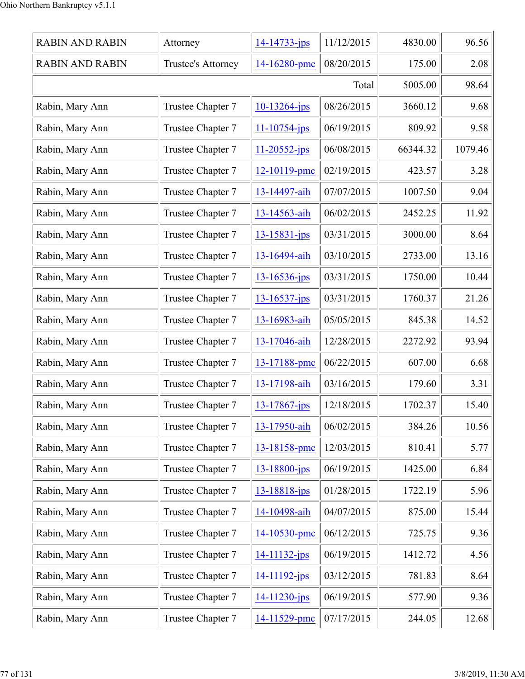| <b>RABIN AND RABIN</b> | Attorney           | $14 - 14733 - jps$ | 11/12/2015 | 4830.00  | 96.56   |
|------------------------|--------------------|--------------------|------------|----------|---------|
| <b>RABIN AND RABIN</b> | Trustee's Attorney | 14-16280-pmc       | 08/20/2015 | 175.00   | 2.08    |
|                        |                    |                    | Total      | 5005.00  | 98.64   |
| Rabin, Mary Ann        | Trustee Chapter 7  | $10 - 13264$ -jps  | 08/26/2015 | 3660.12  | 9.68    |
| Rabin, Mary Ann        | Trustee Chapter 7  | 11-10754-jps       | 06/19/2015 | 809.92   | 9.58    |
| Rabin, Mary Ann        | Trustee Chapter 7  | $11 - 20552 - ips$ | 06/08/2015 | 66344.32 | 1079.46 |
| Rabin, Mary Ann        | Trustee Chapter 7  | 12-10119-pmc       | 02/19/2015 | 423.57   | 3.28    |
| Rabin, Mary Ann        | Trustee Chapter 7  | 13-14497-aih       | 07/07/2015 | 1007.50  | 9.04    |
| Rabin, Mary Ann        | Trustee Chapter 7  | 13-14563-aih       | 06/02/2015 | 2452.25  | 11.92   |
| Rabin, Mary Ann        | Trustee Chapter 7  | $13 - 15831 - ips$ | 03/31/2015 | 3000.00  | 8.64    |
| Rabin, Mary Ann        | Trustee Chapter 7  | 13-16494-aih       | 03/10/2015 | 2733.00  | 13.16   |
| Rabin, Mary Ann        | Trustee Chapter 7  | $13 - 16536 - ips$ | 03/31/2015 | 1750.00  | 10.44   |
| Rabin, Mary Ann        | Trustee Chapter 7  | $13 - 16537 - jps$ | 03/31/2015 | 1760.37  | 21.26   |
| Rabin, Mary Ann        | Trustee Chapter 7  | 13-16983-aih       | 05/05/2015 | 845.38   | 14.52   |
| Rabin, Mary Ann        | Trustee Chapter 7  | 13-17046-aih       | 12/28/2015 | 2272.92  | 93.94   |
| Rabin, Mary Ann        | Trustee Chapter 7  | 13-17188-pmc       | 06/22/2015 | 607.00   | 6.68    |
| Rabin, Mary Ann        | Trustee Chapter 7  | 13-17198-aih       | 03/16/2015 | 179.60   | 3.31    |
| Rabin, Mary Ann        | Trustee Chapter 7  | $13 - 17867$ -jps  | 12/18/2015 | 1702.37  | 15.40   |
| Rabin, Mary Ann        | Trustee Chapter 7  | 13-17950-aih       | 06/02/2015 | 384.26   | 10.56   |
| Rabin, Mary Ann        | Trustee Chapter 7  | 13-18158-pmc       | 12/03/2015 | 810.41   | 5.77    |
| Rabin, Mary Ann        | Trustee Chapter 7  | $13 - 18800 - ips$ | 06/19/2015 | 1425.00  | 6.84    |
| Rabin, Mary Ann        | Trustee Chapter 7  | $13 - 18818$ -jps  | 01/28/2015 | 1722.19  | 5.96    |
| Rabin, Mary Ann        | Trustee Chapter 7  | 14-10498-aih       | 04/07/2015 | 875.00   | 15.44   |
| Rabin, Mary Ann        | Trustee Chapter 7  | 14-10530-pmc       | 06/12/2015 | 725.75   | 9.36    |
| Rabin, Mary Ann        | Trustee Chapter 7  | $14 - 11132 - ips$ | 06/19/2015 | 1412.72  | 4.56    |
| Rabin, Mary Ann        | Trustee Chapter 7  | 14-11192-jps       | 03/12/2015 | 781.83   | 8.64    |
| Rabin, Mary Ann        | Trustee Chapter 7  | 14-11230-jps       | 06/19/2015 | 577.90   | 9.36    |
| Rabin, Mary Ann        | Trustee Chapter 7  | 14-11529-pmc       | 07/17/2015 | 244.05   | 12.68   |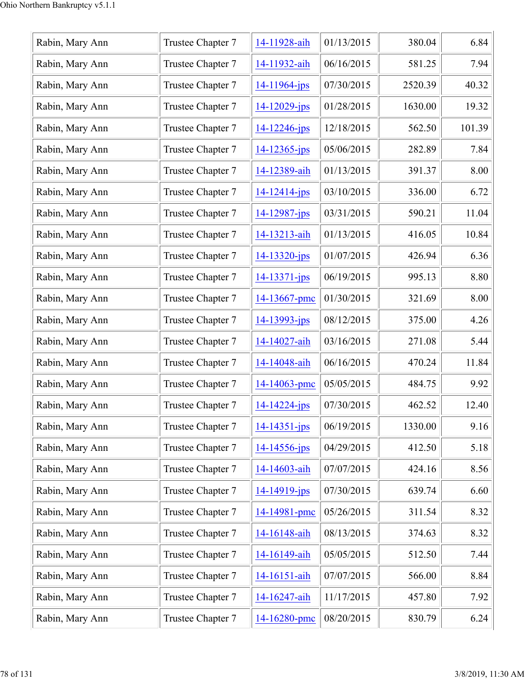| Rabin, Mary Ann | Trustee Chapter 7 | 14-11928-aih       | 01/13/2015 | 380.04  | 6.84   |
|-----------------|-------------------|--------------------|------------|---------|--------|
| Rabin, Mary Ann | Trustee Chapter 7 | 14-11932-aih       | 06/16/2015 | 581.25  | 7.94   |
| Rabin, Mary Ann | Trustee Chapter 7 | $14 - 11964 - ips$ | 07/30/2015 | 2520.39 | 40.32  |
| Rabin, Mary Ann | Trustee Chapter 7 | $14 - 12029 - jps$ | 01/28/2015 | 1630.00 | 19.32  |
| Rabin, Mary Ann | Trustee Chapter 7 | $14 - 12246$ -jps  | 12/18/2015 | 562.50  | 101.39 |
| Rabin, Mary Ann | Trustee Chapter 7 | $14 - 12365$ -jps  | 05/06/2015 | 282.89  | 7.84   |
| Rabin, Mary Ann | Trustee Chapter 7 | 14-12389-aih       | 01/13/2015 | 391.37  | 8.00   |
| Rabin, Mary Ann | Trustee Chapter 7 | $14 - 12414 - jps$ | 03/10/2015 | 336.00  | 6.72   |
| Rabin, Mary Ann | Trustee Chapter 7 | 14-12987-jps       | 03/31/2015 | 590.21  | 11.04  |
| Rabin, Mary Ann | Trustee Chapter 7 | 14-13213-aih       | 01/13/2015 | 416.05  | 10.84  |
| Rabin, Mary Ann | Trustee Chapter 7 | $14 - 13320 - jps$ | 01/07/2015 | 426.94  | 6.36   |
| Rabin, Mary Ann | Trustee Chapter 7 | $14 - 13371 - ips$ | 06/19/2015 | 995.13  | 8.80   |
| Rabin, Mary Ann | Trustee Chapter 7 | 14-13667-pmc       | 01/30/2015 | 321.69  | 8.00   |
| Rabin, Mary Ann | Trustee Chapter 7 | 14-13993-jps       | 08/12/2015 | 375.00  | 4.26   |
| Rabin, Mary Ann | Trustee Chapter 7 | 14-14027-aih       | 03/16/2015 | 271.08  | 5.44   |
| Rabin, Mary Ann | Trustee Chapter 7 | 14-14048-aih       | 06/16/2015 | 470.24  | 11.84  |
| Rabin, Mary Ann | Trustee Chapter 7 | 14-14063-pmc       | 05/05/2015 | 484.75  | 9.92   |
| Rabin, Mary Ann | Trustee Chapter 7 | $14 - 14224 - ips$ | 07/30/2015 | 462.52  | 12.40  |
| Rabin, Mary Ann | Trustee Chapter 7 | $14 - 14351 - ips$ | 06/19/2015 | 1330.00 | 9.16   |
| Rabin, Mary Ann | Trustee Chapter 7 | $14 - 14556$ -jps  | 04/29/2015 | 412.50  | 5.18   |
| Rabin, Mary Ann | Trustee Chapter 7 | 14-14603-aih       | 07/07/2015 | 424.16  | 8.56   |
| Rabin, Mary Ann | Trustee Chapter 7 | $14 - 14919$ -jps  | 07/30/2015 | 639.74  | 6.60   |
| Rabin, Mary Ann | Trustee Chapter 7 | 14-14981-pmc       | 05/26/2015 | 311.54  | 8.32   |
| Rabin, Mary Ann | Trustee Chapter 7 | 14-16148-aih       | 08/13/2015 | 374.63  | 8.32   |
| Rabin, Mary Ann | Trustee Chapter 7 | 14-16149-aih       | 05/05/2015 | 512.50  | 7.44   |
| Rabin, Mary Ann | Trustee Chapter 7 | 14-16151-aih       | 07/07/2015 | 566.00  | 8.84   |
| Rabin, Mary Ann | Trustee Chapter 7 | 14-16247-aih       | 11/17/2015 | 457.80  | 7.92   |
| Rabin, Mary Ann | Trustee Chapter 7 | 14-16280-pmc       | 08/20/2015 | 830.79  | 6.24   |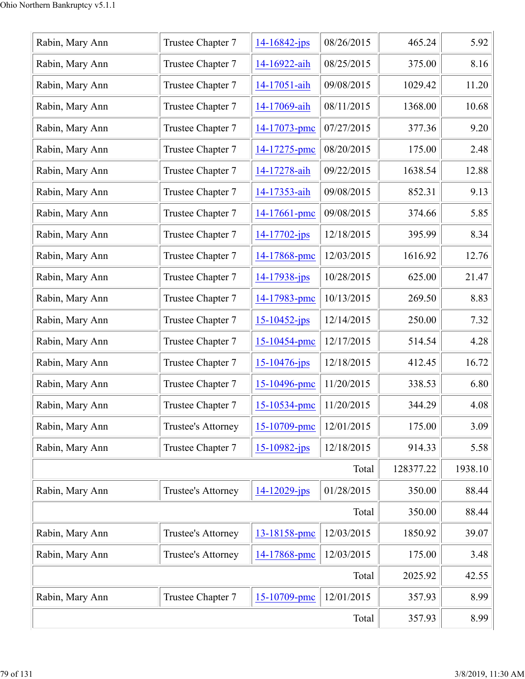| Rabin, Mary Ann | Trustee Chapter 7         | $14 - 16842 - jps$ | 08/26/2015 | 465.24    | 5.92    |
|-----------------|---------------------------|--------------------|------------|-----------|---------|
| Rabin, Mary Ann | Trustee Chapter 7         | 14-16922-aih       | 08/25/2015 | 375.00    | 8.16    |
| Rabin, Mary Ann | Trustee Chapter 7         | 14-17051-aih       | 09/08/2015 | 1029.42   | 11.20   |
| Rabin, Mary Ann | Trustee Chapter 7         | 14-17069-aih       | 08/11/2015 | 1368.00   | 10.68   |
| Rabin, Mary Ann | Trustee Chapter 7         | 14-17073-pmc       | 07/27/2015 | 377.36    | 9.20    |
| Rabin, Mary Ann | Trustee Chapter 7         | 14-17275-pmc       | 08/20/2015 | 175.00    | 2.48    |
| Rabin, Mary Ann | Trustee Chapter 7         | 14-17278-aih       | 09/22/2015 | 1638.54   | 12.88   |
| Rabin, Mary Ann | Trustee Chapter 7         | 14-17353-aih       | 09/08/2015 | 852.31    | 9.13    |
| Rabin, Mary Ann | Trustee Chapter 7         | 14-17661-pmc       | 09/08/2015 | 374.66    | 5.85    |
| Rabin, Mary Ann | Trustee Chapter 7         | $14 - 17702 - ips$ | 12/18/2015 | 395.99    | 8.34    |
| Rabin, Mary Ann | Trustee Chapter 7         | 14-17868-pmc       | 12/03/2015 | 1616.92   | 12.76   |
| Rabin, Mary Ann | Trustee Chapter 7         | 14-17938-jps       | 10/28/2015 | 625.00    | 21.47   |
| Rabin, Mary Ann | Trustee Chapter 7         | 14-17983-pmc       | 10/13/2015 | 269.50    | 8.83    |
| Rabin, Mary Ann | Trustee Chapter 7         | $15 - 10452$ -jps  | 12/14/2015 | 250.00    | 7.32    |
| Rabin, Mary Ann | Trustee Chapter 7         | 15-10454-pmc       | 12/17/2015 | 514.54    | 4.28    |
| Rabin, Mary Ann | Trustee Chapter 7         | 15-10476-jps       | 12/18/2015 | 412.45    | 16.72   |
| Rabin, Mary Ann | Trustee Chapter 7         | 15-10496-pmc       | 11/20/2015 | 338.53    | 6.80    |
| Rabin, Mary Ann | Trustee Chapter 7         | 15-10534-pmc       | 11/20/2015 | 344.29    | 4.08    |
| Rabin, Mary Ann | <b>Trustee's Attorney</b> | 15-10709-pmc       | 12/01/2015 | 175.00    | 3.09    |
| Rabin, Mary Ann | Trustee Chapter 7         | $15 - 10982$ -jps  | 12/18/2015 | 914.33    | 5.58    |
|                 |                           |                    | Total      | 128377.22 | 1938.10 |
| Rabin, Mary Ann | <b>Trustee's Attorney</b> | $14 - 12029$ -jps  | 01/28/2015 | 350.00    | 88.44   |
|                 |                           |                    | Total      | 350.00    | 88.44   |
| Rabin, Mary Ann | <b>Trustee's Attorney</b> | 13-18158-pmc       | 12/03/2015 | 1850.92   | 39.07   |
| Rabin, Mary Ann | <b>Trustee's Attorney</b> | 14-17868-pmc       | 12/03/2015 | 175.00    | 3.48    |
|                 |                           |                    | Total      | 2025.92   | 42.55   |
| Rabin, Mary Ann | Trustee Chapter 7         | 15-10709-pmc       | 12/01/2015 | 357.93    | 8.99    |
|                 | 357.93                    | 8.99               |            |           |         |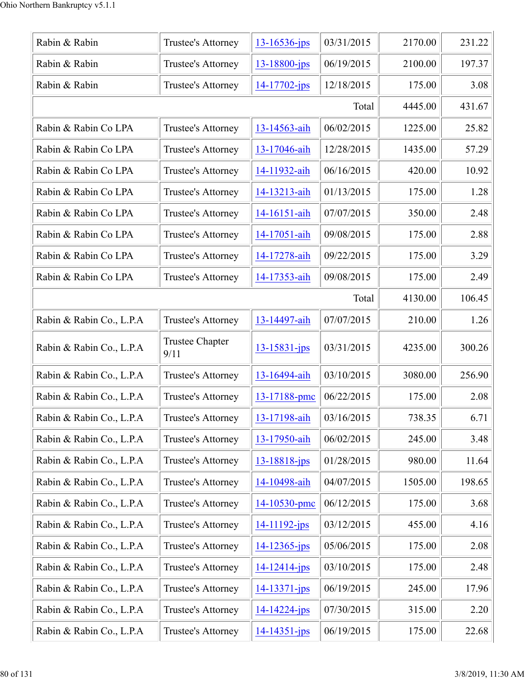| Rabin & Rabin            | Trustee's Attorney             | $13 - 16536$ -jps  | 03/31/2015 | 2170.00 | 231.22 |
|--------------------------|--------------------------------|--------------------|------------|---------|--------|
| Rabin & Rabin            | Trustee's Attorney             | 13-18800-jps       | 06/19/2015 | 2100.00 | 197.37 |
| Rabin & Rabin            | Trustee's Attorney             | $14 - 17702 - ips$ | 12/18/2015 | 175.00  | 3.08   |
|                          |                                |                    | Total      | 4445.00 | 431.67 |
| Rabin & Rabin Co LPA     | <b>Trustee's Attorney</b>      | 13-14563-aih       | 06/02/2015 | 1225.00 | 25.82  |
| Rabin & Rabin Co LPA     | Trustee's Attorney             | 13-17046-aih       | 12/28/2015 | 1435.00 | 57.29  |
| Rabin & Rabin Co LPA     | Trustee's Attorney             | 14-11932-aih       | 06/16/2015 | 420.00  | 10.92  |
| Rabin & Rabin Co LPA     | Trustee's Attorney             | 14-13213-aih       | 01/13/2015 | 175.00  | 1.28   |
| Rabin & Rabin Co LPA     | Trustee's Attorney             | 14-16151-aih       | 07/07/2015 | 350.00  | 2.48   |
| Rabin & Rabin Co LPA     | Trustee's Attorney             | 14-17051-aih       | 09/08/2015 | 175.00  | 2.88   |
| Rabin & Rabin Co LPA     | Trustee's Attorney             | 14-17278-aih       | 09/22/2015 | 175.00  | 3.29   |
| Rabin & Rabin Co LPA     | Trustee's Attorney             | 14-17353-aih       | 09/08/2015 | 175.00  | 2.49   |
|                          |                                |                    | Total      | 4130.00 | 106.45 |
| Rabin & Rabin Co., L.P.A | Trustee's Attorney             | 13-14497-aih       | 07/07/2015 | 210.00  | 1.26   |
| Rabin & Rabin Co., L.P.A | <b>Trustee Chapter</b><br>9/11 | $13 - 15831 - ips$ | 03/31/2015 | 4235.00 | 300.26 |
| Rabin & Rabin Co., L.P.A | Trustee's Attorney             | 13-16494-aih       | 03/10/2015 | 3080.00 | 256.90 |
| Rabin & Rabin Co., L.P.A | Trustee's Attorney             | 13-17188-pmc       | 06/22/2015 | 175.00  | 2.08   |
| Rabin & Rabin Co., L.P.A | Trustee's Attorney             | 13-17198-aih       | 03/16/2015 | 738.35  | 6.71   |
| Rabin & Rabin Co., L.P.A | Trustee's Attorney             | 13-17950-aih       | 06/02/2015 | 245.00  | 3.48   |
| Rabin & Rabin Co., L.P.A | Trustee's Attorney             | 13-18818-jps       | 01/28/2015 | 980.00  | 11.64  |
| Rabin & Rabin Co., L.P.A | Trustee's Attorney             | 14-10498-aih       | 04/07/2015 | 1505.00 | 198.65 |
| Rabin & Rabin Co., L.P.A | Trustee's Attorney             | 14-10530-pmc       | 06/12/2015 | 175.00  | 3.68   |
| Rabin & Rabin Co., L.P.A | Trustee's Attorney             | $14 - 11192 - ips$ | 03/12/2015 | 455.00  | 4.16   |
| Rabin & Rabin Co., L.P.A | Trustee's Attorney             | $14 - 12365 - ips$ | 05/06/2015 | 175.00  | 2.08   |
| Rabin & Rabin Co., L.P.A | Trustee's Attorney             | $14 - 12414 - ips$ | 03/10/2015 | 175.00  | 2.48   |
| Rabin & Rabin Co., L.P.A | Trustee's Attorney             | $14 - 13371 - ips$ | 06/19/2015 | 245.00  | 17.96  |
| Rabin & Rabin Co., L.P.A | Trustee's Attorney             | $14 - 14224 - ips$ | 07/30/2015 | 315.00  | 2.20   |
| Rabin & Rabin Co., L.P.A | Trustee's Attorney             | $14 - 14351 - ips$ | 06/19/2015 | 175.00  | 22.68  |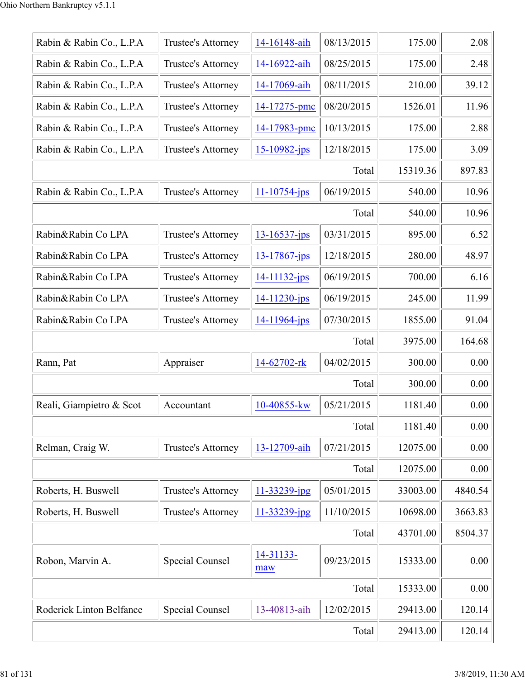| Rabin & Rabin Co., L.P.A | Trustee's Attorney        | 14-16148-aih       | 08/13/2015 | 175.00   | 2.08    |
|--------------------------|---------------------------|--------------------|------------|----------|---------|
| Rabin & Rabin Co., L.P.A | Trustee's Attorney        | 14-16922-aih       | 08/25/2015 | 175.00   | 2.48    |
| Rabin & Rabin Co., L.P.A | Trustee's Attorney        | 14-17069-aih       | 08/11/2015 | 210.00   | 39.12   |
| Rabin & Rabin Co., L.P.A | Trustee's Attorney        | 14-17275-pmc       | 08/20/2015 | 1526.01  | 11.96   |
| Rabin & Rabin Co., L.P.A | Trustee's Attorney        | 14-17983-pmc       | 10/13/2015 | 175.00   | 2.88    |
| Rabin & Rabin Co., L.P.A | Trustee's Attorney        | $15 - 10982 - ips$ | 12/18/2015 | 175.00   | 3.09    |
|                          |                           |                    | Total      | 15319.36 | 897.83  |
| Rabin & Rabin Co., L.P.A | Trustee's Attorney        | $11 - 10754$ -jps  | 06/19/2015 | 540.00   | 10.96   |
|                          |                           |                    | Total      | 540.00   | 10.96   |
| Rabin&Rabin Co LPA       | Trustee's Attorney        | $13 - 16537 - jps$ | 03/31/2015 | 895.00   | 6.52    |
| Rabin&Rabin Co LPA       | Trustee's Attorney        | $13 - 17867$ -jps  | 12/18/2015 | 280.00   | 48.97   |
| Rabin&Rabin Co LPA       | Trustee's Attorney        | $14 - 11132 - ips$ | 06/19/2015 | 700.00   | 6.16    |
| Rabin&Rabin Co LPA       | Trustee's Attorney        | $14 - 11230 - ips$ | 06/19/2015 | 245.00   | 11.99   |
| Rabin&Rabin Co LPA       | Trustee's Attorney        | 14-11964-jps       | 07/30/2015 | 1855.00  | 91.04   |
|                          |                           |                    | Total      | 3975.00  | 164.68  |
| Rann, Pat                | Appraiser                 | 14-62702-rk        | 04/02/2015 | 300.00   | 0.00    |
|                          |                           |                    | Total      | 300.00   | 0.00    |
| Reali, Giampietro & Scot | Accountant                | 10-40855-kw        | 05/21/2015 | 1181.40  | 0.00    |
|                          |                           |                    | Total      | 1181.40  | 0.00    |
| Relman, Craig W.         | Trustee's Attorney        | 13-12709-aih       | 07/21/2015 | 12075.00 | 0.00    |
|                          |                           |                    | Total      | 12075.00 | 0.00    |
| Roberts, H. Buswell      | <b>Trustee's Attorney</b> | 11-33239-jpg       | 05/01/2015 | 33003.00 | 4840.54 |
| Roberts, H. Buswell      | Trustee's Attorney        | 11-33239-jpg       | 11/10/2015 | 10698.00 | 3663.83 |
|                          |                           |                    | Total      | 43701.00 | 8504.37 |
| Robon, Marvin A.         | Special Counsel           | 14-31133-<br>maw   | 09/23/2015 | 15333.00 | 0.00    |
|                          |                           |                    | Total      | 15333.00 | 0.00    |
| Roderick Linton Belfance | Special Counsel           | 13-40813-aih       | 12/02/2015 | 29413.00 | 120.14  |
|                          | Total                     |                    |            |          |         |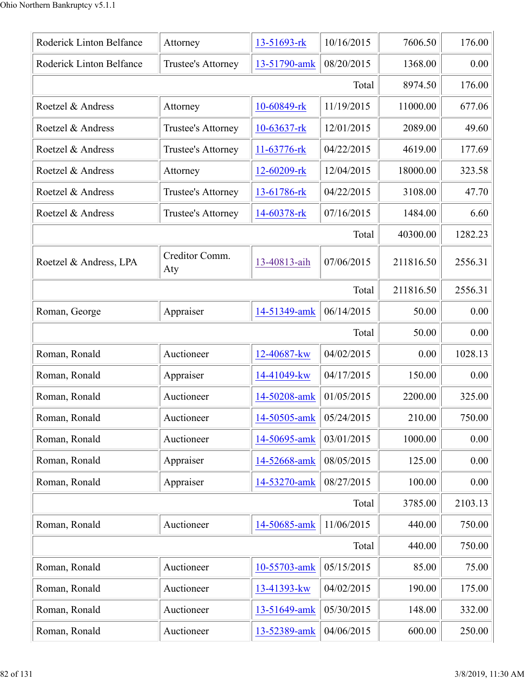| Roderick Linton Belfance | Attorney              | 13-51693-rk    | 10/16/2015 | 7606.50   | 176.00  |
|--------------------------|-----------------------|----------------|------------|-----------|---------|
| Roderick Linton Belfance | Trustee's Attorney    | 13-51790-amk   | 08/20/2015 | 1368.00   | 0.00    |
|                          |                       |                | Total      | 8974.50   | 176.00  |
| Roetzel & Andress        | Attorney              | 10-60849-rk    | 11/19/2015 | 11000.00  | 677.06  |
| Roetzel & Andress        | Trustee's Attorney    | $10-63637$ -rk | 12/01/2015 | 2089.00   | 49.60   |
| Roetzel & Andress        | Trustee's Attorney    | 11-63776-rk    | 04/22/2015 | 4619.00   | 177.69  |
| Roetzel & Andress        | Attorney              | 12-60209-rk    | 12/04/2015 | 18000.00  | 323.58  |
| Roetzel & Andress        | Trustee's Attorney    | 13-61786-rk    | 04/22/2015 | 3108.00   | 47.70   |
| Roetzel & Andress        | Trustee's Attorney    | 14-60378-rk    | 07/16/2015 | 1484.00   | 6.60    |
|                          |                       |                | Total      | 40300.00  | 1282.23 |
| Roetzel & Andress, LPA   | Creditor Comm.<br>Aty | 13-40813-aih   | 07/06/2015 | 211816.50 | 2556.31 |
|                          |                       |                | Total      | 211816.50 | 2556.31 |
| Roman, George            | Appraiser             | 14-51349-amk   | 06/14/2015 | 50.00     | 0.00    |
|                          |                       |                | Total      | 50.00     | 0.00    |
| Roman, Ronald            | Auctioneer            | 12-40687-kw    | 04/02/2015 | 0.00      | 1028.13 |
| Roman, Ronald            | Appraiser             | 14-41049-kw    | 04/17/2015 | 150.00    | 0.00    |
| Roman, Ronald            | Auctioneer            | 14-50208-amk   | 01/05/2015 | 2200.00   | 325.00  |
| Roman, Ronald            | Auctioneer            | 14-50505-amk   | 05/24/2015 | 210.00    | 750.00  |
| Roman, Ronald            | Auctioneer            | 14-50695-amk   | 03/01/2015 | 1000.00   | 0.00    |
| Roman, Ronald            | Appraiser             | 14-52668-amk   | 08/05/2015 | 125.00    | 0.00    |
| Roman, Ronald            | Appraiser             | 14-53270-amk   | 08/27/2015 | 100.00    | 0.00    |
|                          |                       |                | Total      | 3785.00   | 2103.13 |
| Roman, Ronald            | Auctioneer            | 14-50685-amk   | 11/06/2015 | 440.00    | 750.00  |
|                          |                       |                | Total      | 440.00    | 750.00  |
| Roman, Ronald            | Auctioneer            | 10-55703-amk   | 05/15/2015 | 85.00     | 75.00   |
| Roman, Ronald            | Auctioneer            | 13-41393-kw    | 04/02/2015 | 190.00    | 175.00  |
| Roman, Ronald            | Auctioneer            | 13-51649-amk   | 05/30/2015 | 148.00    | 332.00  |
| Roman, Ronald            | Auctioneer            | 13-52389-amk   | 04/06/2015 | 600.00    | 250.00  |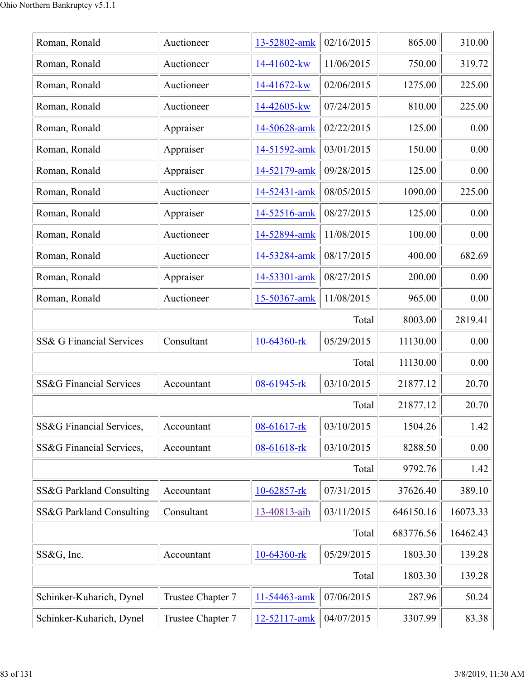| Roman, Ronald            | Auctioneer        | 13-52802-amk | 02/16/2015 | 865.00    | 310.00   |
|--------------------------|-------------------|--------------|------------|-----------|----------|
| Roman, Ronald            | Auctioneer        | 14-41602-kw  | 11/06/2015 | 750.00    | 319.72   |
| Roman, Ronald            | Auctioneer        | 14-41672-kw  | 02/06/2015 | 1275.00   | 225.00   |
| Roman, Ronald            | Auctioneer        | 14-42605-kw  | 07/24/2015 | 810.00    | 225.00   |
| Roman, Ronald            | Appraiser         | 14-50628-amk | 02/22/2015 | 125.00    | 0.00     |
| Roman, Ronald            | Appraiser         | 14-51592-amk | 03/01/2015 | 150.00    | 0.00     |
| Roman, Ronald            | Appraiser         | 14-52179-amk | 09/28/2015 | 125.00    | 0.00     |
| Roman, Ronald            | Auctioneer        | 14-52431-amk | 08/05/2015 | 1090.00   | 225.00   |
| Roman, Ronald            | Appraiser         | 14-52516-amk | 08/27/2015 | 125.00    | 0.00     |
| Roman, Ronald            | Auctioneer        | 14-52894-amk | 11/08/2015 | 100.00    | 0.00     |
| Roman, Ronald            | Auctioneer        | 14-53284-amk | 08/17/2015 | 400.00    | 682.69   |
| Roman, Ronald            | Appraiser         | 14-53301-amk | 08/27/2015 | 200.00    | 0.00     |
| Roman, Ronald            | Auctioneer        | 15-50367-amk | 11/08/2015 | 965.00    | 0.00     |
|                          |                   |              | Total      | 8003.00   | 2819.41  |
| SS& G Financial Services | Consultant        | 10-64360-rk  | 05/29/2015 | 11130.00  | 0.00     |
|                          |                   |              | Total      | 11130.00  | 0.00     |
| SS&G Financial Services  | Accountant        | 08-61945-rk  | 03/10/2015 | 21877.12  | 20.70    |
|                          |                   |              | Total      | 21877.12  | 20.70    |
| SS&G Financial Services, | Accountant        | 08-61617-rk  | 03/10/2015 | 1504.26   | 1.42     |
| SS&G Financial Services, | Accountant        | 08-61618-rk  | 03/10/2015 | 8288.50   | 0.00     |
|                          |                   |              | Total      | 9792.76   | 1.42     |
| SS&G Parkland Consulting | Accountant        | 10-62857-rk  | 07/31/2015 | 37626.40  | 389.10   |
| SS&G Parkland Consulting | Consultant        | 13-40813-aih | 03/11/2015 | 646150.16 | 16073.33 |
|                          |                   |              | Total      | 683776.56 | 16462.43 |
| SS&G, Inc.               | Accountant        | 10-64360-rk  | 05/29/2015 | 1803.30   | 139.28   |
|                          |                   |              | Total      | 1803.30   | 139.28   |
| Schinker-Kuharich, Dynel | Trustee Chapter 7 | 11-54463-amk | 07/06/2015 | 287.96    | 50.24    |
| Schinker-Kuharich, Dynel | Trustee Chapter 7 | 12-52117-amk | 04/07/2015 | 3307.99   | 83.38    |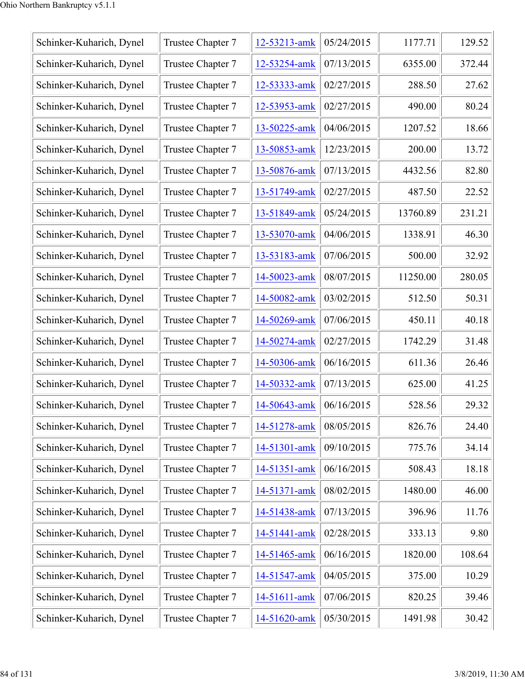| Schinker-Kuharich, Dynel | Trustee Chapter 7 | 12-53213-amk | 05/24/2015 | 1177.71  | 129.52 |
|--------------------------|-------------------|--------------|------------|----------|--------|
| Schinker-Kuharich, Dynel | Trustee Chapter 7 | 12-53254-amk | 07/13/2015 | 6355.00  | 372.44 |
| Schinker-Kuharich, Dynel | Trustee Chapter 7 | 12-53333-amk | 02/27/2015 | 288.50   | 27.62  |
| Schinker-Kuharich, Dynel | Trustee Chapter 7 | 12-53953-amk | 02/27/2015 | 490.00   | 80.24  |
| Schinker-Kuharich, Dynel | Trustee Chapter 7 | 13-50225-amk | 04/06/2015 | 1207.52  | 18.66  |
| Schinker-Kuharich, Dynel | Trustee Chapter 7 | 13-50853-amk | 12/23/2015 | 200.00   | 13.72  |
| Schinker-Kuharich, Dynel | Trustee Chapter 7 | 13-50876-amk | 07/13/2015 | 4432.56  | 82.80  |
| Schinker-Kuharich, Dynel | Trustee Chapter 7 | 13-51749-amk | 02/27/2015 | 487.50   | 22.52  |
| Schinker-Kuharich, Dynel | Trustee Chapter 7 | 13-51849-amk | 05/24/2015 | 13760.89 | 231.21 |
| Schinker-Kuharich, Dynel | Trustee Chapter 7 | 13-53070-amk | 04/06/2015 | 1338.91  | 46.30  |
| Schinker-Kuharich, Dynel | Trustee Chapter 7 | 13-53183-amk | 07/06/2015 | 500.00   | 32.92  |
| Schinker-Kuharich, Dynel | Trustee Chapter 7 | 14-50023-amk | 08/07/2015 | 11250.00 | 280.05 |
| Schinker-Kuharich, Dynel | Trustee Chapter 7 | 14-50082-amk | 03/02/2015 | 512.50   | 50.31  |
| Schinker-Kuharich, Dynel | Trustee Chapter 7 | 14-50269-amk | 07/06/2015 | 450.11   | 40.18  |
| Schinker-Kuharich, Dynel | Trustee Chapter 7 | 14-50274-amk | 02/27/2015 | 1742.29  | 31.48  |
| Schinker-Kuharich, Dynel | Trustee Chapter 7 | 14-50306-amk | 06/16/2015 | 611.36   | 26.46  |
| Schinker-Kuharich, Dynel | Trustee Chapter 7 | 14-50332-amk | 07/13/2015 | 625.00   | 41.25  |
| Schinker-Kuharich, Dynel | Trustee Chapter 7 | 14-50643-amk | 06/16/2015 | 528.56   | 29.32  |
| Schinker-Kuharich, Dynel | Trustee Chapter 7 | 14-51278-amk | 08/05/2015 | 826.76   | 24.40  |
| Schinker-Kuharich, Dynel | Trustee Chapter 7 | 14-51301-amk | 09/10/2015 | 775.76   | 34.14  |
| Schinker-Kuharich, Dynel | Trustee Chapter 7 | 14-51351-amk | 06/16/2015 | 508.43   | 18.18  |
| Schinker-Kuharich, Dynel | Trustee Chapter 7 | 14-51371-amk | 08/02/2015 | 1480.00  | 46.00  |
| Schinker-Kuharich, Dynel | Trustee Chapter 7 | 14-51438-amk | 07/13/2015 | 396.96   | 11.76  |
| Schinker-Kuharich, Dynel | Trustee Chapter 7 | 14-51441-amk | 02/28/2015 | 333.13   | 9.80   |
| Schinker-Kuharich, Dynel | Trustee Chapter 7 | 14-51465-amk | 06/16/2015 | 1820.00  | 108.64 |
| Schinker-Kuharich, Dynel | Trustee Chapter 7 | 14-51547-amk | 04/05/2015 | 375.00   | 10.29  |
| Schinker-Kuharich, Dynel | Trustee Chapter 7 | 14-51611-amk | 07/06/2015 | 820.25   | 39.46  |
| Schinker-Kuharich, Dynel | Trustee Chapter 7 | 14-51620-amk | 05/30/2015 | 1491.98  | 30.42  |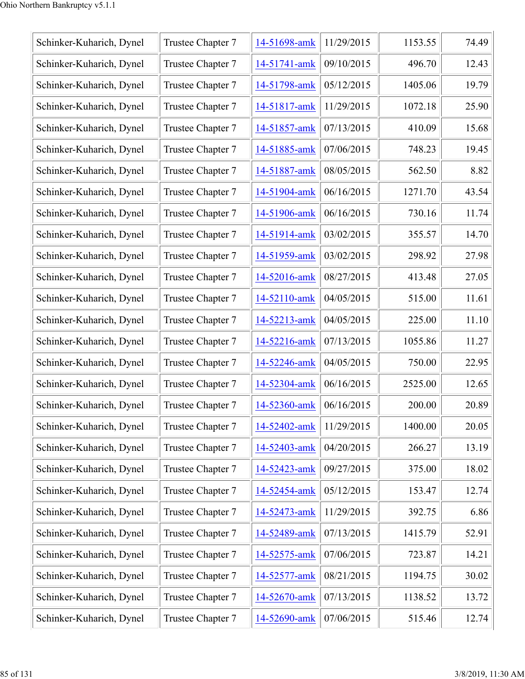| Schinker-Kuharich, Dynel | Trustee Chapter 7 | 14-51698-amk | 11/29/2015 | 1153.55 | 74.49 |
|--------------------------|-------------------|--------------|------------|---------|-------|
| Schinker-Kuharich, Dynel | Trustee Chapter 7 | 14-51741-amk | 09/10/2015 | 496.70  | 12.43 |
| Schinker-Kuharich, Dynel | Trustee Chapter 7 | 14-51798-amk | 05/12/2015 | 1405.06 | 19.79 |
| Schinker-Kuharich, Dynel | Trustee Chapter 7 | 14-51817-amk | 11/29/2015 | 1072.18 | 25.90 |
| Schinker-Kuharich, Dynel | Trustee Chapter 7 | 14-51857-amk | 07/13/2015 | 410.09  | 15.68 |
| Schinker-Kuharich, Dynel | Trustee Chapter 7 | 14-51885-amk | 07/06/2015 | 748.23  | 19.45 |
| Schinker-Kuharich, Dynel | Trustee Chapter 7 | 14-51887-amk | 08/05/2015 | 562.50  | 8.82  |
| Schinker-Kuharich, Dynel | Trustee Chapter 7 | 14-51904-amk | 06/16/2015 | 1271.70 | 43.54 |
| Schinker-Kuharich, Dynel | Trustee Chapter 7 | 14-51906-amk | 06/16/2015 | 730.16  | 11.74 |
| Schinker-Kuharich, Dynel | Trustee Chapter 7 | 14-51914-amk | 03/02/2015 | 355.57  | 14.70 |
| Schinker-Kuharich, Dynel | Trustee Chapter 7 | 14-51959-amk | 03/02/2015 | 298.92  | 27.98 |
| Schinker-Kuharich, Dynel | Trustee Chapter 7 | 14-52016-amk | 08/27/2015 | 413.48  | 27.05 |
| Schinker-Kuharich, Dynel | Trustee Chapter 7 | 14-52110-amk | 04/05/2015 | 515.00  | 11.61 |
| Schinker-Kuharich, Dynel | Trustee Chapter 7 | 14-52213-amk | 04/05/2015 | 225.00  | 11.10 |
| Schinker-Kuharich, Dynel | Trustee Chapter 7 | 14-52216-amk | 07/13/2015 | 1055.86 | 11.27 |
| Schinker-Kuharich, Dynel | Trustee Chapter 7 | 14-52246-amk | 04/05/2015 | 750.00  | 22.95 |
| Schinker-Kuharich, Dynel | Trustee Chapter 7 | 14-52304-amk | 06/16/2015 | 2525.00 | 12.65 |
| Schinker-Kuharich, Dynel | Trustee Chapter 7 | 14-52360-amk | 06/16/2015 | 200.00  | 20.89 |
| Schinker-Kuharich, Dynel | Trustee Chapter 7 | 14-52402-amk | 11/29/2015 | 1400.00 | 20.05 |
| Schinker-Kuharich, Dynel | Trustee Chapter 7 | 14-52403-amk | 04/20/2015 | 266.27  | 13.19 |
| Schinker-Kuharich, Dynel | Trustee Chapter 7 | 14-52423-amk | 09/27/2015 | 375.00  | 18.02 |
| Schinker-Kuharich, Dynel | Trustee Chapter 7 | 14-52454-amk | 05/12/2015 | 153.47  | 12.74 |
| Schinker-Kuharich, Dynel | Trustee Chapter 7 | 14-52473-amk | 11/29/2015 | 392.75  | 6.86  |
| Schinker-Kuharich, Dynel | Trustee Chapter 7 | 14-52489-amk | 07/13/2015 | 1415.79 | 52.91 |
| Schinker-Kuharich, Dynel | Trustee Chapter 7 | 14-52575-amk | 07/06/2015 | 723.87  | 14.21 |
| Schinker-Kuharich, Dynel | Trustee Chapter 7 | 14-52577-amk | 08/21/2015 | 1194.75 | 30.02 |
| Schinker-Kuharich, Dynel | Trustee Chapter 7 | 14-52670-amk | 07/13/2015 | 1138.52 | 13.72 |
| Schinker-Kuharich, Dynel | Trustee Chapter 7 | 14-52690-amk | 07/06/2015 | 515.46  | 12.74 |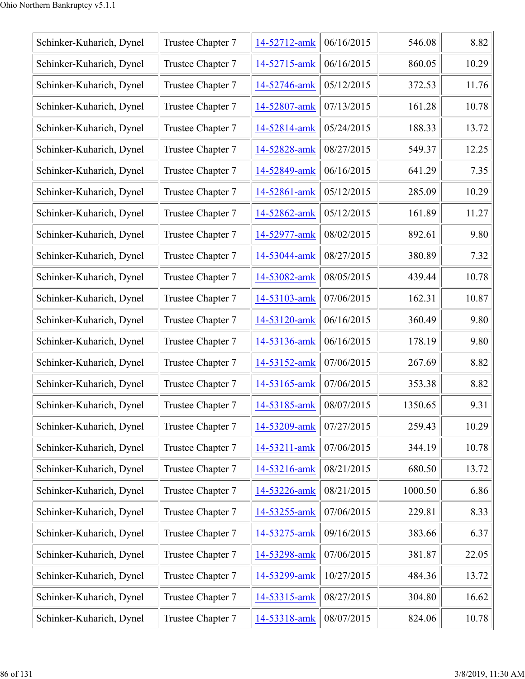| Schinker-Kuharich, Dynel | Trustee Chapter 7 | 14-52712-amk | 06/16/2015 | 546.08  | 8.82  |
|--------------------------|-------------------|--------------|------------|---------|-------|
| Schinker-Kuharich, Dynel | Trustee Chapter 7 | 14-52715-amk | 06/16/2015 | 860.05  | 10.29 |
| Schinker-Kuharich, Dynel | Trustee Chapter 7 | 14-52746-amk | 05/12/2015 | 372.53  | 11.76 |
| Schinker-Kuharich, Dynel | Trustee Chapter 7 | 14-52807-amk | 07/13/2015 | 161.28  | 10.78 |
| Schinker-Kuharich, Dynel | Trustee Chapter 7 | 14-52814-amk | 05/24/2015 | 188.33  | 13.72 |
| Schinker-Kuharich, Dynel | Trustee Chapter 7 | 14-52828-amk | 08/27/2015 | 549.37  | 12.25 |
| Schinker-Kuharich, Dynel | Trustee Chapter 7 | 14-52849-amk | 06/16/2015 | 641.29  | 7.35  |
| Schinker-Kuharich, Dynel | Trustee Chapter 7 | 14-52861-amk | 05/12/2015 | 285.09  | 10.29 |
| Schinker-Kuharich, Dynel | Trustee Chapter 7 | 14-52862-amk | 05/12/2015 | 161.89  | 11.27 |
| Schinker-Kuharich, Dynel | Trustee Chapter 7 | 14-52977-amk | 08/02/2015 | 892.61  | 9.80  |
| Schinker-Kuharich, Dynel | Trustee Chapter 7 | 14-53044-amk | 08/27/2015 | 380.89  | 7.32  |
| Schinker-Kuharich, Dynel | Trustee Chapter 7 | 14-53082-amk | 08/05/2015 | 439.44  | 10.78 |
| Schinker-Kuharich, Dynel | Trustee Chapter 7 | 14-53103-amk | 07/06/2015 | 162.31  | 10.87 |
| Schinker-Kuharich, Dynel | Trustee Chapter 7 | 14-53120-amk | 06/16/2015 | 360.49  | 9.80  |
| Schinker-Kuharich, Dynel | Trustee Chapter 7 | 14-53136-amk | 06/16/2015 | 178.19  | 9.80  |
| Schinker-Kuharich, Dynel | Trustee Chapter 7 | 14-53152-amk | 07/06/2015 | 267.69  | 8.82  |
| Schinker-Kuharich, Dynel | Trustee Chapter 7 | 14-53165-amk | 07/06/2015 | 353.38  | 8.82  |
| Schinker-Kuharich, Dynel | Trustee Chapter 7 | 14-53185-amk | 08/07/2015 | 1350.65 | 9.31  |
| Schinker-Kuharich, Dynel | Trustee Chapter 7 | 14-53209-amk | 07/27/2015 | 259.43  | 10.29 |
| Schinker-Kuharich, Dynel | Trustee Chapter 7 | 14-53211-amk | 07/06/2015 | 344.19  | 10.78 |
| Schinker-Kuharich, Dynel | Trustee Chapter 7 | 14-53216-amk | 08/21/2015 | 680.50  | 13.72 |
| Schinker-Kuharich, Dynel | Trustee Chapter 7 | 14-53226-amk | 08/21/2015 | 1000.50 | 6.86  |
| Schinker-Kuharich, Dynel | Trustee Chapter 7 | 14-53255-amk | 07/06/2015 | 229.81  | 8.33  |
| Schinker-Kuharich, Dynel | Trustee Chapter 7 | 14-53275-amk | 09/16/2015 | 383.66  | 6.37  |
| Schinker-Kuharich, Dynel | Trustee Chapter 7 | 14-53298-amk | 07/06/2015 | 381.87  | 22.05 |
| Schinker-Kuharich, Dynel | Trustee Chapter 7 | 14-53299-amk | 10/27/2015 | 484.36  | 13.72 |
| Schinker-Kuharich, Dynel | Trustee Chapter 7 | 14-53315-amk | 08/27/2015 | 304.80  | 16.62 |
| Schinker-Kuharich, Dynel | Trustee Chapter 7 | 14-53318-amk | 08/07/2015 | 824.06  | 10.78 |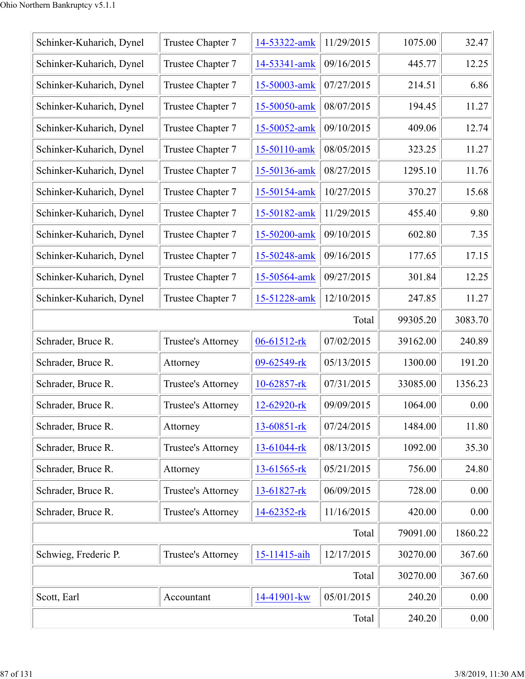| Schinker-Kuharich, Dynel | Trustee Chapter 7  | 14-53322-amk     | 11/29/2015 | 1075.00  | 32.47   |
|--------------------------|--------------------|------------------|------------|----------|---------|
| Schinker-Kuharich, Dynel | Trustee Chapter 7  | 14-53341-amk     | 09/16/2015 | 445.77   | 12.25   |
| Schinker-Kuharich, Dynel | Trustee Chapter 7  | 15-50003-amk     | 07/27/2015 | 214.51   | 6.86    |
| Schinker-Kuharich, Dynel | Trustee Chapter 7  | 15-50050-amk     | 08/07/2015 | 194.45   | 11.27   |
| Schinker-Kuharich, Dynel | Trustee Chapter 7  | 15-50052-amk     | 09/10/2015 | 409.06   | 12.74   |
| Schinker-Kuharich, Dynel | Trustee Chapter 7  | 15-50110-amk     | 08/05/2015 | 323.25   | 11.27   |
| Schinker-Kuharich, Dynel | Trustee Chapter 7  | 15-50136-amk     | 08/27/2015 | 1295.10  | 11.76   |
| Schinker-Kuharich, Dynel | Trustee Chapter 7  | 15-50154-amk     | 10/27/2015 | 370.27   | 15.68   |
| Schinker-Kuharich, Dynel | Trustee Chapter 7  | 15-50182-amk     | 11/29/2015 | 455.40   | 9.80    |
| Schinker-Kuharich, Dynel | Trustee Chapter 7  | 15-50200-amk     | 09/10/2015 | 602.80   | 7.35    |
| Schinker-Kuharich, Dynel | Trustee Chapter 7  | 15-50248-amk     | 09/16/2015 | 177.65   | 17.15   |
| Schinker-Kuharich, Dynel | Trustee Chapter 7  | 15-50564-amk     | 09/27/2015 | 301.84   | 12.25   |
| Schinker-Kuharich, Dynel | Trustee Chapter 7  | 15-51228-amk     | 12/10/2015 | 247.85   | 11.27   |
|                          |                    |                  | Total      | 99305.20 | 3083.70 |
| Schrader, Bruce R.       | Trustee's Attorney | 06-61512-rk      | 07/02/2015 | 39162.00 | 240.89  |
| Schrader, Bruce R.       | Attorney           | 09-62549-rk      | 05/13/2015 | 1300.00  | 191.20  |
| Schrader, Bruce R.       | Trustee's Attorney | 10-62857-rk      | 07/31/2015 | 33085.00 | 1356.23 |
| Schrader, Bruce R.       | Trustee's Attorney | $12 - 62920$ -rk | 09/09/2015 | 1064.00  | 0.00    |
| Schrader, Bruce R.       | Attorney           | 13-60851-rk      | 07/24/2015 | 1484.00  | 11.80   |
| Schrader, Bruce R.       | Trustee's Attorney | 13-61044-rk      | 08/13/2015 | 1092.00  | 35.30   |
| Schrader, Bruce R.       | Attorney           | 13-61565-rk      | 05/21/2015 | 756.00   | 24.80   |
| Schrader, Bruce R.       | Trustee's Attorney | 13-61827-rk      | 06/09/2015 | 728.00   | 0.00    |
| Schrader, Bruce R.       | Trustee's Attorney | 14-62352-rk      | 11/16/2015 | 420.00   | 0.00    |
|                          |                    |                  | Total      | 79091.00 | 1860.22 |
| Schwieg, Frederic P.     | Trustee's Attorney | 15-11415-aih     | 12/17/2015 | 30270.00 | 367.60  |
|                          |                    |                  | Total      | 30270.00 | 367.60  |
| Scott, Earl              | Accountant         | 14-41901-kw      | 05/01/2015 | 240.20   | 0.00    |
|                          |                    |                  | Total      | 240.20   | 0.00    |
|                          |                    |                  |            |          |         |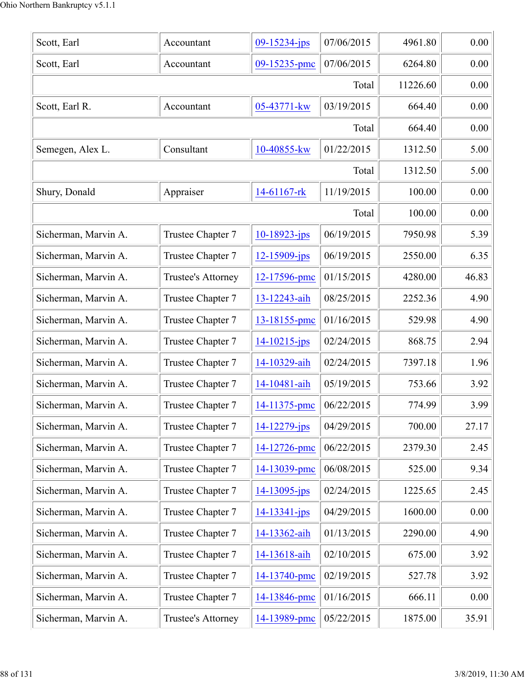| Scott, Earl          | Accountant         | 09-15234-jps       | 07/06/2015 | 4961.80  | 0.00  |
|----------------------|--------------------|--------------------|------------|----------|-------|
| Scott, Earl          | Accountant         | 09-15235-pmc       | 07/06/2015 | 6264.80  | 0.00  |
|                      |                    |                    | Total      | 11226.60 | 0.00  |
| Scott, Earl R.       | Accountant         | 05-43771-kw        | 03/19/2015 | 664.40   | 0.00  |
|                      |                    |                    | Total      | 664.40   | 0.00  |
| Semegen, Alex L.     | Consultant         | 10-40855-kw        | 01/22/2015 | 1312.50  | 5.00  |
|                      |                    |                    | Total      | 1312.50  | 5.00  |
| Shury, Donald        | Appraiser          | 14-61167-rk        | 11/19/2015 | 100.00   | 0.00  |
|                      |                    |                    | Total      | 100.00   | 0.00  |
| Sicherman, Marvin A. | Trustee Chapter 7  | 10-18923-jps       | 06/19/2015 | 7950.98  | 5.39  |
| Sicherman, Marvin A. | Trustee Chapter 7  | 12-15909-jps       | 06/19/2015 | 2550.00  | 6.35  |
| Sicherman, Marvin A. | Trustee's Attorney | 12-17596-pmc       | 01/15/2015 | 4280.00  | 46.83 |
| Sicherman, Marvin A. | Trustee Chapter 7  | 13-12243-aih       | 08/25/2015 | 2252.36  | 4.90  |
| Sicherman, Marvin A. | Trustee Chapter 7  | 13-18155-pmc       | 01/16/2015 | 529.98   | 4.90  |
| Sicherman, Marvin A. | Trustee Chapter 7  | $14 - 10215 - ips$ | 02/24/2015 | 868.75   | 2.94  |
| Sicherman, Marvin A. | Trustee Chapter 7  | 14-10329-aih       | 02/24/2015 | 7397.18  | 1.96  |
| Sicherman, Marvin A. | Trustee Chapter 7  | 14-10481-aih       | 05/19/2015 | 753.66   | 3.92  |
| Sicherman, Marvin A. | Trustee Chapter 7  | 14-11375-pmc       | 06/22/2015 | 774.99   | 3.99  |
| Sicherman, Marvin A. | Trustee Chapter 7  | $14 - 12279$ -jps  | 04/29/2015 | 700.00   | 27.17 |
| Sicherman, Marvin A. | Trustee Chapter 7  | 14-12726-pmc       | 06/22/2015 | 2379.30  | 2.45  |
| Sicherman, Marvin A. | Trustee Chapter 7  | 14-13039-pmc       | 06/08/2015 | 525.00   | 9.34  |
| Sicherman, Marvin A. | Trustee Chapter 7  | $14 - 13095$ -jps  | 02/24/2015 | 1225.65  | 2.45  |
| Sicherman, Marvin A. | Trustee Chapter 7  | $14 - 13341 - ips$ | 04/29/2015 | 1600.00  | 0.00  |
| Sicherman, Marvin A. | Trustee Chapter 7  | 14-13362-aih       | 01/13/2015 | 2290.00  | 4.90  |
| Sicherman, Marvin A. | Trustee Chapter 7  | 14-13618-aih       | 02/10/2015 | 675.00   | 3.92  |
| Sicherman, Marvin A. | Trustee Chapter 7  | 14-13740-pmc       | 02/19/2015 | 527.78   | 3.92  |
| Sicherman, Marvin A. | Trustee Chapter 7  | 14-13846-pmc       | 01/16/2015 | 666.11   | 0.00  |
| Sicherman, Marvin A. | Trustee's Attorney | 14-13989-pmc       | 05/22/2015 | 1875.00  | 35.91 |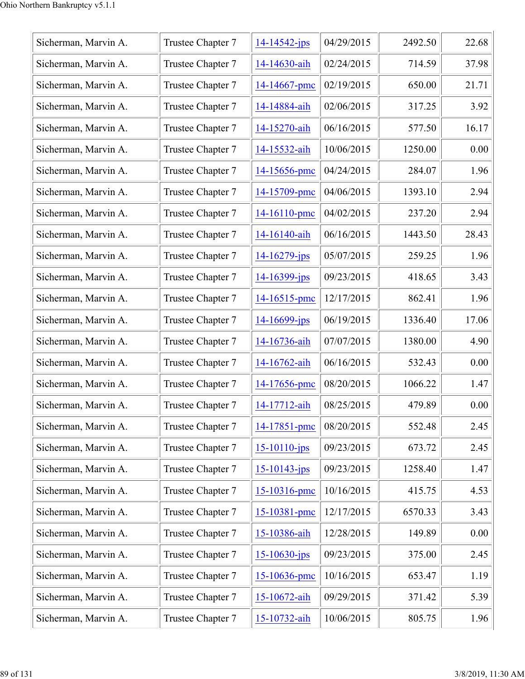| Sicherman, Marvin A. | Trustee Chapter 7 | 14-14542-jps       | 04/29/2015 | 2492.50 | 22.68 |
|----------------------|-------------------|--------------------|------------|---------|-------|
| Sicherman, Marvin A. | Trustee Chapter 7 | 14-14630-aih       | 02/24/2015 | 714.59  | 37.98 |
| Sicherman, Marvin A. | Trustee Chapter 7 | 14-14667-pmc       | 02/19/2015 | 650.00  | 21.71 |
| Sicherman, Marvin A. | Trustee Chapter 7 | 14-14884-aih       | 02/06/2015 | 317.25  | 3.92  |
| Sicherman, Marvin A. | Trustee Chapter 7 | 14-15270-aih       | 06/16/2015 | 577.50  | 16.17 |
| Sicherman, Marvin A. | Trustee Chapter 7 | 14-15532-aih       | 10/06/2015 | 1250.00 | 0.00  |
| Sicherman, Marvin A. | Trustee Chapter 7 | 14-15656-pmc       | 04/24/2015 | 284.07  | 1.96  |
| Sicherman, Marvin A. | Trustee Chapter 7 | 14-15709-pmc       | 04/06/2015 | 1393.10 | 2.94  |
| Sicherman, Marvin A. | Trustee Chapter 7 | 14-16110-pmc       | 04/02/2015 | 237.20  | 2.94  |
| Sicherman, Marvin A. | Trustee Chapter 7 | 14-16140-aih       | 06/16/2015 | 1443.50 | 28.43 |
| Sicherman, Marvin A. | Trustee Chapter 7 | 14-16279-jps       | 05/07/2015 | 259.25  | 1.96  |
| Sicherman, Marvin A. | Trustee Chapter 7 | 14-16399-jps       | 09/23/2015 | 418.65  | 3.43  |
| Sicherman, Marvin A. | Trustee Chapter 7 | $14 - 16515$ -pmc  | 12/17/2015 | 862.41  | 1.96  |
| Sicherman, Marvin A. | Trustee Chapter 7 | $14 - 16699$ -jps  | 06/19/2015 | 1336.40 | 17.06 |
| Sicherman, Marvin A. | Trustee Chapter 7 | 14-16736-aih       | 07/07/2015 | 1380.00 | 4.90  |
| Sicherman, Marvin A. | Trustee Chapter 7 | 14-16762-aih       | 06/16/2015 | 532.43  | 0.00  |
| Sicherman, Marvin A. | Trustee Chapter 7 | 14-17656-pmc       | 08/20/2015 | 1066.22 | 1.47  |
| Sicherman, Marvin A. | Trustee Chapter 7 | 14-17712-aih       | 08/25/2015 | 479.89  | 0.00  |
| Sicherman, Marvin A. | Trustee Chapter 7 | 14-17851-pmc       | 08/20/2015 | 552.48  | 2.45  |
| Sicherman, Marvin A. | Trustee Chapter 7 | $15 - 10110 - ips$ | 09/23/2015 | 673.72  | 2.45  |
| Sicherman, Marvin A. | Trustee Chapter 7 | $15 - 10143 - ips$ | 09/23/2015 | 1258.40 | 1.47  |
| Sicherman, Marvin A. | Trustee Chapter 7 | 15-10316-pmc       | 10/16/2015 | 415.75  | 4.53  |
| Sicherman, Marvin A. | Trustee Chapter 7 | 15-10381-pmc       | 12/17/2015 | 6570.33 | 3.43  |
| Sicherman, Marvin A. | Trustee Chapter 7 | 15-10386-aih       | 12/28/2015 | 149.89  | 0.00  |
| Sicherman, Marvin A. | Trustee Chapter 7 | $15 - 10630 - ips$ | 09/23/2015 | 375.00  | 2.45  |
| Sicherman, Marvin A. | Trustee Chapter 7 | 15-10636-pmc       | 10/16/2015 | 653.47  | 1.19  |
| Sicherman, Marvin A. | Trustee Chapter 7 | 15-10672-aih       | 09/29/2015 | 371.42  | 5.39  |
| Sicherman, Marvin A. | Trustee Chapter 7 | 15-10732-aih       | 10/06/2015 | 805.75  | 1.96  |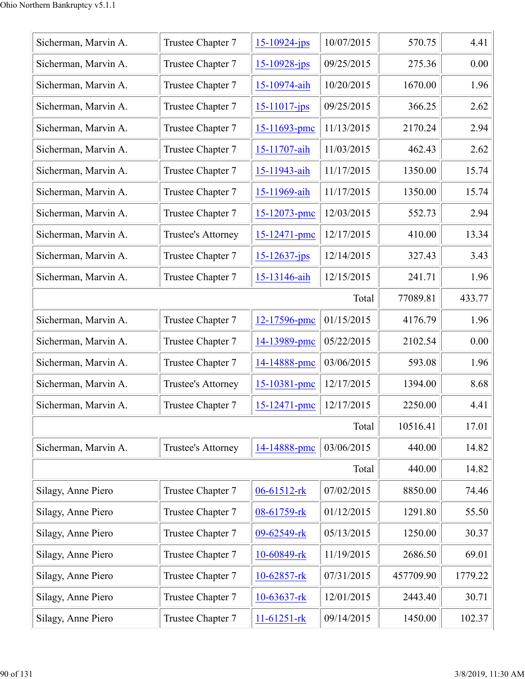| Sicherman, Marvin A. | Trustee Chapter 7  | $15 - 10924$ -jps | 10/07/2015 | 570.75    | 4.41    |
|----------------------|--------------------|-------------------|------------|-----------|---------|
| Sicherman, Marvin A. | Trustee Chapter 7  | $15 - 10928$ -jps | 09/25/2015 | 275.36    | 0.00    |
| Sicherman, Marvin A. | Trustee Chapter 7  | 15-10974-aih      | 10/20/2015 | 1670.00   | 1.96    |
| Sicherman, Marvin A. | Trustee Chapter 7  | $15 - 11017$ -jps | 09/25/2015 | 366.25    | 2.62    |
| Sicherman, Marvin A. | Trustee Chapter 7  | $15 - 11693$ -pmc | 11/13/2015 | 2170.24   | 2.94    |
| Sicherman, Marvin A. | Trustee Chapter 7  | 15-11707-aih      | 11/03/2015 | 462.43    | 2.62    |
| Sicherman, Marvin A. | Trustee Chapter 7  | 15-11943-aih      | 11/17/2015 | 1350.00   | 15.74   |
| Sicherman, Marvin A. | Trustee Chapter 7  | 15-11969-aih      | 11/17/2015 | 1350.00   | 15.74   |
| Sicherman, Marvin A. | Trustee Chapter 7  | $15 - 12073$ -pmc | 12/03/2015 | 552.73    | 2.94    |
| Sicherman, Marvin A. | Trustee's Attorney | 15-12471-pmc      | 12/17/2015 | 410.00    | 13.34   |
| Sicherman, Marvin A. | Trustee Chapter 7  | $15 - 12637$ -jps | 12/14/2015 | 327.43    | 3.43    |
| Sicherman, Marvin A. | Trustee Chapter 7  | 15-13146-aih      | 12/15/2015 | 241.71    | 1.96    |
|                      |                    |                   | Total      | 77089.81  | 433.77  |
| Sicherman, Marvin A. | Trustee Chapter 7  | 12-17596-pmc      | 01/15/2015 | 4176.79   | 1.96    |
| Sicherman, Marvin A. | Trustee Chapter 7  | 14-13989-pmc      | 05/22/2015 | 2102.54   | 0.00    |
| Sicherman, Marvin A. | Trustee Chapter 7  | 14-14888-pmc      | 03/06/2015 | 593.08    | 1.96    |
| Sicherman, Marvin A. | Trustee's Attorney | 15-10381-pmc      | 12/17/2015 | 1394.00   | 8.68    |
| Sicherman, Marvin A. | Trustee Chapter 7  | 15-12471-pmc      | 12/17/2015 | 2250.00   | 4.41    |
|                      |                    |                   | Total      | 10516.41  | 17.01   |
| Sicherman, Marvin A. | Trustee's Attorney | 14-14888-pmc      | 03/06/2015 | 440.00    | 14.82   |
|                      |                    |                   | Total      | 440.00    | 14.82   |
| Silagy, Anne Piero   | Trustee Chapter 7  | 06-61512-rk       | 07/02/2015 | 8850.00   | 74.46   |
| Silagy, Anne Piero   | Trustee Chapter 7  | 08-61759-rk       | 01/12/2015 | 1291.80   | 55.50   |
| Silagy, Anne Piero   | Trustee Chapter 7  | 09-62549-rk       | 05/13/2015 | 1250.00   | 30.37   |
| Silagy, Anne Piero   | Trustee Chapter 7  | 10-60849-rk       | 11/19/2015 | 2686.50   | 69.01   |
| Silagy, Anne Piero   | Trustee Chapter 7  | 10-62857-rk       | 07/31/2015 | 457709.90 | 1779.22 |
| Silagy, Anne Piero   | Trustee Chapter 7  | $10-63637$ -rk    | 12/01/2015 | 2443.40   | 30.71   |
| Silagy, Anne Piero   | Trustee Chapter 7  | $11-61251-rk$     | 09/14/2015 | 1450.00   | 102.37  |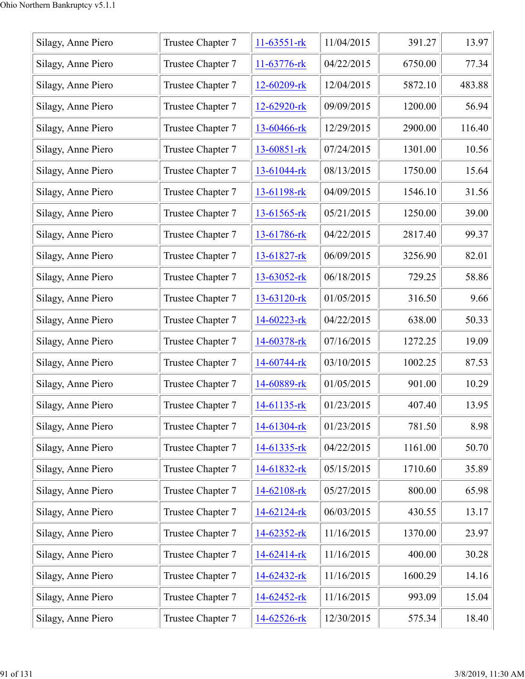| Silagy, Anne Piero | Trustee Chapter 7 | $11-63551-rk$ | 11/04/2015 | 391.27  | 13.97  |
|--------------------|-------------------|---------------|------------|---------|--------|
| Silagy, Anne Piero | Trustee Chapter 7 | 11-63776-rk   | 04/22/2015 | 6750.00 | 77.34  |
| Silagy, Anne Piero | Trustee Chapter 7 | 12-60209-rk   | 12/04/2015 | 5872.10 | 483.88 |
| Silagy, Anne Piero | Trustee Chapter 7 | 12-62920-rk   | 09/09/2015 | 1200.00 | 56.94  |
| Silagy, Anne Piero | Trustee Chapter 7 | 13-60466-rk   | 12/29/2015 | 2900.00 | 116.40 |
| Silagy, Anne Piero | Trustee Chapter 7 | 13-60851-rk   | 07/24/2015 | 1301.00 | 10.56  |
| Silagy, Anne Piero | Trustee Chapter 7 | 13-61044-rk   | 08/13/2015 | 1750.00 | 15.64  |
| Silagy, Anne Piero | Trustee Chapter 7 | 13-61198-rk   | 04/09/2015 | 1546.10 | 31.56  |
| Silagy, Anne Piero | Trustee Chapter 7 | 13-61565-rk   | 05/21/2015 | 1250.00 | 39.00  |
| Silagy, Anne Piero | Trustee Chapter 7 | 13-61786-rk   | 04/22/2015 | 2817.40 | 99.37  |
| Silagy, Anne Piero | Trustee Chapter 7 | 13-61827-rk   | 06/09/2015 | 3256.90 | 82.01  |
| Silagy, Anne Piero | Trustee Chapter 7 | 13-63052-rk   | 06/18/2015 | 729.25  | 58.86  |
| Silagy, Anne Piero | Trustee Chapter 7 | 13-63120-rk   | 01/05/2015 | 316.50  | 9.66   |
| Silagy, Anne Piero | Trustee Chapter 7 | 14-60223-rk   | 04/22/2015 | 638.00  | 50.33  |
| Silagy, Anne Piero | Trustee Chapter 7 | 14-60378-rk   | 07/16/2015 | 1272.25 | 19.09  |
| Silagy, Anne Piero | Trustee Chapter 7 | 14-60744-rk   | 03/10/2015 | 1002.25 | 87.53  |
| Silagy, Anne Piero | Trustee Chapter 7 | 14-60889-rk   | 01/05/2015 | 901.00  | 10.29  |
| Silagy, Anne Piero | Trustee Chapter 7 | 14-61135-rk   | 01/23/2015 | 407.40  | 13.95  |
| Silagy, Anne Piero | Trustee Chapter 7 | 14-61304-rk   | 01/23/2015 | 781.50  | 8.98   |
| Silagy, Anne Piero | Trustee Chapter 7 | 14-61335-rk   | 04/22/2015 | 1161.00 | 50.70  |
| Silagy, Anne Piero | Trustee Chapter 7 | 14-61832-rk   | 05/15/2015 | 1710.60 | 35.89  |
| Silagy, Anne Piero | Trustee Chapter 7 | 14-62108-rk   | 05/27/2015 | 800.00  | 65.98  |
| Silagy, Anne Piero | Trustee Chapter 7 | 14-62124-rk   | 06/03/2015 | 430.55  | 13.17  |
| Silagy, Anne Piero | Trustee Chapter 7 | 14-62352-rk   | 11/16/2015 | 1370.00 | 23.97  |
| Silagy, Anne Piero | Trustee Chapter 7 | 14-62414-rk   | 11/16/2015 | 400.00  | 30.28  |
| Silagy, Anne Piero | Trustee Chapter 7 | 14-62432-rk   | 11/16/2015 | 1600.29 | 14.16  |
| Silagy, Anne Piero | Trustee Chapter 7 | 14-62452-rk   | 11/16/2015 | 993.09  | 15.04  |
| Silagy, Anne Piero | Trustee Chapter 7 | 14-62526-rk   | 12/30/2015 | 575.34  | 18.40  |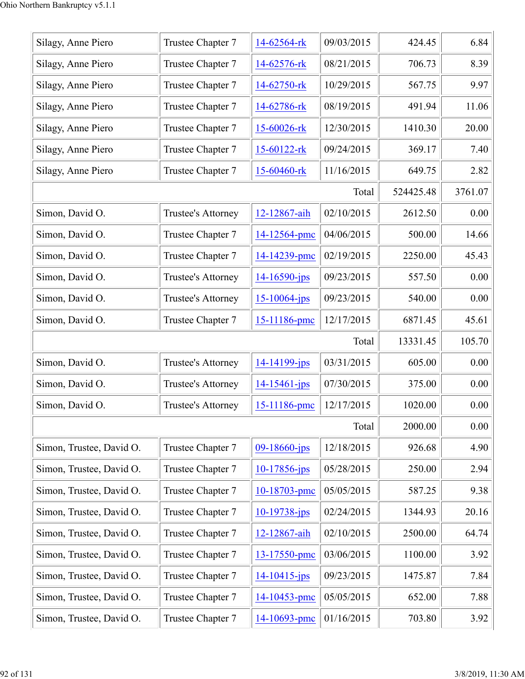| Silagy, Anne Piero       | Trustee Chapter 7  | 14-62564-rk        | 09/03/2015 | 424.45    | 6.84    |
|--------------------------|--------------------|--------------------|------------|-----------|---------|
| Silagy, Anne Piero       | Trustee Chapter 7  | 14-62576-rk        | 08/21/2015 | 706.73    | 8.39    |
| Silagy, Anne Piero       | Trustee Chapter 7  | 14-62750-rk        | 10/29/2015 | 567.75    | 9.97    |
| Silagy, Anne Piero       | Trustee Chapter 7  | 14-62786-rk        | 08/19/2015 | 491.94    | 11.06   |
| Silagy, Anne Piero       | Trustee Chapter 7  | 15-60026-rk        | 12/30/2015 | 1410.30   | 20.00   |
| Silagy, Anne Piero       | Trustee Chapter 7  | 15-60122-rk        | 09/24/2015 | 369.17    | 7.40    |
| Silagy, Anne Piero       | Trustee Chapter 7  | 15-60460-rk        | 11/16/2015 | 649.75    | 2.82    |
|                          |                    |                    | Total      | 524425.48 | 3761.07 |
| Simon, David O.          | Trustee's Attorney | 12-12867-aih       | 02/10/2015 | 2612.50   | 0.00    |
| Simon, David O.          | Trustee Chapter 7  | 14-12564-pmc       | 04/06/2015 | 500.00    | 14.66   |
| Simon, David O.          | Trustee Chapter 7  | 14-14239-pmc       | 02/19/2015 | 2250.00   | 45.43   |
| Simon, David O.          | Trustee's Attorney | $14 - 16590 - ips$ | 09/23/2015 | 557.50    | 0.00    |
| Simon, David O.          | Trustee's Attorney | $15 - 10064$ -jps  | 09/23/2015 | 540.00    | 0.00    |
| Simon, David O.          | Trustee Chapter 7  | 15-11186-pmc       | 12/17/2015 | 6871.45   | 45.61   |
|                          |                    |                    | Total      | 13331.45  | 105.70  |
| Simon, David O.          | Trustee's Attorney | 14-14199-jps       | 03/31/2015 | 605.00    | 0.00    |
| Simon, David O.          | Trustee's Attorney | $14 - 15461$ -jps  | 07/30/2015 | 375.00    | 0.00    |
| Simon, David O.          | Trustee's Attorney | 15-11186-pmc       | 12/17/2015 | 1020.00   | 0.00    |
|                          |                    |                    | Total      | 2000.00   | 0.00    |
| Simon, Trustee, David O. | Trustee Chapter 7  | 09-18660-jps       | 12/18/2015 | 926.68    | 4.90    |
| Simon, Trustee, David O. | Trustee Chapter 7  | $10-17856$ -jps    | 05/28/2015 | 250.00    | 2.94    |
| Simon, Trustee, David O. | Trustee Chapter 7  | 10-18703-pmc       | 05/05/2015 | 587.25    | 9.38    |
| Simon, Trustee, David O. | Trustee Chapter 7  | $10-19738$ -jps    | 02/24/2015 | 1344.93   | 20.16   |
| Simon, Trustee, David O. | Trustee Chapter 7  | 12-12867-aih       | 02/10/2015 | 2500.00   | 64.74   |
| Simon, Trustee, David O. | Trustee Chapter 7  | 13-17550-pmc       | 03/06/2015 | 1100.00   | 3.92    |
| Simon, Trustee, David O. | Trustee Chapter 7  | $14 - 10415$ -jps  | 09/23/2015 | 1475.87   | 7.84    |
| Simon, Trustee, David O. | Trustee Chapter 7  | 14-10453-pmc       | 05/05/2015 | 652.00    | 7.88    |
| Simon, Trustee, David O. | Trustee Chapter 7  | 14-10693-pmc       | 01/16/2015 | 703.80    | 3.92    |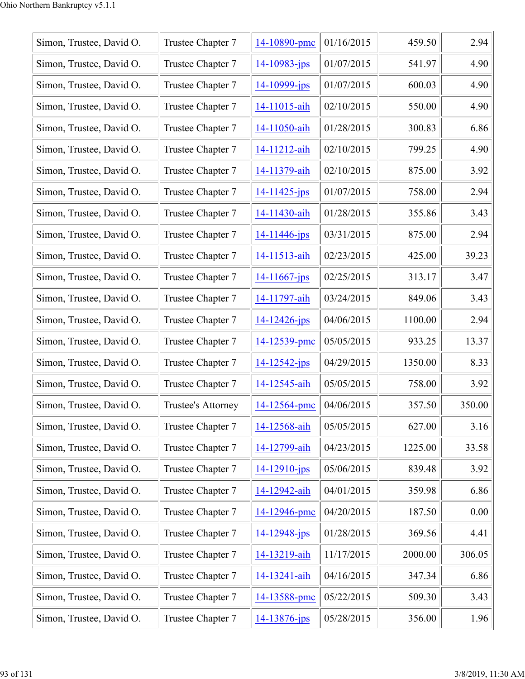| Simon, Trustee, David O. | Trustee Chapter 7  | 14-10890-pmc       | 01/16/2015 | 459.50  | 2.94   |
|--------------------------|--------------------|--------------------|------------|---------|--------|
| Simon, Trustee, David O. | Trustee Chapter 7  | $14 - 10983 - jps$ | 01/07/2015 | 541.97  | 4.90   |
| Simon, Trustee, David O. | Trustee Chapter 7  | $14 - 10999 - ips$ | 01/07/2015 | 600.03  | 4.90   |
| Simon, Trustee, David O. | Trustee Chapter 7  | 14-11015-aih       | 02/10/2015 | 550.00  | 4.90   |
| Simon, Trustee, David O. | Trustee Chapter 7  | 14-11050-aih       | 01/28/2015 | 300.83  | 6.86   |
| Simon, Trustee, David O. | Trustee Chapter 7  | 14-11212-aih       | 02/10/2015 | 799.25  | 4.90   |
| Simon, Trustee, David O. | Trustee Chapter 7  | 14-11379-aih       | 02/10/2015 | 875.00  | 3.92   |
| Simon, Trustee, David O. | Trustee Chapter 7  | $14 - 11425$ -jps  | 01/07/2015 | 758.00  | 2.94   |
| Simon, Trustee, David O. | Trustee Chapter 7  | 14-11430-aih       | 01/28/2015 | 355.86  | 3.43   |
| Simon, Trustee, David O. | Trustee Chapter 7  | $14 - 11446$ -jps  | 03/31/2015 | 875.00  | 2.94   |
| Simon, Trustee, David O. | Trustee Chapter 7  | 14-11513-aih       | 02/23/2015 | 425.00  | 39.23  |
| Simon, Trustee, David O. | Trustee Chapter 7  | $14 - 11667$ -jps  | 02/25/2015 | 313.17  | 3.47   |
| Simon, Trustee, David O. | Trustee Chapter 7  | 14-11797-aih       | 03/24/2015 | 849.06  | 3.43   |
| Simon, Trustee, David O. | Trustee Chapter 7  | 14-12426-jps       | 04/06/2015 | 1100.00 | 2.94   |
| Simon, Trustee, David O. | Trustee Chapter 7  | 14-12539-pmc       | 05/05/2015 | 933.25  | 13.37  |
| Simon, Trustee, David O. | Trustee Chapter 7  | $14 - 12542 - jps$ | 04/29/2015 | 1350.00 | 8.33   |
| Simon, Trustee, David O. | Trustee Chapter 7  | 14-12545-aih       | 05/05/2015 | 758.00  | 3.92   |
| Simon, Trustee, David O. | Trustee's Attorney | 14-12564-pmc       | 04/06/2015 | 357.50  | 350.00 |
| Simon, Trustee, David O. | Trustee Chapter 7  | 14-12568-aih       | 05/05/2015 | 627.00  | 3.16   |
| Simon, Trustee, David O. | Trustee Chapter 7  | 14-12799-aih       | 04/23/2015 | 1225.00 | 33.58  |
| Simon, Trustee, David O. | Trustee Chapter 7  | $14 - 12910 - ips$ | 05/06/2015 | 839.48  | 3.92   |
| Simon, Trustee, David O. | Trustee Chapter 7  | 14-12942-aih       | 04/01/2015 | 359.98  | 6.86   |
| Simon, Trustee, David O. | Trustee Chapter 7  | 14-12946-pmc       | 04/20/2015 | 187.50  | 0.00   |
| Simon, Trustee, David O. | Trustee Chapter 7  | $14 - 12948 - ips$ | 01/28/2015 | 369.56  | 4.41   |
| Simon, Trustee, David O. | Trustee Chapter 7  | 14-13219-aih       | 11/17/2015 | 2000.00 | 306.05 |
| Simon, Trustee, David O. | Trustee Chapter 7  | 14-13241-aih       | 04/16/2015 | 347.34  | 6.86   |
| Simon, Trustee, David O. | Trustee Chapter 7  | 14-13588-pmc       | 05/22/2015 | 509.30  | 3.43   |
| Simon, Trustee, David O. | Trustee Chapter 7  | 14-13876-jps       | 05/28/2015 | 356.00  | 1.96   |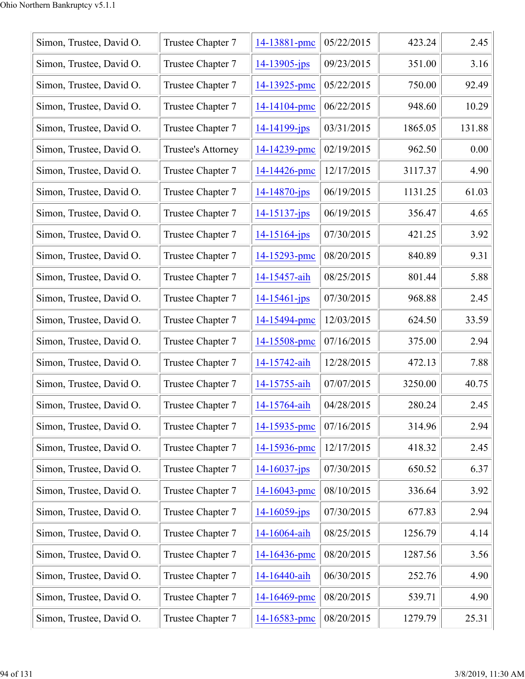| Simon, Trustee, David O. | Trustee Chapter 7  | 14-13881-pmc       | 05/22/2015 | 423.24  | 2.45   |
|--------------------------|--------------------|--------------------|------------|---------|--------|
| Simon, Trustee, David O. | Trustee Chapter 7  | $14 - 13905 - jps$ | 09/23/2015 | 351.00  | 3.16   |
| Simon, Trustee, David O. | Trustee Chapter 7  | 14-13925-pmc       | 05/22/2015 | 750.00  | 92.49  |
| Simon, Trustee, David O. | Trustee Chapter 7  | 14-14104-pmc       | 06/22/2015 | 948.60  | 10.29  |
| Simon, Trustee, David O. | Trustee Chapter 7  | 14-14199-jps       | 03/31/2015 | 1865.05 | 131.88 |
| Simon, Trustee, David O. | Trustee's Attorney | 14-14239-pmc       | 02/19/2015 | 962.50  | 0.00   |
| Simon, Trustee, David O. | Trustee Chapter 7  | 14-14426-pmc       | 12/17/2015 | 3117.37 | 4.90   |
| Simon, Trustee, David O. | Trustee Chapter 7  | $14 - 14870 - jps$ | 06/19/2015 | 1131.25 | 61.03  |
| Simon, Trustee, David O. | Trustee Chapter 7  | $14 - 15137 - jps$ | 06/19/2015 | 356.47  | 4.65   |
| Simon, Trustee, David O. | Trustee Chapter 7  | $14 - 15164$ -jps  | 07/30/2015 | 421.25  | 3.92   |
| Simon, Trustee, David O. | Trustee Chapter 7  | 14-15293-pmc       | 08/20/2015 | 840.89  | 9.31   |
| Simon, Trustee, David O. | Trustee Chapter 7  | 14-15457-aih       | 08/25/2015 | 801.44  | 5.88   |
| Simon, Trustee, David O. | Trustee Chapter 7  | $14 - 15461 - ips$ | 07/30/2015 | 968.88  | 2.45   |
| Simon, Trustee, David O. | Trustee Chapter 7  | 14-15494-pmc       | 12/03/2015 | 624.50  | 33.59  |
| Simon, Trustee, David O. | Trustee Chapter 7  | 14-15508-pmc       | 07/16/2015 | 375.00  | 2.94   |
| Simon, Trustee, David O. | Trustee Chapter 7  | 14-15742-aih       | 12/28/2015 | 472.13  | 7.88   |
| Simon, Trustee, David O. | Trustee Chapter 7  | 14-15755-aih       | 07/07/2015 | 3250.00 | 40.75  |
| Simon, Trustee, David O. | Trustee Chapter 7  | 14-15764-aih       | 04/28/2015 | 280.24  | 2.45   |
| Simon, Trustee, David O. | Trustee Chapter 7  | 14-15935-pmc       | 07/16/2015 | 314.96  | 2.94   |
| Simon, Trustee, David O. | Trustee Chapter 7  | 14-15936-pmc       | 12/17/2015 | 418.32  | 2.45   |
| Simon, Trustee, David O. | Trustee Chapter 7  | $14 - 16037 - ips$ | 07/30/2015 | 650.52  | 6.37   |
| Simon, Trustee, David O. | Trustee Chapter 7  | 14-16043-pmc       | 08/10/2015 | 336.64  | 3.92   |
| Simon, Trustee, David O. | Trustee Chapter 7  | $14 - 16059$ -jps  | 07/30/2015 | 677.83  | 2.94   |
| Simon, Trustee, David O. | Trustee Chapter 7  | 14-16064-aih       | 08/25/2015 | 1256.79 | 4.14   |
| Simon, Trustee, David O. | Trustee Chapter 7  | 14-16436-pmc       | 08/20/2015 | 1287.56 | 3.56   |
| Simon, Trustee, David O. | Trustee Chapter 7  | 14-16440-aih       | 06/30/2015 | 252.76  | 4.90   |
| Simon, Trustee, David O. | Trustee Chapter 7  | 14-16469-pmc       | 08/20/2015 | 539.71  | 4.90   |
| Simon, Trustee, David O. | Trustee Chapter 7  | 14-16583-pmc       | 08/20/2015 | 1279.79 | 25.31  |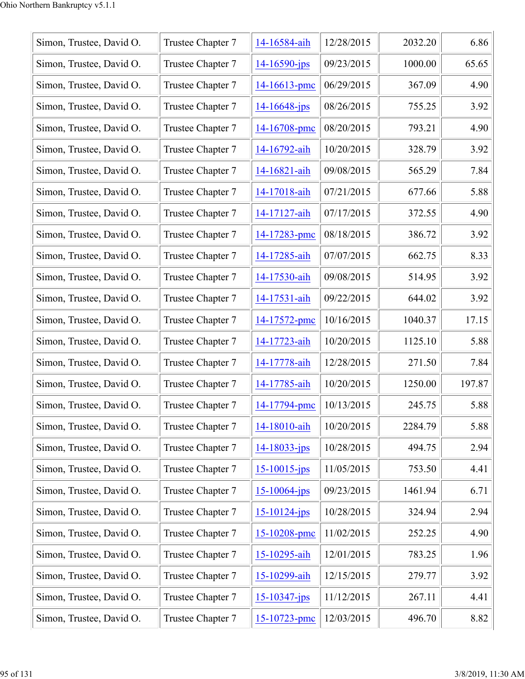| Simon, Trustee, David O. | Trustee Chapter 7 | 14-16584-aih       | 12/28/2015 | 2032.20 | 6.86   |
|--------------------------|-------------------|--------------------|------------|---------|--------|
| Simon, Trustee, David O. | Trustee Chapter 7 | $14 - 16590$ -jps  | 09/23/2015 | 1000.00 | 65.65  |
| Simon, Trustee, David O. | Trustee Chapter 7 | 14-16613-pmc       | 06/29/2015 | 367.09  | 4.90   |
| Simon, Trustee, David O. | Trustee Chapter 7 | $14 - 16648$ -jps  | 08/26/2015 | 755.25  | 3.92   |
| Simon, Trustee, David O. | Trustee Chapter 7 | 14-16708-pmc       | 08/20/2015 | 793.21  | 4.90   |
| Simon, Trustee, David O. | Trustee Chapter 7 | 14-16792-aih       | 10/20/2015 | 328.79  | 3.92   |
| Simon, Trustee, David O. | Trustee Chapter 7 | 14-16821-aih       | 09/08/2015 | 565.29  | 7.84   |
| Simon, Trustee, David O. | Trustee Chapter 7 | 14-17018-aih       | 07/21/2015 | 677.66  | 5.88   |
| Simon, Trustee, David O. | Trustee Chapter 7 | 14-17127-aih       | 07/17/2015 | 372.55  | 4.90   |
| Simon, Trustee, David O. | Trustee Chapter 7 | 14-17283-pmc       | 08/18/2015 | 386.72  | 3.92   |
| Simon, Trustee, David O. | Trustee Chapter 7 | 14-17285-aih       | 07/07/2015 | 662.75  | 8.33   |
| Simon, Trustee, David O. | Trustee Chapter 7 | 14-17530-aih       | 09/08/2015 | 514.95  | 3.92   |
| Simon, Trustee, David O. | Trustee Chapter 7 | 14-17531-aih       | 09/22/2015 | 644.02  | 3.92   |
| Simon, Trustee, David O. | Trustee Chapter 7 | 14-17572-pmc       | 10/16/2015 | 1040.37 | 17.15  |
| Simon, Trustee, David O. | Trustee Chapter 7 | 14-17723-aih       | 10/20/2015 | 1125.10 | 5.88   |
| Simon, Trustee, David O. | Trustee Chapter 7 | 14-17778-aih       | 12/28/2015 | 271.50  | 7.84   |
| Simon, Trustee, David O. | Trustee Chapter 7 | 14-17785-aih       | 10/20/2015 | 1250.00 | 197.87 |
| Simon, Trustee, David O. | Trustee Chapter 7 | 14-17794-pmc       | 10/13/2015 | 245.75  | 5.88   |
| Simon, Trustee, David O. | Trustee Chapter 7 | 14-18010-aih       | 10/20/2015 | 2284.79 | 5.88   |
| Simon, Trustee, David O. | Trustee Chapter 7 | $14 - 18033 - ips$ | 10/28/2015 | 494.75  | 2.94   |
| Simon, Trustee, David O. | Trustee Chapter 7 | $15 - 10015$ -jps  | 11/05/2015 | 753.50  | 4.41   |
| Simon, Trustee, David O. | Trustee Chapter 7 | $15 - 10064$ -jps  | 09/23/2015 | 1461.94 | 6.71   |
| Simon, Trustee, David O. | Trustee Chapter 7 | $15 - 10124 - ips$ | 10/28/2015 | 324.94  | 2.94   |
| Simon, Trustee, David O. | Trustee Chapter 7 | 15-10208-pmc       | 11/02/2015 | 252.25  | 4.90   |
| Simon, Trustee, David O. | Trustee Chapter 7 | 15-10295-aih       | 12/01/2015 | 783.25  | 1.96   |
| Simon, Trustee, David O. | Trustee Chapter 7 | 15-10299-aih       | 12/15/2015 | 279.77  | 3.92   |
| Simon, Trustee, David O. | Trustee Chapter 7 | $15 - 10347 - ips$ | 11/12/2015 | 267.11  | 4.41   |
| Simon, Trustee, David O. | Trustee Chapter 7 | 15-10723-pmc       | 12/03/2015 | 496.70  | 8.82   |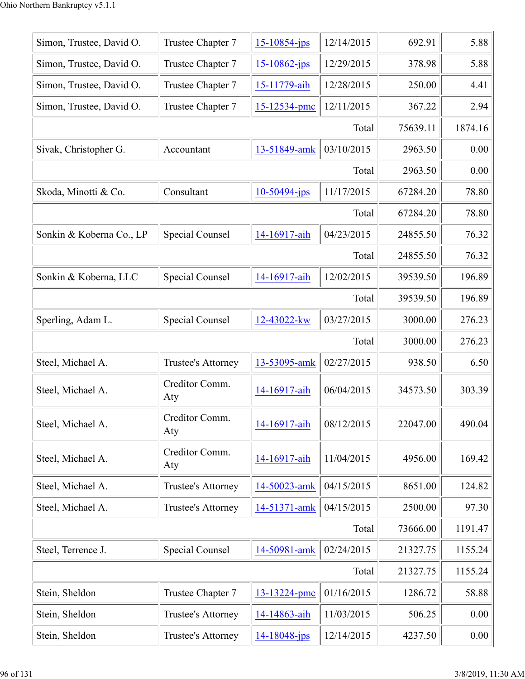| Simon, Trustee, David O. | Trustee Chapter 7         | $15 - 10854$ -jps | 12/14/2015 | 692.91   | 5.88    |
|--------------------------|---------------------------|-------------------|------------|----------|---------|
| Simon, Trustee, David O. | Trustee Chapter 7         | $15 - 10862$ -jps | 12/29/2015 | 378.98   | 5.88    |
| Simon, Trustee, David O. | Trustee Chapter 7         | 15-11779-aih      | 12/28/2015 | 250.00   | 4.41    |
| Simon, Trustee, David O. | Trustee Chapter 7         | 15-12534-pmc      | 12/11/2015 | 367.22   | 2.94    |
|                          |                           |                   | Total      | 75639.11 | 1874.16 |
| Sivak, Christopher G.    | Accountant                | 13-51849-amk      | 03/10/2015 | 2963.50  | 0.00    |
|                          |                           |                   | Total      | 2963.50  | 0.00    |
| Skoda, Minotti & Co.     | Consultant                | $10-50494$ -jps   | 11/17/2015 | 67284.20 | 78.80   |
|                          |                           |                   | Total      | 67284.20 | 78.80   |
| Sonkin & Koberna Co., LP | <b>Special Counsel</b>    | 14-16917-aih      | 04/23/2015 | 24855.50 | 76.32   |
|                          |                           |                   | Total      | 24855.50 | 76.32   |
| Sonkin & Koberna, LLC    | Special Counsel           | 14-16917-aih      | 12/02/2015 | 39539.50 | 196.89  |
|                          |                           |                   | Total      | 39539.50 | 196.89  |
| Sperling, Adam L.        | Special Counsel           | 12-43022-kw       | 03/27/2015 | 3000.00  | 276.23  |
|                          |                           |                   | Total      | 3000.00  | 276.23  |
| Steel, Michael A.        | Trustee's Attorney        | 13-53095-amk      | 02/27/2015 | 938.50   | 6.50    |
| Steel, Michael A.        | Creditor Comm.<br>Aty     | 14-16917-aih      | 06/04/2015 | 34573.50 | 303.39  |
| Steel, Michael A.        | Creditor Comm.<br>Aty     | 14-16917-aih      | 08/12/2015 | 22047.00 | 490.04  |
| Steel, Michael A.        | Creditor Comm.<br>Aty     | 14-16917-aih      | 11/04/2015 | 4956.00  | 169.42  |
| Steel, Michael A.        | <b>Trustee's Attorney</b> | 14-50023-amk      | 04/15/2015 | 8651.00  | 124.82  |
| Steel, Michael A.        | <b>Trustee's Attorney</b> | 14-51371-amk      | 04/15/2015 | 2500.00  | 97.30   |
|                          |                           |                   | Total      | 73666.00 | 1191.47 |
| Steel, Terrence J.       | Special Counsel           | 14-50981-amk      | 02/24/2015 | 21327.75 | 1155.24 |
|                          |                           |                   | Total      | 21327.75 | 1155.24 |
| Stein, Sheldon           | Trustee Chapter 7         | 13-13224-pmc      | 01/16/2015 | 1286.72  | 58.88   |
| Stein, Sheldon           | Trustee's Attorney        | 14-14863-aih      | 11/03/2015 | 506.25   | 0.00    |
| Stein, Sheldon           | Trustee's Attorney        | 14-18048-jps      | 12/14/2015 | 4237.50  | 0.00    |
|                          |                           |                   |            |          |         |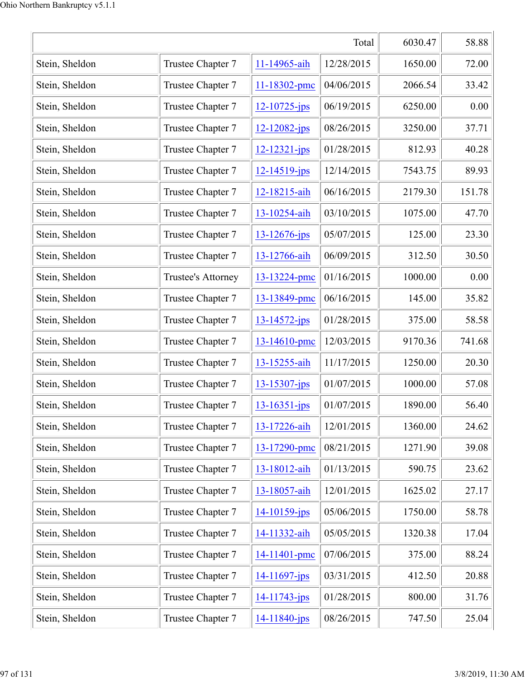|                | 6030.47            | 58.88              |            |         |        |
|----------------|--------------------|--------------------|------------|---------|--------|
| Stein, Sheldon | Trustee Chapter 7  | 11-14965-aih       | 12/28/2015 | 1650.00 | 72.00  |
| Stein, Sheldon | Trustee Chapter 7  | 11-18302-pmc       | 04/06/2015 | 2066.54 | 33.42  |
| Stein, Sheldon | Trustee Chapter 7  | $12 - 10725 - jps$ | 06/19/2015 | 6250.00 | 0.00   |
| Stein, Sheldon | Trustee Chapter 7  | $12 - 12082 - ips$ | 08/26/2015 | 3250.00 | 37.71  |
| Stein, Sheldon | Trustee Chapter 7  | 12-12321-jps       | 01/28/2015 | 812.93  | 40.28  |
| Stein, Sheldon | Trustee Chapter 7  | $12 - 14519 - jps$ | 12/14/2015 | 7543.75 | 89.93  |
| Stein, Sheldon | Trustee Chapter 7  | 12-18215-aih       | 06/16/2015 | 2179.30 | 151.78 |
| Stein, Sheldon | Trustee Chapter 7  | 13-10254-aih       | 03/10/2015 | 1075.00 | 47.70  |
| Stein, Sheldon | Trustee Chapter 7  | 13-12676-jps       | 05/07/2015 | 125.00  | 23.30  |
| Stein, Sheldon | Trustee Chapter 7  | 13-12766-aih       | 06/09/2015 | 312.50  | 30.50  |
| Stein, Sheldon | Trustee's Attorney | 13-13224-pmc       | 01/16/2015 | 1000.00 | 0.00   |
| Stein, Sheldon | Trustee Chapter 7  | 13-13849-pmc       | 06/16/2015 | 145.00  | 35.82  |
| Stein, Sheldon | Trustee Chapter 7  | $13 - 14572 - jps$ | 01/28/2015 | 375.00  | 58.58  |
| Stein, Sheldon | Trustee Chapter 7  | 13-14610-pmc       | 12/03/2015 | 9170.36 | 741.68 |
| Stein, Sheldon | Trustee Chapter 7  | 13-15255-aih       | 11/17/2015 | 1250.00 | 20.30  |
| Stein, Sheldon | Trustee Chapter 7  | 13-15307-jps       | 01/07/2015 | 1000.00 | 57.08  |
| Stein, Sheldon | Trustee Chapter 7  | $13 - 16351 - ips$ | 01/07/2015 | 1890.00 | 56.40  |
| Stein, Sheldon | Trustee Chapter 7  | 13-17226-aih       | 12/01/2015 | 1360.00 | 24.62  |
| Stein, Sheldon | Trustee Chapter 7  | 13-17290-pmc       | 08/21/2015 | 1271.90 | 39.08  |
| Stein, Sheldon | Trustee Chapter 7  | 13-18012-aih       | 01/13/2015 | 590.75  | 23.62  |
| Stein, Sheldon | Trustee Chapter 7  | 13-18057-aih       | 12/01/2015 | 1625.02 | 27.17  |
| Stein, Sheldon | Trustee Chapter 7  | $14 - 10159$ -jps  | 05/06/2015 | 1750.00 | 58.78  |
| Stein, Sheldon | Trustee Chapter 7  | 14-11332-aih       | 05/05/2015 | 1320.38 | 17.04  |
| Stein, Sheldon | Trustee Chapter 7  | 14-11401-pmc       | 07/06/2015 | 375.00  | 88.24  |
| Stein, Sheldon | Trustee Chapter 7  | $14 - 11697$ -jps  | 03/31/2015 | 412.50  | 20.88  |
| Stein, Sheldon | Trustee Chapter 7  | 14-11743-jps       | 01/28/2015 | 800.00  | 31.76  |
| Stein, Sheldon | Trustee Chapter 7  | 14-11840-jps       | 08/26/2015 | 747.50  | 25.04  |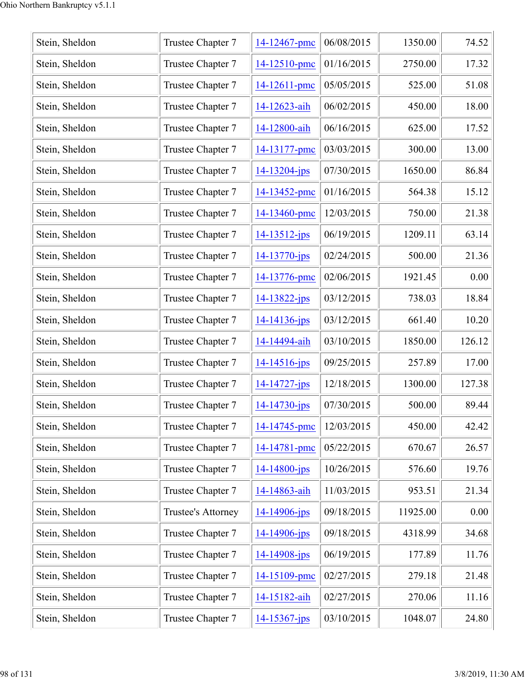| Stein, Sheldon | Trustee Chapter 7         | 14-12467-pmc       | 06/08/2015 | 1350.00  | 74.52  |
|----------------|---------------------------|--------------------|------------|----------|--------|
| Stein, Sheldon | Trustee Chapter 7         | 14-12510-pmc       | 01/16/2015 | 2750.00  | 17.32  |
| Stein, Sheldon | Trustee Chapter 7         | $14 - 12611$ -pmc  | 05/05/2015 | 525.00   | 51.08  |
| Stein, Sheldon | Trustee Chapter 7         | 14-12623-aih       | 06/02/2015 | 450.00   | 18.00  |
| Stein, Sheldon | Trustee Chapter 7         | 14-12800-aih       | 06/16/2015 | 625.00   | 17.52  |
| Stein, Sheldon | Trustee Chapter 7         | 14-13177-pmc       | 03/03/2015 | 300.00   | 13.00  |
| Stein, Sheldon | Trustee Chapter 7         | $14 - 13204 - ips$ | 07/30/2015 | 1650.00  | 86.84  |
| Stein, Sheldon | Trustee Chapter 7         | 14-13452-pmc       | 01/16/2015 | 564.38   | 15.12  |
| Stein, Sheldon | Trustee Chapter 7         | 14-13460-pmc       | 12/03/2015 | 750.00   | 21.38  |
| Stein, Sheldon | Trustee Chapter 7         | $14 - 13512 - ips$ | 06/19/2015 | 1209.11  | 63.14  |
| Stein, Sheldon | Trustee Chapter 7         | 14-13770-jps       | 02/24/2015 | 500.00   | 21.36  |
| Stein, Sheldon | Trustee Chapter 7         | 14-13776-pmc       | 02/06/2015 | 1921.45  | 0.00   |
| Stein, Sheldon | Trustee Chapter 7         | $14 - 13822 - jps$ | 03/12/2015 | 738.03   | 18.84  |
| Stein, Sheldon | Trustee Chapter 7         | $14 - 14136 - jps$ | 03/12/2015 | 661.40   | 10.20  |
| Stein, Sheldon | Trustee Chapter 7         | 14-14494-aih       | 03/10/2015 | 1850.00  | 126.12 |
| Stein, Sheldon | Trustee Chapter 7         | 14-14516-jps       | 09/25/2015 | 257.89   | 17.00  |
| Stein, Sheldon | Trustee Chapter 7         | 14-14727-jps       | 12/18/2015 | 1300.00  | 127.38 |
| Stein, Sheldon | Trustee Chapter 7         | $14 - 14730 - ips$ | 07/30/2015 | 500.00   | 89.44  |
| Stein, Sheldon | Trustee Chapter 7         | 14-14745-pmc       | 12/03/2015 | 450.00   | 42.42  |
| Stein, Sheldon | Trustee Chapter 7         | 14-14781-pmc       | 05/22/2015 | 670.67   | 26.57  |
| Stein, Sheldon | Trustee Chapter 7         | $14 - 14800 - ips$ | 10/26/2015 | 576.60   | 19.76  |
| Stein, Sheldon | Trustee Chapter 7         | 14-14863-aih       | 11/03/2015 | 953.51   | 21.34  |
| Stein, Sheldon | <b>Trustee's Attorney</b> | $14 - 14906$ -jps  | 09/18/2015 | 11925.00 | 0.00   |
| Stein, Sheldon | Trustee Chapter 7         | $14 - 14906 - ips$ | 09/18/2015 | 4318.99  | 34.68  |
| Stein, Sheldon | Trustee Chapter 7         | 14-14908-jps       | 06/19/2015 | 177.89   | 11.76  |
| Stein, Sheldon | Trustee Chapter 7         | 14-15109-pmc       | 02/27/2015 | 279.18   | 21.48  |
| Stein, Sheldon | Trustee Chapter 7         | 14-15182-aih       | 02/27/2015 | 270.06   | 11.16  |
| Stein, Sheldon | Trustee Chapter 7         | $14 - 15367 - ips$ | 03/10/2015 | 1048.07  | 24.80  |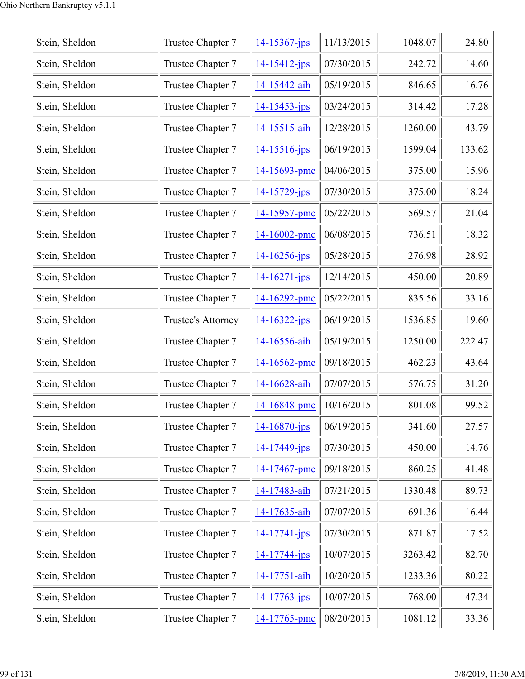| Stein, Sheldon | Trustee Chapter 7  | 14-15367-jps       | 11/13/2015 | 1048.07 | 24.80  |
|----------------|--------------------|--------------------|------------|---------|--------|
| Stein, Sheldon | Trustee Chapter 7  | $14 - 15412$ -jps  | 07/30/2015 | 242.72  | 14.60  |
| Stein, Sheldon | Trustee Chapter 7  | 14-15442-aih       | 05/19/2015 | 846.65  | 16.76  |
| Stein, Sheldon | Trustee Chapter 7  | 14-15453-jps       | 03/24/2015 | 314.42  | 17.28  |
| Stein, Sheldon | Trustee Chapter 7  | 14-15515-aih       | 12/28/2015 | 1260.00 | 43.79  |
| Stein, Sheldon | Trustee Chapter 7  | 14-15516-jps       | 06/19/2015 | 1599.04 | 133.62 |
| Stein, Sheldon | Trustee Chapter 7  | 14-15693-pmc       | 04/06/2015 | 375.00  | 15.96  |
| Stein, Sheldon | Trustee Chapter 7  | $14 - 15729 - ips$ | 07/30/2015 | 375.00  | 18.24  |
| Stein, Sheldon | Trustee Chapter 7  | 14-15957-pmc       | 05/22/2015 | 569.57  | 21.04  |
| Stein, Sheldon | Trustee Chapter 7  | $14 - 16002$ -pmc  | 06/08/2015 | 736.51  | 18.32  |
| Stein, Sheldon | Trustee Chapter 7  | $14 - 16256$ -jps  | 05/28/2015 | 276.98  | 28.92  |
| Stein, Sheldon | Trustee Chapter 7  | $14 - 16271 - ips$ | 12/14/2015 | 450.00  | 20.89  |
| Stein, Sheldon | Trustee Chapter 7  | 14-16292-pmc       | 05/22/2015 | 835.56  | 33.16  |
| Stein, Sheldon | Trustee's Attorney | $14 - 16322 - jps$ | 06/19/2015 | 1536.85 | 19.60  |
| Stein, Sheldon | Trustee Chapter 7  | 14-16556-aih       | 05/19/2015 | 1250.00 | 222.47 |
| Stein, Sheldon | Trustee Chapter 7  | 14-16562-pmc       | 09/18/2015 | 462.23  | 43.64  |
| Stein, Sheldon | Trustee Chapter 7  | 14-16628-aih       | 07/07/2015 | 576.75  | 31.20  |
| Stein, Sheldon | Trustee Chapter 7  | 14-16848-pmc       | 10/16/2015 | 801.08  | 99.52  |
| Stein, Sheldon | Trustee Chapter 7  | $14 - 16870$ -jps  | 06/19/2015 | 341.60  | 27.57  |
| Stein, Sheldon | Trustee Chapter 7  | $14 - 17449$ -jps  | 07/30/2015 | 450.00  | 14.76  |
| Stein, Sheldon | Trustee Chapter 7  | 14-17467-pmc       | 09/18/2015 | 860.25  | 41.48  |
| Stein, Sheldon | Trustee Chapter 7  | 14-17483-aih       | 07/21/2015 | 1330.48 | 89.73  |
| Stein, Sheldon | Trustee Chapter 7  | 14-17635-aih       | 07/07/2015 | 691.36  | 16.44  |
| Stein, Sheldon | Trustee Chapter 7  | $14 - 17741 - ips$ | 07/30/2015 | 871.87  | 17.52  |
| Stein, Sheldon | Trustee Chapter 7  | 14-17744-jps       | 10/07/2015 | 3263.42 | 82.70  |
| Stein, Sheldon | Trustee Chapter 7  | 14-17751-aih       | 10/20/2015 | 1233.36 | 80.22  |
| Stein, Sheldon | Trustee Chapter 7  | $14 - 17763 - ips$ | 10/07/2015 | 768.00  | 47.34  |
| Stein, Sheldon | Trustee Chapter 7  | 14-17765-pmc       | 08/20/2015 | 1081.12 | 33.36  |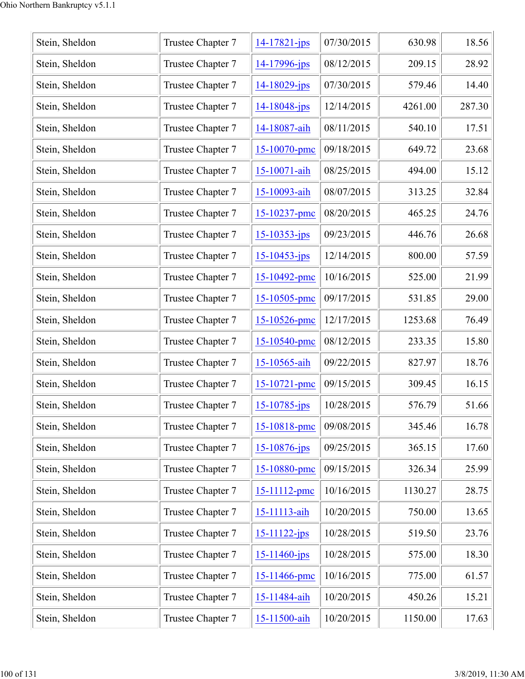| Stein, Sheldon | Trustee Chapter 7 | $14 - 17821 - ips$ | 07/30/2015 | 630.98  | 18.56  |
|----------------|-------------------|--------------------|------------|---------|--------|
| Stein, Sheldon | Trustee Chapter 7 | $14 - 17996$ -jps  | 08/12/2015 | 209.15  | 28.92  |
| Stein, Sheldon | Trustee Chapter 7 | $14 - 18029 - jps$ | 07/30/2015 | 579.46  | 14.40  |
| Stein, Sheldon | Trustee Chapter 7 | 14-18048-jps       | 12/14/2015 | 4261.00 | 287.30 |
| Stein, Sheldon | Trustee Chapter 7 | 14-18087-aih       | 08/11/2015 | 540.10  | 17.51  |
| Stein, Sheldon | Trustee Chapter 7 | 15-10070-pmc       | 09/18/2015 | 649.72  | 23.68  |
| Stein, Sheldon | Trustee Chapter 7 | 15-10071-aih       | 08/25/2015 | 494.00  | 15.12  |
| Stein, Sheldon | Trustee Chapter 7 | 15-10093-aih       | 08/07/2015 | 313.25  | 32.84  |
| Stein, Sheldon | Trustee Chapter 7 | 15-10237-pmc       | 08/20/2015 | 465.25  | 24.76  |
| Stein, Sheldon | Trustee Chapter 7 | $15 - 10353 - jps$ | 09/23/2015 | 446.76  | 26.68  |
| Stein, Sheldon | Trustee Chapter 7 | $15 - 10453$ -jps  | 12/14/2015 | 800.00  | 57.59  |
| Stein, Sheldon | Trustee Chapter 7 | 15-10492-pmc       | 10/16/2015 | 525.00  | 21.99  |
| Stein, Sheldon | Trustee Chapter 7 | 15-10505-pmc       | 09/17/2015 | 531.85  | 29.00  |
| Stein, Sheldon | Trustee Chapter 7 | 15-10526-pmc       | 12/17/2015 | 1253.68 | 76.49  |
| Stein, Sheldon | Trustee Chapter 7 | 15-10540-pmc       | 08/12/2015 | 233.35  | 15.80  |
| Stein, Sheldon | Trustee Chapter 7 | 15-10565-aih       | 09/22/2015 | 827.97  | 18.76  |
| Stein, Sheldon | Trustee Chapter 7 | $15 - 10721$ -pmc  | 09/15/2015 | 309.45  | 16.15  |
| Stein, Sheldon | Trustee Chapter 7 | $15 - 10785$ -jps  | 10/28/2015 | 576.79  | 51.66  |
| Stein, Sheldon | Trustee Chapter 7 | 15-10818-pmc       | 09/08/2015 | 345.46  | 16.78  |
| Stein, Sheldon | Trustee Chapter 7 | $15 - 10876$ -jps  | 09/25/2015 | 365.15  | 17.60  |
| Stein, Sheldon | Trustee Chapter 7 | 15-10880-pmc       | 09/15/2015 | 326.34  | 25.99  |
| Stein, Sheldon | Trustee Chapter 7 | 15-11112-pmc       | 10/16/2015 | 1130.27 | 28.75  |
| Stein, Sheldon | Trustee Chapter 7 | 15-11113-aih       | 10/20/2015 | 750.00  | 13.65  |
| Stein, Sheldon | Trustee Chapter 7 | $15 - 11122 - ips$ | 10/28/2015 | 519.50  | 23.76  |
| Stein, Sheldon | Trustee Chapter 7 | $15 - 11460$ -jps  | 10/28/2015 | 575.00  | 18.30  |
| Stein, Sheldon | Trustee Chapter 7 | 15-11466-pmc       | 10/16/2015 | 775.00  | 61.57  |
| Stein, Sheldon | Trustee Chapter 7 | 15-11484-aih       | 10/20/2015 | 450.26  | 15.21  |
| Stein, Sheldon | Trustee Chapter 7 | 15-11500-aih       | 10/20/2015 | 1150.00 | 17.63  |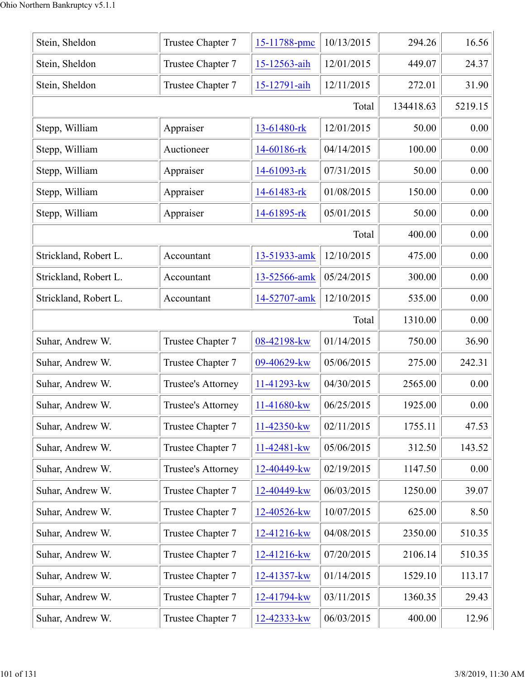| Stein, Sheldon        | Trustee Chapter 7  | 15-11788-pmc | 10/13/2015 | 294.26    | 16.56   |
|-----------------------|--------------------|--------------|------------|-----------|---------|
| Stein, Sheldon        | Trustee Chapter 7  | 15-12563-aih | 12/01/2015 | 449.07    | 24.37   |
| Stein, Sheldon        | Trustee Chapter 7  | 15-12791-aih | 12/11/2015 | 272.01    | 31.90   |
|                       |                    |              | Total      | 134418.63 | 5219.15 |
| Stepp, William        | Appraiser          | 13-61480-rk  | 12/01/2015 | 50.00     | 0.00    |
| Stepp, William        | Auctioneer         | 14-60186-rk  | 04/14/2015 | 100.00    | 0.00    |
| Stepp, William        | Appraiser          | 14-61093-rk  | 07/31/2015 | 50.00     | 0.00    |
| Stepp, William        | Appraiser          | 14-61483-rk  | 01/08/2015 | 150.00    | 0.00    |
| Stepp, William        | Appraiser          | 14-61895-rk  | 05/01/2015 | 50.00     | 0.00    |
|                       |                    |              | Total      | 400.00    | 0.00    |
| Strickland, Robert L. | Accountant         | 13-51933-amk | 12/10/2015 | 475.00    | 0.00    |
| Strickland, Robert L. | Accountant         | 13-52566-amk | 05/24/2015 | 300.00    | 0.00    |
| Strickland, Robert L. | Accountant         | 14-52707-amk | 12/10/2015 | 535.00    | 0.00    |
|                       |                    |              | Total      | 1310.00   | 0.00    |
| Suhar, Andrew W.      | Trustee Chapter 7  | 08-42198-kw  | 01/14/2015 | 750.00    | 36.90   |
| Suhar, Andrew W.      | Trustee Chapter 7  | 09-40629-kw  | 05/06/2015 | 275.00    | 242.31  |
| Suhar, Andrew W.      | Trustee's Attorney | 11-41293-kw  | 04/30/2015 | 2565.00   | 0.00    |
| Suhar, Andrew W.      | Trustee's Attorney | 11-41680-kw  | 06/25/2015 | 1925.00   | 0.00    |
| Suhar, Andrew W.      | Trustee Chapter 7  | 11-42350-kw  | 02/11/2015 | 1755.11   | 47.53   |
| Suhar, Andrew W.      | Trustee Chapter 7  | 11-42481-kw  | 05/06/2015 | 312.50    | 143.52  |
| Suhar, Andrew W.      | Trustee's Attorney | 12-40449-kw  | 02/19/2015 | 1147.50   | 0.00    |
| Suhar, Andrew W.      | Trustee Chapter 7  | 12-40449-kw  | 06/03/2015 | 1250.00   | 39.07   |
| Suhar, Andrew W.      | Trustee Chapter 7  | 12-40526-kw  | 10/07/2015 | 625.00    | 8.50    |
| Suhar, Andrew W.      | Trustee Chapter 7  | 12-41216-kw  | 04/08/2015 | 2350.00   | 510.35  |
| Suhar, Andrew W.      | Trustee Chapter 7  | 12-41216-kw  | 07/20/2015 | 2106.14   | 510.35  |
| Suhar, Andrew W.      | Trustee Chapter 7  | 12-41357-kw  | 01/14/2015 | 1529.10   | 113.17  |
| Suhar, Andrew W.      | Trustee Chapter 7  | 12-41794-kw  | 03/11/2015 | 1360.35   | 29.43   |
| Suhar, Andrew W.      | Trustee Chapter 7  | 12-42333-kw  | 06/03/2015 | 400.00    | 12.96   |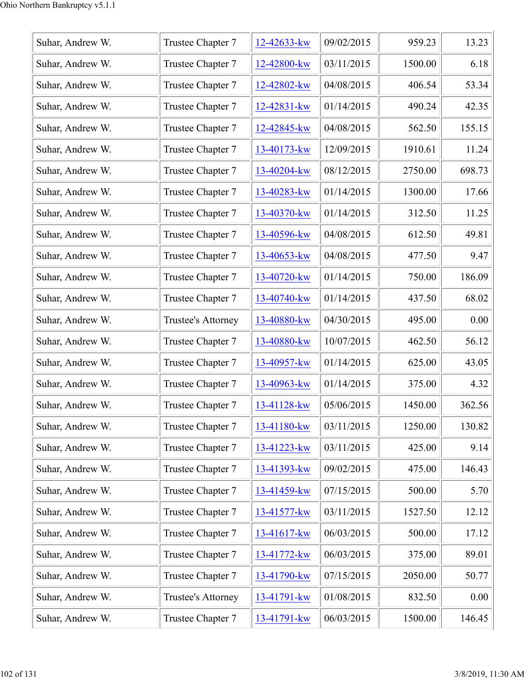| Suhar, Andrew W. | Trustee Chapter 7  | 12-42633-kw | 09/02/2015 | 959.23  | 13.23  |
|------------------|--------------------|-------------|------------|---------|--------|
| Suhar, Andrew W. | Trustee Chapter 7  | 12-42800-kw | 03/11/2015 | 1500.00 | 6.18   |
| Suhar, Andrew W. | Trustee Chapter 7  | 12-42802-kw | 04/08/2015 | 406.54  | 53.34  |
| Suhar, Andrew W. | Trustee Chapter 7  | 12-42831-kw | 01/14/2015 | 490.24  | 42.35  |
| Suhar, Andrew W. | Trustee Chapter 7  | 12-42845-kw | 04/08/2015 | 562.50  | 155.15 |
| Suhar, Andrew W. | Trustee Chapter 7  | 13-40173-kw | 12/09/2015 | 1910.61 | 11.24  |
| Suhar, Andrew W. | Trustee Chapter 7  | 13-40204-kw | 08/12/2015 | 2750.00 | 698.73 |
| Suhar, Andrew W. | Trustee Chapter 7  | 13-40283-kw | 01/14/2015 | 1300.00 | 17.66  |
| Suhar, Andrew W. | Trustee Chapter 7  | 13-40370-kw | 01/14/2015 | 312.50  | 11.25  |
| Suhar, Andrew W. | Trustee Chapter 7  | 13-40596-kw | 04/08/2015 | 612.50  | 49.81  |
| Suhar, Andrew W. | Trustee Chapter 7  | 13-40653-kw | 04/08/2015 | 477.50  | 9.47   |
| Suhar, Andrew W. | Trustee Chapter 7  | 13-40720-kw | 01/14/2015 | 750.00  | 186.09 |
| Suhar, Andrew W. | Trustee Chapter 7  | 13-40740-kw | 01/14/2015 | 437.50  | 68.02  |
| Suhar, Andrew W. | Trustee's Attorney | 13-40880-kw | 04/30/2015 | 495.00  | 0.00   |
| Suhar, Andrew W. | Trustee Chapter 7  | 13-40880-kw | 10/07/2015 | 462.50  | 56.12  |
| Suhar, Andrew W. | Trustee Chapter 7  | 13-40957-kw | 01/14/2015 | 625.00  | 43.05  |
| Suhar, Andrew W. | Trustee Chapter 7  | 13-40963-kw | 01/14/2015 | 375.00  | 4.32   |
| Suhar, Andrew W. | Trustee Chapter 7  | 13-41128-kw | 05/06/2015 | 1450.00 | 362.56 |
| Suhar, Andrew W. | Trustee Chapter 7  | 13-41180-kw | 03/11/2015 | 1250.00 | 130.82 |
| Suhar, Andrew W. | Trustee Chapter 7  | 13-41223-kw | 03/11/2015 | 425.00  | 9.14   |
| Suhar, Andrew W. | Trustee Chapter 7  | 13-41393-kw | 09/02/2015 | 475.00  | 146.43 |
| Suhar, Andrew W. | Trustee Chapter 7  | 13-41459-kw | 07/15/2015 | 500.00  | 5.70   |
| Suhar, Andrew W. | Trustee Chapter 7  | 13-41577-kw | 03/11/2015 | 1527.50 | 12.12  |
| Suhar, Andrew W. | Trustee Chapter 7  | 13-41617-kw | 06/03/2015 | 500.00  | 17.12  |
| Suhar, Andrew W. | Trustee Chapter 7  | 13-41772-kw | 06/03/2015 | 375.00  | 89.01  |
| Suhar, Andrew W. | Trustee Chapter 7  | 13-41790-kw | 07/15/2015 | 2050.00 | 50.77  |
| Suhar, Andrew W. | Trustee's Attorney | 13-41791-kw | 01/08/2015 | 832.50  | 0.00   |
| Suhar, Andrew W. | Trustee Chapter 7  | 13-41791-kw | 06/03/2015 | 1500.00 | 146.45 |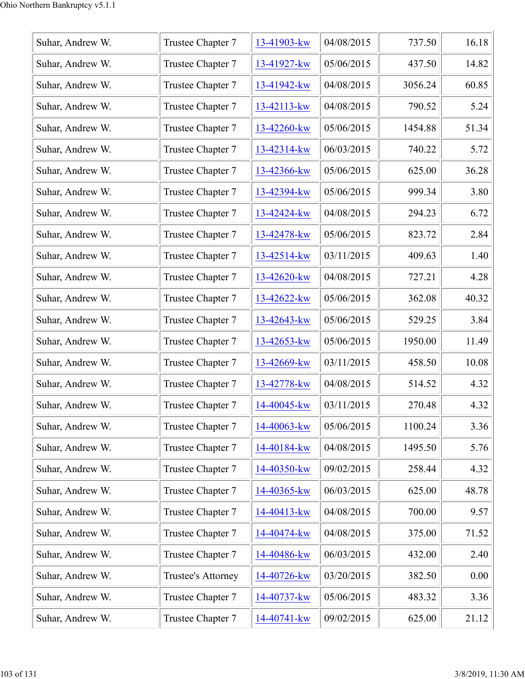| Suhar, Andrew W. | Trustee Chapter 7  | 13-41903-kw | 04/08/2015 | 737.50  | 16.18 |
|------------------|--------------------|-------------|------------|---------|-------|
| Suhar, Andrew W. | Trustee Chapter 7  | 13-41927-kw | 05/06/2015 | 437.50  | 14.82 |
| Suhar, Andrew W. | Trustee Chapter 7  | 13-41942-kw | 04/08/2015 | 3056.24 | 60.85 |
| Suhar, Andrew W. | Trustee Chapter 7  | 13-42113-kw | 04/08/2015 | 790.52  | 5.24  |
| Suhar, Andrew W. | Trustee Chapter 7  | 13-42260-kw | 05/06/2015 | 1454.88 | 51.34 |
| Suhar, Andrew W. | Trustee Chapter 7  | 13-42314-kw | 06/03/2015 | 740.22  | 5.72  |
| Suhar, Andrew W. | Trustee Chapter 7  | 13-42366-kw | 05/06/2015 | 625.00  | 36.28 |
| Suhar, Andrew W. | Trustee Chapter 7  | 13-42394-kw | 05/06/2015 | 999.34  | 3.80  |
| Suhar, Andrew W. | Trustee Chapter 7  | 13-42424-kw | 04/08/2015 | 294.23  | 6.72  |
| Suhar, Andrew W. | Trustee Chapter 7  | 13-42478-kw | 05/06/2015 | 823.72  | 2.84  |
| Suhar, Andrew W. | Trustee Chapter 7  | 13-42514-kw | 03/11/2015 | 409.63  | 1.40  |
| Suhar, Andrew W. | Trustee Chapter 7  | 13-42620-kw | 04/08/2015 | 727.21  | 4.28  |
| Suhar, Andrew W. | Trustee Chapter 7  | 13-42622-kw | 05/06/2015 | 362.08  | 40.32 |
| Suhar, Andrew W. | Trustee Chapter 7  | 13-42643-kw | 05/06/2015 | 529.25  | 3.84  |
| Suhar, Andrew W. | Trustee Chapter 7  | 13-42653-kw | 05/06/2015 | 1950.00 | 11.49 |
| Suhar, Andrew W. | Trustee Chapter 7  | 13-42669-kw | 03/11/2015 | 458.50  | 10.08 |
| Suhar, Andrew W. | Trustee Chapter 7  | 13-42778-kw | 04/08/2015 | 514.52  | 4.32  |
| Suhar, Andrew W. | Trustee Chapter 7  | 14-40045-kw | 03/11/2015 | 270.48  | 4.32  |
| Suhar, Andrew W. | Trustee Chapter 7  | 14-40063-kw | 05/06/2015 | 1100.24 | 3.36  |
| Suhar, Andrew W. | Trustee Chapter 7  | 14-40184-kw | 04/08/2015 | 1495.50 | 5.76  |
| Suhar, Andrew W. | Trustee Chapter 7  | 14-40350-kw | 09/02/2015 | 258.44  | 4.32  |
| Suhar, Andrew W. | Trustee Chapter 7  | 14-40365-kw | 06/03/2015 | 625.00  | 48.78 |
| Suhar, Andrew W. | Trustee Chapter 7  | 14-40413-kw | 04/08/2015 | 700.00  | 9.57  |
| Suhar, Andrew W. | Trustee Chapter 7  | 14-40474-kw | 04/08/2015 | 375.00  | 71.52 |
| Suhar, Andrew W. | Trustee Chapter 7  | 14-40486-kw | 06/03/2015 | 432.00  | 2.40  |
| Suhar, Andrew W. | Trustee's Attorney | 14-40726-kw | 03/20/2015 | 382.50  | 0.00  |
| Suhar, Andrew W. | Trustee Chapter 7  | 14-40737-kw | 05/06/2015 | 483.32  | 3.36  |
| Suhar, Andrew W. | Trustee Chapter 7  | 14-40741-kw | 09/02/2015 | 625.00  | 21.12 |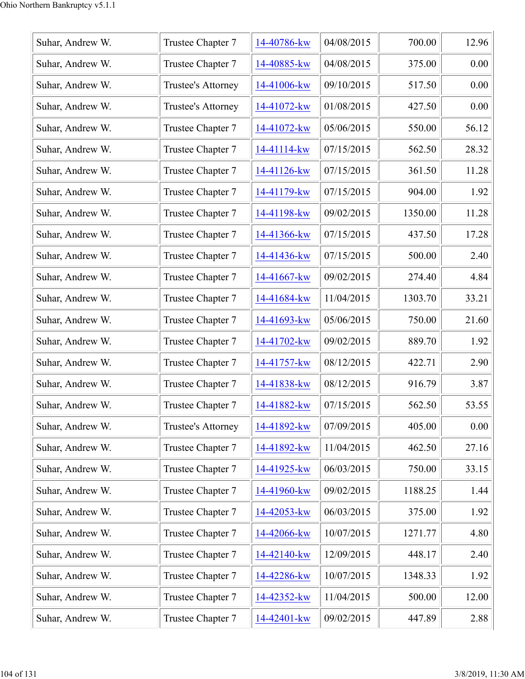| Suhar, Andrew W. | Trustee Chapter 7  | 14-40786-kw | 04/08/2015 | 700.00  | 12.96 |
|------------------|--------------------|-------------|------------|---------|-------|
| Suhar, Andrew W. | Trustee Chapter 7  | 14-40885-kw | 04/08/2015 | 375.00  | 0.00  |
| Suhar, Andrew W. | Trustee's Attorney | 14-41006-kw | 09/10/2015 | 517.50  | 0.00  |
| Suhar, Andrew W. | Trustee's Attorney | 14-41072-kw | 01/08/2015 | 427.50  | 0.00  |
| Suhar, Andrew W. | Trustee Chapter 7  | 14-41072-kw | 05/06/2015 | 550.00  | 56.12 |
| Suhar, Andrew W. | Trustee Chapter 7  | 14-41114-kw | 07/15/2015 | 562.50  | 28.32 |
| Suhar, Andrew W. | Trustee Chapter 7  | 14-41126-kw | 07/15/2015 | 361.50  | 11.28 |
| Suhar, Andrew W. | Trustee Chapter 7  | 14-41179-kw | 07/15/2015 | 904.00  | 1.92  |
| Suhar, Andrew W. | Trustee Chapter 7  | 14-41198-kw | 09/02/2015 | 1350.00 | 11.28 |
| Suhar, Andrew W. | Trustee Chapter 7  | 14-41366-kw | 07/15/2015 | 437.50  | 17.28 |
| Suhar, Andrew W. | Trustee Chapter 7  | 14-41436-kw | 07/15/2015 | 500.00  | 2.40  |
| Suhar, Andrew W. | Trustee Chapter 7  | 14-41667-kw | 09/02/2015 | 274.40  | 4.84  |
| Suhar, Andrew W. | Trustee Chapter 7  | 14-41684-kw | 11/04/2015 | 1303.70 | 33.21 |
| Suhar, Andrew W. | Trustee Chapter 7  | 14-41693-kw | 05/06/2015 | 750.00  | 21.60 |
| Suhar, Andrew W. | Trustee Chapter 7  | 14-41702-kw | 09/02/2015 | 889.70  | 1.92  |
| Suhar, Andrew W. | Trustee Chapter 7  | 14-41757-kw | 08/12/2015 | 422.71  | 2.90  |
| Suhar, Andrew W. | Trustee Chapter 7  | 14-41838-kw | 08/12/2015 | 916.79  | 3.87  |
| Suhar, Andrew W. | Trustee Chapter 7  | 14-41882-kw | 07/15/2015 | 562.50  | 53.55 |
| Suhar, Andrew W. | Trustee's Attorney | 14-41892-kw | 07/09/2015 | 405.00  | 0.00  |
| Suhar, Andrew W. | Trustee Chapter 7  | 14-41892-kw | 11/04/2015 | 462.50  | 27.16 |
| Suhar, Andrew W. | Trustee Chapter 7  | 14-41925-kw | 06/03/2015 | 750.00  | 33.15 |
| Suhar, Andrew W. | Trustee Chapter 7  | 14-41960-kw | 09/02/2015 | 1188.25 | 1.44  |
| Suhar, Andrew W. | Trustee Chapter 7  | 14-42053-kw | 06/03/2015 | 375.00  | 1.92  |
| Suhar, Andrew W. | Trustee Chapter 7  | 14-42066-kw | 10/07/2015 | 1271.77 | 4.80  |
| Suhar, Andrew W. | Trustee Chapter 7  | 14-42140-kw | 12/09/2015 | 448.17  | 2.40  |
| Suhar, Andrew W. | Trustee Chapter 7  | 14-42286-kw | 10/07/2015 | 1348.33 | 1.92  |
| Suhar, Andrew W. | Trustee Chapter 7  | 14-42352-kw | 11/04/2015 | 500.00  | 12.00 |
| Suhar, Andrew W. | Trustee Chapter 7  | 14-42401-kw | 09/02/2015 | 447.89  | 2.88  |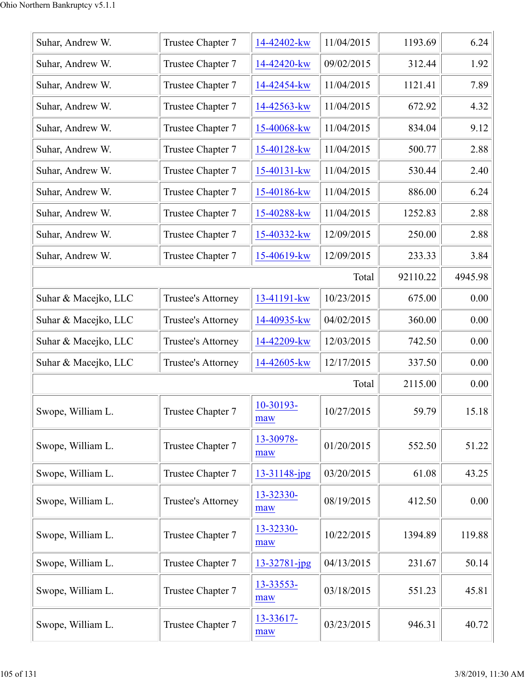| Suhar, Andrew W.     | Trustee Chapter 7  | 14-42402-kw      | 11/04/2015 | 1193.69  | 6.24    |
|----------------------|--------------------|------------------|------------|----------|---------|
| Suhar, Andrew W.     | Trustee Chapter 7  | 14-42420-kw      | 09/02/2015 | 312.44   | 1.92    |
| Suhar, Andrew W.     | Trustee Chapter 7  | 14-42454-kw      | 11/04/2015 | 1121.41  | 7.89    |
| Suhar, Andrew W.     | Trustee Chapter 7  | 14-42563-kw      | 11/04/2015 | 672.92   | 4.32    |
| Suhar, Andrew W.     | Trustee Chapter 7  | 15-40068-kw      | 11/04/2015 | 834.04   | 9.12    |
| Suhar, Andrew W.     | Trustee Chapter 7  | 15-40128-kw      | 11/04/2015 | 500.77   | 2.88    |
| Suhar, Andrew W.     | Trustee Chapter 7  | 15-40131-kw      | 11/04/2015 | 530.44   | 2.40    |
| Suhar, Andrew W.     | Trustee Chapter 7  | 15-40186-kw      | 11/04/2015 | 886.00   | 6.24    |
| Suhar, Andrew W.     | Trustee Chapter 7  | 15-40288-kw      | 11/04/2015 | 1252.83  | 2.88    |
| Suhar, Andrew W.     | Trustee Chapter 7  | 15-40332-kw      | 12/09/2015 | 250.00   | 2.88    |
| Suhar, Andrew W.     | Trustee Chapter 7  | 15-40619-kw      | 12/09/2015 | 233.33   | 3.84    |
|                      |                    |                  | Total      | 92110.22 | 4945.98 |
| Suhar & Macejko, LLC | Trustee's Attorney | 13-41191-kw      | 10/23/2015 | 675.00   | 0.00    |
| Suhar & Macejko, LLC | Trustee's Attorney | 14-40935-kw      | 04/02/2015 | 360.00   | 0.00    |
| Suhar & Macejko, LLC | Trustee's Attorney | 14-42209-kw      | 12/03/2015 | 742.50   | 0.00    |
| Suhar & Macejko, LLC | Trustee's Attorney | 14-42605-kw      | 12/17/2015 | 337.50   | 0.00    |
|                      |                    |                  | Total      | 2115.00  | 0.00    |
| Swope, William L.    | Trustee Chapter 7  | 10-30193-<br>maw | 10/27/2015 | 59.79    | 15.18   |
| Swope, William L.    | Trustee Chapter 7  | 13-30978-<br>maw | 01/20/2015 | 552.50   | 51.22   |
| Swope, William L.    | Trustee Chapter 7  | 13-31148-jpg     | 03/20/2015 | 61.08    | 43.25   |
| Swope, William L.    | Trustee's Attorney | 13-32330-<br>maw | 08/19/2015 | 412.50   | 0.00    |
| Swope, William L.    | Trustee Chapter 7  | 13-32330-<br>maw | 10/22/2015 | 1394.89  | 119.88  |
| Swope, William L.    | Trustee Chapter 7  | 13-32781-jpg     | 04/13/2015 | 231.67   | 50.14   |
| Swope, William L.    | Trustee Chapter 7  | 13-33553-<br>maw | 03/18/2015 | 551.23   | 45.81   |
| Swope, William L.    | Trustee Chapter 7  | 13-33617-<br>maw | 03/23/2015 | 946.31   | 40.72   |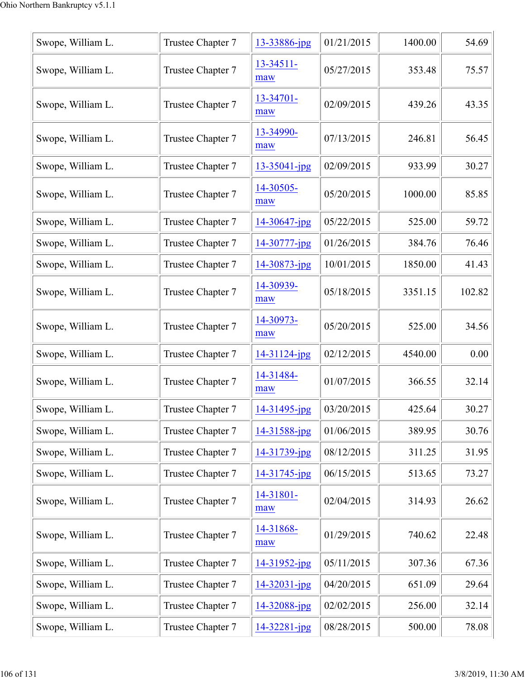| Swope, William L. | Trustee Chapter 7 | 13-33886-jpg          | 01/21/2015 | 1400.00 | 54.69  |
|-------------------|-------------------|-----------------------|------------|---------|--------|
| Swope, William L. | Trustee Chapter 7 | $13 - 34511 -$<br>maw | 05/27/2015 | 353.48  | 75.57  |
| Swope, William L. | Trustee Chapter 7 | 13-34701-<br>maw      | 02/09/2015 | 439.26  | 43.35  |
| Swope, William L. | Trustee Chapter 7 | 13-34990-<br>maw      | 07/13/2015 | 246.81  | 56.45  |
| Swope, William L. | Trustee Chapter 7 | $13 - 35041$ -jpg     | 02/09/2015 | 933.99  | 30.27  |
| Swope, William L. | Trustee Chapter 7 | 14-30505-<br>maw      | 05/20/2015 | 1000.00 | 85.85  |
| Swope, William L. | Trustee Chapter 7 | $14 - 30647$ -jpg     | 05/22/2015 | 525.00  | 59.72  |
| Swope, William L. | Trustee Chapter 7 | 14-30777-jpg          | 01/26/2015 | 384.76  | 76.46  |
| Swope, William L. | Trustee Chapter 7 | 14-30873-jpg          | 10/01/2015 | 1850.00 | 41.43  |
| Swope, William L. | Trustee Chapter 7 | 14-30939-<br>maw      | 05/18/2015 | 3351.15 | 102.82 |
| Swope, William L. | Trustee Chapter 7 | 14-30973-<br>maw      | 05/20/2015 | 525.00  | 34.56  |
| Swope, William L. | Trustee Chapter 7 | 14-31124-jpg          | 02/12/2015 | 4540.00 | 0.00   |
| Swope, William L. | Trustee Chapter 7 | 14-31484-<br>maw      | 01/07/2015 | 366.55  | 32.14  |
| Swope, William L. | Trustee Chapter 7 | 14-31495-jpg          | 03/20/2015 | 425.64  | 30.27  |
| Swope, William L. | Trustee Chapter 7 | 14-31588-jpg          | 01/06/2015 | 389.95  | 30.76  |
| Swope, William L. | Trustee Chapter 7 | 14-31739-jpg          | 08/12/2015 | 311.25  | 31.95  |
| Swope, William L. | Trustee Chapter 7 | 14-31745-jpg          | 06/15/2015 | 513.65  | 73.27  |
| Swope, William L. | Trustee Chapter 7 | 14-31801-<br>maw      | 02/04/2015 | 314.93  | 26.62  |
| Swope, William L. | Trustee Chapter 7 | 14-31868-<br>maw      | 01/29/2015 | 740.62  | 22.48  |
| Swope, William L. | Trustee Chapter 7 | 14-31952-jpg          | 05/11/2015 | 307.36  | 67.36  |
| Swope, William L. | Trustee Chapter 7 | 14-32031-jpg          | 04/20/2015 | 651.09  | 29.64  |
| Swope, William L. | Trustee Chapter 7 | 14-32088-jpg          | 02/02/2015 | 256.00  | 32.14  |
| Swope, William L. | Trustee Chapter 7 | 14-32281-jpg          | 08/28/2015 | 500.00  | 78.08  |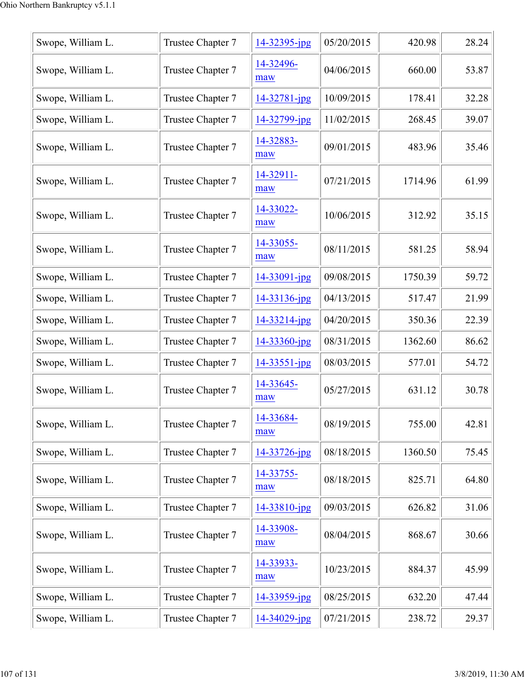| Swope, William L. | Trustee Chapter 7 | 14-32395-jpg       | 05/20/2015 | 420.98  | 28.24 |
|-------------------|-------------------|--------------------|------------|---------|-------|
| Swope, William L. | Trustee Chapter 7 | 14-32496-<br>maw   | 04/06/2015 | 660.00  | 53.87 |
| Swope, William L. | Trustee Chapter 7 | $14 - 32781 - ipg$ | 10/09/2015 | 178.41  | 32.28 |
| Swope, William L. | Trustee Chapter 7 | 14-32799-jpg       | 11/02/2015 | 268.45  | 39.07 |
| Swope, William L. | Trustee Chapter 7 | 14-32883-<br>maw   | 09/01/2015 | 483.96  | 35.46 |
| Swope, William L. | Trustee Chapter 7 | 14-32911-<br>maw   | 07/21/2015 | 1714.96 | 61.99 |
| Swope, William L. | Trustee Chapter 7 | 14-33022-<br>maw   | 10/06/2015 | 312.92  | 35.15 |
| Swope, William L. | Trustee Chapter 7 | 14-33055-<br>maw   | 08/11/2015 | 581.25  | 58.94 |
| Swope, William L. | Trustee Chapter 7 | 14-33091-jpg       | 09/08/2015 | 1750.39 | 59.72 |
| Swope, William L. | Trustee Chapter 7 | 14-33136-jpg       | 04/13/2015 | 517.47  | 21.99 |
| Swope, William L. | Trustee Chapter 7 | 14-33214-jpg       | 04/20/2015 | 350.36  | 22.39 |
| Swope, William L. | Trustee Chapter 7 | 14-33360-jpg       | 08/31/2015 | 1362.60 | 86.62 |
| Swope, William L. | Trustee Chapter 7 | 14-33551-jpg       | 08/03/2015 | 577.01  | 54.72 |
| Swope, William L. | Trustee Chapter 7 | 14-33645-<br>maw   | 05/27/2015 | 631.12  | 30.78 |
| Swope, William L. | Trustee Chapter 7 | 14-33684-<br>maw   | 08/19/2015 | 755.00  | 42.81 |
| Swope, William L. | Trustee Chapter 7 | 14-33726-jpg       | 08/18/2015 | 1360.50 | 75.45 |
| Swope, William L. | Trustee Chapter 7 | 14-33755-<br>maw   | 08/18/2015 | 825.71  | 64.80 |
| Swope, William L. | Trustee Chapter 7 | 14-33810-jpg       | 09/03/2015 | 626.82  | 31.06 |
| Swope, William L. | Trustee Chapter 7 | 14-33908-<br>maw   | 08/04/2015 | 868.67  | 30.66 |
| Swope, William L. | Trustee Chapter 7 | 14-33933-<br>maw   | 10/23/2015 | 884.37  | 45.99 |
| Swope, William L. | Trustee Chapter 7 | 14-33959-jpg       | 08/25/2015 | 632.20  | 47.44 |
| Swope, William L. | Trustee Chapter 7 | $14 - 34029$ -jpg  | 07/21/2015 | 238.72  | 29.37 |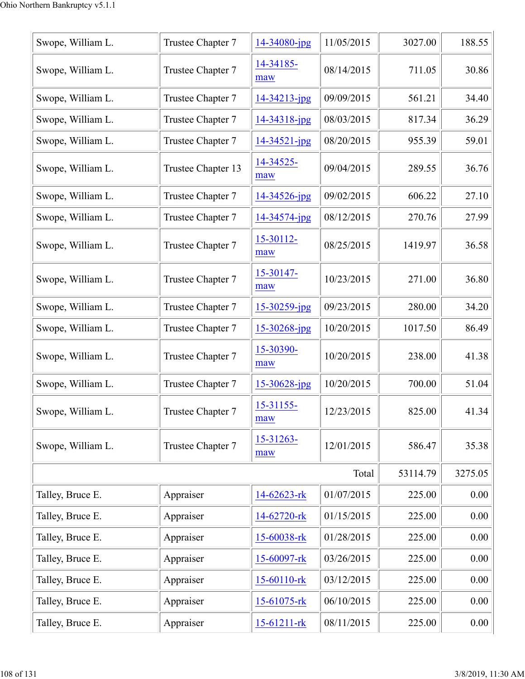| Swope, William L. | Trustee Chapter 7  | 14-34080-jpg          | 11/05/2015 | 3027.00  | 188.55   |
|-------------------|--------------------|-----------------------|------------|----------|----------|
| Swope, William L. | Trustee Chapter 7  | 14-34185-<br>maw      | 08/14/2015 | 711.05   | 30.86    |
| Swope, William L. | Trustee Chapter 7  | 14-34213-jpg          | 09/09/2015 | 561.21   | 34.40    |
| Swope, William L. | Trustee Chapter 7  | 14-34318-jpg          | 08/03/2015 | 817.34   | 36.29    |
| Swope, William L. | Trustee Chapter 7  | $14 - 34521 - jpg$    | 08/20/2015 | 955.39   | 59.01    |
| Swope, William L. | Trustee Chapter 13 | 14-34525-<br>maw      | 09/04/2015 | 289.55   | 36.76    |
| Swope, William L. | Trustee Chapter 7  | 14-34526-jpg          | 09/02/2015 | 606.22   | 27.10    |
| Swope, William L. | Trustee Chapter 7  | 14-34574-jpg          | 08/12/2015 | 270.76   | 27.99    |
| Swope, William L. | Trustee Chapter 7  | 15-30112-<br>maw      | 08/25/2015 | 1419.97  | 36.58    |
| Swope, William L. | Trustee Chapter 7  | 15-30147-<br>maw      | 10/23/2015 | 271.00   | 36.80    |
| Swope, William L. | Trustee Chapter 7  | 15-30259-jpg          | 09/23/2015 | 280.00   | 34.20    |
| Swope, William L. | Trustee Chapter 7  | 15-30268-jpg          | 10/20/2015 | 1017.50  | 86.49    |
| Swope, William L. | Trustee Chapter 7  | 15-30390-<br>maw      | 10/20/2015 | 238.00   | 41.38    |
| Swope, William L. | Trustee Chapter 7  | 15-30628-jpg          | 10/20/2015 | 700.00   | 51.04    |
| Swope, William L. | Trustee Chapter 7  | 15-31155-<br>maw      | 12/23/2015 | 825.00   | 41.34    |
| Swope, William L. | Trustee Chapter 7  | $15 - 31263 -$<br>maw | 12/01/2015 | 586.47   | 35.38    |
|                   |                    |                       | Total      | 53114.79 | 3275.05  |
| Talley, Bruce E.  | Appraiser          | 14-62623-rk           | 01/07/2015 | 225.00   | 0.00     |
| Talley, Bruce E.  | Appraiser          | 14-62720-rk           | 01/15/2015 | 225.00   | 0.00     |
| Talley, Bruce E.  | Appraiser          | 15-60038-rk           | 01/28/2015 | 225.00   | 0.00     |
| Talley, Bruce E.  | Appraiser          | 15-60097-rk           | 03/26/2015 | 225.00   | 0.00     |
| Talley, Bruce E.  | Appraiser          | 15-60110-rk           | 03/12/2015 | 225.00   | 0.00     |
| Talley, Bruce E.  | Appraiser          | $15-61075$ -rk        | 06/10/2015 | 225.00   | 0.00     |
| Talley, Bruce E.  | Appraiser          | 15-61211-rk           | 08/11/2015 | 225.00   | $0.00\,$ |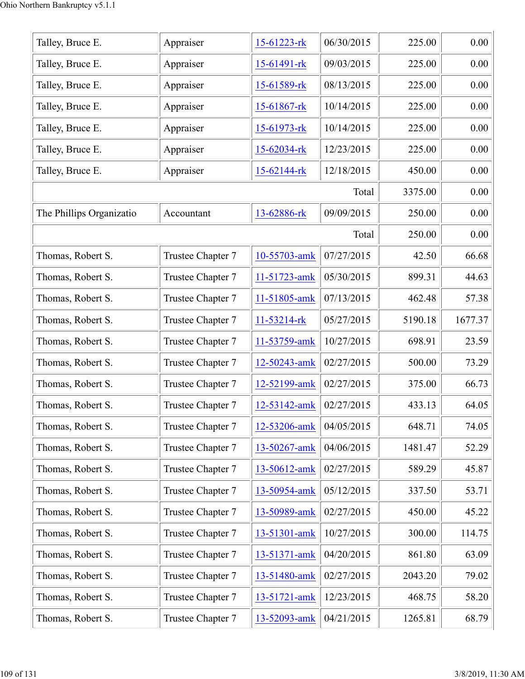| Talley, Bruce E.         | Appraiser         | 15-61223-rk       | 06/30/2015 | 225.00  | 0.00    |
|--------------------------|-------------------|-------------------|------------|---------|---------|
| Talley, Bruce E.         | Appraiser         | 15-61491-rk       | 09/03/2015 | 225.00  | 0.00    |
| Talley, Bruce E.         | Appraiser         | 15-61589-rk       | 08/13/2015 | 225.00  | 0.00    |
| Talley, Bruce E.         | Appraiser         | 15-61867-rk       | 10/14/2015 | 225.00  | 0.00    |
| Talley, Bruce E.         | Appraiser         | 15-61973-rk       | 10/14/2015 | 225.00  | 0.00    |
| Talley, Bruce E.         | Appraiser         | 15-62034-rk       | 12/23/2015 | 225.00  | 0.00    |
| Talley, Bruce E.         | Appraiser         | $15 - 62144 - rk$ | 12/18/2015 | 450.00  | 0.00    |
|                          |                   |                   | Total      | 3375.00 | 0.00    |
| The Phillips Organizatio | Accountant        | 13-62886-rk       | 09/09/2015 | 250.00  | 0.00    |
|                          |                   |                   | Total      | 250.00  | 0.00    |
| Thomas, Robert S.        | Trustee Chapter 7 | 10-55703-amk      | 07/27/2015 | 42.50   | 66.68   |
| Thomas, Robert S.        | Trustee Chapter 7 | 11-51723-amk      | 05/30/2015 | 899.31  | 44.63   |
| Thomas, Robert S.        | Trustee Chapter 7 | 11-51805-amk      | 07/13/2015 | 462.48  | 57.38   |
| Thomas, Robert S.        | Trustee Chapter 7 | 11-53214-rk       | 05/27/2015 | 5190.18 | 1677.37 |
| Thomas, Robert S.        | Trustee Chapter 7 | 11-53759-amk      | 10/27/2015 | 698.91  | 23.59   |
| Thomas, Robert S.        | Trustee Chapter 7 | 12-50243-amk      | 02/27/2015 | 500.00  | 73.29   |
| Thomas, Robert S.        | Trustee Chapter 7 | 12-52199-amk      | 02/27/2015 | 375.00  | 66.73   |
| Thomas, Robert S.        | Trustee Chapter 7 | 12-53142-amk      | 02/27/2015 | 433.13  | 64.05   |
| Thomas, Robert S.        | Trustee Chapter 7 | 12-53206-amk      | 04/05/2015 | 648.71  | 74.05   |
| Thomas, Robert S.        | Trustee Chapter 7 | 13-50267-amk      | 04/06/2015 | 1481.47 | 52.29   |
| Thomas, Robert S.        | Trustee Chapter 7 | 13-50612-amk      | 02/27/2015 | 589.29  | 45.87   |
| Thomas, Robert S.        | Trustee Chapter 7 | 13-50954-amk      | 05/12/2015 | 337.50  | 53.71   |
| Thomas, Robert S.        | Trustee Chapter 7 | 13-50989-amk      | 02/27/2015 | 450.00  | 45.22   |
| Thomas, Robert S.        | Trustee Chapter 7 | 13-51301-amk      | 10/27/2015 | 300.00  | 114.75  |
| Thomas, Robert S.        | Trustee Chapter 7 | 13-51371-amk      | 04/20/2015 | 861.80  | 63.09   |
| Thomas, Robert S.        | Trustee Chapter 7 | 13-51480-amk      | 02/27/2015 | 2043.20 | 79.02   |
| Thomas, Robert S.        | Trustee Chapter 7 | 13-51721-amk      | 12/23/2015 | 468.75  | 58.20   |
| Thomas, Robert S.        | Trustee Chapter 7 | 13-52093-amk      | 04/21/2015 | 1265.81 | 68.79   |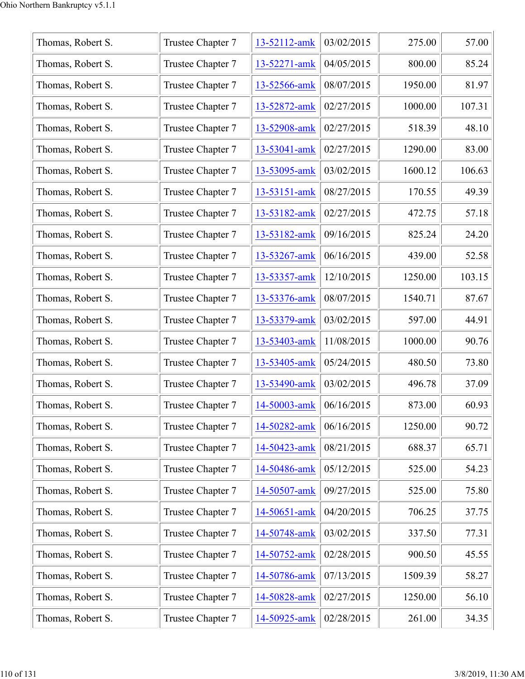| Thomas, Robert S. | Trustee Chapter 7 | 13-52112-amk | 03/02/2015 | 275.00  | 57.00  |
|-------------------|-------------------|--------------|------------|---------|--------|
| Thomas, Robert S. | Trustee Chapter 7 | 13-52271-amk | 04/05/2015 | 800.00  | 85.24  |
| Thomas, Robert S. | Trustee Chapter 7 | 13-52566-amk | 08/07/2015 | 1950.00 | 81.97  |
| Thomas, Robert S. | Trustee Chapter 7 | 13-52872-amk | 02/27/2015 | 1000.00 | 107.31 |
| Thomas, Robert S. | Trustee Chapter 7 | 13-52908-amk | 02/27/2015 | 518.39  | 48.10  |
| Thomas, Robert S. | Trustee Chapter 7 | 13-53041-amk | 02/27/2015 | 1290.00 | 83.00  |
| Thomas, Robert S. | Trustee Chapter 7 | 13-53095-amk | 03/02/2015 | 1600.12 | 106.63 |
| Thomas, Robert S. | Trustee Chapter 7 | 13-53151-amk | 08/27/2015 | 170.55  | 49.39  |
| Thomas, Robert S. | Trustee Chapter 7 | 13-53182-amk | 02/27/2015 | 472.75  | 57.18  |
| Thomas, Robert S. | Trustee Chapter 7 | 13-53182-amk | 09/16/2015 | 825.24  | 24.20  |
| Thomas, Robert S. | Trustee Chapter 7 | 13-53267-amk | 06/16/2015 | 439.00  | 52.58  |
| Thomas, Robert S. | Trustee Chapter 7 | 13-53357-amk | 12/10/2015 | 1250.00 | 103.15 |
| Thomas, Robert S. | Trustee Chapter 7 | 13-53376-amk | 08/07/2015 | 1540.71 | 87.67  |
| Thomas, Robert S. | Trustee Chapter 7 | 13-53379-amk | 03/02/2015 | 597.00  | 44.91  |
| Thomas, Robert S. | Trustee Chapter 7 | 13-53403-amk | 11/08/2015 | 1000.00 | 90.76  |
| Thomas, Robert S. | Trustee Chapter 7 | 13-53405-amk | 05/24/2015 | 480.50  | 73.80  |
| Thomas, Robert S. | Trustee Chapter 7 | 13-53490-amk | 03/02/2015 | 496.78  | 37.09  |
| Thomas, Robert S. | Trustee Chapter 7 | 14-50003-amk | 06/16/2015 | 873.00  | 60.93  |
| Thomas, Robert S. | Trustee Chapter 7 | 14-50282-amk | 06/16/2015 | 1250.00 | 90.72  |
| Thomas, Robert S. | Trustee Chapter 7 | 14-50423-amk | 08/21/2015 | 688.37  | 65.71  |
| Thomas, Robert S. | Trustee Chapter 7 | 14-50486-amk | 05/12/2015 | 525.00  | 54.23  |
| Thomas, Robert S. | Trustee Chapter 7 | 14-50507-amk | 09/27/2015 | 525.00  | 75.80  |
| Thomas, Robert S. | Trustee Chapter 7 | 14-50651-amk | 04/20/2015 | 706.25  | 37.75  |
| Thomas, Robert S. | Trustee Chapter 7 | 14-50748-amk | 03/02/2015 | 337.50  | 77.31  |
| Thomas, Robert S. | Trustee Chapter 7 | 14-50752-amk | 02/28/2015 | 900.50  | 45.55  |
| Thomas, Robert S. | Trustee Chapter 7 | 14-50786-amk | 07/13/2015 | 1509.39 | 58.27  |
| Thomas, Robert S. | Trustee Chapter 7 | 14-50828-amk | 02/27/2015 | 1250.00 | 56.10  |
| Thomas, Robert S. | Trustee Chapter 7 | 14-50925-amk | 02/28/2015 | 261.00  | 34.35  |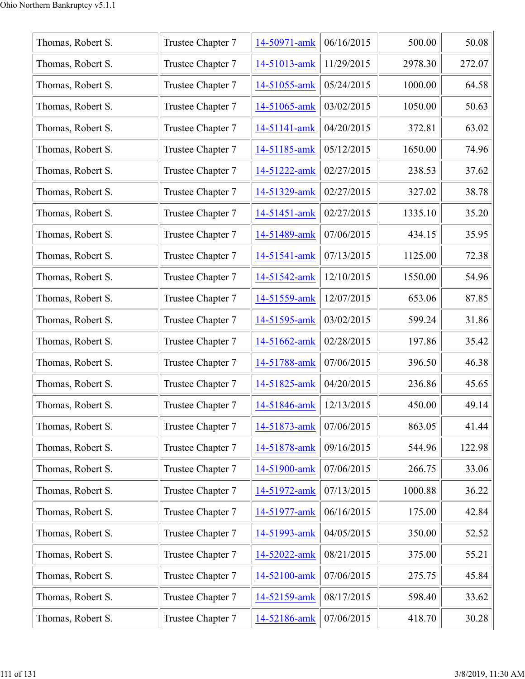| Thomas, Robert S. | Trustee Chapter 7 | 14-50971-amk | 06/16/2015 | 500.00  | 50.08  |
|-------------------|-------------------|--------------|------------|---------|--------|
| Thomas, Robert S. | Trustee Chapter 7 | 14-51013-amk | 11/29/2015 | 2978.30 | 272.07 |
| Thomas, Robert S. | Trustee Chapter 7 | 14-51055-amk | 05/24/2015 | 1000.00 | 64.58  |
| Thomas, Robert S. | Trustee Chapter 7 | 14-51065-amk | 03/02/2015 | 1050.00 | 50.63  |
| Thomas, Robert S. | Trustee Chapter 7 | 14-51141-amk | 04/20/2015 | 372.81  | 63.02  |
| Thomas, Robert S. | Trustee Chapter 7 | 14-51185-amk | 05/12/2015 | 1650.00 | 74.96  |
| Thomas, Robert S. | Trustee Chapter 7 | 14-51222-amk | 02/27/2015 | 238.53  | 37.62  |
| Thomas, Robert S. | Trustee Chapter 7 | 14-51329-amk | 02/27/2015 | 327.02  | 38.78  |
| Thomas, Robert S. | Trustee Chapter 7 | 14-51451-amk | 02/27/2015 | 1335.10 | 35.20  |
| Thomas, Robert S. | Trustee Chapter 7 | 14-51489-amk | 07/06/2015 | 434.15  | 35.95  |
| Thomas, Robert S. | Trustee Chapter 7 | 14-51541-amk | 07/13/2015 | 1125.00 | 72.38  |
| Thomas, Robert S. | Trustee Chapter 7 | 14-51542-amk | 12/10/2015 | 1550.00 | 54.96  |
| Thomas, Robert S. | Trustee Chapter 7 | 14-51559-amk | 12/07/2015 | 653.06  | 87.85  |
| Thomas, Robert S. | Trustee Chapter 7 | 14-51595-amk | 03/02/2015 | 599.24  | 31.86  |
| Thomas, Robert S. | Trustee Chapter 7 | 14-51662-amk | 02/28/2015 | 197.86  | 35.42  |
| Thomas, Robert S. | Trustee Chapter 7 | 14-51788-amk | 07/06/2015 | 396.50  | 46.38  |
| Thomas, Robert S. | Trustee Chapter 7 | 14-51825-amk | 04/20/2015 | 236.86  | 45.65  |
| Thomas, Robert S. | Trustee Chapter 7 | 14-51846-amk | 12/13/2015 | 450.00  | 49.14  |
| Thomas, Robert S. | Trustee Chapter 7 | 14-51873-amk | 07/06/2015 | 863.05  | 41.44  |
| Thomas, Robert S. | Trustee Chapter 7 | 14-51878-amk | 09/16/2015 | 544.96  | 122.98 |
| Thomas, Robert S. | Trustee Chapter 7 | 14-51900-amk | 07/06/2015 | 266.75  | 33.06  |
| Thomas, Robert S. | Trustee Chapter 7 | 14-51972-amk | 07/13/2015 | 1000.88 | 36.22  |
| Thomas, Robert S. | Trustee Chapter 7 | 14-51977-amk | 06/16/2015 | 175.00  | 42.84  |
| Thomas, Robert S. | Trustee Chapter 7 | 14-51993-amk | 04/05/2015 | 350.00  | 52.52  |
| Thomas, Robert S. | Trustee Chapter 7 | 14-52022-amk | 08/21/2015 | 375.00  | 55.21  |
| Thomas, Robert S. | Trustee Chapter 7 | 14-52100-amk | 07/06/2015 | 275.75  | 45.84  |
| Thomas, Robert S. | Trustee Chapter 7 | 14-52159-amk | 08/17/2015 | 598.40  | 33.62  |
| Thomas, Robert S. | Trustee Chapter 7 | 14-52186-amk | 07/06/2015 | 418.70  | 30.28  |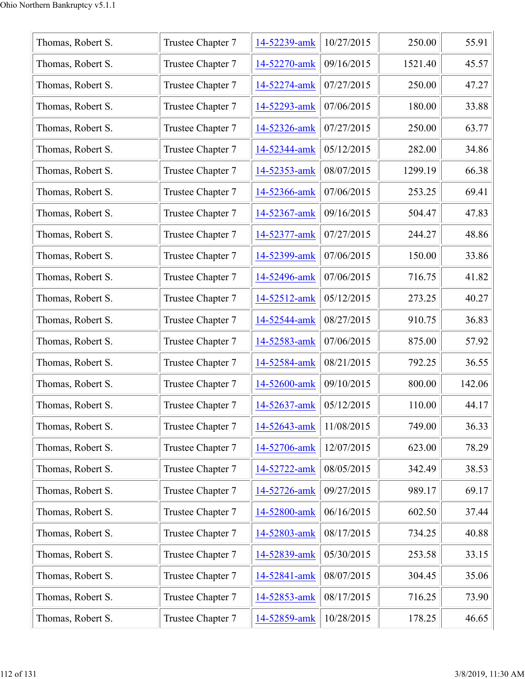| Thomas, Robert S. | Trustee Chapter 7 | 14-52239-amk | 10/27/2015 | 250.00  | 55.91  |
|-------------------|-------------------|--------------|------------|---------|--------|
| Thomas, Robert S. | Trustee Chapter 7 | 14-52270-amk | 09/16/2015 | 1521.40 | 45.57  |
| Thomas, Robert S. | Trustee Chapter 7 | 14-52274-amk | 07/27/2015 | 250.00  | 47.27  |
| Thomas, Robert S. | Trustee Chapter 7 | 14-52293-amk | 07/06/2015 | 180.00  | 33.88  |
| Thomas, Robert S. | Trustee Chapter 7 | 14-52326-amk | 07/27/2015 | 250.00  | 63.77  |
| Thomas, Robert S. | Trustee Chapter 7 | 14-52344-amk | 05/12/2015 | 282.00  | 34.86  |
| Thomas, Robert S. | Trustee Chapter 7 | 14-52353-amk | 08/07/2015 | 1299.19 | 66.38  |
| Thomas, Robert S. | Trustee Chapter 7 | 14-52366-amk | 07/06/2015 | 253.25  | 69.41  |
| Thomas, Robert S. | Trustee Chapter 7 | 14-52367-amk | 09/16/2015 | 504.47  | 47.83  |
| Thomas, Robert S. | Trustee Chapter 7 | 14-52377-amk | 07/27/2015 | 244.27  | 48.86  |
| Thomas, Robert S. | Trustee Chapter 7 | 14-52399-amk | 07/06/2015 | 150.00  | 33.86  |
| Thomas, Robert S. | Trustee Chapter 7 | 14-52496-amk | 07/06/2015 | 716.75  | 41.82  |
| Thomas, Robert S. | Trustee Chapter 7 | 14-52512-amk | 05/12/2015 | 273.25  | 40.27  |
| Thomas, Robert S. | Trustee Chapter 7 | 14-52544-amk | 08/27/2015 | 910.75  | 36.83  |
| Thomas, Robert S. | Trustee Chapter 7 | 14-52583-amk | 07/06/2015 | 875.00  | 57.92  |
| Thomas, Robert S. | Trustee Chapter 7 | 14-52584-amk | 08/21/2015 | 792.25  | 36.55  |
| Thomas, Robert S. | Trustee Chapter 7 | 14-52600-amk | 09/10/2015 | 800.00  | 142.06 |
| Thomas, Robert S. | Trustee Chapter 7 | 14-52637-amk | 05/12/2015 | 110.00  | 44.17  |
| Thomas, Robert S. | Trustee Chapter 7 | 14-52643-amk | 11/08/2015 | 749.00  | 36.33  |
| Thomas, Robert S. | Trustee Chapter 7 | 14-52706-amk | 12/07/2015 | 623.00  | 78.29  |
| Thomas, Robert S. | Trustee Chapter 7 | 14-52722-amk | 08/05/2015 | 342.49  | 38.53  |
| Thomas, Robert S. | Trustee Chapter 7 | 14-52726-amk | 09/27/2015 | 989.17  | 69.17  |
| Thomas, Robert S. | Trustee Chapter 7 | 14-52800-amk | 06/16/2015 | 602.50  | 37.44  |
| Thomas, Robert S. | Trustee Chapter 7 | 14-52803-amk | 08/17/2015 | 734.25  | 40.88  |
| Thomas, Robert S. | Trustee Chapter 7 | 14-52839-amk | 05/30/2015 | 253.58  | 33.15  |
| Thomas, Robert S. | Trustee Chapter 7 | 14-52841-amk | 08/07/2015 | 304.45  | 35.06  |
| Thomas, Robert S. | Trustee Chapter 7 | 14-52853-amk | 08/17/2015 | 716.25  | 73.90  |
| Thomas, Robert S. | Trustee Chapter 7 | 14-52859-amk | 10/28/2015 | 178.25  | 46.65  |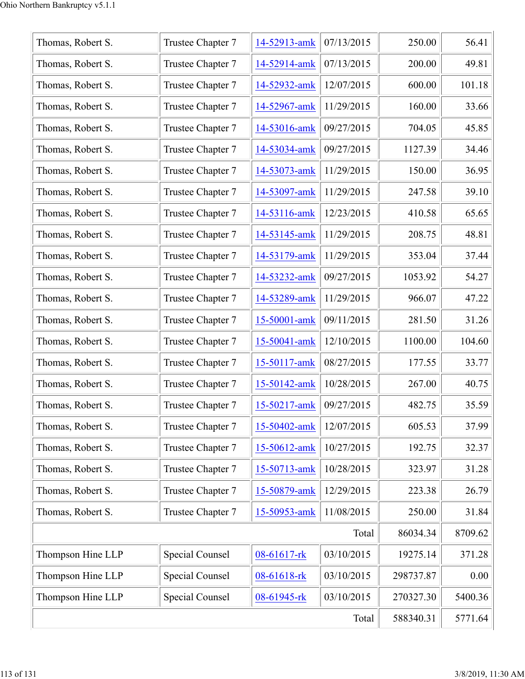| Thomas, Robert S. | Trustee Chapter 7      | 14-52913-amk | 07/13/2015 | 250.00    | 56.41   |
|-------------------|------------------------|--------------|------------|-----------|---------|
| Thomas, Robert S. | Trustee Chapter 7      | 14-52914-amk | 07/13/2015 | 200.00    | 49.81   |
| Thomas, Robert S. | Trustee Chapter 7      | 14-52932-amk | 12/07/2015 | 600.00    | 101.18  |
| Thomas, Robert S. | Trustee Chapter 7      | 14-52967-amk | 11/29/2015 | 160.00    | 33.66   |
| Thomas, Robert S. | Trustee Chapter 7      | 14-53016-amk | 09/27/2015 | 704.05    | 45.85   |
| Thomas, Robert S. | Trustee Chapter 7      | 14-53034-amk | 09/27/2015 | 1127.39   | 34.46   |
| Thomas, Robert S. | Trustee Chapter 7      | 14-53073-amk | 11/29/2015 | 150.00    | 36.95   |
| Thomas, Robert S. | Trustee Chapter 7      | 14-53097-amk | 11/29/2015 | 247.58    | 39.10   |
| Thomas, Robert S. | Trustee Chapter 7      | 14-53116-amk | 12/23/2015 | 410.58    | 65.65   |
| Thomas, Robert S. | Trustee Chapter 7      | 14-53145-amk | 11/29/2015 | 208.75    | 48.81   |
| Thomas, Robert S. | Trustee Chapter 7      | 14-53179-amk | 11/29/2015 | 353.04    | 37.44   |
| Thomas, Robert S. | Trustee Chapter 7      | 14-53232-amk | 09/27/2015 | 1053.92   | 54.27   |
| Thomas, Robert S. | Trustee Chapter 7      | 14-53289-amk | 11/29/2015 | 966.07    | 47.22   |
| Thomas, Robert S. | Trustee Chapter 7      | 15-50001-amk | 09/11/2015 | 281.50    | 31.26   |
| Thomas, Robert S. | Trustee Chapter 7      | 15-50041-amk | 12/10/2015 | 1100.00   | 104.60  |
| Thomas, Robert S. | Trustee Chapter 7      | 15-50117-amk | 08/27/2015 | 177.55    | 33.77   |
| Thomas, Robert S. | Trustee Chapter 7      | 15-50142-amk | 10/28/2015 | 267.00    | 40.75   |
| Thomas, Robert S. | Trustee Chapter 7      | 15-50217-amk | 09/27/2015 | 482.75    | 35.59   |
| Thomas, Robert S. | Trustee Chapter 7      | 15-50402-amk | 12/07/2015 | 605.53    | 37.99   |
| Thomas, Robert S. | Trustee Chapter 7      | 15-50612-amk | 10/27/2015 | 192.75    | 32.37   |
| Thomas, Robert S. | Trustee Chapter 7      | 15-50713-amk | 10/28/2015 | 323.97    | 31.28   |
| Thomas, Robert S. | Trustee Chapter 7      | 15-50879-amk | 12/29/2015 | 223.38    | 26.79   |
| Thomas, Robert S. | Trustee Chapter 7      | 15-50953-amk | 11/08/2015 | 250.00    | 31.84   |
|                   |                        |              | Total      | 86034.34  | 8709.62 |
| Thompson Hine LLP | Special Counsel        | 08-61617-rk  | 03/10/2015 | 19275.14  | 371.28  |
| Thompson Hine LLP | <b>Special Counsel</b> | 08-61618-rk  | 03/10/2015 | 298737.87 | 0.00    |
| Thompson Hine LLP | Special Counsel        | 08-61945-rk  | 03/10/2015 | 270327.30 | 5400.36 |
|                   | 588340.31              | 5771.64      |            |           |         |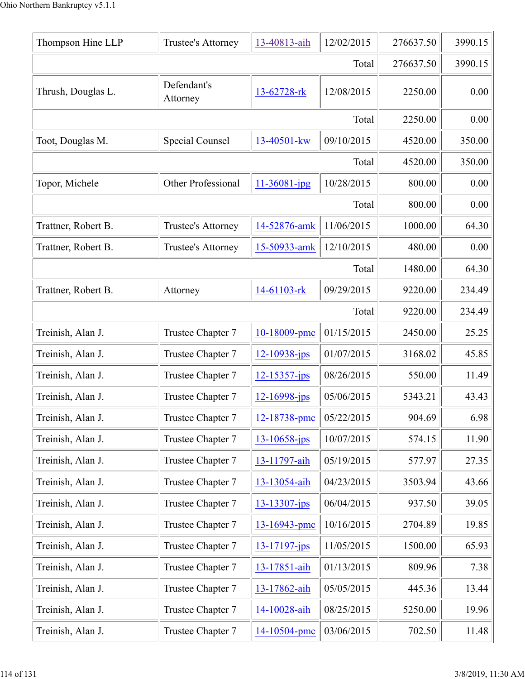| Thompson Hine LLP   | Trustee's Attorney        | 13-40813-aih       | 12/02/2015 | 276637.50 | 3990.15 |
|---------------------|---------------------------|--------------------|------------|-----------|---------|
|                     |                           |                    | Total      | 276637.50 | 3990.15 |
| Thrush, Douglas L.  | Defendant's<br>Attorney   | 13-62728-rk        | 12/08/2015 | 2250.00   | 0.00    |
|                     |                           |                    | Total      | 2250.00   | 0.00    |
| Toot, Douglas M.    | Special Counsel           | 13-40501-kw        | 09/10/2015 | 4520.00   | 350.00  |
|                     |                           |                    | Total      | 4520.00   | 350.00  |
| Topor, Michele      | <b>Other Professional</b> | $11 - 36081 - jpg$ | 10/28/2015 | 800.00    | 0.00    |
|                     |                           |                    | Total      | 800.00    | 0.00    |
| Trattner, Robert B. | Trustee's Attorney        | 14-52876-amk       | 11/06/2015 | 1000.00   | 64.30   |
| Trattner, Robert B. | Trustee's Attorney        | 15-50933-amk       | 12/10/2015 | 480.00    | 0.00    |
|                     |                           |                    | Total      | 1480.00   | 64.30   |
| Trattner, Robert B. | Attorney                  | 14-61103-rk        | 09/29/2015 | 9220.00   | 234.49  |
|                     |                           |                    | Total      | 9220.00   | 234.49  |
| Treinish, Alan J.   | Trustee Chapter 7         | 10-18009-pmc       | 01/15/2015 | 2450.00   | 25.25   |
| Treinish, Alan J.   | Trustee Chapter 7         | $12 - 10938 - ips$ | 01/07/2015 | 3168.02   | 45.85   |
| Treinish, Alan J.   | Trustee Chapter 7         | 12-15357-jps       | 08/26/2015 | 550.00    | 11.49   |
| Treinish, Alan J.   | Trustee Chapter 7         | 12-16998-jps       | 05/06/2015 | 5343.21   | 43.43   |
| Treinish, Alan J.   | Trustee Chapter 7         | 12-18738-pmc       | 05/22/2015 | 904.69    | 6.98    |
| Treinish, Alan J.   | Trustee Chapter 7         | $13 - 10658 - ips$ | 10/07/2015 | 574.15    | 11.90   |
| Treinish, Alan J.   | Trustee Chapter 7         | 13-11797-aih       | 05/19/2015 | 577.97    | 27.35   |
| Treinish, Alan J.   | Trustee Chapter 7         | 13-13054-aih       | 04/23/2015 | 3503.94   | 43.66   |
| Treinish, Alan J.   | Trustee Chapter 7         | $13 - 13307 - ips$ | 06/04/2015 | 937.50    | 39.05   |
| Treinish, Alan J.   | Trustee Chapter 7         | 13-16943-pmc       | 10/16/2015 | 2704.89   | 19.85   |
| Treinish, Alan J.   | Trustee Chapter 7         | $13 - 17197 - ips$ | 11/05/2015 | 1500.00   | 65.93   |
| Treinish, Alan J.   | Trustee Chapter 7         | 13-17851-aih       | 01/13/2015 | 809.96    | 7.38    |
| Treinish, Alan J.   | Trustee Chapter 7         | 13-17862-aih       | 05/05/2015 | 445.36    | 13.44   |
| Treinish, Alan J.   | Trustee Chapter 7         | 14-10028-aih       | 08/25/2015 | 5250.00   | 19.96   |
| Treinish, Alan J.   | Trustee Chapter 7         | 14-10504-pmc       | 03/06/2015 | 702.50    | 11.48   |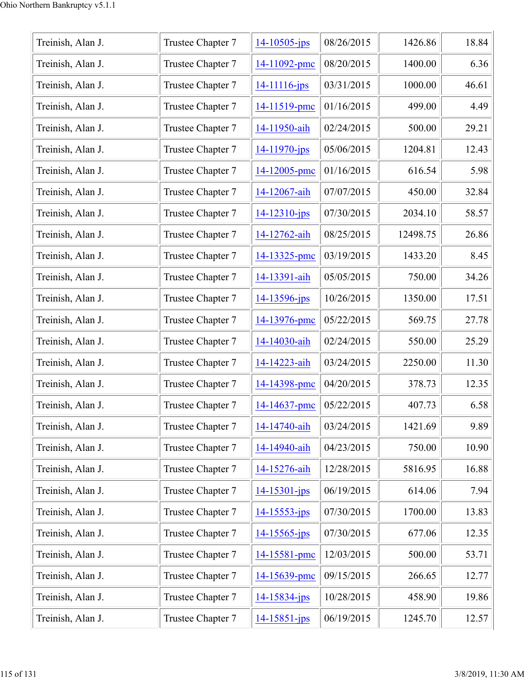| Treinish, Alan J. | Trustee Chapter 7 | $14 - 10505 - ips$ | 08/26/2015 | 1426.86  | 18.84 |
|-------------------|-------------------|--------------------|------------|----------|-------|
| Treinish, Alan J. | Trustee Chapter 7 | 14-11092-pmc       | 08/20/2015 | 1400.00  | 6.36  |
| Treinish, Alan J. | Trustee Chapter 7 | $14 - 11116 - ips$ | 03/31/2015 | 1000.00  | 46.61 |
| Treinish, Alan J. | Trustee Chapter 7 | 14-11519-pmc       | 01/16/2015 | 499.00   | 4.49  |
| Treinish, Alan J. | Trustee Chapter 7 | 14-11950-aih       | 02/24/2015 | 500.00   | 29.21 |
| Treinish, Alan J. | Trustee Chapter 7 | 14-11970-jps       | 05/06/2015 | 1204.81  | 12.43 |
| Treinish, Alan J. | Trustee Chapter 7 | 14-12005-pmc       | 01/16/2015 | 616.54   | 5.98  |
| Treinish, Alan J. | Trustee Chapter 7 | 14-12067-aih       | 07/07/2015 | 450.00   | 32.84 |
| Treinish, Alan J. | Trustee Chapter 7 | $14 - 12310 - ips$ | 07/30/2015 | 2034.10  | 58.57 |
| Treinish, Alan J. | Trustee Chapter 7 | 14-12762-aih       | 08/25/2015 | 12498.75 | 26.86 |
| Treinish, Alan J. | Trustee Chapter 7 | 14-13325-pmc       | 03/19/2015 | 1433.20  | 8.45  |
| Treinish, Alan J. | Trustee Chapter 7 | 14-13391-aih       | 05/05/2015 | 750.00   | 34.26 |
| Treinish, Alan J. | Trustee Chapter 7 | $14 - 13596 - ips$ | 10/26/2015 | 1350.00  | 17.51 |
| Treinish, Alan J. | Trustee Chapter 7 | 14-13976-pmc       | 05/22/2015 | 569.75   | 27.78 |
| Treinish, Alan J. | Trustee Chapter 7 | 14-14030-aih       | 02/24/2015 | 550.00   | 25.29 |
| Treinish, Alan J. | Trustee Chapter 7 | 14-14223-aih       | 03/24/2015 | 2250.00  | 11.30 |
| Treinish, Alan J. | Trustee Chapter 7 | 14-14398-pmc       | 04/20/2015 | 378.73   | 12.35 |
| Treinish, Alan J. | Trustee Chapter 7 | 14-14637-pmc       | 05/22/2015 | 407.73   | 6.58  |
| Treinish, Alan J. | Trustee Chapter 7 | 14-14740-aih       | 03/24/2015 | 1421.69  | 9.89  |
| Treinish, Alan J. | Trustee Chapter 7 | 14-14940-aih       | 04/23/2015 | 750.00   | 10.90 |
| Treinish, Alan J. | Trustee Chapter 7 | 14-15276-aih       | 12/28/2015 | 5816.95  | 16.88 |
| Treinish, Alan J. | Trustee Chapter 7 | 14-15301-jps       | 06/19/2015 | 614.06   | 7.94  |
| Treinish, Alan J. | Trustee Chapter 7 | $14 - 15553 - jps$ | 07/30/2015 | 1700.00  | 13.83 |
| Treinish, Alan J. | Trustee Chapter 7 | $14 - 15565 - ips$ | 07/30/2015 | 677.06   | 12.35 |
| Treinish, Alan J. | Trustee Chapter 7 | 14-15581-pmc       | 12/03/2015 | 500.00   | 53.71 |
| Treinish, Alan J. | Trustee Chapter 7 | 14-15639-pmc       | 09/15/2015 | 266.65   | 12.77 |
| Treinish, Alan J. | Trustee Chapter 7 | $14 - 15834 - ips$ | 10/28/2015 | 458.90   | 19.86 |
| Treinish, Alan J. | Trustee Chapter 7 | $14 - 15851 - ips$ | 06/19/2015 | 1245.70  | 12.57 |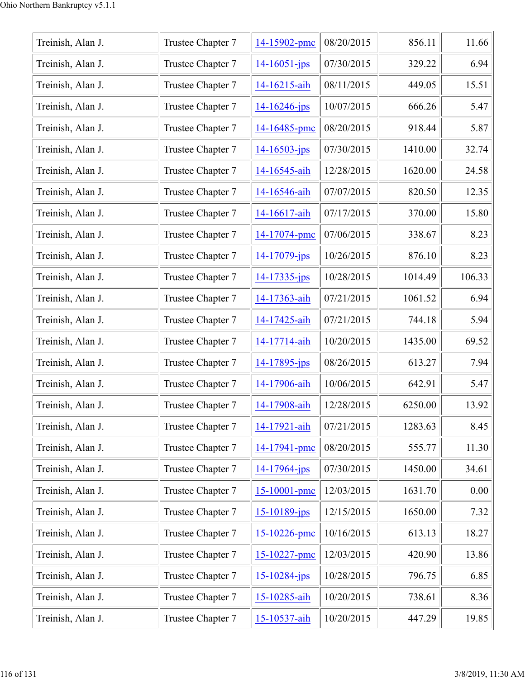| Treinish, Alan J. | Trustee Chapter 7 | 14-15902-pmc       | 08/20/2015 | 856.11  | 11.66  |
|-------------------|-------------------|--------------------|------------|---------|--------|
| Treinish, Alan J. | Trustee Chapter 7 | $14 - 16051 - ips$ | 07/30/2015 | 329.22  | 6.94   |
| Treinish, Alan J. | Trustee Chapter 7 | 14-16215-aih       | 08/11/2015 | 449.05  | 15.51  |
| Treinish, Alan J. | Trustee Chapter 7 | $14 - 16246$ -jps  | 10/07/2015 | 666.26  | 5.47   |
| Treinish, Alan J. | Trustee Chapter 7 | 14-16485-pmc       | 08/20/2015 | 918.44  | 5.87   |
| Treinish, Alan J. | Trustee Chapter 7 | $14 - 16503 - ips$ | 07/30/2015 | 1410.00 | 32.74  |
| Treinish, Alan J. | Trustee Chapter 7 | 14-16545-aih       | 12/28/2015 | 1620.00 | 24.58  |
| Treinish, Alan J. | Trustee Chapter 7 | 14-16546-aih       | 07/07/2015 | 820.50  | 12.35  |
| Treinish, Alan J. | Trustee Chapter 7 | 14-16617-aih       | 07/17/2015 | 370.00  | 15.80  |
| Treinish, Alan J. | Trustee Chapter 7 | 14-17074-pmc       | 07/06/2015 | 338.67  | 8.23   |
| Treinish, Alan J. | Trustee Chapter 7 | $14 - 17079$ -jps  | 10/26/2015 | 876.10  | 8.23   |
| Treinish, Alan J. | Trustee Chapter 7 | $14 - 17335 - ips$ | 10/28/2015 | 1014.49 | 106.33 |
| Treinish, Alan J. | Trustee Chapter 7 | 14-17363-aih       | 07/21/2015 | 1061.52 | 6.94   |
| Treinish, Alan J. | Trustee Chapter 7 | 14-17425-aih       | 07/21/2015 | 744.18  | 5.94   |
| Treinish, Alan J. | Trustee Chapter 7 | 14-17714-aih       | 10/20/2015 | 1435.00 | 69.52  |
| Treinish, Alan J. | Trustee Chapter 7 | $14 - 17895$ -jps  | 08/26/2015 | 613.27  | 7.94   |
| Treinish, Alan J. | Trustee Chapter 7 | 14-17906-aih       | 10/06/2015 | 642.91  | 5.47   |
| Treinish, Alan J. | Trustee Chapter 7 | 14-17908-aih       | 12/28/2015 | 6250.00 | 13.92  |
| Treinish, Alan J. | Trustee Chapter 7 | 14-17921-aih       | 07/21/2015 | 1283.63 | 8.45   |
| Treinish, Alan J. | Trustee Chapter 7 | 14-17941-pmc       | 08/20/2015 | 555.77  | 11.30  |
| Treinish, Alan J. | Trustee Chapter 7 | $14 - 17964 - ips$ | 07/30/2015 | 1450.00 | 34.61  |
| Treinish, Alan J. | Trustee Chapter 7 | 15-10001-pmc       | 12/03/2015 | 1631.70 | 0.00   |
| Treinish, Alan J. | Trustee Chapter 7 | $15 - 10189$ -jps  | 12/15/2015 | 1650.00 | 7.32   |
| Treinish, Alan J. | Trustee Chapter 7 | 15-10226-pmc       | 10/16/2015 | 613.13  | 18.27  |
| Treinish, Alan J. | Trustee Chapter 7 | 15-10227-pmc       | 12/03/2015 | 420.90  | 13.86  |
| Treinish, Alan J. | Trustee Chapter 7 | $15 - 10284 - jps$ | 10/28/2015 | 796.75  | 6.85   |
| Treinish, Alan J. | Trustee Chapter 7 | 15-10285-aih       | 10/20/2015 | 738.61  | 8.36   |
| Treinish, Alan J. | Trustee Chapter 7 | 15-10537-aih       | 10/20/2015 | 447.29  | 19.85  |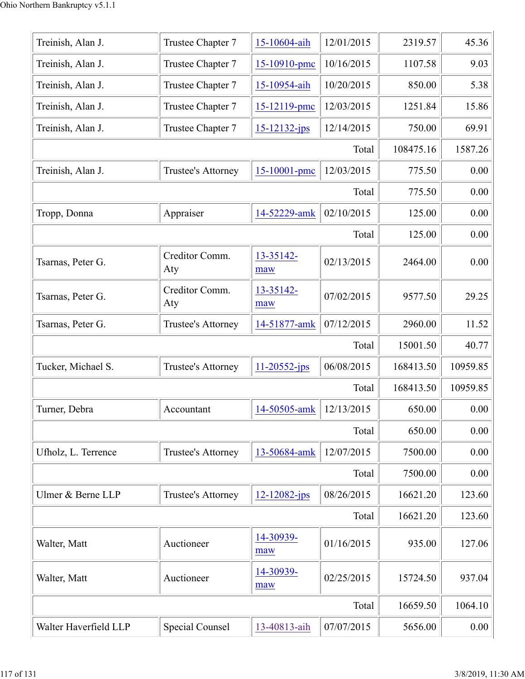| Treinish, Alan J.     | Trustee Chapter 7     | 15-10604-aih       | 12/01/2015 | 2319.57   | 45.36    |
|-----------------------|-----------------------|--------------------|------------|-----------|----------|
| Treinish, Alan J.     | Trustee Chapter 7     | 15-10910-pmc       | 10/16/2015 | 1107.58   | 9.03     |
| Treinish, Alan J.     | Trustee Chapter 7     | 15-10954-aih       | 10/20/2015 | 850.00    | 5.38     |
| Treinish, Alan J.     | Trustee Chapter 7     | 15-12119-pmc       | 12/03/2015 | 1251.84   | 15.86    |
| Treinish, Alan J.     | Trustee Chapter 7     | $15 - 12132 - jps$ | 12/14/2015 | 750.00    | 69.91    |
|                       |                       |                    | Total      | 108475.16 | 1587.26  |
| Treinish, Alan J.     | Trustee's Attorney    | 15-10001-pmc       | 12/03/2015 | 775.50    | 0.00     |
|                       |                       |                    | Total      | 775.50    | 0.00     |
| Tropp, Donna          | Appraiser             | 14-52229-amk       | 02/10/2015 | 125.00    | 0.00     |
|                       |                       |                    | Total      | 125.00    | 0.00     |
| Tsarnas, Peter G.     | Creditor Comm.<br>Aty | 13-35142-<br>maw   | 02/13/2015 | 2464.00   | 0.00     |
| Tsarnas, Peter G.     | Creditor Comm.<br>Aty | 13-35142-<br>maw   | 07/02/2015 | 9577.50   | 29.25    |
| Tsarnas, Peter G.     | Trustee's Attorney    | 14-51877-amk       | 07/12/2015 | 2960.00   | 11.52    |
|                       |                       |                    | Total      | 15001.50  | 40.77    |
| Tucker, Michael S.    | Trustee's Attorney    | $11 - 20552 - ips$ | 06/08/2015 | 168413.50 | 10959.85 |
|                       |                       |                    | Total      | 168413.50 | 10959.85 |
| Turner, Debra         | Accountant            | 14-50505-amk       | 12/13/2015 | 650.00    | 0.00     |
|                       |                       |                    | Total      | 650.00    | 0.00     |
| Ufholz, L. Terrence   | Trustee's Attorney    | 13-50684-amk       | 12/07/2015 | 7500.00   | 0.00     |
|                       |                       |                    | Total      | 7500.00   | 0.00     |
| Ulmer & Berne LLP     | Trustee's Attorney    | $12 - 12082 - ips$ | 08/26/2015 | 16621.20  | 123.60   |
|                       |                       |                    | Total      | 16621.20  | 123.60   |
| Walter, Matt          | Auctioneer            | 14-30939-<br>maw   | 01/16/2015 | 935.00    | 127.06   |
| Walter, Matt          | Auctioneer            | 14-30939-<br>maw   | 02/25/2015 | 15724.50  | 937.04   |
|                       |                       |                    | Total      | 16659.50  | 1064.10  |
| Walter Haverfield LLP | Special Counsel       | 13-40813-aih       | 07/07/2015 | 5656.00   | 0.00     |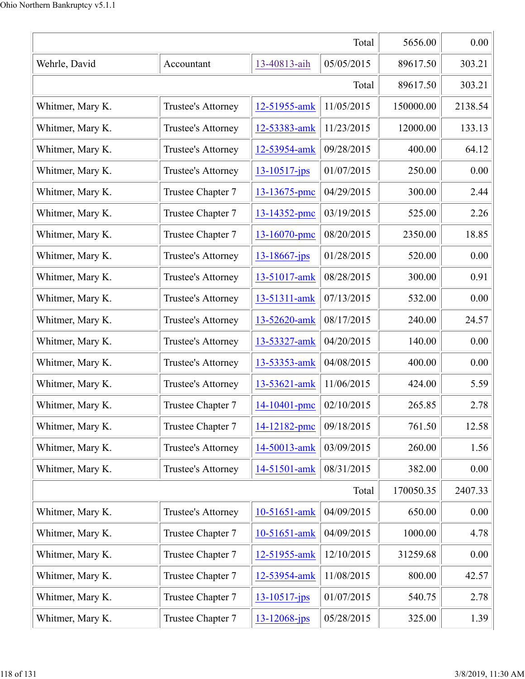|                  | 5656.00                   | 0.00               |            |           |         |
|------------------|---------------------------|--------------------|------------|-----------|---------|
| Wehrle, David    | Accountant                | 13-40813-aih       | 05/05/2015 | 89617.50  | 303.21  |
|                  |                           |                    | Total      | 89617.50  | 303.21  |
| Whitmer, Mary K. | Trustee's Attorney        | 12-51955-amk       | 11/05/2015 | 150000.00 | 2138.54 |
| Whitmer, Mary K. | Trustee's Attorney        | 12-53383-amk       | 11/23/2015 | 12000.00  | 133.13  |
| Whitmer, Mary K. | Trustee's Attorney        | 12-53954-amk       | 09/28/2015 | 400.00    | 64.12   |
| Whitmer, Mary K. | Trustee's Attorney        | 13-10517-jps       | 01/07/2015 | 250.00    | 0.00    |
| Whitmer, Mary K. | Trustee Chapter 7         | 13-13675-pmc       | 04/29/2015 | 300.00    | 2.44    |
| Whitmer, Mary K. | Trustee Chapter 7         | 13-14352-pmc       | 03/19/2015 | 525.00    | 2.26    |
| Whitmer, Mary K. | Trustee Chapter 7         | 13-16070-pmc       | 08/20/2015 | 2350.00   | 18.85   |
| Whitmer, Mary K. | Trustee's Attorney        | $13 - 18667 - jps$ | 01/28/2015 | 520.00    | 0.00    |
| Whitmer, Mary K. | <b>Trustee's Attorney</b> | 13-51017-amk       | 08/28/2015 | 300.00    | 0.91    |
| Whitmer, Mary K. | Trustee's Attorney        | 13-51311-amk       | 07/13/2015 | 532.00    | 0.00    |
| Whitmer, Mary K. | Trustee's Attorney        | 13-52620-amk       | 08/17/2015 | 240.00    | 24.57   |
| Whitmer, Mary K. | Trustee's Attorney        | 13-53327-amk       | 04/20/2015 | 140.00    | 0.00    |
| Whitmer, Mary K. | Trustee's Attorney        | 13-53353-amk       | 04/08/2015 | 400.00    | 0.00    |
| Whitmer, Mary K. | Trustee's Attorney        | 13-53621-amk       | 11/06/2015 | 424.00    | 5.59    |
| Whitmer, Mary K. | Trustee Chapter 7         | 14-10401-pmc       | 02/10/2015 | 265.85    | 2.78    |
| Whitmer, Mary K. | Trustee Chapter 7         | 14-12182-pmc       | 09/18/2015 | 761.50    | 12.58   |
| Whitmer, Mary K. | Trustee's Attorney        | 14-50013-amk       | 03/09/2015 | 260.00    | 1.56    |
| Whitmer, Mary K. | Trustee's Attorney        | 14-51501-amk       | 08/31/2015 | 382.00    | 0.00    |
|                  |                           |                    | Total      | 170050.35 | 2407.33 |
| Whitmer, Mary K. | Trustee's Attorney        | 10-51651-amk       | 04/09/2015 | 650.00    | 0.00    |
| Whitmer, Mary K. | Trustee Chapter 7         | 10-51651-amk       | 04/09/2015 | 1000.00   | 4.78    |
| Whitmer, Mary K. | Trustee Chapter 7         | 12-51955-amk       | 12/10/2015 | 31259.68  | 0.00    |
| Whitmer, Mary K. | Trustee Chapter 7         | 12-53954-amk       | 11/08/2015 | 800.00    | 42.57   |
| Whitmer, Mary K. | Trustee Chapter 7         | $13 - 10517 - jps$ | 01/07/2015 | 540.75    | 2.78    |
| Whitmer, Mary K. | Trustee Chapter 7         | $13 - 12068 - ips$ | 05/28/2015 | 325.00    | 1.39    |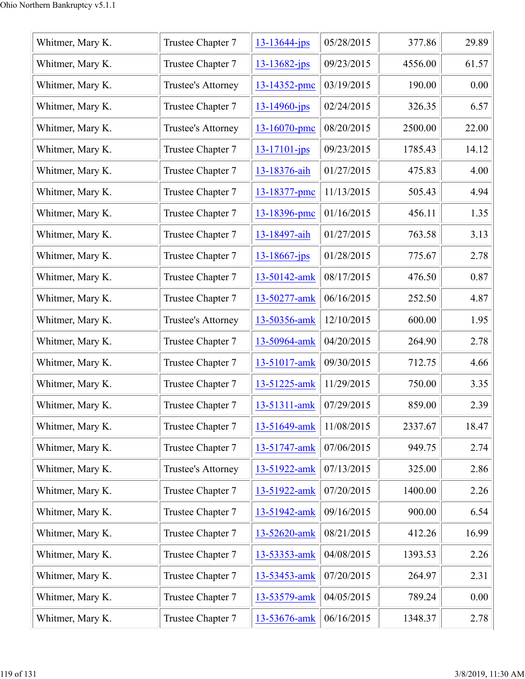| Whitmer, Mary K. | Trustee Chapter 7         | $13 - 13644 - jps$ | 05/28/2015 | 377.86  | 29.89 |
|------------------|---------------------------|--------------------|------------|---------|-------|
| Whitmer, Mary K. | Trustee Chapter 7         | $13 - 13682 - jps$ | 09/23/2015 | 4556.00 | 61.57 |
| Whitmer, Mary K. | Trustee's Attorney        | 13-14352-pmc       | 03/19/2015 | 190.00  | 0.00  |
| Whitmer, Mary K. | Trustee Chapter 7         | $13 - 14960$ -jps  | 02/24/2015 | 326.35  | 6.57  |
| Whitmer, Mary K. | Trustee's Attorney        | 13-16070-pmc       | 08/20/2015 | 2500.00 | 22.00 |
| Whitmer, Mary K. | Trustee Chapter 7         | $13 - 17101 - ips$ | 09/23/2015 | 1785.43 | 14.12 |
| Whitmer, Mary K. | Trustee Chapter 7         | 13-18376-aih       | 01/27/2015 | 475.83  | 4.00  |
| Whitmer, Mary K. | Trustee Chapter 7         | 13-18377-pmc       | 11/13/2015 | 505.43  | 4.94  |
| Whitmer, Mary K. | Trustee Chapter 7         | 13-18396-pmc       | 01/16/2015 | 456.11  | 1.35  |
| Whitmer, Mary K. | Trustee Chapter 7         | 13-18497-aih       | 01/27/2015 | 763.58  | 3.13  |
| Whitmer, Mary K. | Trustee Chapter 7         | $13 - 18667$ -jps  | 01/28/2015 | 775.67  | 2.78  |
| Whitmer, Mary K. | Trustee Chapter 7         | 13-50142-amk       | 08/17/2015 | 476.50  | 0.87  |
| Whitmer, Mary K. | Trustee Chapter 7         | 13-50277-amk       | 06/16/2015 | 252.50  | 4.87  |
| Whitmer, Mary K. | Trustee's Attorney        | 13-50356-amk       | 12/10/2015 | 600.00  | 1.95  |
| Whitmer, Mary K. | Trustee Chapter 7         | 13-50964-amk       | 04/20/2015 | 264.90  | 2.78  |
| Whitmer, Mary K. | Trustee Chapter 7         | 13-51017-amk       | 09/30/2015 | 712.75  | 4.66  |
| Whitmer, Mary K. | Trustee Chapter 7         | 13-51225-amk       | 11/29/2015 | 750.00  | 3.35  |
| Whitmer, Mary K. | Trustee Chapter 7         | 13-51311-amk       | 07/29/2015 | 859.00  | 2.39  |
| Whitmer, Mary K. | Trustee Chapter 7         | 13-51649-amk       | 11/08/2015 | 2337.67 | 18.47 |
| Whitmer, Mary K. | Trustee Chapter 7         | 13-51747-amk       | 07/06/2015 | 949.75  | 2.74  |
| Whitmer, Mary K. | <b>Trustee's Attorney</b> | 13-51922-amk       | 07/13/2015 | 325.00  | 2.86  |
| Whitmer, Mary K. | Trustee Chapter 7         | 13-51922-amk       | 07/20/2015 | 1400.00 | 2.26  |
| Whitmer, Mary K. | Trustee Chapter 7         | 13-51942-amk       | 09/16/2015 | 900.00  | 6.54  |
| Whitmer, Mary K. | Trustee Chapter 7         | 13-52620-amk       | 08/21/2015 | 412.26  | 16.99 |
| Whitmer, Mary K. | Trustee Chapter 7         | 13-53353-amk       | 04/08/2015 | 1393.53 | 2.26  |
| Whitmer, Mary K. | Trustee Chapter 7         | 13-53453-amk       | 07/20/2015 | 264.97  | 2.31  |
| Whitmer, Mary K. | Trustee Chapter 7         | 13-53579-amk       | 04/05/2015 | 789.24  | 0.00  |
| Whitmer, Mary K. | Trustee Chapter 7         | 13-53676-amk       | 06/16/2015 | 1348.37 | 2.78  |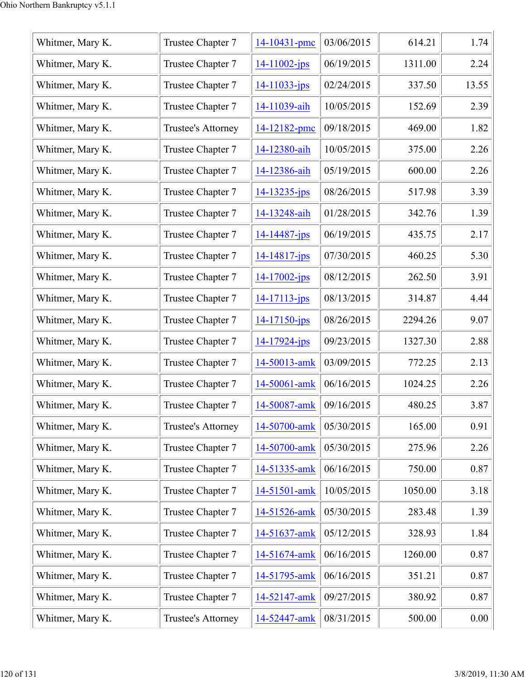| Whitmer, Mary K. | Trustee Chapter 7         | 14-10431-pmc       | 03/06/2015 | 614.21  | 1.74  |
|------------------|---------------------------|--------------------|------------|---------|-------|
| Whitmer, Mary K. | Trustee Chapter 7         | $14 - 11002 - ips$ | 06/19/2015 | 1311.00 | 2.24  |
| Whitmer, Mary K. | Trustee Chapter 7         | $14 - 11033 - ips$ | 02/24/2015 | 337.50  | 13.55 |
| Whitmer, Mary K. | Trustee Chapter 7         | 14-11039-aih       | 10/05/2015 | 152.69  | 2.39  |
| Whitmer, Mary K. | Trustee's Attorney        | 14-12182-pmc       | 09/18/2015 | 469.00  | 1.82  |
| Whitmer, Mary K. | Trustee Chapter 7         | 14-12380-aih       | 10/05/2015 | 375.00  | 2.26  |
| Whitmer, Mary K. | Trustee Chapter 7         | 14-12386-aih       | 05/19/2015 | 600.00  | 2.26  |
| Whitmer, Mary K. | Trustee Chapter 7         | 14-13235-jps       | 08/26/2015 | 517.98  | 3.39  |
| Whitmer, Mary K. | Trustee Chapter 7         | 14-13248-aih       | 01/28/2015 | 342.76  | 1.39  |
| Whitmer, Mary K. | Trustee Chapter 7         | $14 - 14487 - ips$ | 06/19/2015 | 435.75  | 2.17  |
| Whitmer, Mary K. | Trustee Chapter 7         | $14 - 14817$ -jps  | 07/30/2015 | 460.25  | 5.30  |
| Whitmer, Mary K. | Trustee Chapter 7         | $14 - 17002 - ips$ | 08/12/2015 | 262.50  | 3.91  |
| Whitmer, Mary K. | Trustee Chapter 7         | 14-17113-jps       | 08/13/2015 | 314.87  | 4.44  |
| Whitmer, Mary K. | Trustee Chapter 7         | $14 - 17150 - jps$ | 08/26/2015 | 2294.26 | 9.07  |
| Whitmer, Mary K. | Trustee Chapter 7         | 14-17924-jps       | 09/23/2015 | 1327.30 | 2.88  |
| Whitmer, Mary K. | Trustee Chapter 7         | 14-50013-amk       | 03/09/2015 | 772.25  | 2.13  |
| Whitmer, Mary K. | Trustee Chapter 7         | 14-50061-amk       | 06/16/2015 | 1024.25 | 2.26  |
| Whitmer, Mary K. | Trustee Chapter 7         | 14-50087-amk       | 09/16/2015 | 480.25  | 3.87  |
| Whitmer, Mary K. | <b>Trustee's Attorney</b> | 14-50700-amk       | 05/30/2015 | 165.00  | 0.91  |
| Whitmer, Mary K. | Trustee Chapter 7         | 14-50700-amk       | 05/30/2015 | 275.96  | 2.26  |
| Whitmer, Mary K. | Trustee Chapter 7         | 14-51335-amk       | 06/16/2015 | 750.00  | 0.87  |
| Whitmer, Mary K. | Trustee Chapter 7         | 14-51501-amk       | 10/05/2015 | 1050.00 | 3.18  |
| Whitmer, Mary K. | Trustee Chapter 7         | 14-51526-amk       | 05/30/2015 | 283.48  | 1.39  |
| Whitmer, Mary K. | Trustee Chapter 7         | 14-51637-amk       | 05/12/2015 | 328.93  | 1.84  |
| Whitmer, Mary K. | Trustee Chapter 7         | 14-51674-amk       | 06/16/2015 | 1260.00 | 0.87  |
| Whitmer, Mary K. | Trustee Chapter 7         | 14-51795-amk       | 06/16/2015 | 351.21  | 0.87  |
| Whitmer, Mary K. | Trustee Chapter 7         | 14-52147-amk       | 09/27/2015 | 380.92  | 0.87  |
| Whitmer, Mary K. | <b>Trustee's Attorney</b> | 14-52447-amk       | 08/31/2015 | 500.00  | 0.00  |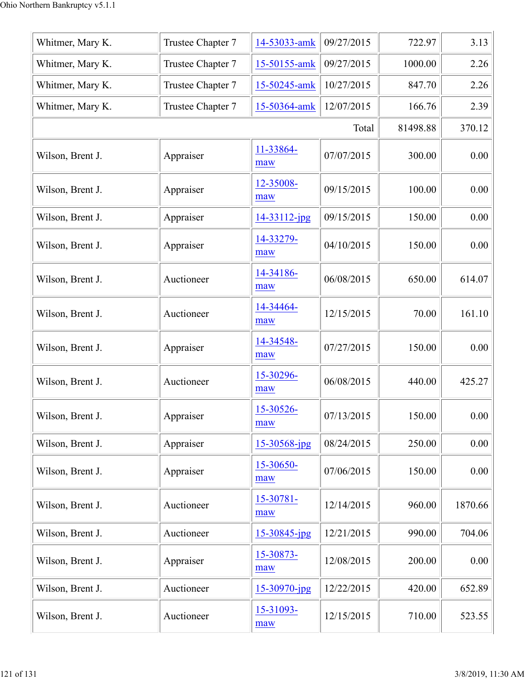| Whitmer, Mary K. | Trustee Chapter 7 | 14-53033-amk      | 09/27/2015 | 722.97   | 3.13    |
|------------------|-------------------|-------------------|------------|----------|---------|
| Whitmer, Mary K. | Trustee Chapter 7 | 15-50155-amk      | 09/27/2015 | 1000.00  | 2.26    |
| Whitmer, Mary K. | Trustee Chapter 7 | 15-50245-amk      | 10/27/2015 | 847.70   | 2.26    |
| Whitmer, Mary K. | Trustee Chapter 7 | 15-50364-amk      | 12/07/2015 | 166.76   | 2.39    |
|                  |                   |                   | Total      | 81498.88 | 370.12  |
| Wilson, Brent J. | Appraiser         | 11-33864-<br>maw  | 07/07/2015 | 300.00   | 0.00    |
| Wilson, Brent J. | Appraiser         | 12-35008-<br>maw  | 09/15/2015 | 100.00   | 0.00    |
| Wilson, Brent J. | Appraiser         | 14-33112-jpg      | 09/15/2015 | 150.00   | 0.00    |
| Wilson, Brent J. | Appraiser         | 14-33279-<br>maw  | 04/10/2015 | 150.00   | 0.00    |
| Wilson, Brent J. | Auctioneer        | 14-34186-<br>maw  | 06/08/2015 | 650.00   | 614.07  |
| Wilson, Brent J. | Auctioneer        | 14-34464-<br>maw  | 12/15/2015 | 70.00    | 161.10  |
| Wilson, Brent J. | Appraiser         | 14-34548-<br>maw  | 07/27/2015 | 150.00   | 0.00    |
| Wilson, Brent J. | Auctioneer        | 15-30296-<br>maw  | 06/08/2015 | 440.00   | 425.27  |
| Wilson, Brent J. | Appraiser         | 15-30526-<br>maw  | 07/13/2015 | 150.00   | 0.00    |
| Wilson, Brent J. | Appraiser         | 15-30568-jpg      | 08/24/2015 | 250.00   | 0.00    |
| Wilson, Brent J. | Appraiser         | 15-30650-<br>maw  | 07/06/2015 | 150.00   | 0.00    |
| Wilson, Brent J. | Auctioneer        | 15-30781-<br>maw  | 12/14/2015 | 960.00   | 1870.66 |
| Wilson, Brent J. | Auctioneer        | $15 - 30845$ -jpg | 12/21/2015 | 990.00   | 704.06  |
| Wilson, Brent J. | Appraiser         | 15-30873-<br>maw  | 12/08/2015 | 200.00   | 0.00    |
| Wilson, Brent J. | Auctioneer        | 15-30970-jpg      | 12/22/2015 | 420.00   | 652.89  |
| Wilson, Brent J. | Auctioneer        | 15-31093-<br>maw  | 12/15/2015 | 710.00   | 523.55  |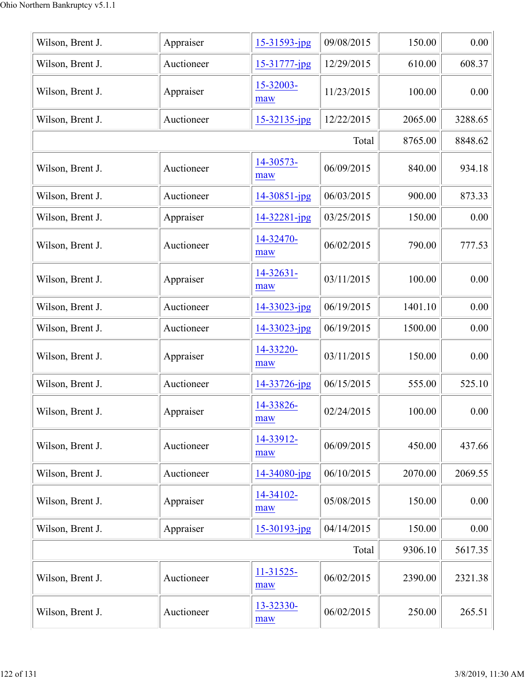| Wilson, Brent J. | Appraiser  | $15 - 31593$ -jpg  | 09/08/2015 | 150.00  | 0.00    |
|------------------|------------|--------------------|------------|---------|---------|
| Wilson, Brent J. | Auctioneer | 15-31777-jpg       | 12/29/2015 | 610.00  | 608.37  |
| Wilson, Brent J. | Appraiser  | 15-32003-<br>maw   | 11/23/2015 | 100.00  | 0.00    |
| Wilson, Brent J. | Auctioneer | $15 - 32135$ -jpg  | 12/22/2015 | 2065.00 | 3288.65 |
|                  |            |                    | Total      | 8765.00 | 8848.62 |
| Wilson, Brent J. | Auctioneer | 14-30573-<br>maw   | 06/09/2015 | 840.00  | 934.18  |
| Wilson, Brent J. | Auctioneer | $14 - 30851 - ipg$ | 06/03/2015 | 900.00  | 873.33  |
| Wilson, Brent J. | Appraiser  | $14 - 32281 - ipg$ | 03/25/2015 | 150.00  | 0.00    |
| Wilson, Brent J. | Auctioneer | 14-32470-<br>maw   | 06/02/2015 | 790.00  | 777.53  |
| Wilson, Brent J. | Appraiser  | 14-32631-<br>maw   | 03/11/2015 | 100.00  | 0.00    |
| Wilson, Brent J. | Auctioneer | $14 - 33023 - ipg$ | 06/19/2015 | 1401.10 | 0.00    |
| Wilson, Brent J. | Auctioneer | 14-33023-jpg       | 06/19/2015 | 1500.00 | 0.00    |
| Wilson, Brent J. | Appraiser  | 14-33220-<br>maw   | 03/11/2015 | 150.00  | 0.00    |
| Wilson, Brent J. | Auctioneer | 14-33726-jpg       | 06/15/2015 | 555.00  | 525.10  |
| Wilson, Brent J. | Appraiser  | 14-33826-<br>maw   | 02/24/2015 | 100.00  | 0.00    |
| Wilson, Brent J. | Auctioneer | 14-33912-<br>maw   | 06/09/2015 | 450.00  | 437.66  |
| Wilson, Brent J. | Auctioneer | 14-34080-jpg       | 06/10/2015 | 2070.00 | 2069.55 |
| Wilson, Brent J. | Appraiser  | 14-34102-<br>maw   | 05/08/2015 | 150.00  | 0.00    |
| Wilson, Brent J. | Appraiser  | 15-30193-jpg       | 04/14/2015 | 150.00  | 0.00    |
|                  |            |                    | Total      | 9306.10 | 5617.35 |
| Wilson, Brent J. | Auctioneer | 11-31525-<br>maw   | 06/02/2015 | 2390.00 | 2321.38 |
| Wilson, Brent J. | Auctioneer | 13-32330-<br>maw   | 06/02/2015 | 250.00  | 265.51  |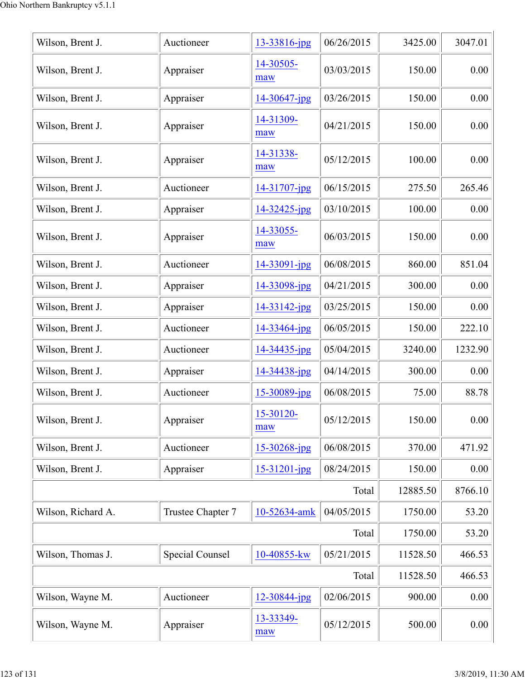| Wilson, Brent J.   | Auctioneer        | 13-33816-jpg      | 06/26/2015 | 3425.00  | 3047.01 |
|--------------------|-------------------|-------------------|------------|----------|---------|
| Wilson, Brent J.   | Appraiser         | 14-30505-<br>maw  | 03/03/2015 | 150.00   | 0.00    |
| Wilson, Brent J.   | Appraiser         | 14-30647-jpg      | 03/26/2015 | 150.00   | 0.00    |
| Wilson, Brent J.   | Appraiser         | 14-31309-<br>maw  | 04/21/2015 | 150.00   | 0.00    |
| Wilson, Brent J.   | Appraiser         | 14-31338-<br>maw  | 05/12/2015 | 100.00   | 0.00    |
| Wilson, Brent J.   | Auctioneer        | 14-31707-jpg      | 06/15/2015 | 275.50   | 265.46  |
| Wilson, Brent J.   | Appraiser         | $14 - 32425$ -jpg | 03/10/2015 | 100.00   | 0.00    |
| Wilson, Brent J.   | Appraiser         | 14-33055-<br>maw  | 06/03/2015 | 150.00   | 0.00    |
| Wilson, Brent J.   | Auctioneer        | 14-33091-jpg      | 06/08/2015 | 860.00   | 851.04  |
| Wilson, Brent J.   | Appraiser         | 14-33098-jpg      | 04/21/2015 | 300.00   | 0.00    |
| Wilson, Brent J.   | Appraiser         | 14-33142-jpg      | 03/25/2015 | 150.00   | 0.00    |
| Wilson, Brent J.   | Auctioneer        | 14-33464-jpg      | 06/05/2015 | 150.00   | 222.10  |
| Wilson, Brent J.   | Auctioneer        | 14-34435-jpg      | 05/04/2015 | 3240.00  | 1232.90 |
| Wilson, Brent J.   | Appraiser         | 14-34438-jpg      | 04/14/2015 | 300.00   | 0.00    |
| Wilson, Brent J.   | Auctioneer        | 15-30089-jpg      | 06/08/2015 | 75.00    | 88.78   |
| Wilson, Brent J.   | Appraiser         | 15-30120-<br>maw  | 05/12/2015 | 150.00   | 0.00    |
| Wilson, Brent J.   | Auctioneer        | 15-30268-jpg      | 06/08/2015 | 370.00   | 471.92  |
| Wilson, Brent J.   | Appraiser         | 15-31201-jpg      | 08/24/2015 | 150.00   | 0.00    |
|                    | Total             | 12885.50          | 8766.10    |          |         |
| Wilson, Richard A. | Trustee Chapter 7 | 10-52634-amk      | 04/05/2015 | 1750.00  | 53.20   |
|                    | 1750.00           | 53.20             |            |          |         |
| Wilson, Thomas J.  | Special Counsel   | 10-40855-kw       | 05/21/2015 | 11528.50 | 466.53  |
|                    | 11528.50          | 466.53            |            |          |         |
| Wilson, Wayne M.   | Auctioneer        | $12 - 30844$ -jpg | 02/06/2015 | 900.00   | 0.00    |
| Wilson, Wayne M.   | Appraiser         | 13-33349-<br>maw  | 05/12/2015 | 500.00   | 0.00    |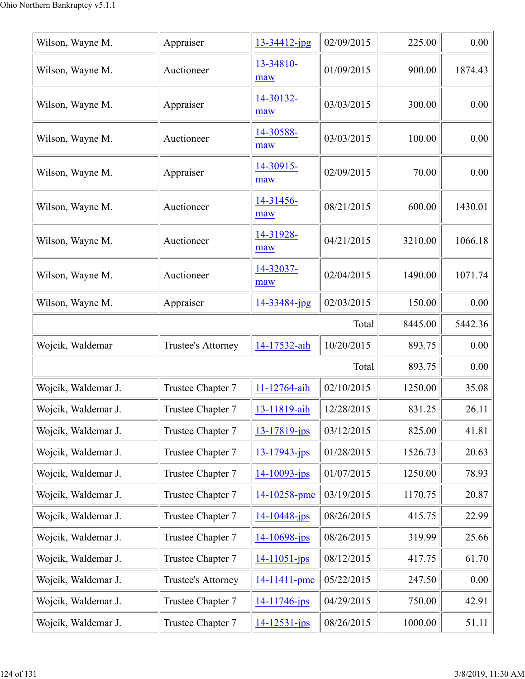| Wilson, Wayne M.    | Appraiser          | $13 - 34412$ -jpg  | 02/09/2015 | 225.00  | 0.00    |
|---------------------|--------------------|--------------------|------------|---------|---------|
| Wilson, Wayne M.    | Auctioneer         | 13-34810-<br>maw   | 01/09/2015 | 900.00  | 1874.43 |
| Wilson, Wayne M.    | Appraiser          | 14-30132-<br>maw   | 03/03/2015 | 300.00  | 0.00    |
| Wilson, Wayne M.    | Auctioneer         | 14-30588-<br>maw   | 03/03/2015 | 100.00  | 0.00    |
| Wilson, Wayne M.    | Appraiser          | 14-30915-<br>maw   | 02/09/2015 | 70.00   | 0.00    |
| Wilson, Wayne M.    | Auctioneer         | 14-31456-<br>maw   | 08/21/2015 | 600.00  | 1430.01 |
| Wilson, Wayne M.    | Auctioneer         | 14-31928-<br>maw   | 04/21/2015 | 3210.00 | 1066.18 |
| Wilson, Wayne M.    | Auctioneer         | 14-32037-<br>maw   | 02/04/2015 | 1490.00 | 1071.74 |
| Wilson, Wayne M.    | Appraiser          | 14-33484-jpg       | 02/03/2015 | 150.00  | 0.00    |
|                     |                    |                    | Total      | 8445.00 | 5442.36 |
| Wojcik, Waldemar    | Trustee's Attorney | 14-17532-aih       | 10/20/2015 | 893.75  | 0.00    |
|                     |                    |                    | Total      | 893.75  | 0.00    |
| Wojcik, Waldemar J. | Trustee Chapter 7  | 11-12764-aih       | 02/10/2015 | 1250.00 | 35.08   |
| Wojcik, Waldemar J. | Trustee Chapter 7  | 13-11819-aih       | 12/28/2015 | 831.25  | 26.11   |
| Wojcik, Waldemar J. | Trustee Chapter 7  | $13 - 17819$ -jps  | 03/12/2015 | 825.00  | 41.81   |
| Wojcik, Waldemar J. | Trustee Chapter 7  | $13 - 17943 - ips$ | 01/28/2015 | 1526.73 | 20.63   |
| Wojcik, Waldemar J. | Trustee Chapter 7  | $14 - 10093 - ips$ | 01/07/2015 | 1250.00 | 78.93   |
| Wojcik, Waldemar J. | Trustee Chapter 7  | 14-10258-pmc       | 03/19/2015 | 1170.75 | 20.87   |
| Wojcik, Waldemar J. | Trustee Chapter 7  | 14-10448-jps       | 08/26/2015 | 415.75  | 22.99   |
| Wojcik, Waldemar J. | Trustee Chapter 7  | 14-10698-jps       | 08/26/2015 | 319.99  | 25.66   |
| Wojcik, Waldemar J. | Trustee Chapter 7  | $14 - 11051 - ips$ | 08/12/2015 | 417.75  | 61.70   |
| Wojcik, Waldemar J. | Trustee's Attorney | 14-11411-pmc       | 05/22/2015 | 247.50  | 0.00    |
| Wojcik, Waldemar J. | Trustee Chapter 7  | 14-11746-jps       | 04/29/2015 | 750.00  | 42.91   |
| Wojcik, Waldemar J. | Trustee Chapter 7  | $14 - 12531 - ips$ | 08/26/2015 | 1000.00 | 51.11   |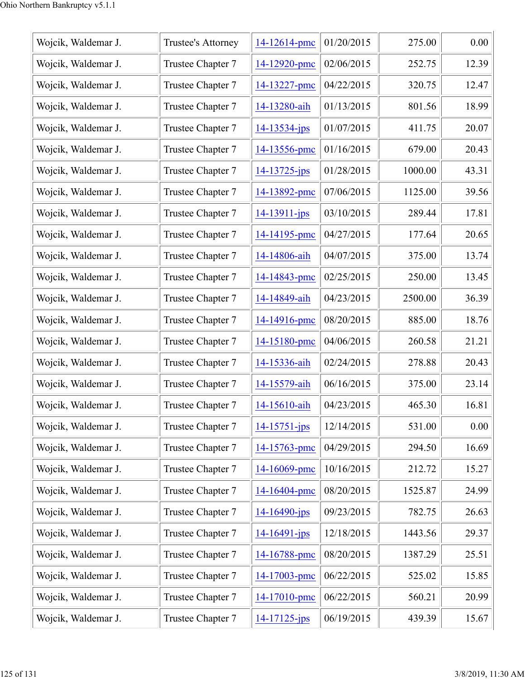| Wojcik, Waldemar J. | Trustee's Attorney | 14-12614-pmc       | 01/20/2015 | 275.00  | 0.00  |
|---------------------|--------------------|--------------------|------------|---------|-------|
| Wojcik, Waldemar J. | Trustee Chapter 7  | 14-12920-pmc       | 02/06/2015 | 252.75  | 12.39 |
| Wojcik, Waldemar J. | Trustee Chapter 7  | 14-13227-pmc       | 04/22/2015 | 320.75  | 12.47 |
| Wojcik, Waldemar J. | Trustee Chapter 7  | 14-13280-aih       | 01/13/2015 | 801.56  | 18.99 |
| Wojcik, Waldemar J. | Trustee Chapter 7  | $14 - 13534 - jps$ | 01/07/2015 | 411.75  | 20.07 |
| Wojcik, Waldemar J. | Trustee Chapter 7  | 14-13556-pmc       | 01/16/2015 | 679.00  | 20.43 |
| Wojcik, Waldemar J. | Trustee Chapter 7  | $14 - 13725 - jps$ | 01/28/2015 | 1000.00 | 43.31 |
| Wojcik, Waldemar J. | Trustee Chapter 7  | 14-13892-pmc       | 07/06/2015 | 1125.00 | 39.56 |
| Wojcik, Waldemar J. | Trustee Chapter 7  | 14-13911-jps       | 03/10/2015 | 289.44  | 17.81 |
| Wojcik, Waldemar J. | Trustee Chapter 7  | 14-14195-pmc       | 04/27/2015 | 177.64  | 20.65 |
| Wojcik, Waldemar J. | Trustee Chapter 7  | 14-14806-aih       | 04/07/2015 | 375.00  | 13.74 |
| Wojcik, Waldemar J. | Trustee Chapter 7  | 14-14843-pmc       | 02/25/2015 | 250.00  | 13.45 |
| Wojcik, Waldemar J. | Trustee Chapter 7  | 14-14849-aih       | 04/23/2015 | 2500.00 | 36.39 |
| Wojcik, Waldemar J. | Trustee Chapter 7  | 14-14916-pmc       | 08/20/2015 | 885.00  | 18.76 |
| Wojcik, Waldemar J. | Trustee Chapter 7  | 14-15180-pmc       | 04/06/2015 | 260.58  | 21.21 |
| Wojcik, Waldemar J. | Trustee Chapter 7  | 14-15336-aih       | 02/24/2015 | 278.88  | 20.43 |
| Wojcik, Waldemar J. | Trustee Chapter 7  | 14-15579-aih       | 06/16/2015 | 375.00  | 23.14 |
| Wojcik, Waldemar J. | Trustee Chapter 7  | 14-15610-aih       | 04/23/2015 | 465.30  | 16.81 |
| Wojcik, Waldemar J. | Trustee Chapter 7  | $14 - 15751 - ips$ | 12/14/2015 | 531.00  | 0.00  |
| Wojcik, Waldemar J. | Trustee Chapter 7  | 14-15763-pmc       | 04/29/2015 | 294.50  | 16.69 |
| Wojcik, Waldemar J. | Trustee Chapter 7  | 14-16069-pmc       | 10/16/2015 | 212.72  | 15.27 |
| Wojcik, Waldemar J. | Trustee Chapter 7  | 14-16404-pmc       | 08/20/2015 | 1525.87 | 24.99 |
| Wojcik, Waldemar J. | Trustee Chapter 7  | $14 - 16490 - ips$ | 09/23/2015 | 782.75  | 26.63 |
| Wojcik, Waldemar J. | Trustee Chapter 7  | 14-16491-jps       | 12/18/2015 | 1443.56 | 29.37 |
| Wojcik, Waldemar J. | Trustee Chapter 7  | 14-16788-pmc       | 08/20/2015 | 1387.29 | 25.51 |
| Wojcik, Waldemar J. | Trustee Chapter 7  | 14-17003-pmc       | 06/22/2015 | 525.02  | 15.85 |
| Wojcik, Waldemar J. | Trustee Chapter 7  | 14-17010-pmc       | 06/22/2015 | 560.21  | 20.99 |
| Wojcik, Waldemar J. | Trustee Chapter 7  | $14 - 17125 - ips$ | 06/19/2015 | 439.39  | 15.67 |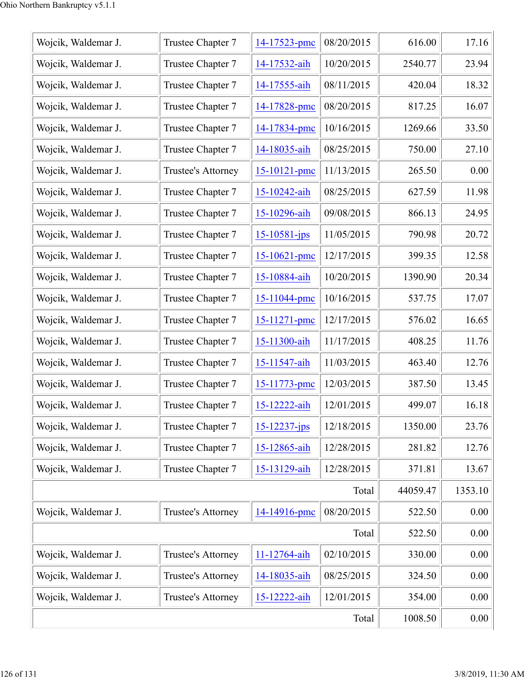| Wojcik, Waldemar J. | Trustee Chapter 7  | 14-17523-pmc       | 08/20/2015 | 616.00   | 17.16   |
|---------------------|--------------------|--------------------|------------|----------|---------|
| Wojcik, Waldemar J. | Trustee Chapter 7  | 14-17532-aih       | 10/20/2015 | 2540.77  | 23.94   |
| Wojcik, Waldemar J. | Trustee Chapter 7  | 14-17555-aih       | 08/11/2015 | 420.04   | 18.32   |
| Wojcik, Waldemar J. | Trustee Chapter 7  | 14-17828-pmc       | 08/20/2015 | 817.25   | 16.07   |
| Wojcik, Waldemar J. | Trustee Chapter 7  | 14-17834-pmc       | 10/16/2015 | 1269.66  | 33.50   |
| Wojcik, Waldemar J. | Trustee Chapter 7  | 14-18035-aih       | 08/25/2015 | 750.00   | 27.10   |
| Wojcik, Waldemar J. | Trustee's Attorney | $15 - 10121$ -pmc  | 11/13/2015 | 265.50   | 0.00    |
| Wojcik, Waldemar J. | Trustee Chapter 7  | 15-10242-aih       | 08/25/2015 | 627.59   | 11.98   |
| Wojcik, Waldemar J. | Trustee Chapter 7  | 15-10296-aih       | 09/08/2015 | 866.13   | 24.95   |
| Wojcik, Waldemar J. | Trustee Chapter 7  | $15 - 10581 - ips$ | 11/05/2015 | 790.98   | 20.72   |
| Wojcik, Waldemar J. | Trustee Chapter 7  | 15-10621-pmc       | 12/17/2015 | 399.35   | 12.58   |
| Wojcik, Waldemar J. | Trustee Chapter 7  | 15-10884-aih       | 10/20/2015 | 1390.90  | 20.34   |
| Wojcik, Waldemar J. | Trustee Chapter 7  | 15-11044-pmc       | 10/16/2015 | 537.75   | 17.07   |
| Wojcik, Waldemar J. | Trustee Chapter 7  | 15-11271-pmc       | 12/17/2015 | 576.02   | 16.65   |
| Wojcik, Waldemar J. | Trustee Chapter 7  | 15-11300-aih       | 11/17/2015 | 408.25   | 11.76   |
| Wojcik, Waldemar J. | Trustee Chapter 7  | 15-11547-aih       | 11/03/2015 | 463.40   | 12.76   |
| Wojcik, Waldemar J. | Trustee Chapter 7  | 15-11773-pmc       | 12/03/2015 | 387.50   | 13.45   |
| Wojcik, Waldemar J. | Trustee Chapter 7  | 15-12222-aih       | 12/01/2015 | 499.07   | 16.18   |
| Wojcik, Waldemar J. | Trustee Chapter 7  | $15 - 12237 - ips$ | 12/18/2015 | 1350.00  | 23.76   |
| Wojcik, Waldemar J. | Trustee Chapter 7  | 15-12865-aih       | 12/28/2015 | 281.82   | 12.76   |
| Wojcik, Waldemar J. | Trustee Chapter 7  | 15-13129-aih       | 12/28/2015 | 371.81   | 13.67   |
|                     |                    |                    | Total      | 44059.47 | 1353.10 |
| Wojcik, Waldemar J. | Trustee's Attorney | 14-14916-pmc       | 08/20/2015 | 522.50   | 0.00    |
|                     |                    |                    | Total      | 522.50   | 0.00    |
| Wojcik, Waldemar J. | Trustee's Attorney | 11-12764-aih       | 02/10/2015 | 330.00   | 0.00    |
| Wojcik, Waldemar J. | Trustee's Attorney | 14-18035-aih       | 08/25/2015 | 324.50   | 0.00    |
| Wojcik, Waldemar J. | Trustee's Attorney | 15-12222-aih       | 12/01/2015 | 354.00   | 0.00    |
|                     |                    |                    | Total      | 1008.50  | 0.00    |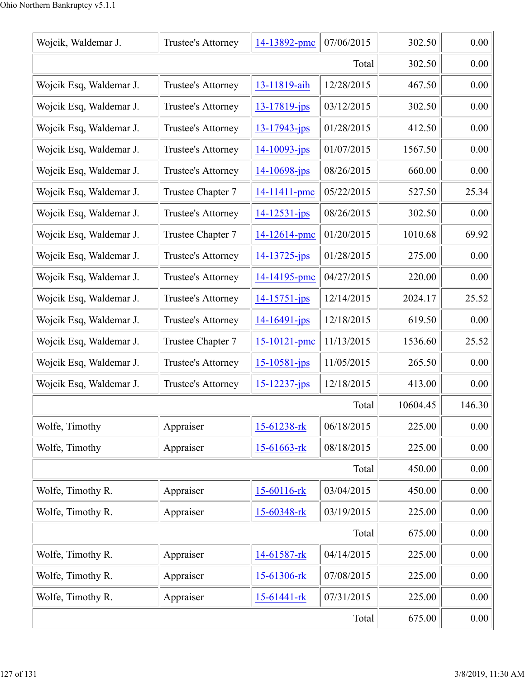| Wojcik, Waldemar J.     | Trustee's Attorney | 14-13892-pmc       | 07/06/2015 | 302.50   | 0.00   |
|-------------------------|--------------------|--------------------|------------|----------|--------|
|                         | 302.50             | 0.00               |            |          |        |
| Wojcik Esq, Waldemar J. | Trustee's Attorney | 13-11819-aih       | 12/28/2015 | 467.50   | 0.00   |
| Wojcik Esq, Waldemar J. | Trustee's Attorney | $13 - 17819$ -jps  | 03/12/2015 | 302.50   | 0.00   |
| Wojcik Esq, Waldemar J. | Trustee's Attorney | $13 - 17943 - jps$ | 01/28/2015 | 412.50   | 0.00   |
| Wojcik Esq, Waldemar J. | Trustee's Attorney | $14 - 10093 - ips$ | 01/07/2015 | 1567.50  | 0.00   |
| Wojcik Esq, Waldemar J. | Trustee's Attorney | $14 - 10698 - ips$ | 08/26/2015 | 660.00   | 0.00   |
| Wojcik Esq, Waldemar J. | Trustee Chapter 7  | 14-11411-pmc       | 05/22/2015 | 527.50   | 25.34  |
| Wojcik Esq, Waldemar J. | Trustee's Attorney | $14 - 12531 - ips$ | 08/26/2015 | 302.50   | 0.00   |
| Wojcik Esq, Waldemar J. | Trustee Chapter 7  | 14-12614-pmc       | 01/20/2015 | 1010.68  | 69.92  |
| Wojcik Esq, Waldemar J. | Trustee's Attorney | $14 - 13725$ -jps  | 01/28/2015 | 275.00   | 0.00   |
| Wojcik Esq, Waldemar J. | Trustee's Attorney | 14-14195-pmc       | 04/27/2015 | 220.00   | 0.00   |
| Wojcik Esq, Waldemar J. | Trustee's Attorney | $14 - 15751 - ips$ | 12/14/2015 | 2024.17  | 25.52  |
| Wojcik Esq, Waldemar J. | Trustee's Attorney | $14 - 16491 - ips$ | 12/18/2015 | 619.50   | 0.00   |
| Wojcik Esq, Waldemar J. | Trustee Chapter 7  | $15 - 10121 - pmc$ | 11/13/2015 | 1536.60  | 25.52  |
| Wojcik Esq, Waldemar J. | Trustee's Attorney | $15 - 10581 - ips$ | 11/05/2015 | 265.50   | 0.00   |
| Wojcik Esq, Waldemar J. | Trustee's Attorney | $15 - 12237 - jps$ | 12/18/2015 | 413.00   | 0.00   |
|                         |                    |                    | Total      | 10604.45 | 146.30 |
| Wolfe, Timothy          | Appraiser          | 15-61238-rk        | 06/18/2015 | 225.00   | 0.00   |
| Wolfe, Timothy          | Appraiser          | 15-61663-rk        | 08/18/2015 | 225.00   | 0.00   |
|                         |                    |                    | Total      | 450.00   | 0.00   |
| Wolfe, Timothy R.       | Appraiser          | 15-60116-rk        | 03/04/2015 | 450.00   | 0.00   |
| Wolfe, Timothy R.       | Appraiser          | 15-60348-rk        | 03/19/2015 | 225.00   | 0.00   |
|                         | 675.00             | 0.00               |            |          |        |
| Wolfe, Timothy R.       | Appraiser          | 14-61587-rk        | 04/14/2015 | 225.00   | 0.00   |
| Wolfe, Timothy R.       | Appraiser          | 15-61306-rk        | 07/08/2015 | 225.00   | 0.00   |
| Wolfe, Timothy R.       | Appraiser          | 15-61441-rk        | 07/31/2015 | 225.00   | 0.00   |
|                         | 675.00             | 0.00               |            |          |        |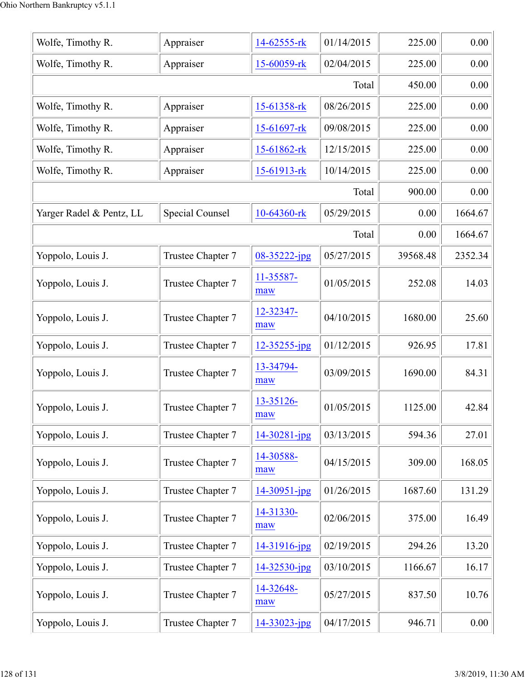| Wolfe, Timothy R.        | Appraiser         | 14-62555-rk      | 01/14/2015 | 225.00   | 0.00    |
|--------------------------|-------------------|------------------|------------|----------|---------|
| Wolfe, Timothy R.        | Appraiser         | 15-60059-rk      | 02/04/2015 | 225.00   | 0.00    |
|                          |                   |                  | Total      | 450.00   | 0.00    |
| Wolfe, Timothy R.        | Appraiser         | 15-61358-rk      | 08/26/2015 | 225.00   | 0.00    |
| Wolfe, Timothy R.        | Appraiser         | 15-61697-rk      | 09/08/2015 | 225.00   | 0.00    |
| Wolfe, Timothy R.        | Appraiser         | 15-61862-rk      | 12/15/2015 | 225.00   | 0.00    |
| Wolfe, Timothy R.        | Appraiser         | 15-61913-rk      | 10/14/2015 | 225.00   | 0.00    |
|                          |                   |                  | Total      | 900.00   | 0.00    |
| Yarger Radel & Pentz, LL | Special Counsel   | 10-64360-rk      | 05/29/2015 | 0.00     | 1664.67 |
|                          |                   |                  | Total      | 0.00     | 1664.67 |
| Yoppolo, Louis J.        | Trustee Chapter 7 | 08-35222-jpg     | 05/27/2015 | 39568.48 | 2352.34 |
| Yoppolo, Louis J.        | Trustee Chapter 7 | 11-35587-<br>maw | 01/05/2015 | 252.08   | 14.03   |
| Yoppolo, Louis J.        | Trustee Chapter 7 | 12-32347-<br>maw | 04/10/2015 | 1680.00  | 25.60   |
| Yoppolo, Louis J.        | Trustee Chapter 7 | 12-35255-jpg     | 01/12/2015 | 926.95   | 17.81   |
| Yoppolo, Louis J.        | Trustee Chapter 7 | 13-34794-<br>maw | 03/09/2015 | 1690.00  | 84.31   |
| Yoppolo, Louis J.        | Trustee Chapter 7 | 13-35126-<br>maw | 01/05/2015 | 1125.00  | 42.84   |
| Yoppolo, Louis J.        | Trustee Chapter 7 | 14-30281-jpg     | 03/13/2015 | 594.36   | 27.01   |
| Yoppolo, Louis J.        | Trustee Chapter 7 | 14-30588-<br>maw | 04/15/2015 | 309.00   | 168.05  |
| Yoppolo, Louis J.        | Trustee Chapter 7 | 14-30951-jpg     | 01/26/2015 | 1687.60  | 131.29  |
| Yoppolo, Louis J.        | Trustee Chapter 7 | 14-31330-<br>maw | 02/06/2015 | 375.00   | 16.49   |
| Yoppolo, Louis J.        | Trustee Chapter 7 | 14-31916-jpg     | 02/19/2015 | 294.26   | 13.20   |
| Yoppolo, Louis J.        | Trustee Chapter 7 | 14-32530-jpg     | 03/10/2015 | 1166.67  | 16.17   |
| Yoppolo, Louis J.        | Trustee Chapter 7 | 14-32648-<br>maw | 05/27/2015 | 837.50   | 10.76   |
| Yoppolo, Louis J.        | Trustee Chapter 7 | 14-33023-jpg     | 04/17/2015 | 946.71   | 0.00    |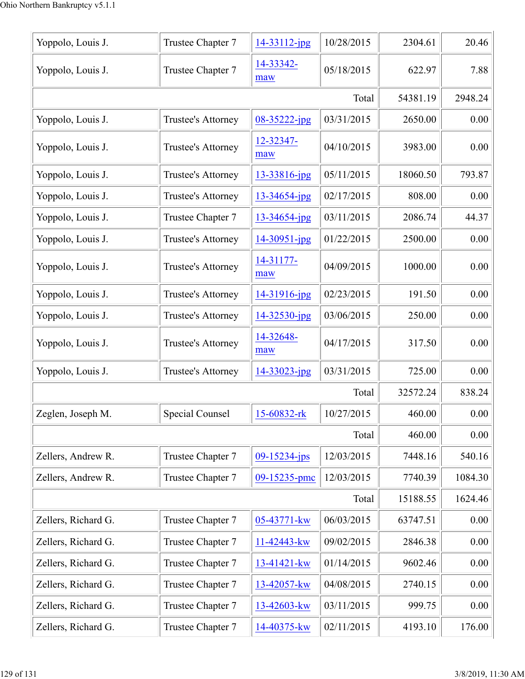| Yoppolo, Louis J.   | Trustee Chapter 7  | 14-33112-jpg       | 10/28/2015 | 2304.61  | 20.46   |
|---------------------|--------------------|--------------------|------------|----------|---------|
| Yoppolo, Louis J.   | Trustee Chapter 7  | 14-33342-<br>maw   | 05/18/2015 | 622.97   | 7.88    |
|                     |                    |                    | Total      | 54381.19 | 2948.24 |
| Yoppolo, Louis J.   | Trustee's Attorney | $08 - 35222 - ipg$ | 03/31/2015 | 2650.00  | 0.00    |
| Yoppolo, Louis J.   | Trustee's Attorney | 12-32347-<br>maw   | 04/10/2015 | 3983.00  | 0.00    |
| Yoppolo, Louis J.   | Trustee's Attorney | 13-33816-jpg       | 05/11/2015 | 18060.50 | 793.87  |
| Yoppolo, Louis J.   | Trustee's Attorney | 13-34654-jpg       | 02/17/2015 | 808.00   | 0.00    |
| Yoppolo, Louis J.   | Trustee Chapter 7  | 13-34654-jpg       | 03/11/2015 | 2086.74  | 44.37   |
| Yoppolo, Louis J.   | Trustee's Attorney | $14 - 30951 - jpg$ | 01/22/2015 | 2500.00  | 0.00    |
| Yoppolo, Louis J.   | Trustee's Attorney | 14-31177-<br>maw   | 04/09/2015 | 1000.00  | 0.00    |
| Yoppolo, Louis J.   | Trustee's Attorney | 14-31916-jpg       | 02/23/2015 | 191.50   | 0.00    |
| Yoppolo, Louis J.   | Trustee's Attorney | 14-32530-jpg       | 03/06/2015 | 250.00   | 0.00    |
| Yoppolo, Louis J.   | Trustee's Attorney | 14-32648-<br>maw   | 04/17/2015 | 317.50   | 0.00    |
| Yoppolo, Louis J.   | Trustee's Attorney | 14-33023-jpg       | 03/31/2015 | 725.00   | 0.00    |
|                     |                    |                    | Total      | 32572.24 | 838.24  |
| Zeglen, Joseph M    | Special Counsel    | 15-60832-rk        | 10/27/2015 | 460.00   | 0.00    |
|                     |                    |                    | Total      | 460.00   | 0.00    |
| Zellers, Andrew R.  | Trustee Chapter 7  | $09 - 15234 - ips$ | 12/03/2015 | 7448.16  | 540.16  |
| Zellers, Andrew R.  | Trustee Chapter 7  | 09-15235-pmc       | 12/03/2015 | 7740.39  | 1084.30 |
|                     |                    |                    | Total      | 15188.55 | 1624.46 |
| Zellers, Richard G. | Trustee Chapter 7  | 05-43771-kw        | 06/03/2015 | 63747.51 | 0.00    |
| Zellers, Richard G. | Trustee Chapter 7  | 11-42443-kw        | 09/02/2015 | 2846.38  | 0.00    |
| Zellers, Richard G. | Trustee Chapter 7  | 13-41421-kw        | 01/14/2015 | 9602.46  | 0.00    |
| Zellers, Richard G. | Trustee Chapter 7  | 13-42057-kw        | 04/08/2015 | 2740.15  | 0.00    |
| Zellers, Richard G. | Trustee Chapter 7  | 13-42603-kw        | 03/11/2015 | 999.75   | 0.00    |
| Zellers, Richard G. | Trustee Chapter 7  | 14-40375-kw        | 02/11/2015 | 4193.10  | 176.00  |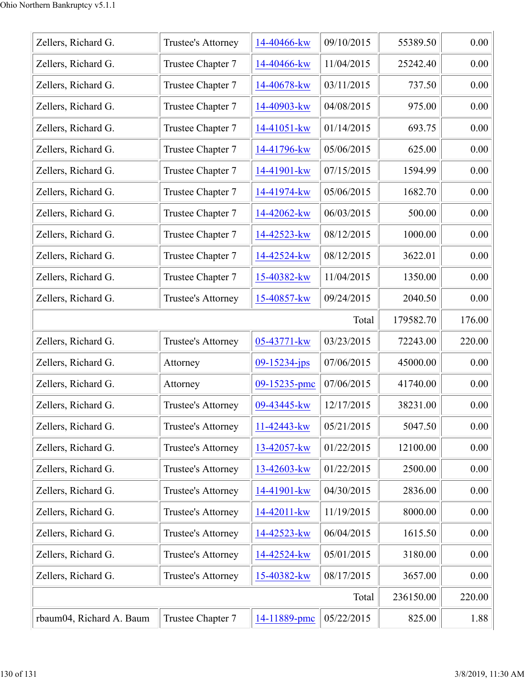| Zellers, Richard G.      | Trustee's Attorney | 14-40466-kw   | 09/10/2015 | 55389.50  | 0.00   |
|--------------------------|--------------------|---------------|------------|-----------|--------|
| Zellers, Richard G.      | Trustee Chapter 7  | 14-40466-kw   | 11/04/2015 | 25242.40  | 0.00   |
| Zellers, Richard G.      | Trustee Chapter 7  | 14-40678-kw   | 03/11/2015 | 737.50    | 0.00   |
| Zellers, Richard G.      | Trustee Chapter 7  | 14-40903-kw   | 04/08/2015 | 975.00    | 0.00   |
| Zellers, Richard G.      | Trustee Chapter 7  | $14-41051-kw$ | 01/14/2015 | 693.75    | 0.00   |
| Zellers, Richard G.      | Trustee Chapter 7  | 14-41796-kw   | 05/06/2015 | 625.00    | 0.00   |
| Zellers, Richard G.      | Trustee Chapter 7  | 14-41901-kw   | 07/15/2015 | 1594.99   | 0.00   |
| Zellers, Richard G.      | Trustee Chapter 7  | 14-41974-kw   | 05/06/2015 | 1682.70   | 0.00   |
| Zellers, Richard G.      | Trustee Chapter 7  | 14-42062-kw   | 06/03/2015 | 500.00    | 0.00   |
| Zellers, Richard G.      | Trustee Chapter 7  | 14-42523-kw   | 08/12/2015 | 1000.00   | 0.00   |
| Zellers, Richard G.      | Trustee Chapter 7  | 14-42524-kw   | 08/12/2015 | 3622.01   | 0.00   |
| Zellers, Richard G.      | Trustee Chapter 7  | 15-40382-kw   | 11/04/2015 | 1350.00   | 0.00   |
| Zellers, Richard G.      | Trustee's Attorney | 15-40857-kw   | 09/24/2015 | 2040.50   | 0.00   |
|                          |                    |               | Total      | 179582.70 | 176.00 |
| Zellers, Richard G.      | Trustee's Attorney | 05-43771-kw   | 03/23/2015 | 72243.00  | 220.00 |
| Zellers, Richard G.      | Attorney           | 09-15234-jps  | 07/06/2015 | 45000.00  | 0.00   |
| Zellers, Richard G.      | Attorney           | 09-15235-pmc  | 07/06/2015 | 41740.00  | 0.00   |
| Zellers, Richard G.      | Trustee's Attorney | 09-43445-kw   | 12/17/2015 | 38231.00  | 0.00   |
| Zellers, Richard G.      | Trustee's Attorney | 11-42443-kw   | 05/21/2015 | 5047.50   | 0.00   |
| Zellers, Richard G.      | Trustee's Attorney | 13-42057-kw   | 01/22/2015 | 12100.00  | 0.00   |
| Zellers, Richard G.      | Trustee's Attorney | 13-42603-kw   | 01/22/2015 | 2500.00   | 0.00   |
| Zellers, Richard G.      | Trustee's Attorney | 14-41901-kw   | 04/30/2015 | 2836.00   | 0.00   |
| Zellers, Richard G.      | Trustee's Attorney | 14-42011-kw   | 11/19/2015 | 8000.00   | 0.00   |
| Zellers, Richard G.      | Trustee's Attorney | 14-42523-kw   | 06/04/2015 | 1615.50   | 0.00   |
| Zellers, Richard G.      | Trustee's Attorney | 14-42524-kw   | 05/01/2015 | 3180.00   | 0.00   |
| Zellers, Richard G.      | Trustee's Attorney | 15-40382-kw   | 08/17/2015 | 3657.00   | 0.00   |
|                          |                    |               | Total      | 236150.00 | 220.00 |
| rbaum04, Richard A. Baum | Trustee Chapter 7  | 14-11889-pmc  | 05/22/2015 | 825.00    | 1.88   |